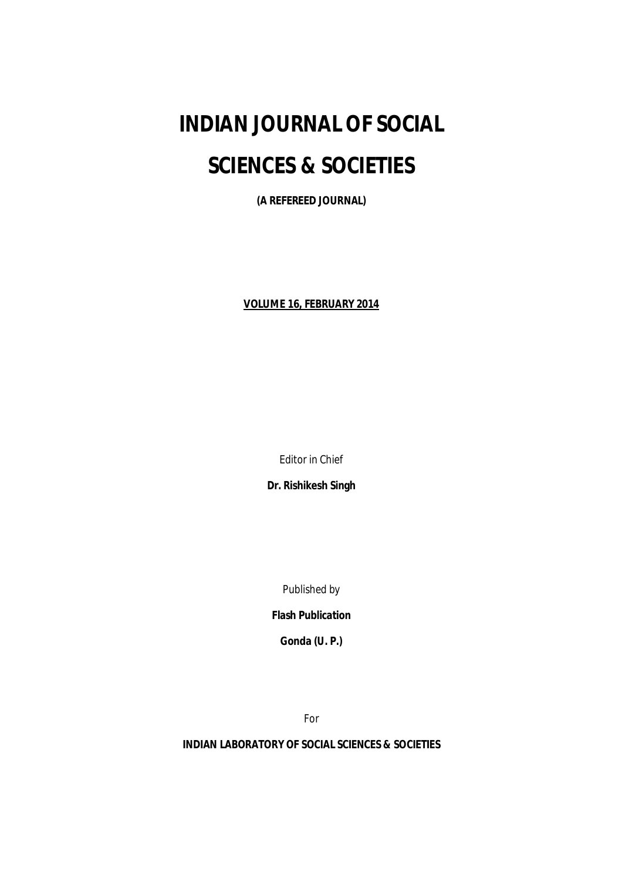# **INDIAN JOURNAL OF SOCIAL SCIENCES & SOCIETIES**

**(A REFEREED JOURNAL)**

**VOLUME 16, FEBRUARY 2014**

*Editor in Chief*

**Dr. Rishikesh Singh**

*Published by*

**Flash Publication**

**Gonda (U. P.)**

*For*

**INDIAN LABORATORY OF SOCIAL SCIENCES & SOCIETIES**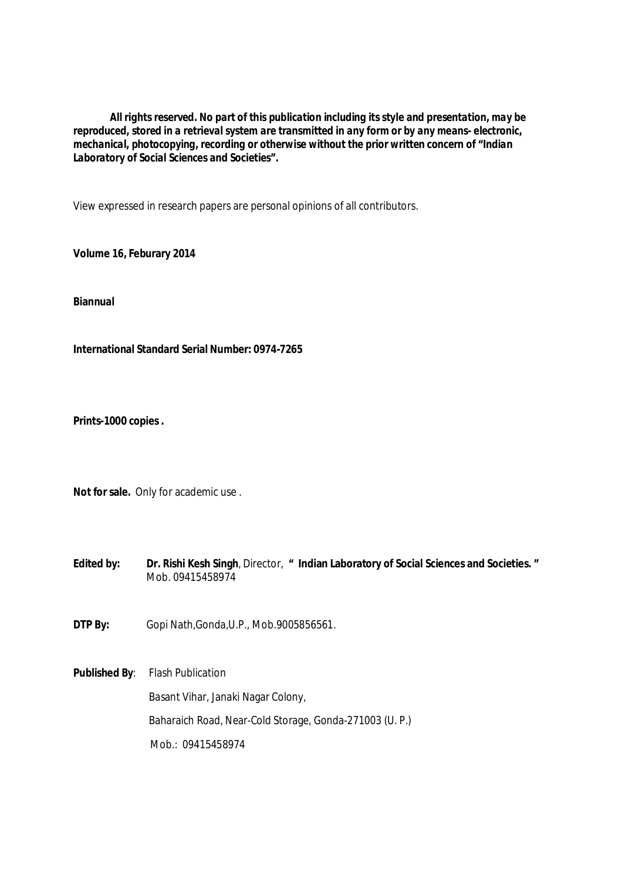*All rights reserved. No part of this publication including its style and presentation, may be reproduced, stored in a retrieval system are transmitted in any form or by any means- electronic, mechanical, photocopying, recording or otherwise without the prior written concern of "Indian Laboratory of Social Sciences and Societies".*

View expressed in research papers are personal opinions of all contributors.

**Volume 16, Feburary 2014**

**Biannual**

**International Standard Serial Number: 0974-7265**

**Prints-1000 copies .**

**Not for sale.** Only for academic use .

- **Edited by: Dr. Rishi Kesh Singh**, Director, **" Indian Laboratory of Social Sciences and Societies. "**  Mob. 09415458974
- **DTP By:** Gopi Nath,Gonda,U.P., Mob.9005856561.
- **Published By**: Flash Publication Basant Vihar, Janaki Nagar Colony, Baharaich Road, Near-Cold Storage, Gonda-271003 (U. P.) Mob.: 09415458974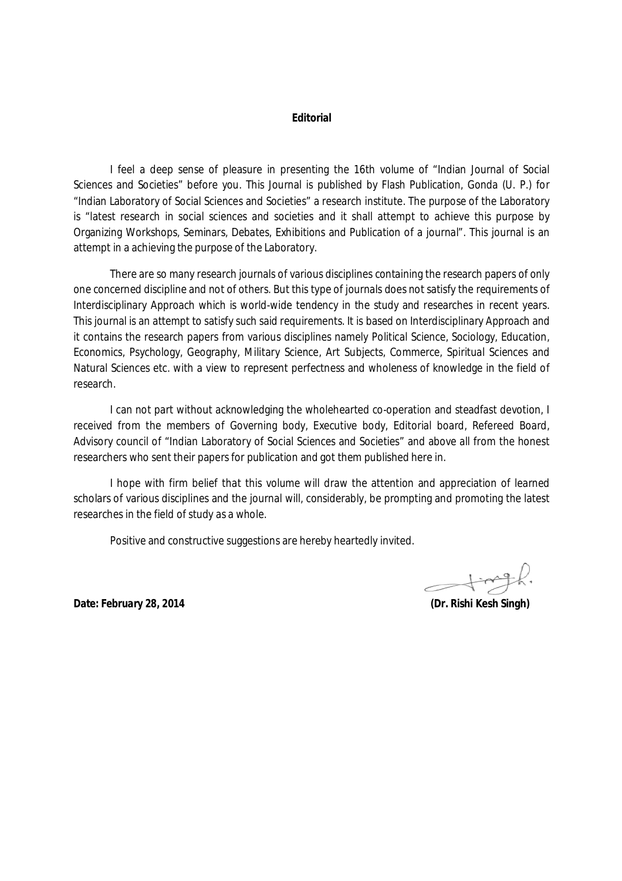#### **Editorial**

I feel a deep sense of pleasure in presenting the 16th volume of "Indian Journal of Social Sciences and Societies" before you. This Journal is published by Flash Publication, Gonda (U. P.) for "Indian Laboratory of Social Sciences and Societies" a research institute. The purpose of the Laboratory is "latest research in social sciences and societies and it shall attempt to achieve this purpose by Organizing Workshops, Seminars, Debates, Exhibitions and Publication of a journal". This journal is an attempt in a achieving the purpose of the Laboratory.

There are so many research journals of various disciplines containing the research papers of only one concerned discipline and not of others. But this type of journals does not satisfy the requirements of Interdisciplinary Approach which is world-wide tendency in the study and researches in recent years. This journal is an attempt to satisfy such said requirements. It is based on Interdisciplinary Approach and it contains the research papers from various disciplines namely Political Science, Sociology, Education, Economics, Psychology, Geography, Military Science, Art Subjects, Commerce, Spiritual Sciences and Natural Sciences etc. with a view to represent perfectness and wholeness of knowledge in the field of research.

I can not part without acknowledging the wholehearted co-operation and steadfast devotion, I received from the members of Governing body, Executive body, Editorial board, Refereed Board, Advisory council of "Indian Laboratory of Social Sciences and Societies" and above all from the honest researchers who sent their papers for publication and got them published here in.

I hope with firm belief that this volume will draw the attention and appreciation of learned scholars of various disciplines and the journal will, considerably, be prompting and promoting the latest researches in the field of study as a whole.

Positive and constructive suggestions are hereby heartedly invited.

 $\begin{picture}(120,10) \put(0,0){\dashbox{0.5}(120,10){ }} \put(15,0){\circle{10}} \put(15,0){\circle{10}} \put(15,0){\circle{10}} \put(15,0){\circle{10}} \put(15,0){\circle{10}} \put(15,0){\circle{10}} \put(15,0){\circle{10}} \put(15,0){\circle{10}} \put(15,0){\circle{10}} \put(15,0){\circle{10}} \put(15,0){\circle{10}} \put(15,0){\circle{10}} \put(15,0){\circle{10}} \put($ 

**Date:** *February 28, 2014* **(Dr. Rishi Kesh Singh)**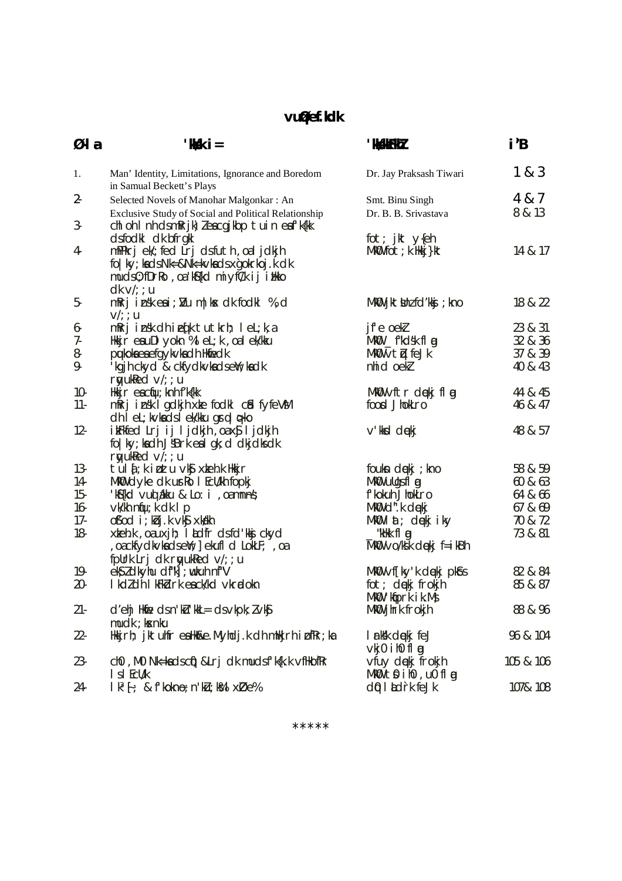# vu@ef.kdk

| Ø-l a  | 'kkk i=                                                                                                                        | " kkkkk ky                     | i'B       |
|--------|--------------------------------------------------------------------------------------------------------------------------------|--------------------------------|-----------|
| 1.     | Man' Identity, Limitations, Ignorance and Boredom<br>in Samual Beckett's Plays                                                 | Dr. Jay Praksash Tiwari        | 1 & 3     |
| 2-     | Selected Novels of Manohar Malgonkar: An                                                                                       | Smt. Binu Singh                | 4 & 7     |
| 3-     | Exclusive Study of Social and Political Relationship<br>chl oh I nh dsmRrjk) leacgjkbp tuin eafk{kk                            | Dr. B. B. Srivastava           | 8 & 13    |
|        | dsfodkl dk bfrgkl                                                                                                              | fot; jkt $y$ {eh               |           |
| 4-     | mPPkrj eW; fed Lrj dsfuth, oal jdkjh<br>fo   ky; kads Nk=&Nk=kvkads xgokrkoj.k dk<br>muds0; fDrRo, oa 'k\${kd miyfC/k ij itkko | MkO fot; k Hkkj}kt             | 14 & 17   |
|        | $dk \vee l$ ; ; u                                                                                                              |                                |           |
| 5-     | m $R$ rj insk e $a$ i; $U$ u m kx dk fodkl %, d<br>$V/$ ; ; u                                                                  | MkO jktWnzfd'kkj; kno          | 18 & 22   |
| 6-     | m $R$ rj insk dhi $E$ [k tutkrh; leL;k,a                                                                                       | jf'e oekl                      | 23 & 31   |
| 7-     | Hkkjr eauDI yokn %I eL; k, oa I ek/kku                                                                                         | MkO __f"kdśk fl g              | 32 & 36   |
| 8-     | pukoka ea efgykvka dh Hkfiedk                                                                                                  | MkO ∨tų̃ feJk                  | 37 & 39   |
| 9.     | 'kgjh ckyd & ckfydkvkadsell'; kadk<br>rwukked $v$ /; ; u                                                                       | nhi doekl                      | 40 & 43   |
| $10-$  | $H$ kijr e $a$ c $f$ u; knh $f'$ k $\{kk$                                                                                      | MKO vftr dękj flą              | 44 & 45   |
| $11 -$ | mRrj insk I gdkjh xke fodkl cid fyfeVM                                                                                         | food JhokLro                   | 46 & 47   |
|        | dh I eL; kvkads I ek/kku gral opko                                                                                             |                                |           |
| $12 -$ | ikFkfed Lrj ij ljdkjh, oax <b>s</b> j ljdkjh                                                                                   | $V'$ kkd dekj                  | 48 & 57   |
|        | fo   ky; kadh JsBrk eal gk; d dkjdks dk                                                                                        |                                |           |
|        | ryukked $v$ /; ; u                                                                                                             |                                |           |
| $13 -$ | tulą̃;k i bztu ∨k§xkehk Hkkjr                                                                                                  | foukn dękj; kno                | 58 & 59   |
| $14-$  | MKO dyke dk urko I Ecl/kh fopkj                                                                                                | MkOU ullgsflog                 | 60 & 63   |
| $15 -$ | 'k§{kd vud akku & Lo: i, oamnns;                                                                                               | f'kokuh JhokLro                | 64 & 66   |
| $16-$  | vk/kh ntju; k dk I p                                                                                                           | MkO d".k dękj                  | 67 & 69   |
| $17 -$ | of'od i; kbj.k vkf xkalkh                                                                                                      | MkOU lat; dękjiky              | 70 & 72   |
| $18-$  | xkeh.k , oauxjh; I kudfr dsfd'kkj ckyd                                                                                         | __"kHkk f <b>la</b> g          | 73 & 81   |
|        | oackfydkykadseW; ] ekufld LokLF; , oa                                                                                          | $MKO \ \vee o/K$ k dękj f=ikBh |           |
|        | fpllrk $Lri$ dk ryukked $v$ ; u                                                                                                |                                |           |
| 19-    | $ek$$ $l$ dkyhu df'k] ; wkuh nf "V                                                                                             | $MKO \ \vee f[ky'k dękj pks]$  | 82 & 84   |
| $20 -$ | I kdz dh I kFkdrk eack/kd vkradokn                                                                                             | fot; dekj frokjh               | 85 & 87   |
|        |                                                                                                                                | MkO 'kqprkik.Ms                |           |
| $21 -$ | d'ehj Hkie ds n'ku'kkL= ds vkpk; l vkj<br>$mudk$ ; k $xnhu$                                                                    | MKO jhrk frokjh                | 88 & 96   |
| $22 -$ | Hkkjrh; jktuhfr eaHk&e.Myhdj.k dh mHkjrh i pfRr;ka                                                                             | <b>Inkk dekj</b> feJ           | 96 & 104  |
|        |                                                                                                                                | $v$ kj $0$ ih $0$ fl $q$       |           |
| $23 -$ | ch0, M0 Nk=kadschi)&Lrjdk mudsfk{k.k vfHkofRr                                                                                  | vfuy dekj frokjh               | 105 & 106 |
|        | I s I ECU/k                                                                                                                    | $Mk0$ to $i$ ho , $u0$ fl $q$  |           |
| $24-$  | $1 k^3$ : & f'kokno; n'k $u$ ; k% l x $\emptyset$ e%                                                                           | do I Ldrk feJk                 | 107& 108  |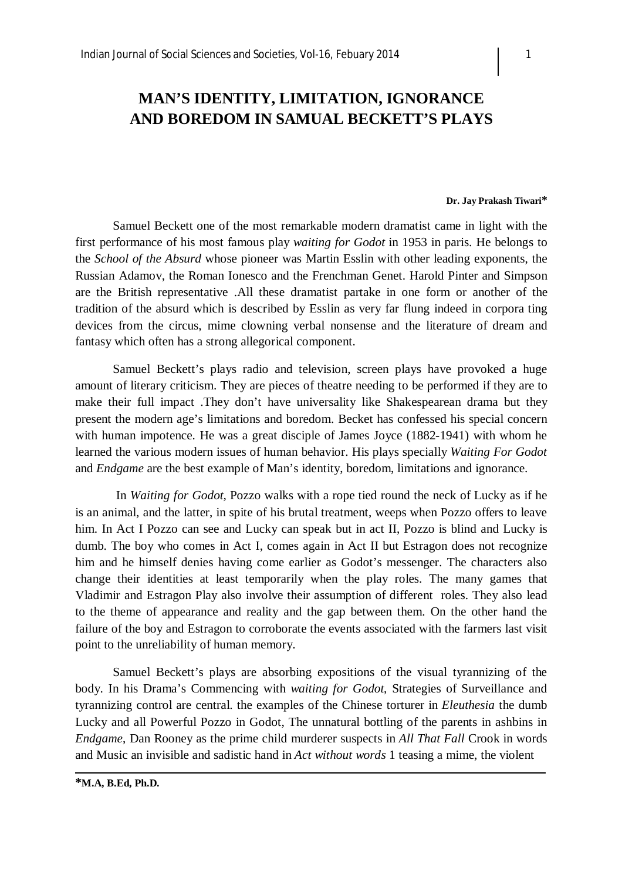# **MAN'S IDENTITY, LIMITATION, IGNORANCE AND BOREDOM IN SAMUAL BECKETT'S PLAYS**

#### **Dr. Jay Prakash Tiwari\***

Samuel Beckett one of the most remarkable modern dramatist came in light with the first performance of his most famous play *waiting for Godot* in 1953 in paris. He belongs to the *School of the Absurd* whose pioneer was Martin Esslin with other leading exponents, the Russian Adamov, the Roman Ionesco and the Frenchman Genet. Harold Pinter and Simpson are the British representative .All these dramatist partake in one form or another of the tradition of the absurd which is described by Esslin as very far flung indeed in corpora ting devices from the circus, mime clowning verbal nonsense and the literature of dream and fantasy which often has a strong allegorical component.

Samuel Beckett's plays radio and television, screen plays have provoked a huge amount of literary criticism. They are pieces of theatre needing to be performed if they are to make their full impact .They don't have universality like Shakespearean drama but they present the modern age's limitations and boredom. Becket has confessed his special concern with human impotence. He was a great disciple of James Joyce (1882-1941) with whom he learned the various modern issues of human behavior. His plays specially *Waiting For Godot*  and *Endgame* are the best example of Man's identity, boredom, limitations and ignorance.

 In *Waiting for Godot,* Pozzo walks with a rope tied round the neck of Lucky as if he is an animal, and the latter, in spite of his brutal treatment, weeps when Pozzo offers to leave him. In Act I Pozzo can see and Lucky can speak but in act II, Pozzo is blind and Lucky is dumb. The boy who comes in Act I, comes again in Act II but Estragon does not recognize him and he himself denies having come earlier as Godot's messenger. The characters also change their identities at least temporarily when the play roles. The many games that Vladimir and Estragon Play also involve their assumption of different roles. They also lead to the theme of appearance and reality and the gap between them. On the other hand the failure of the boy and Estragon to corroborate the events associated with the farmers last visit point to the unreliability of human memory.

Samuel Beckett's plays are absorbing expositions of the visual tyrannizing of the body. In his Drama's Commencing with *waiting for Godot*, Strategies of Surveillance and tyrannizing control are central. the examples of the Chinese torturer in *Eleuthesia* the dumb Lucky and all Powerful Pozzo in Godot, The unnatural bottling of the parents in ashbins in *Endgame*, Dan Rooney as the prime child murderer suspects in *All That Fall* Crook in words and Music an invisible and sadistic hand in *Act without words* 1 teasing a mime, the violent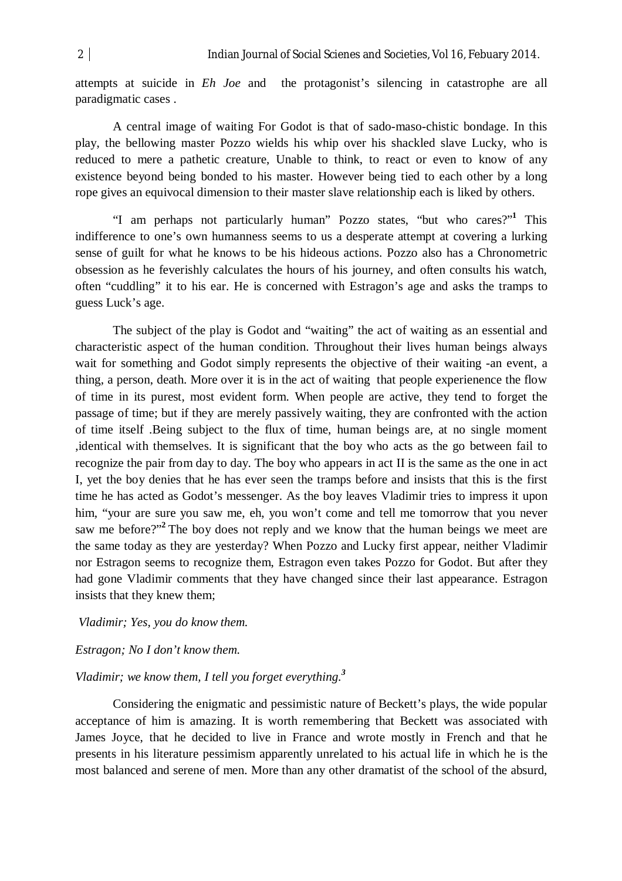attempts at suicide in *Eh Joe* and the protagonist's silencing in catastrophe are all paradigmatic cases .

A central image of waiting For Godot is that of sado-maso-chistic bondage. In this play, the bellowing master Pozzo wields his whip over his shackled slave Lucky, who is reduced to mere a pathetic creature, Unable to think, to react or even to know of any existence beyond being bonded to his master. However being tied to each other by a long rope gives an equivocal dimension to their master slave relationship each is liked by others.

"I am perhaps not particularly human" Pozzo states, "but who cares?"**<sup>1</sup>** This indifference to one's own humanness seems to us a desperate attempt at covering a lurking sense of guilt for what he knows to be his hideous actions. Pozzo also has a Chronometric obsession as he feverishly calculates the hours of his journey, and often consults his watch, often "cuddling" it to his ear. He is concerned with Estragon's age and asks the tramps to guess Luck's age.

The subject of the play is Godot and "waiting" the act of waiting as an essential and characteristic aspect of the human condition. Throughout their lives human beings always wait for something and Godot simply represents the objective of their waiting -an event, a thing, a person, death. More over it is in the act of waiting that people experienence the flow of time in its purest, most evident form. When people are active, they tend to forget the passage of time; but if they are merely passively waiting, they are confronted with the action of time itself .Being subject to the flux of time, human beings are, at no single moment ,identical with themselves. It is significant that the boy who acts as the go between fail to recognize the pair from day to day. The boy who appears in act II is the same as the one in act I, yet the boy denies that he has ever seen the tramps before and insists that this is the first time he has acted as Godot's messenger. As the boy leaves Vladimir tries to impress it upon him, "your are sure you saw me, eh, you won't come and tell me tomorrow that you never saw me before?"**<sup>2</sup>** The boy does not reply and we know that the human beings we meet are the same today as they are yesterday? When Pozzo and Lucky first appear, neither Vladimir nor Estragon seems to recognize them, Estragon even takes Pozzo for Godot. But after they had gone Vladimir comments that they have changed since their last appearance. Estragon insists that they knew them;

#### *Vladimir; Yes, you do know them.*

#### *Estragon; No I don't know them.*

#### *Vladimir; we know them, I tell you forget everything.<sup>3</sup>*

Considering the enigmatic and pessimistic nature of Beckett's plays, the wide popular acceptance of him is amazing. It is worth remembering that Beckett was associated with James Joyce, that he decided to live in France and wrote mostly in French and that he presents in his literature pessimism apparently unrelated to his actual life in which he is the most balanced and serene of men. More than any other dramatist of the school of the absurd,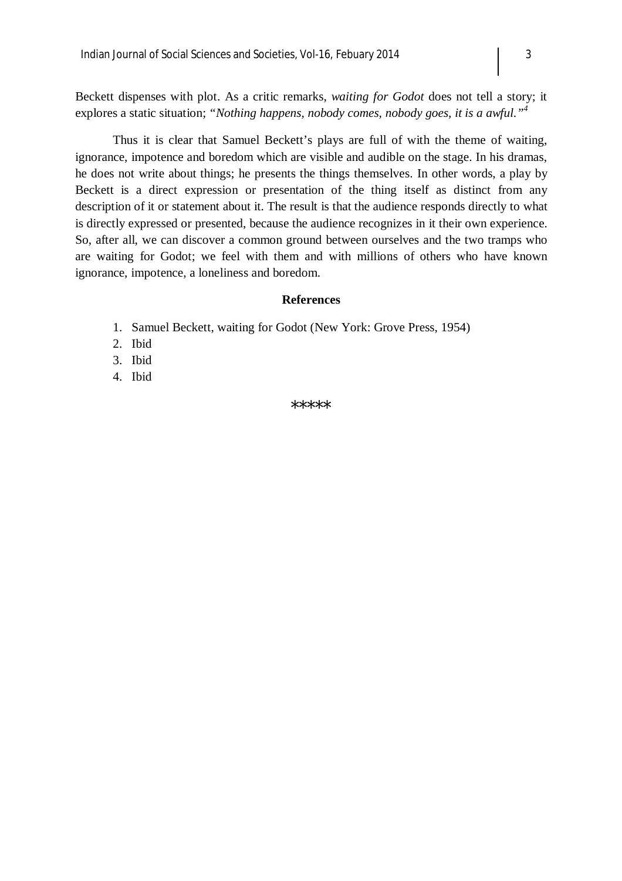Beckett dispenses with plot. As a critic remarks, *waiting for Godot* does not tell a story; it explores a static situation; *"Nothing happens, nobody comes, nobody goes, it is a awful."<sup>4</sup>*

Thus it is clear that Samuel Beckett's plays are full of with the theme of waiting, ignorance, impotence and boredom which are visible and audible on the stage. In his dramas, he does not write about things; he presents the things themselves. In other words, a play by Beckett is a direct expression or presentation of the thing itself as distinct from any description of it or statement about it. The result is that the audience responds directly to what is directly expressed or presented, because the audience recognizes in it their own experience. So, after all, we can discover a common ground between ourselves and the two tramps who are waiting for Godot; we feel with them and with millions of others who have known ignorance, impotence, a loneliness and boredom.

#### **References**

- 1. Samuel Beckett, waiting for Godot (New York: Grove Press, 1954)
- 2. Ibid
- 3. Ibid
- 4. Ibid

\*\*\*\*\*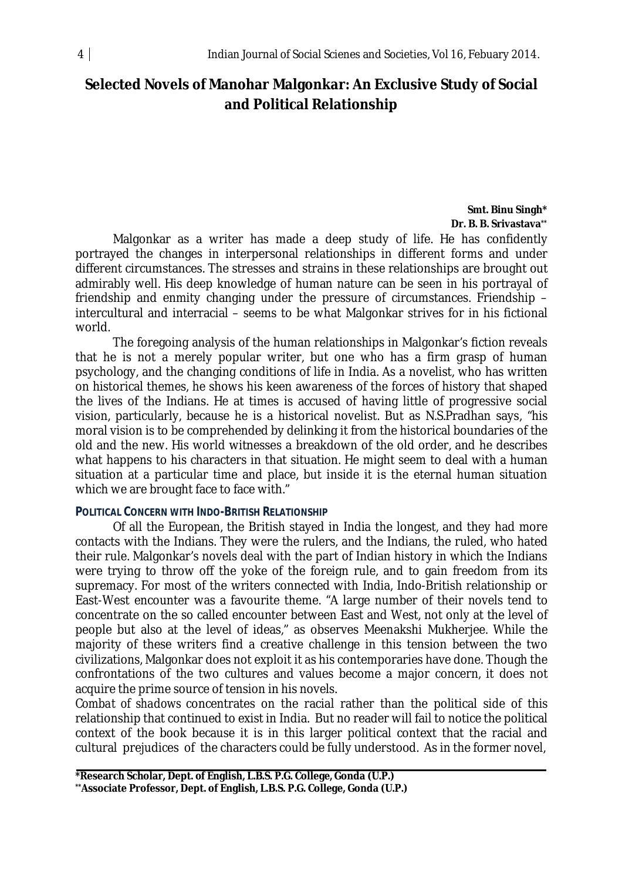### **Selected Novels of Manohar Malgonkar: An Exclusive Study of Social and Political Relationship**

**Smt. Binu Singh\* Dr. B. B. Srivastava\*\***

Malgonkar as a writer has made a deep study of life. He has confidently portrayed the changes in interpersonal relationships in different forms and under different circumstances. The stresses and strains in these relationships are brought out admirably well. His deep knowledge of human nature can be seen in his portrayal of friendship and enmity changing under the pressure of circumstances. Friendship – intercultural and interracial – seems to be what Malgonkar strives for in his fictional world.

The foregoing analysis of the human relationships in Malgonkar's fiction reveals that he is not a merely popular writer, but one who has a firm grasp of human psychology, and the changing conditions of life in India. As a novelist, who has written on historical themes, he shows his keen awareness of the forces of history that shaped the lives of the Indians. He at times is accused of having little of progressive social vision, particularly, because he is a historical novelist. But as N.S.Pradhan says, "his moral vision is to be comprehended by delinking it from the historical boundaries of the old and the new. His world witnesses a breakdown of the old order, and he describes what happens to his characters in that situation. He might seem to deal with a human situation at a particular time and place, but inside it is the eternal human situation which we are brought face to face with."

#### **POLITICAL CONCERN WITH INDO-BRITISH RELATIONSHIP**

Of all the European, the British stayed in India the longest, and they had more contacts with the Indians. They were the rulers, and the Indians, the ruled, who hated their rule. Malgonkar's novels deal with the part of Indian history in which the Indians were trying to throw off the yoke of the foreign rule, and to gain freedom from its supremacy. For most of the writers connected with India, Indo-British relationship or East-West encounter was a favourite theme. "A large number of their novels tend to concentrate on the so called encounter between East and West, not only at the level of people but also at the level of ideas," as observes Meenakshi Mukherjee. While the majority of these writers find a creative challenge in this tension between the two civilizations, Malgonkar does not exploit it as his contemporaries have done. Though the confrontations of the two cultures and values become a major concern, it does not acquire the prime source of tension in his novels.

*Combat of shadows* concentrates on the racial rather than the political side of this relationship that continued to exist in India. But no reader will fail to notice the political context of the book because it is in this larger political context that the racial and cultural prejudices of the characters could be fully understood. As in the former novel,

**<sup>\*</sup>Research Scholar, Dept. of English, L.B.S. P.G. College, Gonda (U.P.)**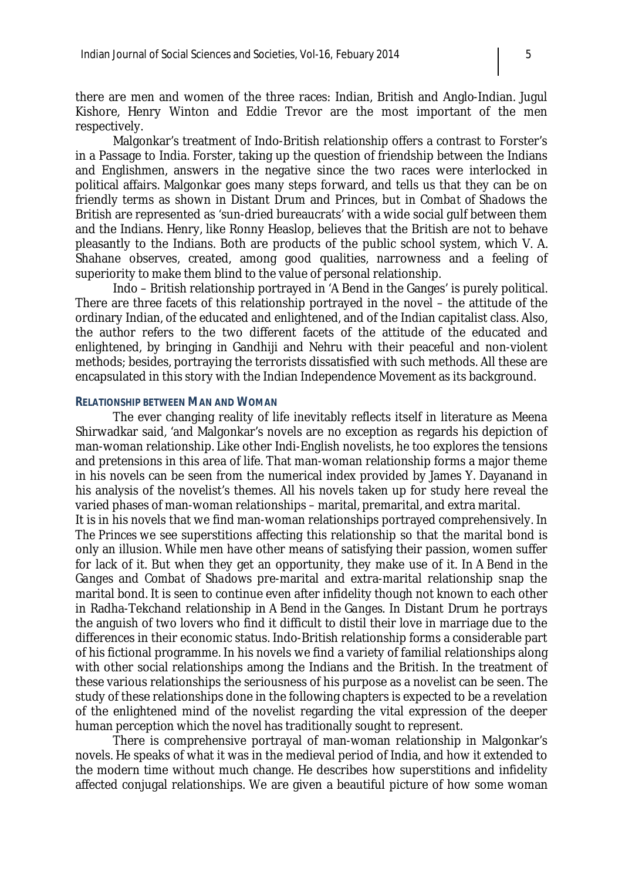there are men and women of the three races: Indian, British and Anglo-Indian. Jugul Kishore, Henry Winton and Eddie Trevor are the most important of the men respectively.

Malgonkar's treatment of Indo-British relationship offers a contrast to Forster's in a Passage to India. Forster, taking up the question of friendship between the Indians and Englishmen, answers in the negative since the two races were interlocked in political affairs. Malgonkar goes many steps forward, and tells us that they can be on friendly terms as shown in Distant Drum and Princes, but in *Combat of Shadows* the British are represented as 'sun-dried bureaucrats' with a wide social gulf between them and the Indians. Henry, like Ronny Heaslop, believes that the British are not to behave pleasantly to the Indians. Both are products of the public school system, which V. A. Shahane observes, created, among good qualities, narrowness and a feeling of superiority to make them blind to the value of personal relationship.

Indo – British relationship portrayed in 'A Bend in the Ganges' is purely political. There are three facets of this relationship portrayed in the novel – the attitude of the ordinary Indian, of the educated and enlightened, and of the Indian capitalist class. Also, the author refers to the two different facets of the attitude of the educated and enlightened, by bringing in Gandhiji and Nehru with their peaceful and non-violent methods; besides, portraying the terrorists dissatisfied with such methods. All these are encapsulated in this story with the Indian Independence Movement as its background.

#### **RELATIONSHIP BETWEEN MAN AND WOMAN**

The ever changing reality of life inevitably reflects itself in literature as Meena Shirwadkar said, 'and Malgonkar's novels are no exception as regards his depiction of man-woman relationship. Like other Indi-English novelists, he too explores the tensions and pretensions in this area of life. That man-woman relationship forms a major theme in his novels can be seen from the numerical index provided by James Y. Dayanand in his analysis of the novelist's themes. All his novels taken up for study here reveal the varied phases of man-woman relationships – marital, premarital, and extra marital.

It is in his novels that we find man-woman relationships portrayed comprehensively. In *The Princes* we see superstitions affecting this relationship so that the marital bond is only an illusion. While men have other means of satisfying their passion, women suffer for lack of it. But when they get an opportunity, they make use of it. In *A Bend in the Ganges* and *Combat of Shadows* pre-marital and extra-marital relationship snap the marital bond. It is seen to continue even after infidelity though not known to each other in Radha-Tekchand relationship in *A Bend in the Ganges*. In Distant Drum he portrays the anguish of two lovers who find it difficult to distil their love in marriage due to the differences in their economic status. Indo-British relationship forms a considerable part of his fictional programme. In his novels we find a variety of familial relationships along with other social relationships among the Indians and the British. In the treatment of these various relationships the seriousness of his purpose as a novelist can be seen. The study of these relationships done in the following chapters is expected to be a revelation of the enlightened mind of the novelist regarding the vital expression of the deeper human perception which the novel has traditionally sought to represent.

There is comprehensive portrayal of man-woman relationship in Malgonkar's novels. He speaks of what it was in the medieval period of India, and how it extended to the modern time without much change. He describes how superstitions and infidelity affected conjugal relationships. We are given a beautiful picture of how some woman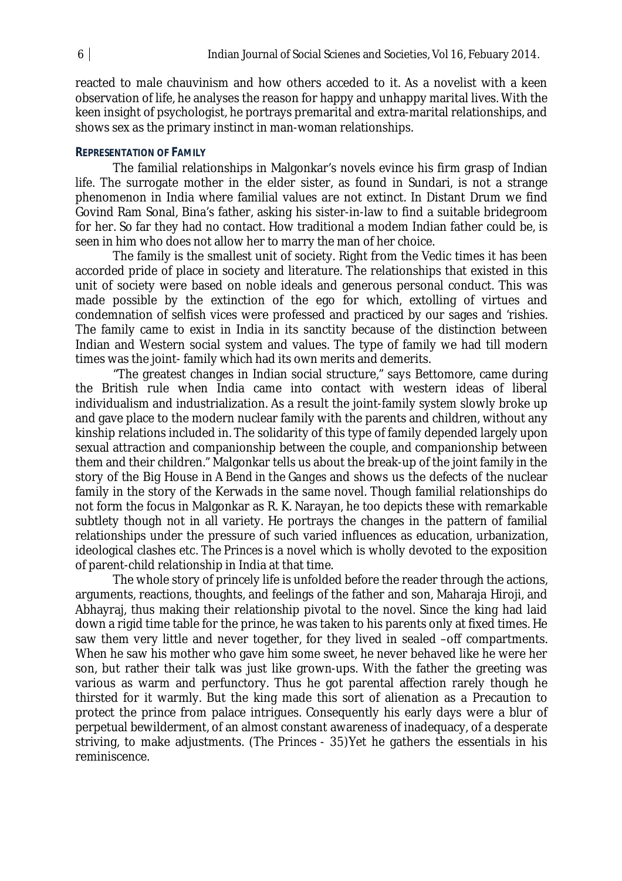reacted to male chauvinism and how others acceded to it. As a novelist with a keen observation of life, he analyses the reason for happy and unhappy marital lives. With the keen insight of psychologist, he portrays premarital and extra-marital relationships, and shows sex as the primary instinct in man-woman relationships.

#### **REPRESENTATION OF FAMILY**

The familial relationships in Malgonkar's novels evince his firm grasp of Indian life. The surrogate mother in the elder sister, as found in Sundari, is not a strange phenomenon in India where familial values are not extinct. In Distant Drum we find Govind Ram Sonal, Bina's father, asking his sister-in-law to find a suitable bridegroom for her. So far they had no contact. How traditional a modem Indian father could be, is seen in him who does not allow her to marry the man of her choice.

The family is the smallest unit of society. Right from the Vedic times it has been accorded pride of place in society and literature. The relationships that existed in this unit of society were based on noble ideals and generous personal conduct. This was made possible by the extinction of the ego for which, extolling of virtues and condemnation of selfish vices were professed and practiced by our sages and 'rishies. The family came to exist in India in its sanctity because of the distinction between Indian and Western social system and values. The type of family we had till modern times was the joint- family which had its own merits and demerits.

"The greatest changes in Indian social structure," says Bettomore, came during the British rule when India came into contact with western ideas of liberal individualism and industrialization. As a result the joint-family system slowly broke up and gave place to the modern nuclear family with the parents and children, without any kinship relations included in. The solidarity of this type of family depended largely upon sexual attraction and companionship between the couple, and companionship between them and their children." Malgonkar tells us about the break-up of the joint family in the story of the Big House in *A Bend in the Ganges* and shows us the defects of the nuclear family in the story of the Kerwads in the same novel. Though familial relationships do not form the focus in Malgonkar as R. K. Narayan, he too depicts these with remarkable subtlety though not in all variety. He portrays the changes in the pattern of familial relationships under the pressure of such varied influences as education, urbanization, ideological clashes etc. *The Princes* is a novel which is wholly devoted to the exposition of parent-child relationship in India at that time.

The whole story of princely life is unfolded before the reader through the actions, arguments, reactions, thoughts, and feelings of the father and son, Maharaja Hiroji, and Abhayraj, thus making their relationship pivotal to the novel. Since the king had laid down a rigid time table for the prince, he was taken to his parents only at fixed times. He saw them very little and never together, for they lived in sealed –off compartments. When he saw his mother who gave him some sweet, he never behaved like he were her son, but rather their talk was just like grown-ups. With the father the greeting was various as warm and perfunctory. Thus he got parental affection rarely though he thirsted for it warmly. But the king made this sort of alienation as a Precaution to protect the prince from palace intrigues. Consequently his early days were a blur of perpetual bewilderment, of an almost constant awareness of inadequacy, of a desperate striving, to make adjustments. (*The Princes* - 35)Yet he gathers the essentials in his reminiscence.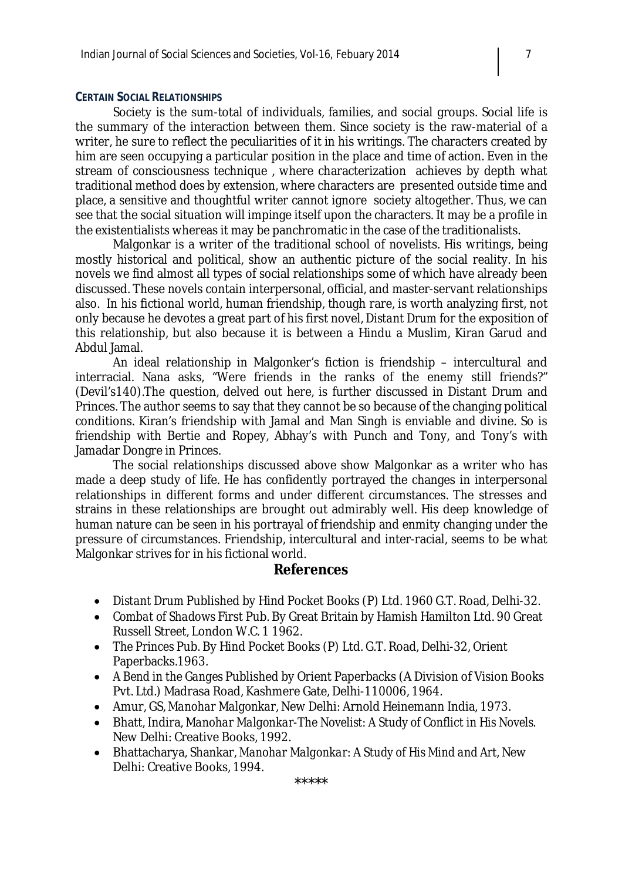#### **CERTAIN SOCIAL RELATIONSHIPS**

Society is the sum-total of individuals, families, and social groups. Social life is the summary of the interaction between them. Since society is the raw-material of a writer, he sure to reflect the peculiarities of it in his writings. The characters created by him are seen occupying a particular position in the place and time of action. Even in the stream of consciousness technique , where characterization achieves by depth what traditional method does by extension, where characters are presented outside time and place, a sensitive and thoughtful writer cannot ignore society altogether. Thus, we can see that the social situation will impinge itself upon the characters. It may be a profile in the existentialists whereas it may be panchromatic in the case of the traditionalists.

Malgonkar is a writer of the traditional school of novelists. His writings, being mostly historical and political, show an authentic picture of the social reality. In his novels we find almost all types of social relationships some of which have already been discussed. These novels contain interpersonal, official, and master-servant relationships also. In his fictional world, human friendship, though rare, is worth analyzing first, not only because he devotes a great part of his first novel, *Distant Drum* for the exposition of this relationship, but also because it is between a Hindu a Muslim, Kiran Garud and Abdul Jamal.

An ideal relationship in Malgonker's fiction is friendship – intercultural and interracial. Nana asks, "Were friends in the ranks of the enemy still friends?" (Devil's140).The question, delved out here, is further discussed in Distant Drum and Princes. The author seems to say that they cannot be so because of the changing political conditions. Kiran's friendship with Jamal and Man Singh is enviable and divine. So is friendship with Bertie and Ropey, Abhay's with Punch and Tony, and Tony's with Jamadar Dongre in Princes.

The social relationships discussed above show Malgonkar as a writer who has made a deep study of life. He has confidently portrayed the changes in interpersonal relationships in different forms and under different circumstances. The stresses and strains in these relationships are brought out admirably well. His deep knowledge of human nature can be seen in his portrayal of friendship and enmity changing under the pressure of circumstances. Friendship, intercultural and inter-racial, seems to be what Malgonkar strives for in his fictional world.

#### **References**

- *Distant Drum* Published by Hind Pocket Books (P) Ltd. 1960 G.T. Road, Delhi-32.
- *Combat of Shadows* First Pub. By Great Britain by Hamish Hamilton Ltd. 90 Great Russell Street, London W.C. 1 1962.
- *The Princes* Pub. By Hind Pocket Books (P) Ltd. G.T. Road, Delhi-32, Orient Paperbacks.1963.
- *A Bend in the Ganges* Published by Orient Paperbacks (A Division of Vision Books Pvt. Ltd.) Madrasa Road, Kashmere Gate, Delhi-110006, 1964.
- Amur, GS, *Manohar Malgonkar*, New Delhi: Arnold Heinemann India, 1973.
- Bhatt, Indira, *Manohar Malgonkar-The Novelist: A Study of Conflict in His Novels*. New Delhi: Creative Books, 1992.
- Bhattacharya, Shankar, *Manohar Malgonkar: A Study of His Mind and Art*, New Delhi: Creative Books, 1994.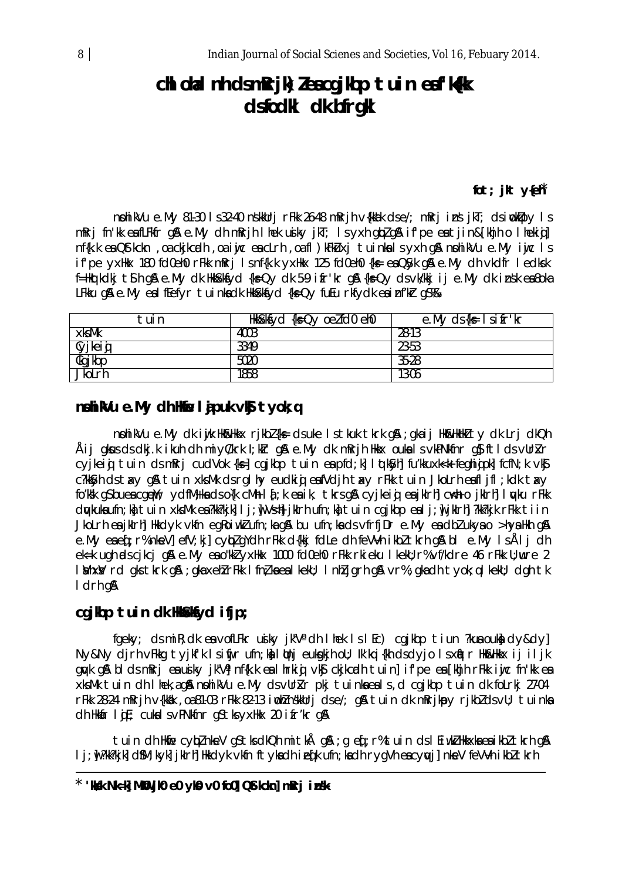# chlohal nh dsmRrjk) leacqikbp tuin eafkk dsfodkl dk bfrgkl

### fot; jkt  $y\{eh^*$

nohikVu e.My 81-30 ls32-40 nskkUrj rFkk 26-48 mRrjh v{kkak dse/; mRrj ins jkT; dsimkUpy ls mRrj fn'kk eafLFkfr gå e.My dh mRrjh I hek usiky jkT; I syxh gbl gå if pe eatjin&[khjh o I hekig] nf{k.k ea Q\$tkckn, oa ckjkcadh, oa iwic ea cLrh, oa fl)kFkuxj tuinka Is yxh q\$ nohikVu e.My iwic Is if pe yxHkx 180 fd0eh0 rFkk mRrj Isnf{k.k yxHkx 125 fd0eh0 {k= en QSyk q& e.My dh vkdfr Iedksk f=Hkotkdkj t\$ h q& e.My dk Hkk\$kkfyd {k=Qy dk 59 ifr'kr q& {k=Qy ds vk/kkj ij e.My dk insk ea 80ka LFkku g& e.My eal ffefyr tuinkadk Hkkskkfyd {k=Qy fuEu rkfydk eainf'kr gS%k

| tuin    | HkkSkkfvd<br>oelfd0eh0<br>$\frac{1}{2}$ | Isifr'kr<br>$ds$ { $kF$<br>e.My |
|---------|-----------------------------------------|---------------------------------|
| xks Mk  | 4003                                    | 28-13                           |
| Cyjkeig | 3349                                    | 23-53                           |
| Ckgjkbp | 5020                                    | 35-28                           |
| JkoLrh  | 1858                                    | 13-06                           |

### nohi Wu e.My dh Hie lipuk vk tyok; q

nohikVu e.My dk i jik Hk&Hkkx rjkbl{k= dsuke Istkuk tkrk q& ; qkaij Hk&HkHkl ty dk Lrj dkQh Åij gkus ds dkj.k ikuh dh miy(/krk l; klr g& e.My dk mRrjh Hkkx oukals vkPNkfnr g}ftlds vUrk-r cyjkeig tuin ds mRrj cudVok {k = cgikbp tuin ea pfd; k | dtkS/h fu'kkuxk<k feqhigok fcfN; k vk\$ c?kkSyh ds tay q& tuin xksMk ds rql hy eudkig eafVdjh tay rFkk tuin JkoLrh eafl jfl; kdk tay fo'k'sk q\$bueacqeW; ydfMtkadso{k cMh I af;k eaik, tkrsq&cyjkeig eajkIrh] cwk o jkIrh] I wku rFkk duckuka ufn; ka tuin xks Mk ea ?kk?kik] [i; k Vs:h] ikirh ufn; ka tuin coikbo ea [i; k ikirh] ?kk?kik rFkk tiin Jkolrh es ikirh Hkkdyk ykin egkojwk ufn; ka gå bu ufn; ka ds yfrijDr e. My es dbl ukys o >hys Hkh gå e.My eaed; r% nkeV] efV; ki] cybū gYdh rFkk d{kkj fdLe dh feVVh ikbū tkrh g& bl e.My lsÅlj dh ek=k ugh adscjkcj g& e.My ea o"kkl yxHkx 1000 fd0eh0 rFkk rkieku I kekl); r% vf/kdre 46 rFkk ll; wre 2 I Mix V rd gks tkrk g & ; gka xehl r Fkk I fnl ka ea I kekU; I nhl jgrh g & vr%; gka dh tyok; g I kekU; dgh tk I drh q&

### cgilbp tuin dk HK&Kyd ifjp;

fgeky; ds miR; dk ea vofLFkr uiky jk"V<sup>a</sup> dh I hek Is I Ec) cgjkbp tiun ?kua ouka dy&dy] Ny&Ny dirh vFkkq tyjkfk Isinir ufn;k) I Unj eukokjh oU; Ik'kqi{kh dsdyjo Isxnitr Hk&Hkkx ij iljk quyk qui bi ds mRrj en usiky jk"V' nf{k.k en I hrkig vkg ckjkcadh tuin] if pe en [khjh rFkk iwjc fn'kk en xksMk tuin dh I hek, a qua nohikVu e.My ds vurkr pkj tuinka eals, d cqikbp tuin dk foLrkj 27-04 rFkk 28-24 mRrjh v{kkak , oa 81-03 rFkk 82-13 imblnskkUrj clse/; g& tuin clk mRrjkpy rjkblclsvU; tuinka ch Hkkár lije; cukal svPNkfnr gStksyxHkx 20 ifr'kr g&

tuin dh Hkfie cylplnkeV g\$tksdkQh mitkÅ g&;g eq[;r%tuin dslEiwklHkkxkaeaikbltkrhg& l j; jı ?kk?kjk] d\$M; kyk] jkIrh] Hkkdyk vkfn ftykadh ieq[k ufn; kadh rygVh eacywj] nkeV feVVh ikbl tkrh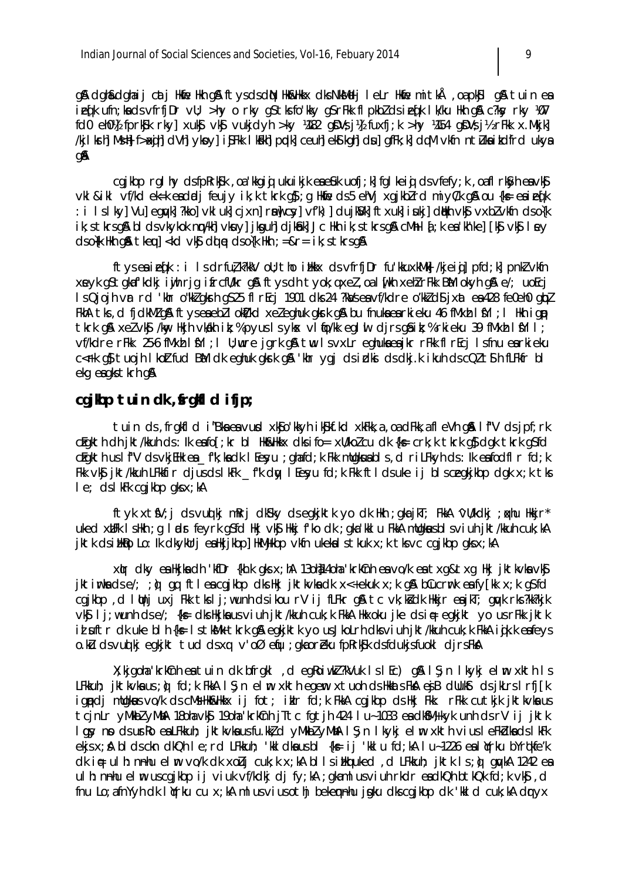g& dgh&dghaij catj Hkfie Hkh g& ftysdsdAN Hk&Hkkx dksNkMelj leLr Hkfie mitkÅ,oapk\$l g& tuin ea iedk ufn; kads vfrfi Dr vU; >hy o rky qs tks fo'kky qs r Fkk fl pkblds iedk lk/ku Hkh q& c?ksy rky 107 fd0 eh014 fprk\$k rky] xuk\$ vk\$ vukjdyh >ky 1482 qDV\$j14 fuxfj;k >hy 1454 qDV\$j14 rFkk x.Mkjk] /kilkrh Msh f>xih dVh ykoy i\$Fkk kih polk ceuh ek\$kqh du] gfFk;k] dqM vkfn ntuka ikdfrd ukya **QA** 

cgjkbp rgl hy dsfpRrk\$k , oa 'kkgig ukuikjk eaeSuk uofj; k] fgl keig dsvfefy; k , oafl rk\$yh eavk\$ vkl & ikl vf/kd ek=k eadadj feujy ik;k tkrk q\$;q Hkfie ds5 ehVj xqjkblrd miyC/k q& ou {k = eaieq[k : i Islky] Vu] equ/k] ?kko] vkluk] cjxn] rml cy] vf'k)] dujkS/k] ftxuk] isukj] dlkkh vk\$ vxblvkfn dso{k ik; s tkrs g& blds vkykok nm/kh]vkuy] jkquh]djkmk] Jc Hkh ik; s tkrs g& cMh ld[; k ea 'kh'ke] [kg]vkg] ley  $ds$  of k likh gå tke u  $ds$  of  $s$  do  $t$  e ds of k likh  $s = 8r = ik$ ; s tk rs gå

ftyseaiedk: i Isdrfu?k?kkV oU; tho illkx dsvfrfjDr fu'kkuxkMk| /kjeid] pfd; k] pnkZvkfn xeyk q\$tqkaf'kdkj iwjh rjg ifrcfl/kr q\$ ftysdh tyok;qxel,oalwfkh xehl rFkk B&M okyh q\$ e/; uoEcj Is Qjojh vr rd 'khr o"kkl gkrh g\$25 fl rEcj 1901 dks 24 ?kb/s ea vf/kdre o'kkl d\$ jxat ea 428 fe0eh0 gbl FkhA tks, d fjdkMZ g\$A ftyseaebZ I okI/kd xeZ eghuk gkrk g\$A bu fnukaearkieku 46 fMxh I \$YI ; I Hkh i gp tkrk a & xelvk \$ /kw Hkih vkakh ik: % pvus Isvk x vl to/kk ealwh dirsa \$ ik: % rkieku 39 fMxb I \$ Yll: vf/kdre rFkk 25-6 fMxh | fYl ; I U; wre jark a tw I svxLr eahukses ikr rFkk fl rEcj I sfnu es rkieku c<Fk q\$ tuojh I koltfud BM dk eghuk gkrk q& 'khr ygj ds idki ds dkj.k i kuh ds cQl t\$h fLFkfr bl eka ea akstkrh a&

### cqilop tuin dk, frqlfl d ifjp;

tuin ds, frqkfld i "Bka ea vurd xkfo'kkyh ikfkf.kd xkFkk, a, oa dFkk, a fleVh q& I f"V ds jpf; rk cEgkth dh jkt/kkuh ds: lk eafo[; kr bl Hk&Hkkx dksifo= xWkolcu dk {k= crk; k tkrk q} dgk tkrk q\$fd cEgkth uslf"V ds vkjEHk ea f"k; kadk I Eesyu ; ghafd; k Fkk mUgkuabls, d riLFkyh ds : lk eafodfl r fd; k Fkk vk\$ jkt/kkuh LFkkfir djusdslkFk \_f'k dty lEesyu fd; k Fkk ftldsuke ij blsceqkjkbp dqk  $x$ ; k tks  $I e$ ; ds I kFk cgjkbp qks x; kA

ftyk xtfV; j dsvudki mRri dKSky dsegkiktk yo dk Hkh; gkajkT; FkkA 'vU/kdki; khu Hkkir\* uked xUFk IsHkh; g I ads feyrk g\$fd Hkj vk\$ Hkkj f'ko dk; gka kkl u FkkA mUgkusblsviuh jkt/kkuh cuk; kA jktk dsilkko Lo: Ik dkykUrj ealkijkbp] HkMikbp vkfn ukekal stkuk x; k tksvc cgjkbp qksx; kA

xir dky ealikijka dh 'kfDr {kh.k qks x;hA 13oh)14oha 'krkCnh ea vo/k ea txq&txq liki jktkvka vk\$ jktirkadse/; ; o) gq ftleacgjkbp dks Hkj jktkvkadk x<+ekuk x; k g& bCucrrk eafy[kk x; k gSfd cgjkbp, d I thj uxj Fkk tks I j; wunh ds ikou rV ij fLFkr g& tc vk; kš dk Hkkjr ea jkT; gwk rks?kk?kjk vk\$ li; w unh ds e/; {k = dks Hkika us viuh jkt/kkuh cuk; k FkkA Hkxoku jke ds i = egkikt yo us r Fkk jktk id uftr dk uke bl h {k = 1 s tkMk tkrk q& eqkjktk yo us JkoLrh dks viuh jkt/kkuh cuk; k FkkA idjk.k eafeys o.ku dsvuotki egkikt tud dsxot v'oØ enu ; gkaoreku fpRrkjk dsfdukjsfuokl djrsFkA

X; kigoha 'krkCnh ea tuin dk bfrgkl, d eg koiwk ?kVuk IslEc) g& IŞ; n Ikykj elm xkth Is LFkkuh; jktkvka us; od fd; k FkkA I S; n elm xkth egem xtuoh ds Hkkats Fka egi B dllukat ds jkLrs I rfj [k igpdj mUgkus vo/k ds cMs Hk&Hkkx ij fot; ikIr fd;k FkkA cgjkbp ds Hkj Fkk: rFkk cutkjk jktkvka us tcinLr VMkbl VMkA 180ha VKS 190ha krkCnh iTtc fatih 424 I u-1033 en dkSM+kvk unh ds rV ii iktk I gay no ds ur Ro ea LFkkuh; jktkvka usfu.kktd y MkblyMkA I S; n I kykj elm xkth vius I e Fkblka ds I k Fk ekjs x; & bl ds ckn dkQh le; rd LFkkuh; 'kkl dka us bl {k= ij 'kkl u fd; kA lu~1226 eal irku bYrqkfe'k dki⊕ ulh: nnhu elm vo/k dk xolui cuk:k x:kA bllsihkquked, d LFkkuh: iktk ls:ò am/kA 1242 ea ulh: nnhu elm uscgikbp ij viuk vf/kdkj dj fy;kA ; gkamlusviuh rkdr eadkQh btkQk fd;k vk\$, d fnu Lo; afnYyh dk lirku cu x; kA ml us vius othi bekennhu jnku dks cajkbp dk 'kki d cuk; kA dryx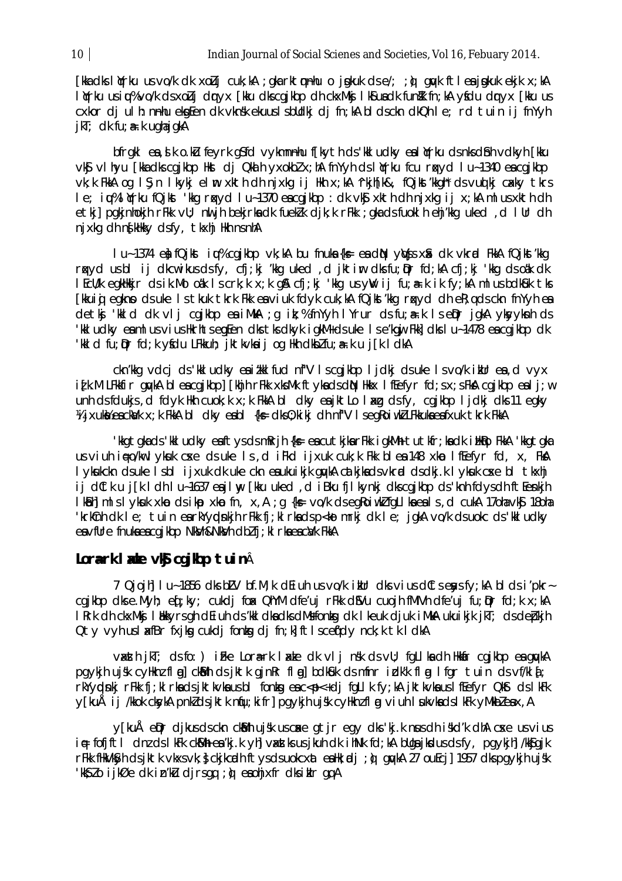[kka dks | brku us vo/k dk xoluj cuk;kA ; gka rktmnhu o jngkuk ds e/; ; o quyk ftlea jngkuk ekjk x;kA I ğrku usi u% vo/k ds xoluj dryx [kku dks cgjkbp dh ckxMkj I ks us dk fun kk fn; kA ys du dryx [kku us cxkor di ul h: nnhu ekafen dk vknsk ekuus isblidki di fn; kA bl dsckn dkQh I e; rd tuin ij fnYyh  $i$ kT; dk fu; a= .k ugha jgkA

bfrgkl ea, i k o ku feyrk gifd vykmnnhu f[kyth ds kkl udky eal irku ds nks dinh vdkyh [kku vký vlhyu [kka dks cgikbp Hkt dj Qka h yxokbl x; hA fnYyh ds lirku fcu rakyd lu-1340 en cgikbp vk; k FkkA og I S; n I kykj elm xkth dh njxkg i j Hkh x; kA 'rkjh[k&, fQjkst'kkgh' ds vud kj caky tkrs le; iw%lirku fQjkst 'kkg rxyd lu~1370 eacgjkbp : dk vkj xkth dh njxkg ij x;kA mlusxkth dh etkil pakinhokih rFkk vU; nuljh bekirkadk fueklk dik;k rFkk ; akadsfuoklh ehi'kka uked , d I Ur dh njxkg dh nfkHkky dsfy, tkxhj Hkh ns nhA

I u-1374 et fQjkst i w % cgjkbp vk; kA bu fnuka {k= ea dtN yWjs x& dk vkrad FkkA fQjkst kkg rokyd usblijdkcwikusdsfy, cfj;kj 'kkg uked ,d jktim dksfu;Dr fd;kA cfj;kj 'kkg dsoak dk I ECU/k eqkHkkjr ds ik. Mo oak Iscrk; k x; k q& cfj; kj 'kkq us yw' ij fu; a=. k ik fy; kA ml us bdkSuk tks [kkuig] egkno ds uke Is tkuk tkrk Fkk ea viuk fdyk cuk; kA fQjkst'kkg rokyd dh eR; g ds ckn fnYyh ea detkj 'kkid dk vij cgjkbp ea iMkA ; g ik; % fnYyh lYrur ds fu; a k is eDir jgkA yksyyksh ds 'kil udky eaml us vius Hkrhts en fen dis tis dkyk i gkM+ds uke I se'kgij Fkk] dis I u-1478 ea cgikbp dik 'kkld fu; pr fd; k yfdu LFkkuh; jktkvkaij og Hkh dkblfu; a=.k u j[k l dkA

ckn'kkg vdcj ds kkludky enitkklfud nf'V Iscgikbp ljdkj dsuke Isvolk ikun en dvyx idk.M LFkkfir quykA bleacqikbp] [khih rFkk xksMk ftykadsdN Hkkx I fEefyr fd;sx;sFkA cqikbp ealj;w unh dsfdukjs, d fdyk Hkh cuok; k x; k FkkA bl dky esjktLo I xg dsfy, cgjkbp I jdkj dks 11 egky Vijxukké eackelk x; k FkkA bl cky eabl {ks cks 0; kikj ch nf"V I seq Roi wk2 LFkkuka eafxuk tkrk FkkA

kkgtgkads kiludky eaftysdsmRrih {k= eacutkikarFkk igkMh tutkfr;kadk ilkBo FkkA 'kkgtgka' us viuh into /kw | vkuk c see ds uke | s d i Fkd i i xuk cuk k Fkk b | e a 148 xkp | fEefvr fd. x. Fka I ykukckn dsuke Isbl i jxuk dk uke ckn eaukuikjk gwkA catkjka dsvkrud dsdkj.k I ykuk coxe bl tkxhj ij dûtk u j[k | dh | u~1637 esilw [kku uked , d iBku filkynkj dkscgikbp ds'knh fdysdh ft[enkjh Ikalim Islykuk xkad dsikpo xkad fn, x, A ; q {k = vo/k dseq Roiwk fq LI kaea Is, d cukA 17 oha vkg 18 oha 'krkînh dk le; tuin earkYyphakjh rFkk fj;kl rkadsp<komrkj dk le; jgkA vo/k dsuokc ds'kkludky ea vfUre fnuka ea cgikbp NkVh&NkVh dblfj; kl rka ea ca/k FkkA

### Lorark I xke vkj cgjkbp tuinÂ

7 Qioih I u-1856 dks bLV bf.M; k dEiuh us vo/k ikUr dks vius dCts exys fy; kA blds i'pkrcaikbo dks e. Myh: ed : ky: cukdi fox QhYM dfe'ui rFkk d\$Vu cuoih fMIVh dfe'ui fu: Dr fd: k x: kA I Rrk dh ckxMkj I Hkkyrs gh dei uh ds 'kki dka dks dMs fontsg dk I keuk djuk i MkA ukuikjk jkT; ds debkjh Qty vyh usladBr fxjkq cukdj fonkq dj fn;k| ftlscefdy nck;k tkldkA

vasth jkT; ds fo: ) iFke Lora=rk I axte dk vIj nsk ds vU; fqLI ka dh Hkkar cqjkbp ea quykA paykih uisk cyllknz fl ml ckMh ds iktk ginRr fl ml bdkMk ds mfnr idk'k fl ml far tuin ds vf/kl d : rkYydnki rFkk fj; kl rkadsjktkvka usbl fonkg eac<p<+dj fgLlk fy; kA jktkvka uslfEefyr Qkst dslkFk y[kuÅ ij /kkok cksykA pnkZdsjktk nfu;kifr] pgykjh ujsk cyHknzfl g viuh I ukvkadslkFk yMkbZeax,A

y[kuÅ eDpr dikus ds ckn ckMh uisk us cake gtir egy dks 'kj.k nus dhiskd'k dhA cake us vius i∉ fofjftl dnz ds lkFk ckMh ea 'kj.k yh] vaxstks us jkuh dk ihNk fd;kA bUga jksdus ds fy, pgykjh] /kk\$gjk rFkk fHkVkSyh dsjktk vkxsvk; }ckjkcndh ftysdsuokcxat ealk; ndj; d) quykA 27 ouEcj] 1957 dkspqykjh ujsk 'kk\$lo ijkØe dk in'klu djrsgq ; o} eaohjxfr dksiklr gqA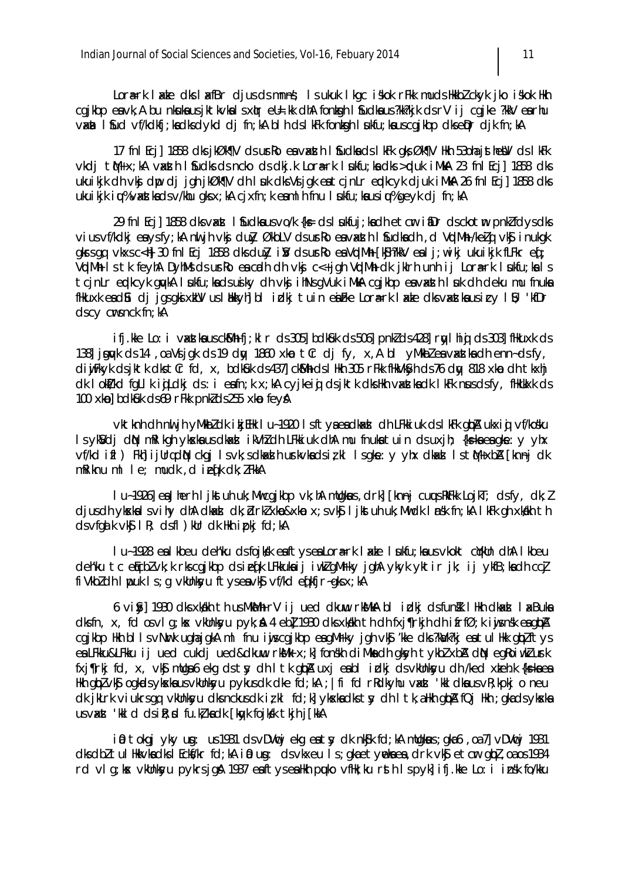Lor<sub>#</sub>rk I axte dks I axfBr djus ds mnns; I s ukuk I kgc i skok rFkk muds HkkbZ ckyk jko i skok Hkh cgikbp e svk, A bu nkuksus jktkvks I s x tr eU=.kk dhA fon toph I sudksus ?kk?kjk d s rV ij cgjke ?kkV es rhu v axxt I fud vf/kdkfj;ksdks dykd dj fn;kA blh ds lkFk fon kgh I ukfu;ksus cgjkbp dks e pr djk fn;kA

17 fnlEcj] 1858 dks jkØk¶V ds urRo en vaxsth I Sudka ds I kFk gks Øk¶V Hkh 53oha jsthesUV ds I kFk vkdi tM+ x;kA v axsth I sudks ds ncko ds dkj.k Lora=rk I sukfu;ka dks > pduk iMhkA 23 fnl Ecj] 1858 dks ukuikjk dh vkj dip dj jgh jkØk¶V dh liuk dk vijgk est cjnLr eplkcyk djuk iMkA 26 fnl Ecj] 1858 dk s ukuikjk i $\psi$ % v axst ka ds v/khu gks x;kA cjxfn;k eamlh fnu lukfu;ka us i $\psi$ % geyk dj fn;kA

29 fnl Ecj] 1858 dks v ax Ll fudk su s vo/k {k s= d s l sukfuj; k sa dh etcmr i fiDr ds ckot m pnk I fdys dk s vius vf/kdkj es ys fy;kA nuljh vkg duZy ØkbLV ds u sr Ro es v axsth I sudks dh ,d V qdMh /ke Zigi vkg inukgk gkrs gg vkxs c<h 30 fnl Ecj 1858 dks du Zy i V ds ur Ro e s V plMh [k Sh?kkV e slj;w ikj ukuikjk fLFkr e q[; V¢M+ Is tk feyhA DyhMs ds urRo ea cadh dh vk j c<+ jgh V¢M+ dk jkIrh unh ij Lora=rk lukfu;ka Is tcjnLr eplkcyk gwkA lukfu;ka ds u siky dh vk sjihNs gVuk iMkA cgjkbp ea vaxath luk dh deku mu fnuka fHkuxk e a d Si dj jgs gk sixtUV us litkkyh] bl izlkj tuin e ai Fke Lora=rk laxte dk s vaxat ka us izy lß; 'kfDr  $ds cy$  cwrs nck fn; kA

ifj.kke Lo: i vaxtka us ck $M$ h fj;klr ds 305] bdk $\hat{\mu}$ k ds 506] pnk $l$  ds 428] r gylhi $j$  ds 303] fHkuxk ds 138] j guyk ds 14, oa V sijgk ds 19 duy 1860 xk a tCr dj fy, x,A bl yMkbZ e a v axit ka dh enn-ds fy, diwfkyk ds jktk dks tCr fd, x, bdk Suk ds 437] ck Sulh ds I Hkh 305 rFkk fHkVkSyh ds 76 day 818 xk ao dh tkxhj dk lok Zhok Zhot and finit ds: i e stn;k x;kA cyjkeid ds jktk dks Hkh vaxztk sa dk lkFk n su s ds fy, fHkUkxk ds  $100$  xkm bdk $\Omega$ k ds 69 rFkk pnk $Z$  ds 255 xkm feys

vktknh dh nu jh yMkbZ dk i kjEHk lu~ 1920 ls ftya e a dkaxul dh LFkkiuk ds lkFk gibA ukxiqi vf/kosku ls yk Vdj din mRlkgh yk ska us dkad ikVh Z dh LFkkiuk dhA mu fnuka tuin ds uxjh; {ks=ka ea gke: y yhx vf/kd ifl) Fkh ijUrq din ckgj ls vk;s dkaxslh u srkvka ds iz;kl ls gk e:y yhx dkaxsl ls t M+ xbA [kn nj dk mRiknu ml  $le;$  mudk, d iefk dk;  $l$  FkkA

lu ~ 1926] en Jherh I jkstuh uk;Mw cgjkbp vk;hA mUgkus,drk] [knnj cu us RkFkk LojkT; ds fy, dk; Z djus dh ykska Is vihy dhA dkaxl dk; drk X ko & x;s vk Sj ljkstuh uk;Mw dk Insk fn;kA lkFk gh xk4kh th  $ds$  vfgalk vk $s$  lR; dsfl)kUr dk Hkh ipkj fd;kA

lu-1928 ealkbeu deh'ku ds fojksk eaftys ealora=rk laxte lukfu;k aus vkokt chikun dhA lkbeu deh'ku tc elicbZ vk;k rks cgjkbp ds ie (k LFkkuka ij iw.kZ gM+rky jghA ykyk yktir jk; ij ykfB;ka dh ccZj fiVkbZ dh I puk I s ; g vkUnksyu ftys e a vk\$ vf/kd eq[kfjr-gksx;kA

 $6$  vi $\hat{\mathcal{Y}}$  1930 dks xka/kh th us Mka/lh rV ij ued dkuwu rka/kA bl idkj ds fun sk lHkh dk axal laxBuk sa dk s fn, x, fd os vlg;k sx vkUnk syu pyk;  $\AA$  4 eb] 1930 dk s xk alkh th dh fxj¶rkjh dh i frfØ;k i ujs n sk e $a$  q b $\AA$ cgjkbp Hkh blls vNwrk ugha jgkA ml fnu iwjs cgjkbp esa gM+rky jgh vk\$j 'kke dks ?k aVk?kj esa tulHkk gbaz ftys e a LFkku&LFkku ij ued cukdj ued&dkuwu rksM+ x;k] fon skh diMka dh gksyh tykbZ xbA diN egRoiw.kZ usrk fxj¶rkj fd, x, vk\$j mllga 6 ekg ds tsy dh ltk glpA uxj ea bl idkj ds vkUnksyu dh /ked xkeh.k {ks=ka ea Hkh gibZ vk Sj ogk ad s ykska us vkUnksyu pykus dk dke fd;kA ; | fi fd rRdkyhu vaxst 'kkldka us vR;kpkj o neu dk ikLrk viukrs ga vkUnksyu dks nckus dk iz;kl fd;k] yk ska dks t sy dh ltk, a Hkh g ba fQj Hkh ;gka ds yk ska us v axt 'kkld ds i $R$ ; d fu.k, ka dk [k qyk fojksk tkjh j[kkA

imal tokgi yky una: us 1931 ds vDV wcjeką entsy dk nk Sk fd;kA mulgkous;gka 6,0a 7] vDV wcj 1931 dk dbZ tulHkkvka dk s lEck S/kr fd;kA in ung: d s vkxeu ls;gka etyweka ea ,drk vk Sj etcmr g bZ ,oa os 1934 rd vlg;kx vkUnk syu pykrs jg a 1937 e sitys e sa Hkh puko vfHk;ku r sth Ispyk] ifj.kke Lo:i insk fo/kku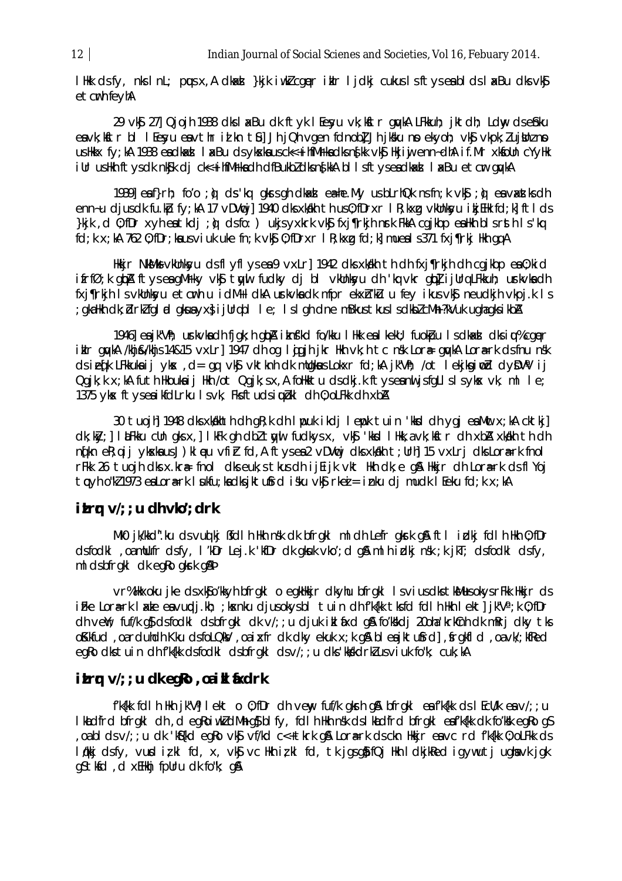Think dsfy, nistnL; pusx, A disad }kik i what caper i kir I j dkj cukus I sftyses bilds I ak Bu dks vk\$ etcrh feyhA

29 vkg 27] Qioih 1938 dks I as Bu dk ft yk I Eesyu vk; kftr gwkA LFkkuh; jktdh; Ldw, dsefaku eavk; kitr bl lleyu eavthr id kn tij Jh jQh vgen fdnobl Jh jkku no ekyoh; vkj vkpk; lujthano uslikkx fy; kA 1938 eadkad I as Bu ds ykska usck<+ihfMFkadks n§kk vk\$ likji ji enn-dhA if. Mr xkfolln cYyllk iUr uslikh ftysdk nk\$k dj ck<+ihfMrkadh dfBukbldksn{kkAblisftyseadkad la<br etcm quykA

1939] eaf}rh; fo'o ; à ds 'kq gkrs gh dkad ea-he. My us bLrhQk ns fn; k vkg ; à ea vaxat ks dh enn-u djusdk fu.kb fy;kA 17 vDVmil 1940 dks xkklkh th us 0;fDrxr I R;kxg vkUnksyu ikjEHk fd;kl ftlds }kjk, d 0;fDr xyh eatkdj ; d dsfo: ) ukjsyxkrk vk\$ fxj¶rkjh nrk FkkA cqjkbp eaHkh blsrsth Is'kq fd; k x; kA 762 0; fDr; ka us vi uk uke fn; k vkg 0; fDrxr I R; kxg fd; k] mueals 371 fxj¶rkj Hkh qq A

Hkkjr NkMks vkUnksyu dsflyflysea 9 vxLr] 1942 dks xkdkh th dhfxj¶rkjh dhcqjkbp ea 0; kid ifrfØ;k qipA ftyseaqMrky vk\$ tayil fudky dj bl vkUnksyu dh 'kq vkr qip] ijUrq LFkkuh; urkvka dh fxj¶rkjh IsvkUnksyu etcrh u idM+IdkA urkvkadk mfpr ekxh'ku u fey ikusvk\$ neudkjh vkpj.k Is ; gkaHkh dk; blrklfglid gkuayx; i jUrqblide; Isligh dne mBkustkus IsdkblcMh; ?kVuk ughagksikbA

1946] ea jk"Vh; urkvka dh fjgk; h gipA iknfkd fo/kku I Hkk ea I kekli; fuokbu I s dkad dksi u% cger ikir qu/kA /khj&/khjs14&15 vxLr] 1947 dh og liggjh jkr Hkh vk;h tc nsk Lora= qu/kA Lora=rk dsfnu nsk dsiefk LFkkukaij ykx, d= gq yk\$ yktknh dk mllgkus Lokxr fd;kA jk"Vh; /ot lekjkgimdd dyDVV ij Ogik; k x; kA futh Hkoukaij Hkh /ot Qgik; s x, A foHkktu ds dkj. k ft yseand isfall s I s ykx vk, ml le; 1375 ykx ftyseaikfdLrku Isvk, Fksftudsiwbkl dh 0; oLFkk dh xbA

30 tuojh] 1948 dks xkakhth dh qR;k dh I pouk ikdj I epok tuin 'kkd dh ygj ea Muc x;kA cktkj] dk; kv; ] I Li Fkku cUn qks x, ] I kFk qh dbl twi fudkys x, vk\$ 'kkd I Hkk, a vk; kftr dh xbA xkakh th dh n(kn eR; qij ykxka us J) kl eu vfir fd, A ftysea 2 vDV cj dks xkakh t; Urh] 15 vxLrj dks Lora-rk fnol rFkk 26 tuojh dks x.kr a fnol dks euk; s tkus dh ij Eijk vkt Hkh dk; e g\$ Hkkjr dh Lora-rk ds fl Yoj tçyh o"k21973 eslors=rk lukfu; ksdksjktufrd isku vkf rkei = inku dj mudk l Eeku fd; k x; kA

#### $itr$   $v$  :  $u$  dh  $vk$  : drk

Mk0 jk/kkd".ku dsvud kj Bfd1 h Hkh nsk dk bfrgkl ml dh Lefr gkrk g& ft1 idkj fd1 h Hkh 0; fDr dsfodkl, oamlufr dsfy, I'kDr Lej.k 'kfDr dk gkuk vko'; d g& ml h idkj nsk ; k jkT; dsfodkl dsfy, ml dsbfrgkl dk egko gkrk g&b

vr%Hkxoku jke ds xk\$o'kkyh bfrgkl o egkHkir dkyhu bfrgkl Isvius dks tkMusokys rFkk Hkir ds iFke Lora=rk I axte en vundj.kh; ; kosnku djusokysbl tuin dhf'k{kk tksfd fdlh Hkh I ekt] jk"V°; k 0; fDr dh vell; fuf/k q\$ dsfodkl dsbfrqkl dk v/;; u djuk ikl fixd q& fo'kkdj 20oha krkCnh dk mRrj dky tks of Kifud , oarduhdh Kku dsfol Qin , oa i xfr dk dky ekuk x; k qn bl ea jktufrd], frakfl d , oa vk/; kfred egko dks tuin dh f'k{kk dsfodkl dsbfrgkl dsv/;; u dks 'kkkkdrklusviuk fo"k; cuk; kA

#### $i$ *tr* $\mathbf{r}$   $\mathsf{v}/$ ;  $\mathsf{u}$  dk eq $\mathsf{R}$  oaik  $\mathsf{t}$  and  $\mathsf{t}$

f'k{kk fdlh Hkh jk"V'| lekt o 0; fDr dh veny fuf/k gkrh g& bfrgkl eaf'k{kk ds lEcU/k eav/; ; u I khdfrd bfrakl dh, d eakoiwkdMh as blfy, fdlh Hkh nsk ds I khdfrd bfrakl enf'kfkk dk fo'kk eako as oabldsv/; ; u dk 'k\${kd eqRovk\$ vf/kd c<+tkrk q& Lora=rk dsckn Hkkjr envc rd f'k{kk 0; oLFkk ds løkkj dsfy, vurd izkl fd, x, vkg vc Hkh izkl fd, tk jasaj fQj Hkh ldkjkked igywutj uahovk jak qstkfd, dxEHkhj fpUru dk fo"k; q&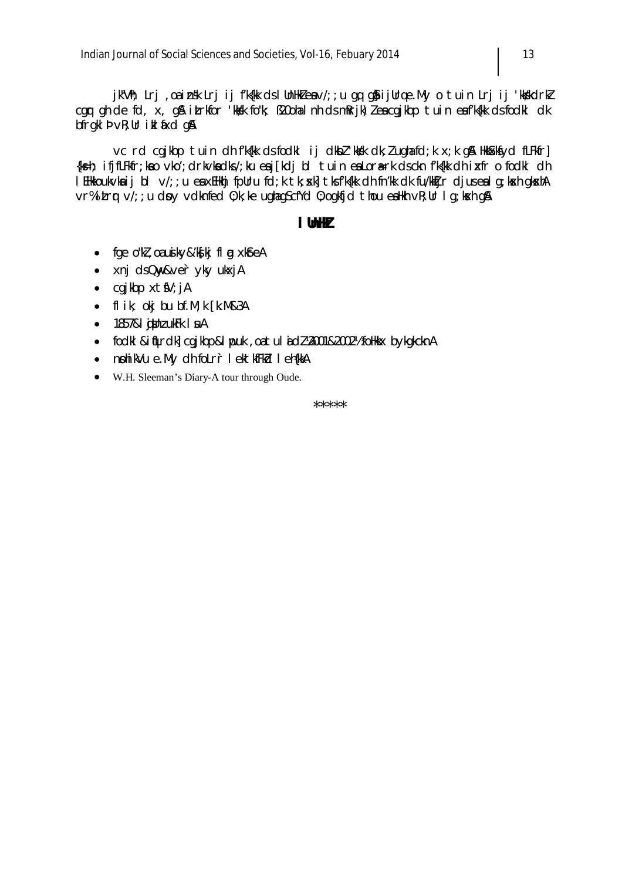jk"Vh; Lrj ,oainsk Lrj ij f'k{kk ds l UnHkleav/; ;u qq qh ijUrqe.My o tuin Lrj ij 'kkskdrkl cgr gh de fd, x, g& itrkfor 'kkk fo"k; B20ohalnh dsmRrjk) leacgjkbp tuin eafk{kk dsfodkl dk bfrgkl b vR; Ur ikl fixd g&

vc rd cgikbp tuin dh f'k{kk dsfodkl ij dkbl'kkk dk; lughafd; k x; k q& Hkk\$kkfyd fLFkfr] {k=h; ififLFkfr;kao vko'; drkvkadks/;ku eaj[kdj bl tuin eaLora-rk dsckn f'k{kk dh ixfr o fodkl dh I EHkkoukvkaij bl v/; ; u eaxEHkhj fpUru fd; k tk; xk] tks f'k{kk dh fn'kk dk fu/kkIjr djusealg; kxh gkxhA vr%itrr v/; ; u day vdknfed 0; k; ke ughagScfYd 0; ogkfjd thou eaHkh vR; Ur I g; kxh g&

#### I thin

- $\bullet$  fge o"kl, oa u iky & ks[kj fl maxksfeA
- xnj ds Ow&ver yky ukxjA
- $\bullet$  cgjkbp  $xtW$ ; jA
- $\bullet$  flik; okj bu bf.M; k  $\lceil k. M \& 3A \rceil$
- $\bullet$  1857&l  $\ddot{\textbf{g}}$ Unz ukFk  $\dot{\textbf{g}}$  uA
- fodkl &iq[rdk] cgjkbp&l puk, oatul adl 2001&2002% follkkx bykgkcknA
- nohikVu e.My dh foLrr I ektkfFkd I eh{kkA
- W.H. Sleeman's Diary-A tour through Oude.

 $*****$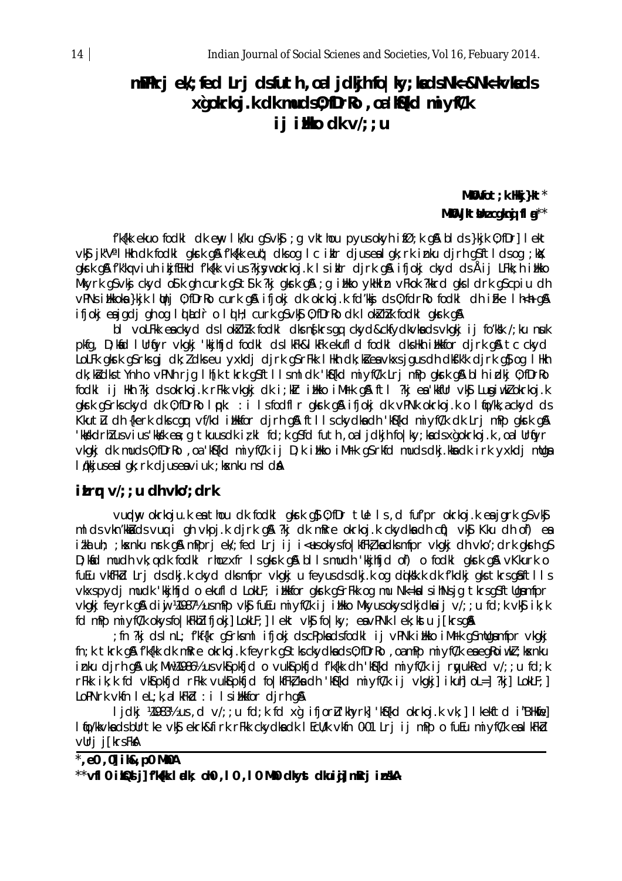# mPPkrj  $ek$ ; fed Lrj dsfuth, oal jdkjh fo  $|ky$ ; kads Nk=& Nk=kv kads xgokrkoj.k dk muds0; fDrRo, oa'k6(kd miyf0/k ij ilko dk v/; ; u

### MKO fot; k Hkj}kt  $*$ MKU ikt thz cakni fla $*$

fk{kk ekuo fodkl dk eny lk/ku g\$vk\$; g vkthou pyusokyh ifØ;k g& blds}kjk 0;fDr] lekt vk§ jk"ValHkh dk fodkl gkrk g& f'k{kk eut); dks og lc iklr djus ealgk; rk inku djrh g\$ftlds og ; kk; qkrk q& f′k′kqviuh ikjfEHkd f′k{kk vius?kjyvwokrkoj.k Isiklr djrk q& ifjokj ckyd dsÅij LFkk;h illkko Mkyrk g\$vkj ckyd of k gh curk g\$tfk ?kj qkrk q& ; q illkko ykllkin vFkok ?kkrd qks I drk q\$cpiu dh vPNs illkkoka }kjk I ltnj 0; fDrRo curk q& ifjokj dk okrkoj.k fd'kkj ds 0; fdrRo fodkl dh i Fke I h<h q& ifjokj esigdi ghog lot adroloth; curk gsvk 0; fDrko dk lokkhlk fodkl gkrk g&

bl volFkk en ckyd ds I okkhlk fodkl dks n{krs gq ckyd&ckfydkvka ds vkgkj ij fo'kkk /; ku nuk pkfg, D; kid I Urifyr vkgkj 'kkjhfjd fodkl ds I kFk&l kFk ekufl d fodkl dks Hkh i Hkkfor djrk gå tc ckyd LoLFk gkrk q\$rksqj dk; ldkseu yxkdj djrk q\$rFkk IHkh dk; kienvkxsjqusdh dkfk'k djrk qjoq IHkh dk; kidks tynh o vPNh rig lh[k tkrk g\$ftllsmldk 'ki{kd miyf(/k Lrj mPp gkrk g& blh idkj 0; fDrRo fodki ij Hkh ?kj dsokrkoj.k rFkk vkgkj dk i;kIr iHkko iMrk g& ftl ?kj ea kkfUr vk\$ LugiwkJokrkoj.k gkrk g\$rksckyd dk 0; fDrRo Ipk: : i IsfodfIr gkrk g\$ ifjokj dk vPNk okrkoj.k o Ifjo/kk, a ckyd ds Kkutlu dh {kerk dks cgr vf/kd illkkfor djrh q& ftlls ckydkadh 'k&{kd miyf(/k dk Lrj mPp qkrk q& 'kkkdrk'usvius'kkk en; g tkuusdk izkl fd; k gSfd futh, oaljdkjh fo|ky; kndsxgokrkoj.k, oalUrfyr vkgkj dk muds 0; fDrRo, oa 'k\${kd miyfC/k ij D; k i ikko i Mrk q\$ rkfd muds dkj. kka dk i rk yxkdj mllga International and the category of the serve in the serve in the serve in the serve in the serve in the serve in the serve in the serve in the serve in the serve in the serve in the serve in the serve in the serve in the se

### $itr$  $y$   $y$ ;  $y$  dh  $v$ ko'; drk

vuchy okrkoju.k en thou dk fodkl gkrk q\$ 0; fDr tle 1s, d fuf'pr okrkoj.k en jark q\$ vk\$ ml ds vkn'kka ds vuq i gh vkpj.k djrk gå ?kj dk mkre okrkoj.k ckydka dh cij vkj Kku dh of) ea itld uh; ; kxnku nrk gå mPpri eld; fed Lri i j i < us okys fo | kfFkt ka dks mfpr vkgkj dh vko'; drk gkrh g\$ D; kind mudh vk; q dk fodkl rhoz xfr Is gkrk g& bl Is mudh 'kkjhfjd of) o fodkl gkrk g& v Kkurk o fuEu vkfFkbl Lrj ds dkj.k ckyd dks mfpr vkgkj u feyus ds dkj.k og dojkkk.k dk f'kdkj gks tkrs gåftlls vkxspydi mudk 'kkihfid o ekufl d LokLF; ilkkfor gkrk g\$rFkk og mu Nk=kalsihNsjg tkrsg\$ftllgamfpr vkgkj feyrk gå dij ¼987½ usmPp vkj fuEu miyfC/k ij illkko Mkyusokysdkjdka ij v/; ; u fd; k vkj ik; k fd mPp miyfC/k okysfo|kFkNzifjokj| LokLF; | lekt vk\$ fo|ky; eavPNk lek;kstu j[krsq&

fn ?ki dslnL; f'kf{kr a\$rksml ifioki dscPpkadsfodkl ii vPNk ilkko iMfk a\$mUqamfpr vkaki: fn; k tkrk gå f'k{kk dk mRre okrkoj.k feyrk g\$ tks ckydkads 0; fDrRo, oa mPp miyfC/k ea egRoiwkZ; ksknku inku djrh g& uk; Mw ¼986½ us vk\$ pkfjd o vuk\$ pkfjd fk{kk dh 'k\${kd miyf(/k ij ryyukRed v/; ; u fd; k rFkk ik; k fd vk\$pkfjd rFkk vuk\$pkfjd fo|kfFkt, ka dh 'k\${kd miyft/k ij vkgkj] ikuh] oL=] ?kj] LokLF;] LoPNrk vkfn I eL; k, a I kFkd : i I s i Hkfor djrh q&

ljdkj ¼983½ us , d v/; ; u fd;k fd xg ifjorlu'khyrk] 'k\${kd okrkoj.k vk;] lkekftd i"BHkfie] I fo/kkvkadsburtke vkj ekrk&firk rFkk ckydkadk I Ecu/k vkfn 001 Lrj ij mPp o fuEu miyf(/k ealkFkd vUrj j[krsFkA

| $^*$ ,e0,0]ih&,p0Mh0A                                                         |  |  |  |
|-------------------------------------------------------------------------------|--|--|--|
| **vfl 0 ikQsl j] f'k(kk l adk; oh0 , l 0 , l 0 Mh0 clkyst clkuigj mRrj inskA- |  |  |  |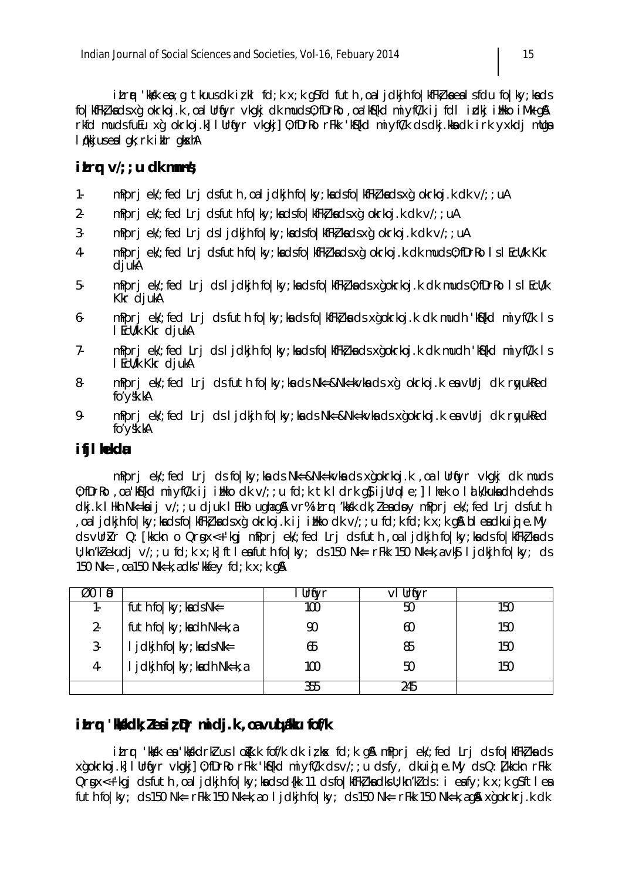itrr 'kks/k ea;g tkuus dk iz;kl fd;k x;k gS fd futh ,oa ljdkjh fo|kfFkZ;ka eals fdu fo|ky;ka ds fo|kfFk}k a ds x`g okrkoj.k ,oa lUr tyr vkgkj dk muds 0;fDrRo ,oa 'k Sfkd miyfC/k ij fdl izlkj i Hko iM+ g & rkfd muds fuEu xa okrkoj.k] lUrtivr vkakj] 0;fDrRo rFkk 'kSfkd miyfC/k ds dkj.kka dk irk yxkdi mUga løkkius e algk; rk i klr gkskhA

### $\textbf{i} \textbf{L} \textbf{r} \textbf{r}$   $\textbf{v}$ /;  $\textbf{u}$  dk mn  $\textbf{s}$ ;

- 1- mPprj ek/; fed Lrj ds futh , oa ljdkjh fo|ky; ka ds fo|kfFk} ka ds x`q okrkoj.k dk v/;; uA
- 2- mPprj ek/; fed Lrj ds futh fo|ky; k a ds fo|kfFkZ; k a ds x`g okrkoj.k dk v/;;uA
- 3- mPprj e $V$ ; fed Lrj ds ljdkjh fo|ky; ka ds fo|kfFkZ; ka ds x`g okrkoj.k dk v/;; uA
- 4- mPprj ek/; fed Lrj ds futh fo|ky; ka ds fo|kfFk, ka ds x`g okrkoj.k dk muds 0; fDrRo Is IEcU/k Kkr djukA
- 5- mPprj ek/; fed Lrj ds ljdkjh fo|ky; ka ds fo|kfFk} ka ds x`gokrkoj.k dk muds 0; fDrRo Is lEcU/k Kkr djukA
- 6- mPprj ek/;fed Lrj ds futh fo|ky;ka ds fo|kfFk,ka ds x`gokrkoj.k dk mudh 'kS{kd miyfC/k ls lEcU/k Kkr djukA
- 7- mPpri ek/; fed Lri ds lidkih folky; ka ds folkfFk ka ds x`gokrkoj.k dk mudh 'kSfkd miyfC/k ls lEcU/k Kkr djukA
- 8- mPprj ek/; fed Lrj ds futh fo|ky; ka ds Nk=&Nk=kvka ds x`g okrkoj.k ea vUrj dk rnyukRed fo'y\\.kA
- 9- mPprj ek/; fed Lrj ds ljdkjh fo|ky; ka ds Nk=&Nk=kvka ds x`gokrkoj.k ea vUrj dk r tyukRed  $f_0' \vee \forall k. kA$

### **ifjlhekda**

mPprj ek/;fed Lrj ds fo|ky;ka ds Nk=&Nk=kvka ds x`gokrkoj.k ,oa lUrtiyr vkgkj dk muds  $0$ ;fDrRo ,oa 'k $5$ {kd miyfC/k ij inkko dk v/;;u fd;k tk ldrk q $5$  ijUrq le;] lhek o lalk/kuka dh deh ds dkj.k lHkh Nk=ka ij v/;;u djuk lEHko ughag& vr% i $L$ r 'kk sk dk;Z e ad soy mPprj ek/;fed Lrj d s futh ,oaljdkjh fo|ky;ka ds fo|kfFkZ;ka ds x`g okrkoj.k ij ibkko dk v/;;u fd;k fd;k x;k g\$A ble a dkuigi e.My ds vUrkr Q: [kkckn o Qr sqx < + 'kgj mPprj ek/;fed Lrj ds futh ,oa ljdkjh fo|ky;k a ds fo|kfFk ka d s  $U$ ; kn'k ekudj v/;;u fd;k x;k] ftlea futh fo|ky; ds 150 Nk= rFkk 150 Nk=k,a vkg ljdkjh fo|ky; ds 150 Nk= , oa 150 Nk=k, a dk s'kkfev fd;k  $x$ ;k g &

| ΙĐ<br>ØO |                                   |     | vi Urtyr |     |
|----------|-----------------------------------|-----|----------|-----|
| Ŀ.       | futh fo $ ky $ ; kads Nk=         | 100 | 50       | 150 |
| $2 -$    | futh fo   ky; ka dh Nk=k, a       | 90  | 60       | 150 |
| $3-$     | $I$ j dkj h fo $ $ ky ; ka ds Nk= | 65  | 85       | 150 |
| 4-       | I jdkjh fo   ky; ka dh Nk=k, a    | 100 | 50       | 150 |
|          |                                   | 355 | 245      |     |

### **itrg 'kkkdk;Zeaiz Dr midj.k ,oa vud aku fof/k**

itrr 'kksk esa 'kks/kdrkZ us I o $\zeta$ k.k fof/k dk iz;k sx fd;k g & mPprj ek/;fed Lrj ds fo|kfFkZ;k sa d s x`gokrkoj.k] lUrtjyr vkgkj] 0;fDrRo rFkk 'k Sf{kd miyfC/k ds v/;;u ds fy, dkuitj e.My ds Q: Tkkckn rFkk  $Qr$ g $x$ < $+$ 'kgj ds futh, oa ljdkjh fo|ky;ka ds d{kk 11 ds fo|kfFk} ka dks U;kn'k ds : i ea fy;k x;k g S ftlea futh fo|ky; ds 150 Nk= rFkk 150 Nk=k,ao ljdkjh fo|ky; ds 150 Nk= rFkk 150 Nk=k,a g& x`gokrkrj.k dk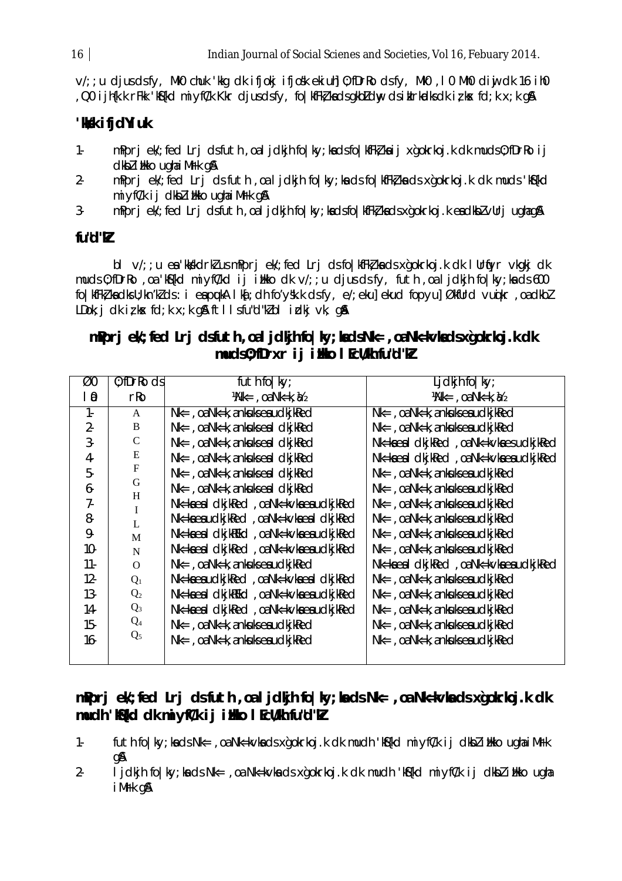$v/$ ;;u djus ds fy, Mk0 chuk 'kkg dk ifjokj ifjosk ekiuh] 0;fDrRo ds fy, Mk0, 10 Mh0 diwj dk 16 ih0 , Q0 ijh{k.k rFkk 'kSf{kd miyfC/k Kkr djus ds fy, fo|kfFkZ;ka ds gkbLdny ds ikIrk adks dk iz kx fd;k x;k g\$A

### **'kks/k ifjdYiuk**

- 1- mPprj ek/; fed Lrj ds futh , oa ljdkjh fo|ky; ka ds fo|kfFk} ka ij x`qokrkoj.k dk muds 0; fDrRo ij dkbl i Hkko ugha i Mfk g &
- 2- mPprj ek/; fed Lrj ds futh , oa ljdkjh fo|ky; ka ds fo|kfFk}ka ds x`gokrkoj.k dk muds 'k\${kd  $mi$  yfC/k ij dkbZ illkko ugha iM $rk$  g&
- 3- mPprj ek/; fed Lrj ds futh , oa ljdkjh fo|ky; ka ds fo|kfFk} ka ds x`gokrkoj.k ea dkbZ vUrj ugha g &

### **fu"d"kZ**

bl v/; ; u ea 'kk skdrkZ us mPprj ek/; fed Lrj ds fo|kfFkZ; ka ds x`gokrkoj.k dk lUrtiyr vkgkj dk muds 0; fDrRo, oa 'k $f(x)$ d miyfC/kd ij ithko dk v/;;u djus ds fy, futh, oa ljdkjh fo|ky;ka ds 600 fo|kfFk} ka dks U; kn'k] ds : i ea pukA lk a ; dh fo'ys"k.k ds fy, e/; eku] ekud fopyu] ØkfUrd vuqikr ,oa dkbl LDok; j dk iz; k sx fd;k x; k g & ftlls fu d"k z bl i zdkj vk, g &

### mPprj eW; fed Lrj ds futh, oal jdkjh fo | ky; kad s Nk= , oa Nk=kvkad s x`gokrkoj.k dk **muds O;fDrxr ij i zHkko lEcU/kh fu"d"k Z**

| $\overline{\omega}$ | $0$ ; fDr $\Omega$ ds | futh fo $ ky\rangle$                                     | Ljdkjh fo $ $ ky;                                       |
|---------------------|-----------------------|----------------------------------------------------------|---------------------------------------------------------|
| $\blacksquare$      | rko                   | $14Nk = 0$ , oa N $k=k$ , $1/2$                          | $14Nk = 0$ , oa N $k=k$ , $1/2$                         |
| $1 -$               | $\mathbf{A}$          | $Nk=$ , oa $Nk=k$ , a n $k$ u $k$ s ea ud $k$ j $k$ Red  | $Nk=$ , oa $Nk=k$ , a n $k$ u $k$ s ea ud $k$ j $k$ Red |
| $2 -$               | B                     | $Nk=$ , oa $Nk=k$ , a n $k$ suks ea l d $k$ j k $Re$ d   | Nk= , oa Nk=k, a nkuks ea udkjkRed                      |
| $3 -$               | $\mathsf{C}$          | Nk= , oa Nk=k, a nkuks ea I dkj kRed                     | Nk=ka ea I dkj kRed , oa Nk=kvka es udkj kRed           |
| 4-                  | E                     | $Nk=$ , oa $Nk=k$ , a n $k$ u $k$ s ea l d $kj$ k $k$ ed | Nk=ka ea I dkj kRed, oa Nk=kvka ea udkj kRed            |
| $5-$                | ${\bf F}$             | $Nk=$ , oa $Nk=k$ , a n $k$ u $k$ s ea l d $k$ j $k$ Red | $Nk=$ , oa $Nk=k$ , a n $k$ u $k$ s ea ud $k$ j $k$ Red |
| 6-                  | G                     | $Nk=$ , oa $Nk=k$ , a n $k$ u $k$ s ea l d $k$ j $k$ Red | $Nk=$ , oa $Nk=k$ , a n $k$ u $k$ s ea ud $k$ j $k$ Red |
| $7-$                | H<br>I                | Nk=ka ea I dkjkRed, oa Nk=kvka ea udkjkRed               | $Nk=$ , oa $Nk=k$ , a n $k$ u $k$ s ea ud $k$ j $k$ Red |
| 8-                  | L                     | Nk=ka ea udkj kRed, oa Nk=kvka ea Idkj kRed              | $Nk=$ , oa $Nk=k$ , a n $k$ u $k$ s ea ud $k$ j $k$ Red |
| 9-                  | M                     | Nk=ka ea I dkj kREkd, oa Nk=kvka ea udkj kRed            | $Nk=$ , oa $Nk=k$ , a n $k$ u $k$ s ea ud $k$ j $k$ Red |
| $10 -$              | N                     | Nk=ka ea I dkjkRed, oa Nk=kvka ea udkjkRed               | $Nk=$ , oa $Nk=k$ , a n $k$ u $k$ s ea ud $k$ j $k$ Red |
| $11 -$              | $\Omega$              | $Nk=$ , oa $Nk=k$ , a n $k$ uks ea ud $k$ j $k$ ed       | Nk=ka ea I dkj kRed, oa Nk=kvka ea udkj kRed            |
| $12 -$              | Q <sub>1</sub>        | Nk=ka ea udkj kRed, oa Nk=kvka ea Idkj kRed              | $Nk=$ , oa $Nk=k$ , a n $k$ u $k$ s ea ud $k$ j $k$ Red |
| $13 -$              | Q <sub>2</sub>        | Nk=ka ea I dkjkREkd, oa Nk=kvka ea udkjkRed              | $Nk=$ , oa $Nk=k$ , a n $k$ u $k$ s ea ud $k$ j $k$ Red |
| $14-$               | $Q_3$                 | Nk=kaealdkjkRed, oa Nk=kvkaeaudkjkRed                    | $Nk=$ , oa $Nk=k$ , a n $k$ u $k$ s ea ud $k$ j $k$ Red |
| $15 -$              | $Q_4$                 | $Nk=$ , oa $Nk=k$ , a n $k$ u $k$ s ea ud $k$ j $k$ ed   | $Nk=$ , oa $Nk=k$ , a n $k$ u $k$ s ea ud $k$ j $k$ Red |
| $16 -$              | Q <sub>5</sub>        | $Nk=$ , oa $Nk=k$ , a n $k$ suks ea ud $k$ j $k$ Red     | $Nk=$ , oa $Nk=k$ , a n $k$ u $k$ s ea ud $k$ j $k$ Red |
|                     |                       |                                                          |                                                         |

### mPprj eW; fed Lrj ds futh , oa ljdkjh fo|ky; ka ds Nk= , oa Nk=kvka ds x`qokrkoj.k dk mudh 'K**SK**d dk miyfC/k ij i**lko I EcU/kh** fu"d"R

- 1- futh fo|ky;k a ds Nk= ,oa Nk=kvka ds x`gokrkoj.k dk mudh 'kSf{kd miyfC/k ij dkbZ i Hkko ugha iM+rk g&
- 2- lidkih fo|ky;ka ds Nk= ,oa Nk=kvka ds x`gokrkoj.k dk mudh 'k Sfkd miyfC/k ij dk bZ i ilkko ugha i M<sub>F</sub>k q&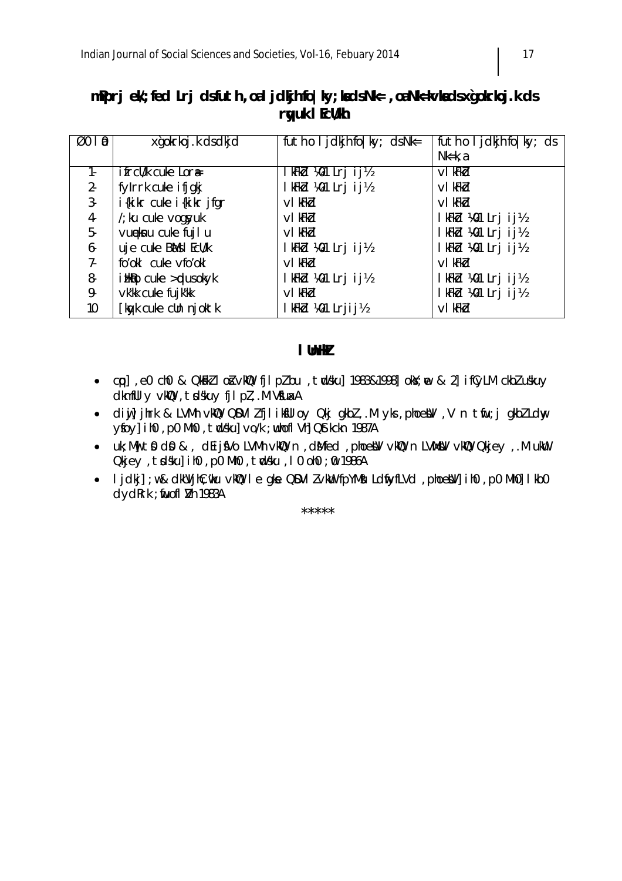| $Ø0$ 10         | xgokrkoj.k ds dkj d             | futh o I jdkjh fo $ ky;$ ds Nk= | futh o $l$ jdkjh fo $ ky;$ ds |
|-----------------|---------------------------------|---------------------------------|-------------------------------|
|                 |                                 |                                 | $Nk=k, a$                     |
| 1-              | ifrcWk cuke Lor <sub>a</sub>    | lkFkbl ¼01 Lrj ij½              | vI kFkb                       |
| $2 -$           | fylrrk cuke ifjgkj              | IkFkbl ¼01 Lrj ij½              | vI kFkd                       |
| $3 -$           | i{kikr cuke i{kikr jfgr         | vI kFkd                         | vI kFkd                       |
| $4-$            | $\prime$ ; ku cuke vogsyuk      | vI kFkd                         | I kFkd ¼01 Lrj ij½            |
| $5-$            | vueknu cuke fujl u              | vI kFkd                         | lkFkbl ¼01 Lrj ij½            |
| $6 -$           | uje cuke BMs I EcU/k            | IkFkd ¼01 Lrj ij½               | kFkd ¼01 Lrj ij½              |
| $7-$            | fo'okl cuke vfo'okl             | vI kFkd                         | vI kFkd                       |
| 8-              | $i$ like $o$ cuke $>$ plus okyk | lkFkd ¼01 Lrj ij½               | IkFkd ¼01 Lrj ij½             |
| 9.              | vk'kk cuke fujk'kk              | vI kFkd                         | kFkd ¼01 Lrj ij½              |
| 10 <sup>°</sup> | [kg/k cuke cUn njoktk           | lkFkbl ¼01 Lrjij½               | vI kFkd                       |

### mPprj eW; fed Lrj ds futh, oal jdkjh fo | ky; kad sNk= , o a Nk=kvkad s x`gokrkoj.k ds **r qyuk lEcU/kh**

#### **lUnHk Z**

- . cp], e0 ch0 & QkFkZ I o} vkWQ fjlpZ bu , twdsku] 1983&1998] okY;we & 2] ifCyLM ckbZ u skuy dkmfUly vkD, tdskuy fjlpZ, M VsuaxA
- diwj jhrk & LVMh vkWQ QDVIZ fjlik \$Uloy Qkj gkbZ ,.M yks ,phoe \$V ,V n twfu;j gkbZ Ldwy yfoy] ih0 , p0 Mh0 , tudsku] vo/k ; whofl Vh] QStkckn 1987A
- . uk; Min t o d o & , dEij fvo LVMh vkMQ n , dMfed , phoe bv vkMQ n LVMbV vkMQ Qkjey , .M ukWu Qkjey, tsd sku] ih0, p0 Mh0, twd sku, l0 oh0 ; 0 1986A
- . I jdkj] ;w& dkUVjhC;nku vkNQ I e gke QDVI Z vkWu fpYMiu LdfryfLVd ,phoesUV] ih0 ,p0 Mh0] I kb0 dydRrk ; fluofl Nh 1983A

\*\*\*\*\*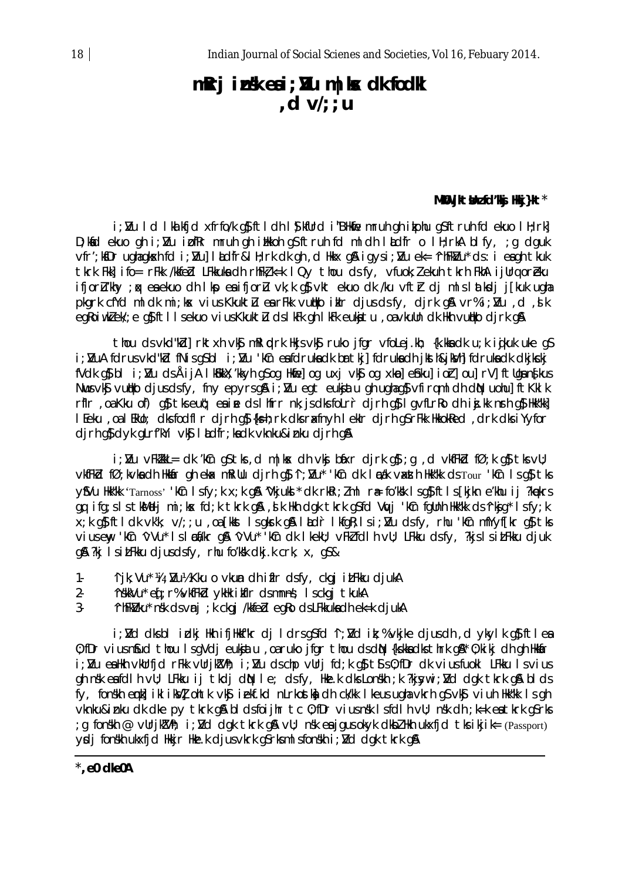# $mRri$  inst eai;  $Vu$  m | bx dk fodkl , d  $vl$ ; ; u

### MKW jkt Unz fd'ksj Hkj}kt \*

i; Mu I d I ka kfjd xfrfo/k q\$ftldh I \$kfUrd i "BHkie mruh qh ikphu q\$ftruh fd ekuo I H; rk] D; kid ekuo gh i; Nu i of Rr mruh gh i Hkkoh g\$ftruh fd ml dh l kdfr o l H; rkA bl fy, ; g dguk vfr'; kfDr ughagksh fd i; Vu] I adfr&l H; rk dk gh, d Hkkx g& igysi; Vu ek= 'rhFkVu' ds: i eagh tkuk tkrk Fkk] ifo= rFkk /kkfebl LFkkukadh rhFkkk=k IQy thou dsfy, vfuok; lekuh tkrh FkhA ijUrq oreku ifjorlu'khy ; a ea ekuo dh I kp ea ifjorlu vk; k q\$ vkt ekuo dk /ku vftr dj mls latkdj j[kuk ugha pkgrk cfYd mldk mi; kx vius Kkuktu earFkk vutko iklr djusdsfy, djrk g& vr%i; Vu, d, slk egkoiwklek/; e g\$ftllsekuo vius Kkuktu dslkFk ghlkFk eukatu , oa vkuun dk Hkh vutko dirk g\$

thou ds vkd"kd] rktxh vkj mRI plrk Hkjs vkj ruko jfgr vfolej.kh; {k.kka dk u;k i gkuk uke qS i; VuA fdrus vkd"kd fNis q\$bl i; Vu 'kûn eafdrukadk brtkj] fdrukadh jksth&jkVh] fdrukadk dkjkskj fVdk q\$ bl i; I/u ds ÅijA IkBkkX; 'kkyh q\$ oq Hkfie] oq uxj vk\$ oq xkma] e\$ku] ioh ou] rV ftUqans[kus Nus vkj vutko djus dsfy, fny epyrs gå i; Nu egt eukjatu gh ugha gj vfiraml dh din uohuj ft Kklk rfir , oa Kku of) q\$ tks eut; ea ine ds I hfrr nk; js dks folrr djrh q\$ I qvflrRo dh ij.kk nrh q\$ Hkk"kk] I Feku, oa I Ekllo; dks fodfl r djrh q\$ {ks=h; rk dks raxfnyh I eklr djrh q\$ rFkk HkkokRed, drk dks i Yyfor dirh q\$ dyk gLrf'kYi vk\$ l kdfr; kadk vknku&inku dirh q&

i; Mu vFkkkkl= dk 'kûn q\$tks, d m|ks dh vkj bixr djrk q\$; q , d vkfFkd fØ; k q\$tksvU; vkfFkbl fØ; kvka dh Hkkar gh ekax mRillu djrh g $\beta$  'i; I/u\* 'kCn dk I adk vaxsth Hkk"kk ds Tour 'kCn I s g $\beta$  tks y\$Vu Hkk"kk 'Tarnoss' 'kCn 1 sfy; k x; k q\$k 'Vkjuks' dk rkRi; Zml r# fo'ksk 1 sq\$ft1 s[kjkn e'khu ij ?kqekrs gq ifg;slstkMelj mi;kx fd;k tkrk g&, ,dk Hkh dgk tkrk g\$fd Vyuj 'kCn fgUnh Hkk"kk ds^rkjg\*lsfy;k x; k q} ftldk vkk; v/; ; u , oa [kkst ls gkrk q& ladr lkfgk; ls i; Nu ds fy, rhu 'kin mfYyf[kr q} tks viusemy 'kCn ∿Vu\* Isladi/kr gn vVu\* 'kCn dk I kekU; vFkZ foll h vU; LFkku dsfy, ?kjs IsitFkku djuk q& ?kj IsitFkku djusdsfy, rhu fo'kkk dkj.k crk, x, q\$&

- $1 -$ 'ijk; Vu\* ¼ ; Vu½ Kku o vkun dh iflr dsfy, ckgj itFkku djukA
- 'nskkVu\* eq ; r% vkfFkbl ykHk ikflr ds mnns; Isckgj tkukA  $2 -$
- $\overline{3}$ 'rhFkWku' nsk dsvnj; k ckgj /kkfed egko ds LFkkuka dh ek=k djukA

i; Vd dksbl idkj Hkh ifjHkhf"kr dj Idrsg\$fd ^i; Vd ik; % vkjke djusdh, d ykylk g\$ftlea 0; fDr vius n\$ud thou IsqVdj eukjatu , oa ruko jfgr thou ds dN {kskka dks thrk g&\* 0; kikj dh gh Hkkar i; Nu ealth vkUrfjd rFkk vUrjkZVh; i; Nu dschp vUrj fd; k g\$t\$s0; fDr dk viusfuokl LFkku Isvius gh nsk eafdlh vu; LFkku ij tkdj dNp le; dsfy, Hke.k dks Lonskh; k ?kjsywi; Nd dgk tkrk g& blds fy, fonskh emkl iklik vilontk vkg i ekf.kd n Lrkostkh dh ck/kk I keus ugha vkrh g svkg viuh Hkk"kk I s gh vknku&inku dk dke py tkrk q& bl dsfoijhr tc 0; fDr vius nsk I sfdI h vU; nsk dh ; k=k ea tkrk q\$rks g fonskh @ vUrjktVh; i; Nd dgk tkrk g& vU; nsk eajgus okyk dkbl Hkh ukxfjd tks ikjik= (Passport) valj fonskh ukxfjd Hkkjr Hke.k djusvkrk g rksml sfonskh i Nd dak tkrk g &

 $*$ , e0 dke0A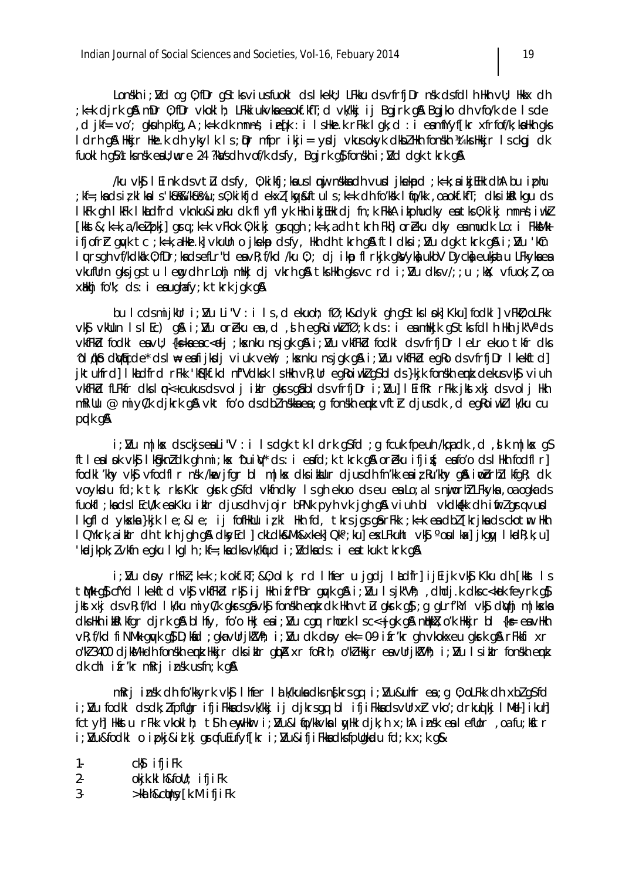Lonskh i; Nd og 0; fDr g\$tksviusfuokl ds I kekU; LFkku ds vfrfjDr nsk ds fd I h Hkh vU; Hkkx dh k = k dirk q\$ mDr 0; fDr vkoklh; LFkkiukvkaeaokf.kff; d vk/kkj ij Bqirk q\$ Bqiko dh vfo/k de Isde; d ikf = vo'; akuh pkfa.A ; k=k dk mnns; iedk ; i l s Hke,k r Fkk l ak; d ; i e amfY v f [kr x frfof/k; ka Hkh aks, I drh g& Hkir Hke.k dh ykylk Is; Dr mfpr ikji = ydj ykusokyk dkbl Hkh fonskh ¼tks Hkir Isckgj dk fuokl h g & t ks n sk ea U; wre 24 ?ka/s dh vof/k ds f y, Bg j r k g \$ fon skh i; N d d g k t kr k g &

ku vk\$ l Eink ds v t U ds f y, 0; kikfj; ka us l n y nskka dh v u d jkekpd; k=k; a i kj EHk dhA bu i phu ; kf=; kadsizklkals'kGu%k'KGu%u; s0; kikfjdekxZ[kqv&ftuls; k=k dhfo'k%k lfio/kk, oaokf.kfT; dksik&lkquds I kFk qh I kFk I kludfrd vknku&inku dk fl yfl yk Hkh ikjEHk dj fn;k FkkA ikphudky ea tks 0;kikj mnns;iwkZ [kkst&; k=k, a /ke] pkj] grg; k=k vFkok 0; kikj grggh; k=k, a dh tkrh Fkh] or eku dky ea mudk Lo: i FkkMk ifjofr'r gwk tc ; k=k, aHke.k] vkuUn o jkekp dsfy, Hkh dh tkrh g& ftl dksi; Nu dgk tkrk g& i; Nu 'kCn I ursgh vf/kdkak 0; fDr; kadsefLr"d eavR; f/kd /ku 0; ; dj ikp fI rkjk gkVyka ukbV Dycka eukjatu LFkyka ea vkufllrn gksjgstu lem, dhrLohj mHkj dj vkrh g& tksHkh gksvc rd i; Vu dksv/; ; u ; kX; vfuok; l, oa xHkhj fo"k; cls: i eaughafy; k tkrk jgk g &

bu I cdsmijklr i; I/u Li"V : i I s, d ekuoh; fØ; k&dyki qh q\$tks I pk| Kku| fodkl | vFkD; oLFkk vký vklun lslEc) g& i; Vu oreku ea, d, ih egkoiwkifØ; k ds: i eamHkjk g\$tksfdlh Hkh jk"Vads vkfFkd fodkl eavl; {k=kaeac<elj ; kxnku nsjgk g& i ; Nu vkfFkd fodkl dsvfrfjDr leLr ekuo tkfr dks oldkb dWhicde\* dsl\ eafijkdj viuk ve i; kxnku nsjqk q& i; Vu vkfFkd eqRo dsvfrfjDr Ikekftd] jktuhfrd] I kludfrd rFkk 'kS{kf.kd nf"Vdksk I sHkh vR;Ur egRoiwkZqSbI ds}kjk fonskh emk dekus vk\$ viuh vkfFkd fLFkfr dks I mi<+cukus ds volj iklr gkrs g\$bl ds vfrfjDr i; Nu] I EifRr rFkk jkst xkj ds volj Hkh mkillu @ miyC/k djkrk q\$ vkt fo'o ds dbl nskka ea ; q fonskh emk vftr djus dk , d eqRoiwkl I k/ku cu pdk q&

i; Mum | kx ds ckjseali"V: i Is dgk tk I drk gSfd; g fcuk fpeuh /kqadk, d, slk m | kx gS ftlealpk vký lkópknick ghmi; kx 'buily' ds: i eafd; k tkrk g& oreku ifjig; eafo'o dslHkh fodflr] fodki khy vký vfodfir nsk kne jfgr bi miky dks ikolur djus dh fn kk e a iz Ru khy gå i modrhil kfg R; dk voykdu fd; k tk, rks Kkr gkrk g\$fd vkfndky Is gh ekuo ds eu ea Lo; a Is nijorhl LFkyka, oa ogka ds fuokfi; ka ds i EcU/k ea Kku ikir djus dh vjojr bPNk pyh vk jgh gå viuh bi vkdkakk dh i mrlgra vurd I kgfl d ykska }kjk le; ≤ ij fofHkUu izkl Hkh fd, tkrsjgs gårFkk; k=k eadbz [krjkads ckotm Hkh I QYkrk, a ikir dh tkrh jqh q& dkyEcI ckLdk&Mh&xkek] Qk°; ku] exLFkuht vk\$ °oul ka<] jkgy I kadR; k; u] 'kadjkpk; Zvkfn egku I kgl h ; kf=; kadksvk/kfjud i; Vdkads: i eatkuk tkrk gA

i; Mu doy rhFM; k=k; k okf.kT; &0; olk; rd lhfer u jgdj ladfr] ijEijk vk§ Kku dh [kkst ls t Mk as cfyd lleiftd yls ylfflid ris i i llih i frf Br awk a i : Nu l s i k''Vh: dhdi.k disc<ikok feyrk as jkstxkj dsvR;f/kd lk/ku miyC/k gkrsgåvk\$j fonskh emk dk Hkh vtlu gkrk g\$;g gLrf'kYi vk\$j dk/hj m|kska clks Hkh ikkel kfgr cljrk g& bl hfy, fo'o Hkj eai; Mu cgr rhork Isc<+jgk g& ntkkal; o'k Hkkjr bl {k= eavHkh vR: f/kd fi NMk au/k as D: kid : aka vUriki/Vh: i: Nu dk dpv ek= 0.9 ifr'kr ah vkokxeu akrk as rFkkfi xr o"W 3400 djkW+dh fonskh emk Hkkjr dksiklr glpA xr foRrh; o"W Hkkjr eavUrjkVh; i; Nu Isiklr fonskh emk  $dk$  chl if r'k r m $k$ rj insk usfn; k q $\alpha$ 

mikri insk dh fo'kkvrk vk\$l hfer la k/kuka dks nskrs an i: Nu&uhfr ea : a 0: oLFkk dh xbl as fd i; Nu fodkl dsdk; I fpfligr i fji Fkkadsvk/kkj i j djkrsgg bl i fji Fkkadsvllrxr vko'; drkud kj I Mell i kuhl fctyh] Hkkstu rFkk vkoklh; tSih enyHkm i; Vu&lfo/kkvkalnyHk dik; h x; hA insk ealeflor .oafu: kStr i; Nu&fodkl o ipkj&id kj grgfuEufyf[kr i; Nu&ifjiFkkadksfpllgkdu fd; k x; k g&

| 1.    | cks) ifjiFk            |
|-------|------------------------|
| $2 -$ | okjk.kl h&foU/; ifjiFk |
| 3     | >ka h&cunsy[k.MifjiFk  |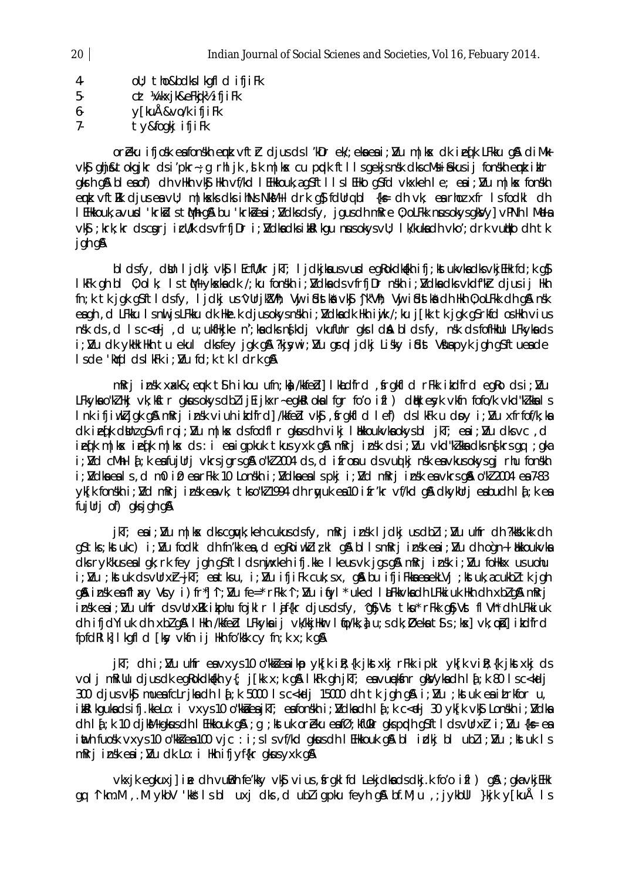$\overline{4}$ oll; tho&bdkslkgfld ifjiFk ctt Wukxjk&eFkjk½ifjiFk  $5$ v[kuÅ&vo/k ifjiFk  $6 7.$ ty&foqkj ifjiFk

oreku ifjosk eafonskh emk vfth djus ds l'kDr ek/; eka ea i; Nu m | kx dk iedk LFkku g & diMk vkg ghj&tokgjkr dsi'pkr~; g rhljk, dk m|kx cu prdk ftllsgekjsnsk dks cMs i £kusij fonskh emk i klr gkrh gå bleaof) dh vilkh vkj ilkh vf/kd l Eilkkouk, agsftl i sl Eilko gsfd vkxkeh le; eai; Nu m | kx fonskh emk vftkk djuseavU; m|ksks dks ihNs NkM+I drk g}fdUrq bl {k= dh vk; earhoz xfr Isfodkl dh I EHkkouk, a vurd 'krkslist Mh qi A bu 'krkse ai; Mdksdsfy, jqusdh mikre 0; oLFkk nusokysqkVy] vPNh I Mela vký; krk; kr dscgri icl/k dsvfrfjDr i; Vdka dks ikkl kgu nusokysvl); I k/kuka dh vko'; drk vulko dh tk jgh g&

bl dsfy, dijn ljdkj vkj l Ecfl/kr jkT; ljdkjka usvud eg Rokdkjkh i fj; kt ukvka dksvkj EHk fd; k qj I kFk ah bl 0: olk: IstM+vkskadk /: ku fonskh i: Mdkads vfrfiDr nskh i: Mdkadks vkdf"kr dius ii Hkh fn; k tk jgk gSftl dsfy, ljdkj us ^vUrjkZVh; Vyj i Sdstkå vk§ jk"Vh; Vyj i Sdstkå dh Hkh 0; oLFkk dh g& nsk eagh, d LFkku Isnuljs LFkku dk Hke.k djusokysnskh i; Mdkadk Hkh iujk /; ku j[kk tk jgk q\$rkfd os Hkh vius nsk ds, d Isc<elj, d u; ukfilkjke n'; ka dks n{kdj vkufUnr gks I d& bl ds fy, nsk ds fofilkUu LFkyka ds i; Nu dk ykłk Hkh tu ekul dksfey jgk g\$ ?kjsywi; Nu grqljdkj Lisky i£dst V£uapyk jgh g\$ftueade Isde 'kidd ds I kFk i; Nu fd; k tk I drk g &

mRri insk xack&; euk t\$h ikou ufn; ka /kkfebl | kadfrd , frakfld rFkk indfrd eaRo ds i; Nu LFkyka o"kl Hkj vk; kftr gkus okys dbl i j Eijkxr-egkkl oka I fgr fo'o ifl) duk eyk vkfn fofo/k vkd"klka I s Ink ifjiwkligk g&mRrj insk viuh ikdfrd]/kkfebl vk\$, frgkfld lef) ds lkFk u dov i; Vu xfrfof/k; ka dkiefk dönz gśvfirgi; Nu m|kx dsfodflr gkus dh vikj lökkoukvka okys blikT; eai; Nu dks vc, d ieqk m|kx ieqk m|kx ds: i eaigpkuk tkus yxk g& mRrj insk ds i; Vu vkd"kZkka dks n{krs gq ; gka i; Ud cMh I {; k ea fujUrj vkrsjgrsg & o"k2004 ds, d ifronu ds vuot kj nsk ea vkus okysgj rhu fonskh i; Vdka ea Is, d m0 i 0 ea r Fkk 10 Lonskh i; Vdka ea Ispkj i; Vd m R rj insk ea vkrs q & o "k 2004 ea 7-83 yklk fonskh i Wd mkri insk eavk, tks o"k 1994 dh rayuk ea 10 ifr'kr yf/kd g& dkykUri eabudh I a k ea fujUrj of) gksjghg&

jkT; eai; Mu m|kx dks cquyk; keh cukus ds fy, mRrj insk ljdkj us dbli; Mu uhfr dh?kkkk. kk dh q\$tks;kstukc) i; Nu fodkl dh fn'kk ea, d eqRoiwklizkl q&bllsmRrj insk eai; Nu dh ogn-l akkoukvka dks rykkus en I gk; rk fey jgh g\$ftlds nijxkeh ifj.kke I keus vk jgs g\$ mRrj insk i; Nu follkkx us uohu i; Mu ; kstuk ds vUrxh-ikT; eatks u, i; Mu ifjiFk cuk; s x, q& bu ifjiFkka eaekLVj ; kstuk, a cukbl tk jgh q& insk ea fl axy Vcy i) fr "| "i; Mu fe=" rFkk "i; Mu iftyl" uked I a Fkkvka dh LFkkiuk Hkh dh xbl q& mRrj insk eai; Nu uhfr ds vUrxRk ikphu fojkl r l jf{kr djus ds fy, 'g\$jVst tku\* rFkk g\$jVst fl Vh\* dh LFkkiuk dh ifjdYiuk dh xblg& I Hkh /kkfebl LFkyka ij vk/kkjHkur I (po/kk, ) u; s dk; Øeka t9 s; kx] vk; ph] ikdfrd fpfdRI k] I kgfI d [ksy vkfn i j Hkh fo'ksk cy fn; k x; k q&

jkT; clh i; I/u uhfr en vxys 10 o"kkien ikp yk[k iR; {k jkstxkj rFkk ipkl yk[k viR; {k jkstxkj cls volj mRiUu djusdkeqRokdkalkh y{; j[kk x;k q& lkFk qh jkT; eavuekshr qkVykadh la[k 80 lsc<kdj 300 djus vk\$ muea fcLrika dh I ajk 5000 Isc<kdi 15000 dh tk jgh g& i; Nu ; kstuk ea itrkfor u, ikkl kgukadsifj.kkeLo: i vxys10 o"kkaeajkT; eafonskh i; Vdkadh I aj; k c<elj 30 yk [k vka] Lonskh i; Vdka dh I {; k 10 djkM+gkusdh I EHkkouk q& ; g ; kstuk oreku enfØ; kfl0kr gkspodh q\$ftI dsvUrxr i; Mu {k= en inth fuosk vxys 10 o"kkies 100 vic: i; s I s vf/kd gkus dh I EHkkouk g& bl icki bl ubli; Mu ; kst uk I s mRrj insk eai; Nu dk Lo: i Hkh ifjyf{kr gkus yxk g&

vkxjk eqkuxj] ie dh vuBh fe'kky vk\$ vius, frqkl fd Lekjdkadsdkj.k fo'o ifl) q& ; qkavkjEHk qq "Ikm.M., MykbV" kkš Isbluxj dks, dublig pku feyh q\$ bf.M; u ; jykbUl}kjk y [kuÅls

 $20<sup>1</sup>$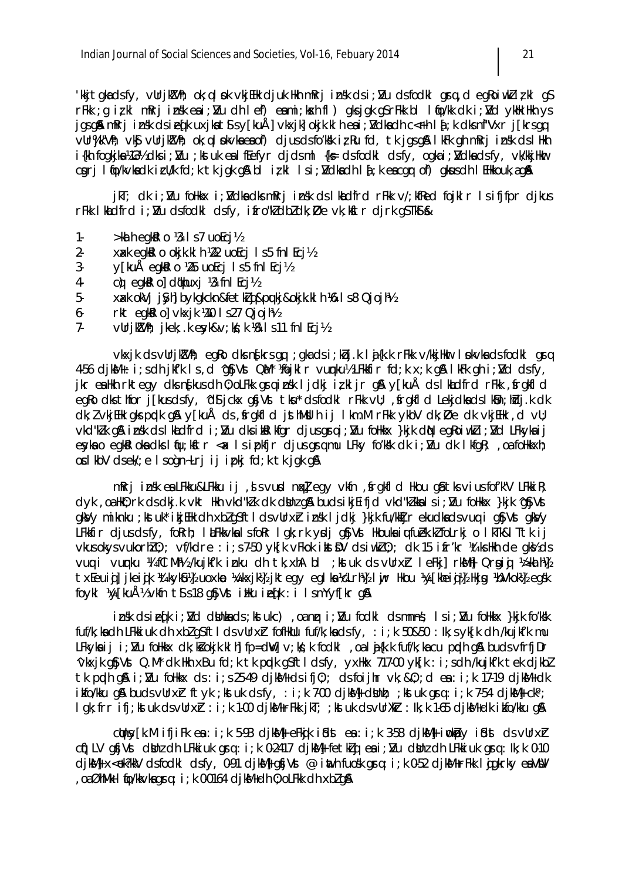'kkjtgkadsfy, vUrjkZVh; ok;qlpk vkjEHk djuk Hkh mRrj insk dsi; Nu dsfodkl grq,d egRoiwklizkl qS rFkk ; g izkl mRri insk esti; Mu dh lef) esimi; kosh fl) gks jak g\$rFkk bl lifo/kk dk i; Md ykhk Hkh ys jąsą& mkrį insk dsie (kuxikatisy [kuÅ] vkxik] okjk.kl heai; Ndkadh c< fh lą̃; k dks nf"Vxr j [krs qq VUr%k"Vh: vk\$ vUrikZVh; ok; alpkvkaeaof) cljus dsfo'kk iz Rufd, tk jgs g& lkFk gh mRrj insk ds lHkh i{kh fogkika ¼3½ dksi; Nu ; kstuk ealffefyr didsml {k= dsfodkl dsfy, ogkai; Ndka dsfy, vk/kkiHkm cgri I fo/kvkadk i cll/k fd; k tk jgk g& bl iz kl I si; Mdkadh I d; k eacgr of) gkusdh I EHkkouk, ag&

jkT; dk i; Nu follkx i; Ndka dks mRrj insk ds I kadfrd rFkk v/; kfRed fojkl r Is ifjfpr dikus rFkk I khldfrd i; Nu dsfodkl dsfy, ifro"kdbldk; Øe vk; kftr djrk gSTkf &

- $>$ ka h eakk o  $\frac{1}{2}$  is 7 uo Eci $\frac{1}{2}$  $1 -$
- $2$ xack equal o okjk.kl h \22 uotcj 1 s5 fnl Ecj\2
- $3$ y[kuÅ eqktlo \\$25 uotcj ls5 fnl tcj\}
- $4$ co eqkRl o dokhuxj % fnl Ecj½
- $5$ xxk okVj jsyh bykgkckn&fetklid&pukj&okjk.klh % Is8 Qjojh%
- $6$ rkt egkklol vkxjk ¼0 ls27 Qjojh½
- $7.$ vUrjkVh; jkek; k esyk&v;k % l s11 fnl Ecj½

vkxjk ds vUrjkVh; egko dks nskrs qq; dka ds i ; kbj.k I j {k.k rFkk v/kkjHkur I pkvka ds fodkl qrq 456 djkM+: i;s dhjkf'k Is, d 'g\$jVst QM\* Mojklr vumku½ LFkkfir fd;k x;k g& IkFk ghi; Vd dsfy, ikr ealth rktegy dks nfkus dh 0; olfkk gruinsk ljdkj izkljr ga y[kuÅ ds Ikhdfrd rFkk, frgkfld egko dks thfor j[kusdsfy, ^d\$jckx g\$jVst tku\* dsfodkl rFkk vU; , \$rgkfld Lekjdkads I k9n; hdj.k dk dk; I vkjEHk gks podk g& y[kuÅ ds, frgkfld jsthMblh ij I km. M rFkk ykbV dk; Øe dk vkjEHk, d vU; vkd"klk gå insk ds Ikadfrd i; Vu dks ikalkfgr djus gra i; Vu folkkx }kjk diN egRoiwkli; Vd LFkyka ij eyka o egkkl oka dks líqu; kftr < x ls ipkfjr djus gramu LFky fo'kkk dk i; Nu dk lkfgk; , oa folkkxh; oclkbV dsek/; e Isogn-Lrjijipkj fd; k tk jak q&

mRrj insk en LFkku&LFkku ij, is vurd nn<l eqy vkfn, frgkfld Hkou qå tks vius fofk"V LFkkiR; dyk, oa HkO; rk ds dkj.k vkt Hkh vkd"kZk dk dbinz q& buds i kjEifjd vkd"kZkhalsi; I/u foHkkx }kjk ^q\$jVst qkVy miknku ; kstuk\* ikjEHk dh xblgSftldsvUrxh insk ljdkj}kjk fu/kkIjr ekudkadsvuq i qSjVst qkVy LFKKfir djus dsfy, forth; I LLFKkvkalsfort I gk; rk ydj gfjVst Hkoukaiutu ek. Kv folrkj o I kTk&l Ttk i j vkus okys vukorhl0;; vf/kdre:i;s7-50 yk[k vFkok ikstDV ds iwkl0;; dk 15 ifr'kr ¼tks Hkh de qk½ ds vuq i vumku ¼ fCl Mh½ /kujkf'k inku dh tk, xhA bl ;kstuk ds vUrxh leFkj] rkMh] Qrgig ½ kalh½ txEeuid] ikeidk ¼tkvkû½ uoxkp ¼vkxik½ iktegy eglka½cLrh½ lur Hkou ¼v[kheid½ Hkin ½vkok½ egsk foykl ¼y[kuŽ vkfn t¶s18 q\$jVst illku ieq[k : i lsmYyf[kr q&

insk dsiefki; Nd dshhads; kstukc), oannri; Nu fodkl dsmnns; Isi; Nu folkkx } kjk fo'ksk fuf/k; ka dh LFkki uk dh xbl g\$ftl ds vUrxh fofHkUu fuf/k; ka ds fy, : i; k 50&50 : lk; s yk[k dh /kujkf/k mu LFkykaij i; Nu follkkx dk; kj okjk.kl hj fp=dW] v; kj; k fodkl , oa l j{k.k fuf/k; ka cu prdh q\$ buds vfrfjDr Vkxjk gfjVst Q.M\* dk Hth xBu fd; k tk pplk gSftl dsfy, yxHkx 717-00 yk[k : i; sdh /kujkf'k tek djkbl tk podh g& i; Mu follkkx ds: i; s 25-49 djkM+ ds ifj0; ; ds foijhr vk; &0; ; d ea: i; k 17-19 djkM+ dk ikfo/kku q& budsvUrxh ftyk; kstuk dsfy, : i; k 700 djkWl+ dUnh; ; kstuk qrq: i; k 754 djkWl+ ck<sup>o</sup>; I gk; frr ifj; kstuk ds vUrxh : i; k 1-00 djkM+rFkk jkT; ; kstuk ds vUrXkh : lk; k 1-65 djkM+dk ikfo/kku g&

cunsy [k.M ifjiFk ea: i; k 5-93 clikM} eFkik i£dst ea: i; k 3-58 clikM} inokipy i£dst cls vUrxh cí) LV gfjVst dNnz dh LFkkiuk gra: i; k 0-2417 djkM} fetkiaj esi; Nu dNnz dh LFkkiuk gra: Ik; k 0-10 dikM} x<ek?kkV dsfodkl dsfy, 0.91 dikM} qfjVst @ inth fuosk qrg: i; k 0.52 dikM+rFkk ligkrky enVW , oaØhMk I fo/kkvkagrg: i; k 0-0164 dikM+dh 0; oLFkk dh xblg&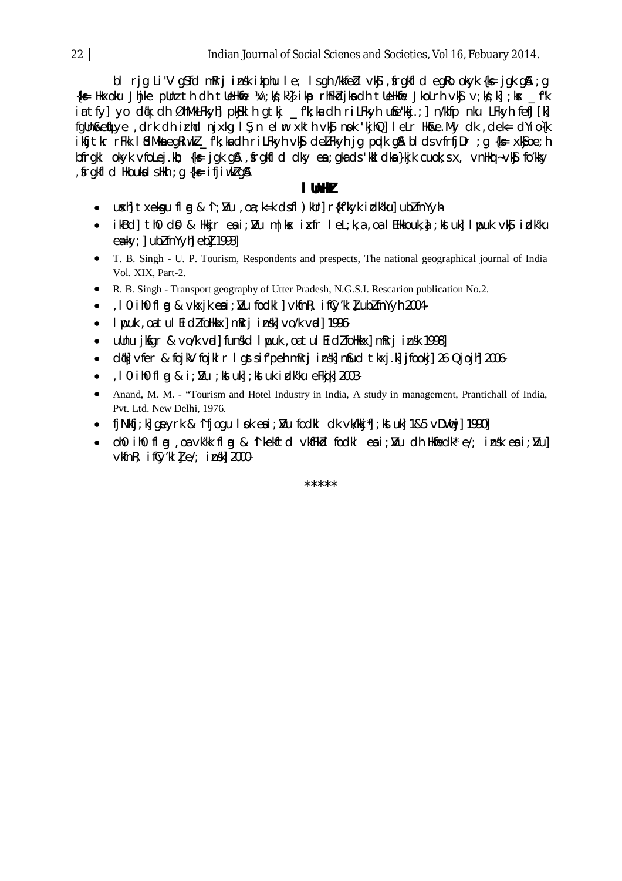bl rig Li"V g\$fd mkrj insk ikphu le; Isgh /kkfebl vk\$, strgkfld egko okyk {k= jgk q\$; g {k= Hkxoku Jhike pUnz th dh tUeHkie ¼;k};k} ikp rhFkdikadh tUeHkie JkoLrh vk\$ v;k};k];kx fk irtfy] yo d¢k dh ØhMkLFkyh] pk\$klh gtkj \_fk;ka dh riLFkyh u\$e"kkj.;] n/khfp nku LFkyh fefJ[k] fgUnicetLye, drk dhirhd njxkg ls;n elm xkth vkj nok 'kjhQ] leLr Hkce.My dk, dek= dYio{k ikfjtkr rFkk lid Mke eg Riwkl fk;kadh ril Fkyh vkg de LFkyh jg podk gå blds vfrfj Dr ;g {k= xkgoe;h bfrakl okyk vfolej.kh; {k = jak a \$, frakfl d dky e \*; aka ds 'kkl dk \*}kjk cuok; s x, vn Hkr ~ vk\$ fo'kky , frgkfl d HkoukalsHkh ; g {k ≡ ifjiwk2g&

#### I UnHZ

- ushi txekqu fiq & 'i; Nu, oa; k=k dsfl) kuri r{kf'kyk idk'kuj ublfnYyh
- ikBd] th0 d0 & Hkir eai; I/u m|kx ixfr lel; k,a, oalEHkkouk, a; kstuk] lppuk vk\$ idk'ku eaky; ] ubl fnYyh] ebl 1993]
- T. B. Singh U. P. Tourism, Respondents and prespects, The national geographical journal of India Vol. XIX, Part-2.
- R. B. Singh Transport geography of Utter Pradesh, N.G.S.I. Rescarion publication No.2.
- , I 0 ih0 fl m & vkxjk esi; Nu fodkl | vkfnR; ifCy'kl l ublfnYyh 2004  $\bullet$
- I puk, oatul EidlfoHkkx] mRrj insk] vo/k vrd] 1996-
- ullnu jkfar & vo/k vid funskd I puk, oatul Eidlfolkkx] mRrj insk 1998
- d¢] vfer & fojkV fojkIr Igstsif'peh mRrj insk] n\$ud tkxj.k] jfookj] 26 Qjojh] 2006-
- , I 0 i h0 fl m & i ; Nu ; kst uk j st uk i rdk'ku e Fknik | 2003-
- Anand, M. M. "Tourism and Hotel Industry in India, A study in management, Prantichall of India, Pyt. Ltd. New Delhi, 1976.
- fjNkfj;k]geyrk & ^ifjogu I ok eai; Nu fodkl dk vk/kkj\*];kstuk]1&5 vDVmcj]1990]
- oh0 ih0 fl m , oa vk'kk fl m & ^l kekftd vkfFkd fodkl eai; Nu dh Hkfiedk\* e/; insk eai; Nu]  $v$ kfn $k$ : if $v$ kl  $l$  e/; inskl 2000-

\*\*\*\*\*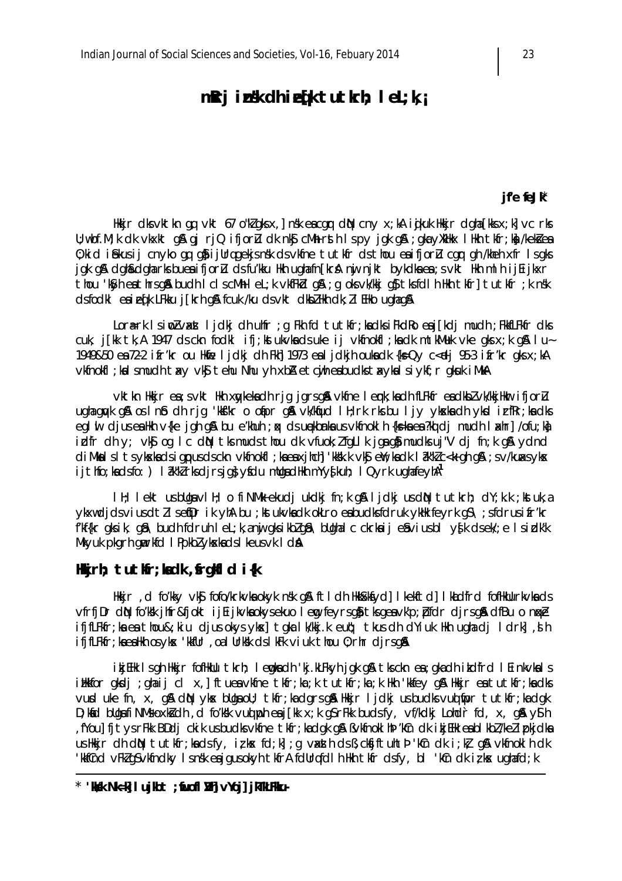# mRrj inst dhiefk tutkrh; lel;k,;

if'e fe $Jk^*$ 

Hkkjr dksvktkn qq vkt 67 o"kdqksx, nsk eacqr din cny x; kA ijkuk Hkkjr dgha [kksx; k] vc rks U; w bf. M; k dk vkxkt q& qj rjQ ifjorlu dk nk\$ cMh rsth Ispy jqk q& ; qka yXkHkx I Hkh tkfr; k) /kekšea 0; kid i £kusij cnyko qq q}ijUrqqekjsnsk dsvkfne tutkfr ds thou eaifjorl cqr qh /kheh xfr Isqks jgk gå dgh&dgharksbueaifjorlu dsfu'kku Hkh ughafn[krå nij njkt bykdkaea;svkt Hkh mlh ijEijkxr thou 'kyh eathrs gå budh I clscMh I el; k vkfFkd gå ; g oks vk/kkj g} tks fd I h Hkh tkfr] tutkfr ; k nsk dsfodkl eniefk LFkku j [krh qn fcuk /ku dsvkt dkbl Hkh dk; l I EHko ughaqn

Lor⊕rk IsinDlvxst Ijdkj dh uhfr ;q Fkh fd tutkfr;kadksiFkdRo eaj[kdj mudh ;FkhfLFkfr dks cuk, j[kk tk, A 1947 ds ckn fodkl ifj; kst ukvka ds uke ij vkfnokfl; ka dk mtkMuk vke gks x; k g& lu-1949&50 ea72-2 ifr'kr ou Hidre I jolkj olh Fkh 1973 eal jolkjh ouka olk {k=Qy c<elj 95-3 ifr'kr gks x;kA vkfnokfl; kalsmudh tay vkj tehu Nhu yh xbA etcijh eabudks taykalsiykf; r gkuk iMkA

vktkn Hkkjr ea; svkt Hkh xqykekadh rjg jgrsgå vkfne I enk; kadh fLFkfr eadkblvk/kkjHkr ifjorlu ugha guyk g\$ os Info dh rjg 'kks"kr o ofipr g\$ vk/ktjud I H; rk rks bu I jy ykska dh yksd i rfRr; ka dks eglui djusea Hkh v{ke jgh g& bu e'khuh ; q cds u ekbanka us vkfnoklh {k=ka ea ?kd dj mudh la<hracht /ofu; ka idfr dh y; vk j og I c dN tk muds thou dk vfuok; I fall k ja a j mudks uj "V dj fn; k a j ydnd diMkalsltsykskadsigpusdsckn vkfnokfl; kaeaxjhch] 'kkkk.k vk\$eY; kadk lak"k2c<k gh g&; sv/kuaxsyks ijthfo;kadsfo: ) lâk"klrksdjrsjq}yfdu mllqadHkh mYy√kuh; lQyrk uqhafeyhA<sup>1</sup>

TH; lekt us bliga vIH; o fi NMk ekudi ukdki fn; k gå ljdki us diN tutkrh; dY; k.k ; kstuk, a ykxwdidsviusdtllsefDr ik yhA bu ; kstukvkadk okLro eabudksfdruk ykHk feyrk qS\; sfdrusifr'kr f'kf{kr gksik, g\$\budh fdruh lel;k,anij gksikblg\$\bUghalc ckrkaij e\$viusbl y{k dsek';e lsidk'k Mkyuk pkgrh gurkfd I Ppkbl ykskads I keus vk I da

### Hkjrh; tutkir; kadk, frqkild i{k

Hkir, dío'kky vký fofo/krkvka okyk nsk gå ftldh Hkkýkfyd] I kekftd] I kadfrd fofHkUurkvkads vfrfjDr dN fo'kk jhfr&fjokt ijEijkvkaokysekuo I em feyrsgåtksgeavk'p; bfdr djrsgådfBu o nnke ififLFkfr;ka ea thou&;kiu djus okys ykx] tgka lk/kkj.k eut; tkus dh dYiuk Hkh ugha dj ldrk], dh ifjfLFkfr; kaeaHkh osykx 'kkfUr, oal Urk'sk dslkFk viuk thou 0; rhr djrsgå

ikjEHk Isgh Hkkjr fofHkUu tkrh; lengkadh 'kj.kLFkyh jgk gå tksckn ea; gkadh ikdfrd lEinkvkals illkfor gkdj; ghaij cl x, ctueavkfne tkfr;ka;k tutkfr;ka;k Hkn 'kkfey g& Hkkjr eatutkfr;kadks vud uke fn, x, q& dN ykx bllga ol; tkfr; ka dgrs q& Hkkjr ljdkj us budks vud fipr tutkfr; ka dgk D; kid bliga fi NMs oxkidh, d fo'kik vuq ph eaj [kk x; k g SrFkk buds fy, vf/kdkj Lohdr fd, x, g & y Sh , fYou] fjtys rFkk BDdj ckik usbudksvkfne tkfr; kadgk gå ßvkfnoklib 'kCn dk ikjElk eablikbl/kelipkjdka us Hkir dh din tutkir; ka dsfy, izkx fd; k]; q vasth ds B, ckfiftuhth 'kCn dk i; k} q& vkfnoklh dk 'kkfCnd vFkZqSvkfndky Isnsk enjqusokyh tkfrA fdUrqfdIh Hkh tkfr dsfy, bl 'kCn dk izkx uqhafd; k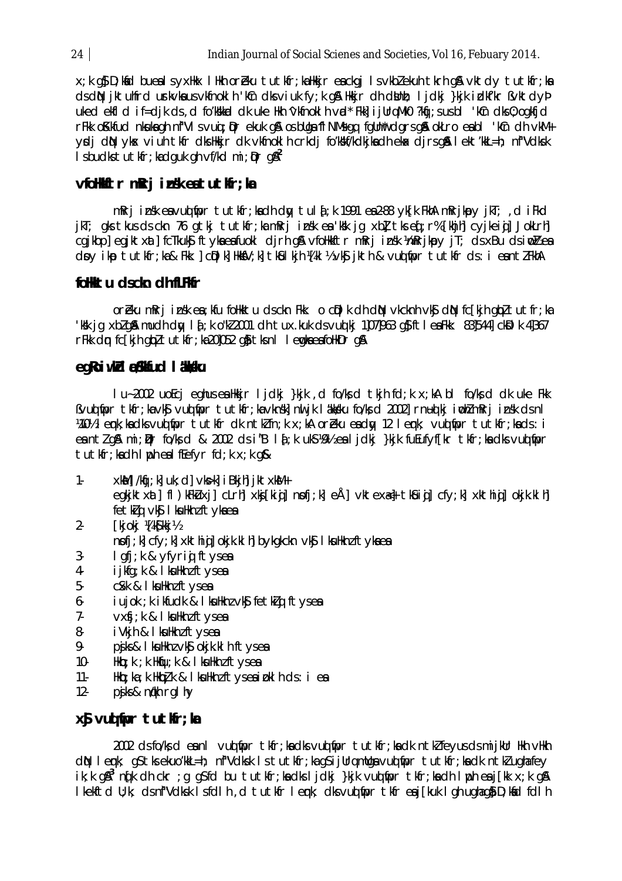x; k q\$ D; kid buealsyxHkx l Hkh oreku tutkfr; kaHkkjr eackgj Isvkblekuh tkrh q& vktdy tutkfr; ka ds dN jktulfrd urkvlaus vkfnokl h 'kin dks viuk fy; k g& Hkir dh dbinh; l jdkj }kjk idkf'kr ßvktdyp uked elft d if=dik ds, d fo'kklad dk uke Hkh 'vkfnokl h vad' Fkk] i jUrq Mk0 ?khj; s us bl 'kCn dks 0; ogkfjd r Fkk o Kkfud nkuka gh nf"VI svuij; Dr ekuk gå osbliga 'fi NMs gq fglinit dgrs gå okLro ea bl 'kin dh vkM+ ydj din ykx viuh tkfr dks Hkkjr dk vkfnoklh crkdj fo'kskf/kdkjka dh eka djrs qå lekt'kkL=h; nf"Vdksk I sbudks tutkfr; kadguk gh vf/kd mi;  $\rho r$  g $\mathbb{R}^2$ 

### vfoll for mRrj insk eatutkr; ka

mRrj insk eavud fipr tutkfr;kadh dw tula;k 1991 ea2-88 yk[k FkhA mRrikpy jkT; ,d iFkd jkT; gks tkus ds ckn 76 gtkj tutkfr;ka mRrj insk ea 'Ksk jg xbl tks edjr% [khih] cyjkeid] JokLrh] cqikbp] eqiktxat] fcTkuk\$ ftyka eafuok| djrh q& vfoHkftr mRrj insk \mRrjkpy jT; ds xBu ds iwb2 ea doy ikp tutkfr;ka& Fkk: ] cDlk] HkkSV;k] tkSulkjh ¼[kl½vk\$ jkth & vud fipr tutkfr ds: i eantZFkhA

### folkktu dsckn dhfLFKfr

oreku mRri insk ea; kfu follkktu ds ckn Fkk: o cDI k dh dN vkcknh vkg dN fc [kjh qb] tutfr; ka 'kk jq xblq& mudh dw l{; k o"kl2001 dh tux.kuk ds vud kj 1]07]963 q\$ftle&Fkk: 83]544] ckBlk 4]367 rFkk dn fc[kjh qbltutkfr; ka201052 qhtksnllemgkaeafoHkDr qh

### eg Roiwk I a Skyfud I aksku

I u-2002 uoEcj eghus ea Hkkjr I jdkj }kjk, d fo/ks d tkjh fd; k x; kA bI fo/ks d dk uke Fkk Byud fipr tkfr; ka vk\$ vud fipr tutkfr; ka vknsk] nu jk I akksku fo/ks d 2002] rnud kj i mbl2 mRrj insk ds nl MOZI enk; ka dks vud fipr tutkfr dk ntkI fn; k x; kA oreku eady 12 I enk; vud fipr tutkfr; ka ds: i ea ntl g& mi; Dpr fo/k; cl & 2002 cls i"B l {; k uk\$ X9½ ea l j clkj }kjk fuEufyf[kr tkfr; ka clks vud fipr tutkfr; kadh I uph eal fEefyr fd; k x; k q&

- $1 -$ XKM] /kti k] uk; d] vksk] i Bkih] jktxkM+ eqkjktxat] fl )kFkLuxj] cLrh] xkj[kiqj] npfj;k] eÅ] vktexa:} tk\_iqj] cfy;k] xkthiqj] okjk.klh] fetWi vkS I kullknz ft vka ea
- $2 -$ **「kjokj X「k¶kkj½** nofj; k] cfy; k] xkthig] okjk.kl h] bykgkckn vk\$ I kuHknzftykaea
- $3$ lgfi: k & vfvrid ftysea
- $4$ ijkfg; k & I kullknz ftysea
- 5c\$k & I kuHknz ft ysea
- iujok ; k i kfudk & I kullknz vký fetki ý ftysem  $6 -$
- $7$ vxfi: k & I kullknz ft vsea
- 8i Vkih & I kullknz ft ys ea
- piks & I kullknz vkg okjk.kl h ft ys ea 9.
- $10 -$ Hklp; k ; k Hklju; k & I kuHknz ftysea
- Hkbp; ka; k Hkbp?, k & I ksuHknz ftyseaipkI h cls: i ea  $11 -$
- $12$ piks & nikh ral hy

### x\$ vuo fipr tutkr; ka

2002 ds fo/ks d eanl vuolipr tkfr; ka dks vuolipr tutkfr; ka dk ntkl feyus ds mijkur Hkh vHkh dN lenk; qS tks ekuo'kkL=h; nf"Vdksk ls tutkfr; ka qS i jUrq mUqa vud fipr tutkfr; ka dk ntkl ugha fey ik; k q&<sup>3</sup> n(k dh ckr; q q\$fd bu tutkfr; ka dks l jdkj }kjk vud fipr tkfr; ka dh l jph ea j[kk x; k q& I kekftd U; k; ds nf"Vdksk I sfdl h , d tutkfr I emk; dks vud fipr tkfr en j [kuk I gh ughagh D; khd fdl h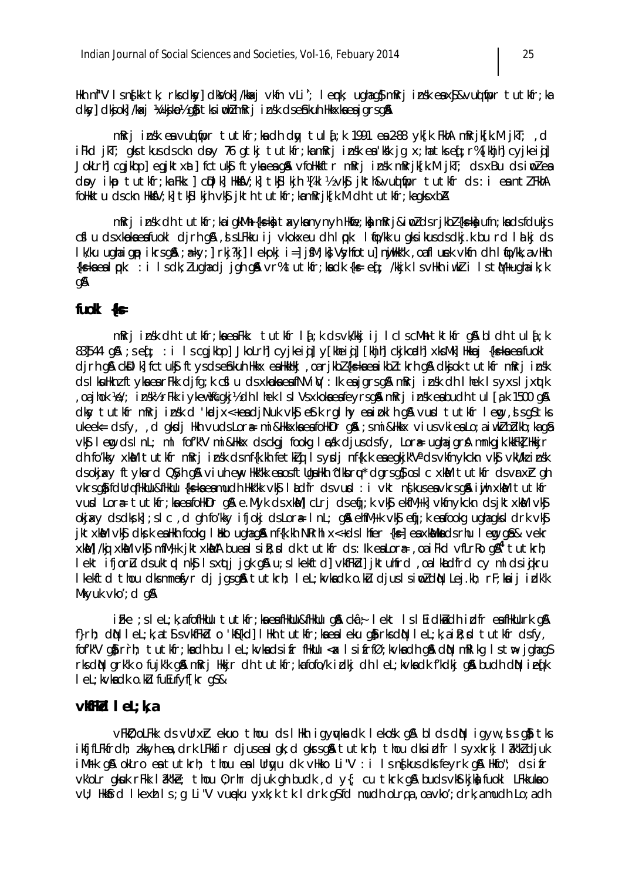Hkh nf"V Isnfkk tk, rksdky] dkkVok]/kkakj vkfn vLi'; Ienk; ughag\$ mRrj insk eax\$&vud fipr tutkfr;ka dky] dkjok] /kxj ¼/kjkp½ q} tks i ph2 mRrj insk ds e\$kuh Hkkxka eajgrs q&

mRrj insk ea vud fipr tutkfr;ka dh diy tuld;k 1991 ea 288 ykfk FkhA mRrjkfk.M jkT;, d iFkd jkT; gks tkus ds ckn doy 76 gtkj tutkfr;kamRrj insk ea 'kkk jg x;ha tks eq ;r% [khjh] cyjkeiq] JokLrhl cgikbpl egiktxatl fctuki ftyka ea gå vfolkkftr mRri insk mRriklk.M ikT; ds xBu ds imlea doy ikp tutkfr; ka Fkk: ] cplk] HkksV; k] tkglkjh X[kl½ vkg jkth&vud fipr tutkfr ds : i ea ntl FkhA folikktu dsckn HkkGV; k] tkGl kjh vkG jkth tutkfr; kamRrjk[k.M dh tutkfr; kagks xbA

mRrj insk dh tutkfr; ka i gkMh {ks=ka}tayka nynyh Hkfie; ka}mRrj&i m2ds rjkbZ{ks=ka}ufn; ka ds fdukjs cfludsxknokaeafuokldjrhqnA, slsLFkkuijvkokxeudhlnpk: lio/kkuqksikusdsdkj.kburd lalkjds Ik/ku uahaiano ikrsa& :a=ky; | rkj?kj] Iekpkj i=| j\$M; k} Vsyhfotu] nijHkk"k ,oafl uek vkfn dh I qo/kk, a vHkh {ks=kaealpk: : i lsck; lughaclj jgh g& vr% tutkfr; kack {ks= eq[; /kkjk lsvHkh iwkli lstM+ughaik; k an

#### fuok $\mathbf{l}$  {k =

mRrj insk dh tutkfr;kaeaFkk: tutkfr Ią̃;k ds vk/kkj ij IcIs cMh tktkfr g& bldh tulą̃;k 83]544 g\$ ;seq; :i Iscgjkbp] JkoLrh] cyjkeig] y[kheig] [khjh] ckjkcadh] xksMk] Hkkacj {ks=kaeafuokl dirh q& ckDlk| fctuk\$ ftysdse\$hkuh Hkkx eaHkkHki ,oarjkbl{ks=kaeaikbltkrh q& dkjok tutkfr mRrj insk ds I kullknı ftyka ea rFkk djfg; k cfl u ds xkmka ea fNVi $\psi$ : Ik ea jgrs g& mRrj insk dh I hek Isyxs I jxqtk oajhok ½e/; insk½ rFkk iykew½cgkj½ dh I hek Isl Vs xkoka eafeyrs g& mRrj insk eabudh tul [ak 1500 g& dky tutkfr mRrj insk d 'kødjx<+eadjNuk vk\$ estk rglhy eaipklh g& vurd tutkfr lemg, sigStks ukeek= dsfy, , d qksdj Hkh vuds Lor# mi&Hkkxka ea foHkDr q& ; smi&Hkkx vius vkiea Lo; a iwkl biblkb; ka q & vk\$ lem ds l nL; ml fof'k"V mi&Hkkx ds ckgj fookg l cak djusds fy, Lorne ugha jgr& mnkgjk.kkFkl Hkkjr dh fo'kky xkM tutkfr mRrj insk ds nf{k.kh fetkig Isydj nf{k.k eneqkjk"V° ds vkfnykckn vkj vkU/k insk dsokjaky ftykard QSyh q& viuh eny Hkk"kk eaosftUqaHkh 'dkbru' dgrsq\$ oslc xkM tutkfr dsvrxh qh VKrsgå fdUrgfHkUu&fHkUu {k=kaeamudh Hkk"kk vk\$ I kdfr ds vurd : i vkt nskuseavkrsg& i wih xkM tutkfr vurd Lora tutkir; ka ea follkDr gå e. Myk ds xkall cLrj ds eij; k vkj ekiM; k] vkinykckn ds jktxkal vkj okjaky ds dksk]; s l c , d gh fo kky ifjokj ds Lorna In L; g& ehfM+k vk\$j enfj; k ea fookg ugha gks l drk vk\$j iktxkM vkS dksk ealkh fooka I kko uahaan nffk.kh NRrhl x<+dsl hfer fksl eaxkMkadsrhu I em as & vekr xkMl /ki xkM vk\$ mfM+k jktxkMA buealsiR; d dk tutkfr ds: lk eaLora , oaiFkd vfLrRo qA<sup>4</sup> tutkrh; lekt ifjoru dsuktod nkj Isxotj jok oj au; slkekftd] vkfFkd] jktuhfrd , oa Iklidfrd cy mldsiojkru I kelftd thou dksmnofyr di jasan tutkrh: let kykadk o ku diusisinādna Lei kh: r F; ka i i idk'k Mkyuk vko'; d q&

iFke ; s l eL; k, a fofikklu tutkfr; ka ea fikklu&fikklu gå ckå; l ekt l s l Ei dkådh i dfr ea fikklurk gå f}rh; dN lel; k, a t\$ s vkfFkd o 'k\${kd} l Hkh tutkfr; ka ealeku q\$ rks dN lel; k, a i R; d tutkfr dsfy, fof'k"V qi rrh; tutkir; kadh bu lel; kvkadsifr fikulu < x lsifrfØ; kvkadh qi dh miklkq lstw jqhaqs rksdN grk'k o fujk'k g& mRrj Hkkjr dh tutkfr;kafofo/k idkj dh leL;kvkadk f'kdkj g& budh dN ieq[k I eL; kvkadk o.ku fuEufyffkr qS&

#### $V$ KFK $d$  | el $:$ k.a

vFkD; oLFkk ds vUrxh ekuo thou ds IHkh igyquka dk I ekosk q& blds di igyw, is qiltks ikfjfLFkfrdh; zkkyh ea, drk LFkkfir djuseal qk; d qkrsqå tutkrh; thou dksidfr Isyxkrkj låk"k2 djuk iMrk q& okLro eatutkrh; thou ealUrgyu dk vHkko Li"V: i Isngkus dks feyrk q& Hkfo"; ds ifr vk'oLr gkuk rFkk l ak"ke; thou 0; rhr djuk gh budk , d y{; cu tkrk g& buds vkstkjka fuokl LFkkuka o vu; Hkkfrd I kexh I s ; q Li "V vuneku yxk; k tk I drk qSfd mudh oLrqa, oa vko'; drk, a mudh Lo; a dh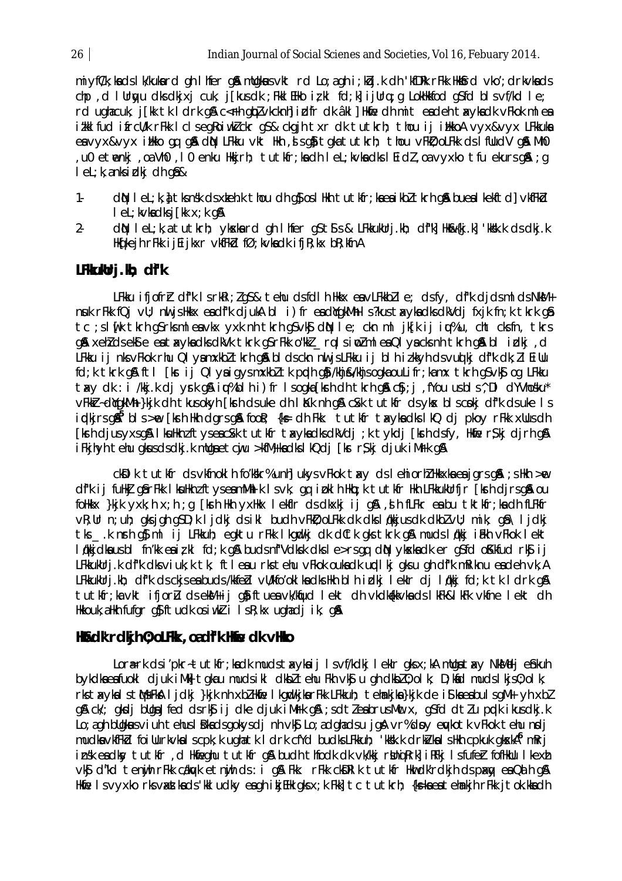miyfC/k; kads I k/kukard gh I hfer gå mllgkus vkt rd Lo; agh i ; köj.k dh 'kfDRk rFkk Hkkfrd vko'; drkvkads chp, d I Urnyu dks dkjxj cuk, j[kus dk ; Fkkl EHko iz kl fd; k] i jUrn; q LokHkkfod q\$fd bls vf/kd I e; rd ughacuk, jikk tk ldrk gå c< fh gblvkcknhl i dir dk åkl | Hkie dh mit eadeh tavkadk vikok mlea itkilfud ifrcU/k rFkk I clsegRoiwkZckr gS& ckgjhtxr dk tutkrh; thou ij illkkoA vyx&vyx LFkkuka eavyx&vyx iikko qq q& diN LFkku vkt Hkh ,dsq& tgka tutkrh; thou vFkD; oLFkk ds I fludV q& MhO , u0 etenki, oa Vh0, 10 enku Hkirh; tutkfr; ka dh 1 eL; kvka dks 1 Eidł, oa vyxko tfu ekurs g&; g  $Iel:k, a n k i d k j d h q s k$ 

- dN I eL; k, j tks nsk ds xteh.k thou dh gj os I Hkh tutkfr; ka ea i kbl tkrh gj buea I kekftd] vkfFkd  $1 Iel$ ; kvka dks i [kk  $x$ ; k g &
- $2$ dN I eL; k, a tutkrh; ykskard gh I hfer gS tS s & LFkkukUrj.kh; df'k] Hk&{kj.k] 'kkSk.k ds dkj.k Hkdkejh rFkk ijEijkxr vkfFkd fØ; kvkadk ifjR; kx bR; kfnA

### LFKwKUrj.Kr; dfk

LFkku ifjofrh df'k IsrkRi; I gS& tehu dsfdIh Hkkx envLFkkbIle; dsfy, df'k djdsmldsNkM+ nuk rFkk fQj vU; nu jsHkkx eadfk djukA bl i) fr eadtgkMh Is?kustavkadksdkVdj fxjk fn;k tkrk gâ tc ; slifk tkrh q\$rksmleavkx yxk nh tkrh q\$vk\$ dN le; ckn ml jk[k ij ju%u, cht cksfn, tkrs g& xehldsekie entakyknedksdkvk tkrk gsrFkk o"kkl rulsindmlen QI ynscksnhitkrh g& blidkj, d LFkku ij nksvFkok rhu QI yamxkbltkrh qå bldsckn nu jsLFkku ij blh izkkyh dsvud kj df"k dk; ll Eillu fd; k tkrk gå ftl [kr ij Ql yaigys mxkbl tk prdh gå /khj &/khj sogka ou Lifr; kamx tkrh g\$ vk\$ og LFkku tay dk : i /kkj.k dj yrk q& iul%blh i ) fr I sogka [krh dh tkrh q& c\$j; j , fYou usbls^, DI dYVhosku\* vFkkr-digkMh }kjk dh tkusokyh [krh dsuke dh | Kk nh q& c\$k tutkfr dsykx blscokj df"k dsuke Is  $i$  plkins q&<sup>5</sup> bls > p [krh Hkh dgns q& foo $\ell$ ; {k= dh Fkk: tutkfr takyka dks lkQ dj pkoy rFkk xUus dh [krh djusyxsq& I kuHknzftyseac\$k tutkfr taykadksdkVdj ; k tykdj [krh dsfy, Hkfe r\$kj djrh q& i Fkihyh tehu gkusdsdki.k mllgaetciju >kfM;kadksl kQdj [kr r\$kj djuk i Mrk g&

ckDIk tutkfr ds vkfnokIh fo'kkr% unh| ukys vFkok txy ds I ehiorhl Hkkxka ea jgrs qA ; s Hkh >e df"k ij fullki gårFkk I kullknzftyseamMhl k I svk, gg i pkl h llkb; k tutkfr llkh LFkkukUrfjr [krh djrsgå ou folkkx }kjk yxk;h x;h ;g [krh lkh yxlkx l ekflr ds dkxkj ij g\$ ,d h fLFkr ea bu tktkfr;ka dh fLFkfr vR; Ur n; uh; gksjgh gSD; k ljdkj dsikl budh vFkD; oLFkk dk dksl (kkjus dk dkbl vU; mik; q\$\ lidki tks \_\_.k nrh q\$ ml ij LFkkuh; egktu rFkk Ikgwdkj dk dCtk gks tkrk g\$ muds I gkkj ilakh vFkok I ekt Inklicka usbl fn'kk eaizkl fd; k gå budsnf"Vdksk dksle>rsgg diN ykska dk er g\$fd ofKkfud rk\$ ij LFkkukUrj.k df"k dksviuk;k tk; ftleau rkstehu vFkok oukadk upllkj gksu gh df"k mRiknu eadeh vk, A LFkkukUrj.kh; df"k ds ckjs ea buds /kkfebl vU/kfo'okl ka dks Hkh bl h i bkj leklr dj lakkj fd;k tk l drk q\$ tutkfr; ka vkt ifjorlu ds ekM+ij qå ftuea vk/kfud lekt dh vkdkakkvka ds lkFk&lkFk vkfne lekt dh Hkkouk, a Hkh fufgr q\$ ftudk osiwkł i IsR; kx ughadj ik, q&

### Holdk'rdkin 0; oLFK, oadf'k Hie dk vHko

Lorerk dsi'pkr-tutkfr; kadk mudstaykaij Isvf/kdkj Ieklr qksx; kA mllgatay NkMelj eshkuh bykdka ea fuokl djuk iMkl tgkau mudsikl dkbl tehu Fkh vk\$u gh dkbl0; olk; D;kad mudslkjs0; olk; rkstavkalstMsFkAlidki }kik nh xbZHkfie I kgudkjkarFkk LFkkuh; tehmkjka}kjk de i\$kaeabulsgMi yh xbZ g& ck/; gkdi blga Jfed ds rk\$ ij dke djuk iMrk g& ; sd tleabrus Muc x, g\$fd d tlu pudk ikus dkj.k Lo; agh bligkus viuh tehus I Bkadsgokysdj nh vk\$ Lo; adghadsu jgA vr%doy ewkotk vFkok tehu ndj mudla vkfFkd foillurkvkal scpk; k ugla tk I drk cfYd budlsLFkkuh; 'ktsk, k drkvkal sHkh cpkuk gloskla<sup>6</sup> mRrj insk eadky tutkfr , d Hkieghu tutkfr gå budh thiodk dk vk/kkj rbnj Rrk] i RFkj I sfufer fofHklu I kexh vký d'ikd tenijh rFkk cákyk etnijh ds: i gå Fkk: rFkk ckBRIk tutkfr Hkwdk'rdkjh ds paky ea Qalh gå Hkie Isvyxko rksvastkads'kki udky eagh ikiEHk gksx:k Fkki tc tutkrh: {ks=kaea tehnkih rFkk itok.kkadh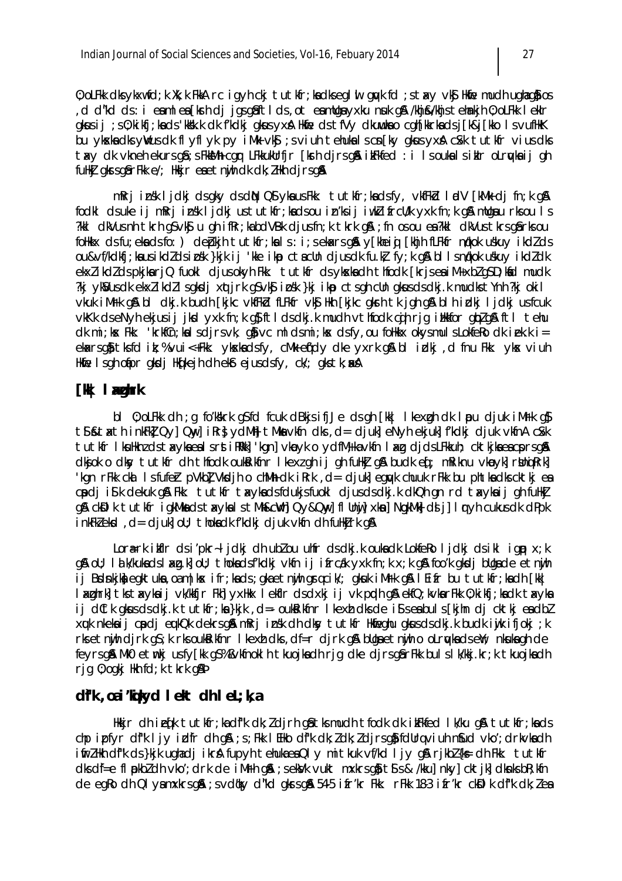0; oLFkk dks ykxwfd; k Xk; k FkkA rc igyh ckj tutkfr; kadkseglul gyk fd ; s tay vk\$ Hkfe mudh ughag\$ os d d"kd ds: i eamlea [krh dj jgsgåftlds, ot eamllga yxku nuk gå /khj&/khjstehmkjh 0; oLFkk leklr, akusii :s0:kikfi:kads'kkkk, kdk f'kdki akus vx& Hkfe ds tfVv dkuwkao cahTkkrkadsiTk&iTkko IsvufHkK bu ykska dks yww solk flyflyk py i Mk yks ; sviuh tehukals cn [ky gkus yxa c \$xk tu tkfr vius dks tay dk vkneh ekurs qå; s Fkkkulla com LFkkukurfir [krh dirs q& ikFkfed : i Is ouka I s ikir oLruyka i j qh fullki gkrsgårFkke/; likkjreaetnijh dk dk; likh djrsgå

mRrjinsk ljdkj ds gky ds dN QS yka us Fkk: tutkfr; ka ds fy, vkfFkd ladV [kMk dj fn; k g& fodkl dsuke ij mRrj insk ljdkj ustutkfr;kadsou in'ksij iwklifrcU/k yxk fn;k q& mUqau rksou Is ?kkl dkVus nh tkrh q\$vk\$u qh ifRr;kabdVBk djusfn;k tkrk q&; fn os ou ea?kkl dkVus tkrs q&rks ou follk kx ds fu; eka ds fo: ) de bkjh tutkfr; ka ls: i; s ekakrs q& y[kheid] [khjh fLFkfr ngkok uskuy ikdlds ou&vf/kdkfj;kausikdZdsipsk}kjkij 'kke ikp ctacUn djusdk fu.kł fy;k g& bl Isnqkok uskuy ikdZdk ekxlikdldspkjkarjQ fuokl djusokyh Fkk: tutkfr dsykskadh thfodk [krjseaiM+xblqSD;kad mudk ?kj ykS/us dk ekxlikdllsgkdj xqtjrk gSvk\$ i bsk }kj i kp ctsgh cUn gkus dsdkj.k mudkstYnh ?kj okil? vkuk iMfk qå bl dkj.k budh [kjkc vkfFkd fLFkfr vkj Hkh [kjkc qkrh tk jqh qå blh idkj ljdkj usfcuk vkKk dseNyh ekjusij jkd yxk fn; k q\$ ftldsdkj.k mudh vthfodk cih rjg ilkkfor qblg& ftl tehu  $dk$  mi; kx Fkk: 'krkf $ln$ ; kalsdjrsvk, gåvc mldsmi; kx dsfy, ou folkkx okysmulsLokfeRo dk iek.k i= ekxrsqi tksfd ik; %vui<+Fkk: ykxkadsfy, cMk efdy dke yxrk qi blidkj, d fnu Fkk: ykx viuh Hkfie Isah ofiprakidi Hkfikejh dhekîrejusdsfy, ck/; akstk; xxA

### $\lceil k \rceil$  | xghrk

bl 0; oLFkk dh ; q fo'kk'rk q\$fd fcuk dBkjs ifjJe ds qh [kk| lkexqh dk lpu djuk iMrk q\$ t Si Sitath inkFk [Qy] Qmy] i Rr} ydMh] tMka vkfn dks, d = djuk] eNyh ekjuk] f'kdkj djuk vkfnA c\$ck tutkfr I kullknz ds tayka ea I s rsti RRkk| 'kgn| vkpyk o ydfM+ka vkfn I axg djds LFkkuh; cktkjka ea cprs gå dkjok o dky tutkfr dh thfodk oukkikfnr I kexz gh ij gh fullkj gå budk ef; mRiknu vkovk] rbni Rrk] 'kgn rFkk ckall sfufer pVkbl Vkdjh o chMh dk i Rrk , d = djukl egwk chuuk rFkk bu phtkadks cktkj ea copdi is k dekuk a k Fkk: tutkfr taykadsfdukisfuokl diusdsdki.k dkQh an rd taykaji ah fullki g& ckDlk tutkfr igkMkgdstavkglstMk&cWh Qy&QwlflUnij xkn] NgkMkjdsj] Iryh cukusdk dPpk inkFkZekd, d= djuk] oU; thokadk fkdkj djuk vkfn dh fullkjrk q&

Lore rk itfir ds i'pkr-ljdkj dh ublou utfr ds dkj.k ouka dk Lokfeko ljdkj ds ikl igp x; k gå oli; lå k/kukadslaxg.k] oli; thokadsf'kdkj vkfn i jifrcak yxk fn;k x;k gå foo'k gkdj blgade etnijh ii Brdnkiki eqktuki, oam | kx ifr; kads; qkaetnih qrqcik/; qkuk iMrk g&l Eifr bu tutkfr; kadh [kk] I aghrk] tks tayka i j vk/kkfjr Fkh] yxHkx I ekflr ds dxkj i j vk ppdh g& ekfQ; kvka rFkk 0; kikfj; ka dk tayka ij dûtk gkus ds dkj.k tutkfr;ka}kjk , d= oukklikfnr I kexh dks de iss ea buls [kjhn dj cktkj ea dbl xuk nkekaji copdi eukQk dekrsg& mRri insk dh dky tutkfr Hkfeghu gkusdsdkj.k budk iujk ifjokj ;k rksetnijh djrk qS;k rksouklikfnr I kexh dks, df=r djrk q& bllgaetnijh o oLrykadsenY; nkukagh de feyrsgå Mk0 etmkj usfy[kk g\$%ßvkfnoklh tkuojkadh rjg dke djrsgårFkk bulslk/kkj.kr;k tkuojkadh rig 0; ogki Hkh fd; k tkrk g&P

### dik, oai'kikyd lekt dh lel; k, a

Hkir dhiefk tutkfr;kadfk dk;ldjrh qåtksmudh tfodk dk ikFkfed I k/ku q& tutkfr;kads chp ipfyr df"k ljy idfr dh g& ; s; Fkk l EHko df"k dk; l dk; l djrs g\$ fdUrq viuh n\$ud vko'; drkvka dh ifr/likh df'k ds }kjk ughadj ikra fupyh tehukaeaQly mitkuk vf/kd ljy ga rjkb/{k= dh Fkk: tutkfr dks df=e fl pkbldh vko'; drk de iMrh q& ; sekVk vukt mxkrs q} t\$ s & /kku] nky] cktjk] dknks bR; kfn de egko dh QI yamxkrs gå ; svddky d''kd gkrs gå 54-5 i fr'kr Fkk: rFkk 18-3 i fr'kr ckDI k df'k dk; lea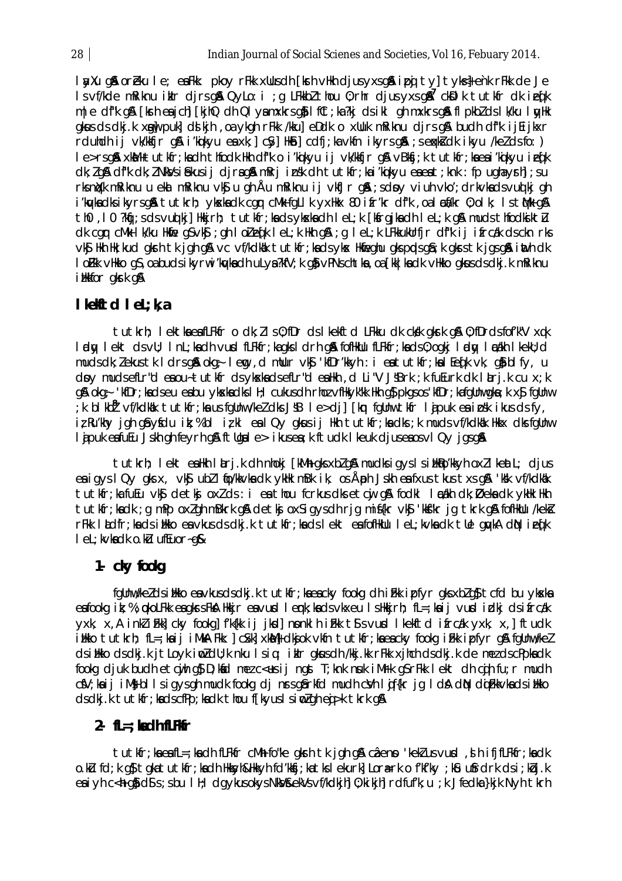lay Xu q& or eku le; ea Fkk: pkov r Fkk xulus dh [krh v Hkh djus y xs q& i poj t y| t y ks} en k r Fkk de Je Is vf/kde mRiknu ikir djrsg $\hat{a}$  QyLo: i ; g LFkkbl thou 0; rhr djus yxsg $\hat{a}^7$  ckDIk tutkfr dk ieqTk m e df'k gå [krh ea jch] [kjhQ dh QI ya mxkrs gå l fCt; ka ?kj ds ikl gh mxkrs gå fl pkbZ ds l k/ku l ay Hk gkus ds dkj.k xuju puk] ds kjh, oa ykgh rFkk /kku] eDdk o xlluk mRiknu djrs g& budh df'k ijEijkxr rduhdh ij vk/kkfjr q& i'kqikyu eaxk;] c\$y] Hk\$] cdfj;kavkfn ikyrs q& ;s eqkksidk ikyu /kelds fo: ) le>rsq&xkM+tutkfr;kadhthfodk Hkh df'k o i'kikyu ij vk/kkfjr q&vBkfj;k tutkfr;kaeai'kikyu iefk dk; l q A df'k dk; l NkVs i fekus i j djraq A m krj i nsk dh tutkfr; ka i 'ki kvu ea ea t; knk: fp ugha y rh]; su rksnij/k mRiknu u eki mRiknu vkj u gh Åu mRiknu ij vkfJr gå; sdpy viuh vko'; drkvkadsvud kj gh i'kykadksikyrsgå tutkrh; ykskadk cgr cMk fgLIk yxHkx 80 ifr'kr df"k , oal cá'kr 0; olk; IstMk gå th0, 10 ?kij; s ds vud ki] Hkirh; tutkir; ka ds ykska dh I el; k [kirgika dh I el; k g& muds thiodki ktu dk car cMk Ik/ku Hkife q\$vk\$; qh I olieq{k I eL;k Hkh q&; q I eL;k LFkkukUrfjr df"k ij ifrcdk dsckn rks vkg Hkh Hk; kud akrh tk jah al vc vf/kdkak tutkfr; ka ds vks Hkfeahu akspads as; k akrs tk jas al jath dk I oFkk vHkko q\$, oa buds i kyrwi'kyka dh uLya ?kfV; k qå vPNs chtka, oa [kk | ka dk vHkko gkus ds dkj. k mRiknu illkkfor gkrk g&

### I kelftd I eL; k, a

tutkrh; lektkaeafLFkfr o dk; lls 0; fDr ds lkekftd LFkku dk ckkk gksrk g& 0; fDrds fof k"V xqk I dy lekt ds vU; I nL; ka dh vud fLFkfr; ka qks I drh q& fofHkUu fLFkfr; ka ds 0; oqkj I dy I adkh I kekU; d mudsdk; lekustk I drsgå okg; lem, d mllur vkj 'kfDr'kkyh : i eatutkfr; kal Eedk vk, gå blfy, u dpy mudseflr"d enou-tutkfr ds ykskndseflr"d en Hkh , d Li"V J'Brk ; k fuEurk dk lirj.k cu x; k an oka: 'kfDr; kadseu eabu ykskadks | H; cukusdh rhoz vfHkyk"kk Hkh qi pkasos 'kfDr; kafallnwaka; k xj fallnw k blkbå vf/kdkak tutkfr; ka us fallnw/keldks JSB le>dil [km fallnw tkfr lipuk en insk ikus ds fy. iz Ru'khy jgh gå yfdu ik; % bl iz kl ea l Qy gkus ij Hkh tutkfr; ka dks; k muds vf/kdkak Hkkx dks fallnw lipuk esfuEu Jskh qh feyrh g& ftlgsle>ikuses; k ftudk I keuk djusesosvl Qy jgsg&

tutkrh; lekt ealkh larj.k dh nhokj [kMh qks xblq& mudksiqyslsilkao'kkyh oxllkeatl; djus ea igys I Qy gks x, vk\$ ubl I fo/kkvka dk ykHk mBk ik, os Åph Jskh ea fxus tkus txs g& 'kKk vf/kdkak tutkfr; ka fuEu vk\$ detk\$ oxlds : i ea thou fcrkus dks etcij q& fodkl I cakh dk; Øeka dk ykHk Hkh tutkfr; kadk ; g mPp oxlgh mBkrk g& detkj oxSigysdh rjg mif{kr vk\$ 'kks"kr jg tkrk g& fofHkUu /keks r Fkk ladfr; ka ds i likko ea vkus ds dkj.k tutkfr; ka ds lekt ea fofiklu lel; kvka dk tle gavkA diN i ed k I eL; kvka dk o.ku ufEuor~g&

### 1- cky fookg

fgUnw/keldsillkko en vkusdsdkj.k tutkfr; knencky fookg dhifkk ipfyr gksxblg}tcfd bu ykskn eafookq ik; %; okoLFkk eagksts FkA Hkkjr eavusd I enk; kads vkxeu I s Hkkjrh; fL=; kaij vusd isdkj ds ifrcak yxk, x, A inklifkk] cky fookg] f'k{kk ij jksd] nonklh ifkk t\$svusd lkekftd ifrcak yxk, x, ] ftudk illko tutkrh; fl=;kaij iMkA Fkk: | c\$k| xkM}+ dkjok vkfn tutkfr;kaeacky fookq iFkk ipfyr q\$ fqUnw/kel dsillko dsdkj.k jtlovk i pidli; k nku Isiq; i klr gkusdh /kkj.kk rFkk xjhch dsdkj.k de mez dscPpkadk fookg djuk budh etajh g\$ D;kid mezc<usij ngst T;knk nuk iMfk g\$ rFkk lekt dh cih fu;r mudh cfV: kaji iM} bllsjavsah mudk fooka di nrsaarkfd mudh cVh liffkr ja IdA dN diffkvkadsilkko ds dkj.k tutkfr; kads cfPp; kadk thou f[kyus | simp] qh eq >k tkrk q&

### 2-  $fL =$ ; kadh fLFKr

tutkfr; ka ea fL=; ka dh fLFkfr cMh fo"ke gkrh tk jgh g& câeno 'keklus vurd, dh ifjfLFkfr; ka dk o.ku fd; k q\$tqkatutkfr; kadh Hkkyh&Hkkyh fd'kkfj; katkslekurk] Lora-rk of'kf'ky; k&u u\$rdrk dsi; kbj.k eaiyh c<h qi di s; sbu I H; dqykusokys NkV&ekVs vf/kdkjh] 0; ki kjh] rdfuf'k; u ; k Jfedka }kjk Nyh tkrh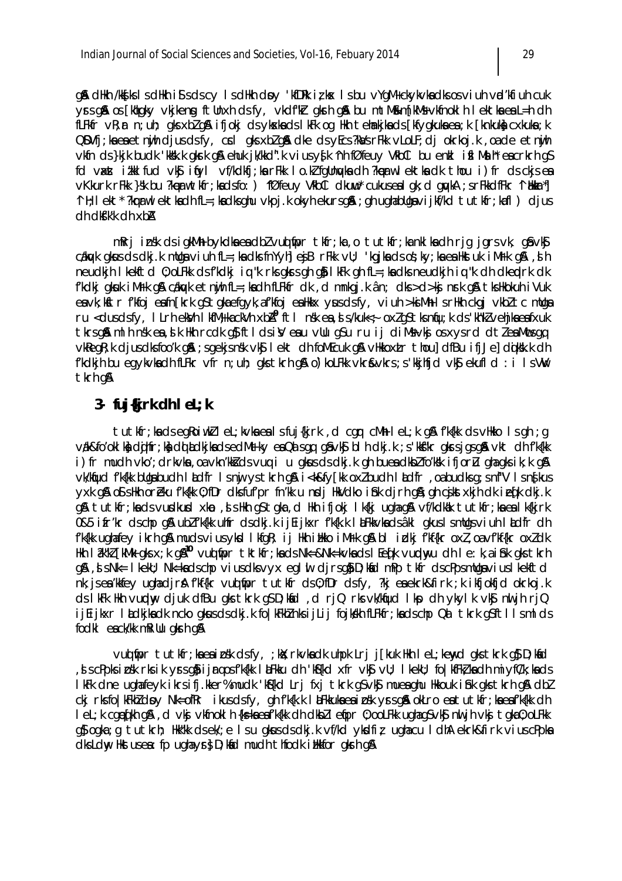g& dHkh /kkfks IsdHkh ifsdscy IsdHkh dpy 'kfDRk izkx Isbu vYgM+ckykvkadksosviuh vrd/kfiuh cuk vrs gå os [kakgky vkjkeng ftunxh ds fy, vkdfkr glarh gå bu mtMs&m[kMs vkfnok]h I ektla es L=h dh fLFkfr vR: r n; uh; qks xbl q& ifjokj ds ykska ds I kFk og Hkh tehnkjka ds [kfygkuka ea ; k [knkuka cxkuka ; k QDVfi; ka ea etnuih djus ds fy, ccl gks xblg& dke ds yEcs ?kb/s rFkk vLoLF; dj okrkoj.k, oa de etnuih vkin ds }kik budk 'kkkk.k gkrk g& ehuk jk/kkd".k vius y{k 'nh fØfeuy VkbCl bu enkl if Malh eacrkrh g\$ fd vast itkilfud vkj ifyl vf/kdkfj;ka rFkk I o.ki fgUnayka dh ?kerw I ektka dk thou i ) fr ds ckjs ea vKkurk rFkk } \$k bu ?kerwtkfr; kadsfo: ) "fØfeuy VkbCl dkuw\* cukus eal qk; d quykA ; srFkkdfFkr "I blikar" "I H; lekt"?krrwlektkadhfL=; kadksghu vkpj.k okyh ekursg&; gh ughabUgavijkf/kd tutkfr; kafl) djus dh dkf'k'k dh xbA

mkrj insk ds igkMh bykdka ea dbl vud fipr tkfr;ka,o tutkfr;ka nkl ka dh rjg jgrs vk, gâ vk\$ cakyk gkus ds dkj.k muga viuh fL=;ka dks fnYyh]ejBrFkk vU; 'kgjka ds os;ky;ka ea Hkstuk iMrk g\$l, s h neudkjh I kekftd 0; oLFkk ds f'kdkj ig "k rks gkrs gh gå I kFk gh fL=; ka dks neudkjh ig "k dh dkepdrk dk f'kdkj gkuk i Mfk gå cakyk etnijh fl=;kadh flFkfr dk, d mnkgj.k ân; dks>d>kj nrk gå tks Hkokuh i Vuk ea vk; kftr f'kfoj ea fn [krk q\$tqka efqyk, a f'kfoj ea Hkkx yusdsfy, viuh >kjMh IsrHkh ckqj vkbZ tc mUqa ru <dusdsfy, ILrh ekVh I kfM+ ka ckVh xbA<sup>9</sup> ftI nsk ea, d s/kuk<; oxlqStksnfu; k ds 'kh"kl vehika eafxuk tkrsg& mlh nsk ea, ik Hkh rcdk g}ftlds iV eau vllu g\$u ru ij diMs-vkj os xysrd dtleaMmcsgq vkRegR; k djus dksfoo'k g&; sgekjsnsk vk\$ I ekt dh foMEcuk g& vHkkoxtr thou] dfBu ifjJe] dqiksk.k dh f'kdkih bu eavkvkadh fLFkr vfr n; uh; aks tkrh a& o') koLFkk vkr&vkrs; s'kkihfid vks ekufl d; i lsVW tkrh q&

### 3- fuj $\{kjrk\}$ ch lel; k

tutkfr; ka ds egRoiwkZIeL; kvka ea Isfuj{kjrk, d cgr cMh IeL; k g& f'k{kk ds vHkko Isgh; g vák&fo'oki ka dajhfr; ka da adkijkadsedMæky eaQa sga gâvk \$bi h dkj.k; s'kks"kr gkrsjgsg & vkt dh f'k {kk i) fr mudh vko'; drkvka, oa vkn'kki ds vuq i u gkus ds dkj.k gh buea dkbl fo'kk ifjorl gha gks ik; k g & vk/kfjud f'kfkk bllgabudh I adfr I snij ystkrh gå i <k&fyfkk oxl budh I adfr , oa budksg; snf"V I snfkus vxk a \$ 0\$ s Hkh or eku f'k fkk 0: f Dr dks fuf'pr fn'kk u nd i HkV dko i \$ k dirh a \$ ; a hcikst x kih dk i e fk dki. k g& tutkfr;kadsvudkud xkp,dsHkh qStqka,d Hkh ifjokj Ikfkjuqhaq& vf/kdkak tutkfr;kaealkfkjrk 0&5 ifr'kr dschp q& ublf'k{kk uhfr dsdkj.k ijEijkxr f'k{k.k l aFkkvkadsåkl gkuslsmllgsviuh l adfr dh f'k{kk ughafey ikrh g& mudsviusykd lkfgR; ij Hkh illkko iMrk g& bl idkj f'kf{kr oxl, oavf'kf{kr oxldk Hkh I ak"NZ [kMk gks x; k g A<sup>10</sup> vud fipr tktkfr; ka ds Nk=& Nk=kvka ds I Eed[k vuddayu dh I e: k, a i fak gks tkrh g&, dsNk=IkekU; Nk=kadschpviusdksvyxegluldjrsgo\$D;kadmPptkfrdscPpsmUgaviuslkekftd nk; is ea 'kkfey ughadir a f'kf{kr vud fipr tutkfr ds 0; fDr ds fy, ?kj ea ekrk&firk ; k ikfjokfjd okrkoj.k ds lkFk Hkh vundhy djuk dfBu gks tkrk g\$ D;kad, d rjQ rks vk/kajud lkp dh ykylk vk\$ nuljh rjQ ijeijkxr ladkikadk ncko gkusdsdki, k folkFkhZnksijLij fojkkh fLFkfr; kadschp Qaltkrk gSftllsmlds fodkl eack/kk mRillu gkrh g&

vud fipr tutkfr; ka ea i psk dsfy, ; kk; rkvka dk uhpk Lrj j[kuk Hkh I eL; kewd gks tkrk g} D; kad , d s cPpks i Dsk rks ik yrs qå i jrg os fk{kk l al Fkku dh 'ks{kd xfr vksj vU; l kekU; fo | kfFk} ka dh miyfC/k; ka ds I kFk dne ughafeyk ikrsifj.kker%mudk 'k\${kd Lrj fxj tkrk q\$vk\$ mueaghu Hkkouk i\$nk qks tkrh q\$ dbl ckj rks fo | kFkhZ dpy Nk=ofRr ikus ds fy, gh f'k{k.k laLFkkuka ea i pskyrs gå okLro ea tutkfr; ka ea f'k{kk dh let; k caed kh a b, d vkj vkfnokl h {k=kaeafk{kk dh dkbl letjpr 0; ooLFkk ughag\$vkj nu jh vkj taka0; oLFkk as oaka : a tutkrh: Hk"kk dsek/: e I su akus dsdki.k vf/kd vkdfiz uahacu I dhA ekrk&firk vius cPpka dks Ldw Hkstusea: fp ugha yst D; kid mudh thfodk i Hkkfor gksh g&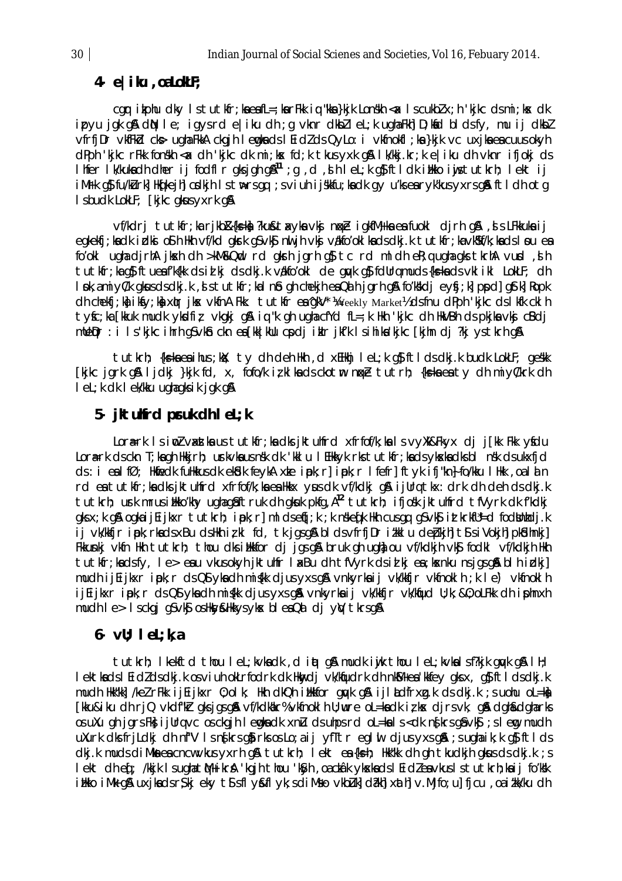### **4- e|iku ,o a LokLF;**

cg ritchu dky ls tutkfr;kses fL=;ks rFkk ig:"kks}kjk Lon skh <ax ls cukbZ x;h 'kjkc ds mi;k sx dk ipyu jgk gSA dN le; jgys rd e|iku dh ;g vknr dkbZ leL;k ugha Fkh] D;kafd blds fy, mu ij dkbZ vfrfjDr vkfFkd ck sugha FkkA ckgjh I emgka ds I Eidl ds QyLo: i vkfnokfl;ka }kjk vc uxjka e a cuus okyh  $dP$ ph 'kjkc rFkk fonskh <ax dh 'kjkc dk mi;kx fd;k tkus yxk g & Ik/kkj.kr;k e|iku dh vknr ifjokj ds lhfer lk/kuka dh dher ij fodflr gks jgh g &<sup>11</sup> ;g ,d , sh leL;k g \$ftldk i Hkko i wis tutkrh; lekt ij iM<sub>Fk</sub> g S fu/kurk] Hkq[kejh] csdkjh Is t w>rs gq ;s viuh ijskkfu;ka dk gy u'ks earyk'kus yxrs g & ftldh otg I s budk LokLF; [kjkc gkus yxrk g &

vf/kdrj tutkfr;ka rjkb&{ks=k) ?ku&taxyka vkj nnke igkfM+ka ea fuokl djrh g S, Js LFkkuka ij egkekfj;ka dk izdki osih Hkh vf/kd gkrk gs vk sj nuljh vk j vakfo'oklka ds dkj.k tutkfr;ka vk Skf/k;ka ds lsou ea fo'okl ugha djrhA jkosh dh >kM&Qud rd gkrh jgrh g $\delta$  tc rd mldh e $R$ ;q ugha gks tkrhA vusd ,slh tutkfr; ka g} ftuesa f'k{kk ds izlkj ds dkj.k valkfo'okl de gavk g} fdUrg muds {ks=k ads vklikl LokLF; dh lpok,a miyC/k gkus ds dkj.k , situtkfr;ka ln So gh chekjh e a Qalh jgrh g Slfo'k skdj eysj;k] ppd] g Stk] Ropk dh chekfi;ka ikty;ka xatrik sy vkfnA Fkk: tutkfr esa "gkV\* ¼Weekly Market½ ds fnu dPph 'kikc ds lkfk cklh tyśc;ka [kkuk mudk yksdfiz; vkgkj g\$ iq"k gh ugha cfYd fL=;k Hkh 'kjkc dh HkVBh ds pkjka vkj cBdj mUe Dr : i ls 'kjkc ihrh gS vkSn ckn es [kk|kUu cpdj iklr jkf'k ls ihiks 'kjkc [kjhn dj ?kj ys tkrh g&

tutkrh; {k s=k a e a ihus ;k x; ty dh deh Hkh , d x EHkhj leL;k q \$ ftlds dkj.k budk LokLF; geskk [kjkc jgrk g& ljdkj }kjk fd, x, fofo/k iz;klka ds ckotm nnke tutrh; {ks=ka ea ty dh miyC/krk dh leL; k dk lek/kku ugha gks ik jgk g&

### **5- jktuhfrd p sruk dh leL;k**

Lor<sub>#</sub>rk Is ind vaxtka us tutkfr;ka dks jktuhfrd xfrfof/k;ka Is vyXk&Fkyx dj j[kk Fkk ystdu Lor $\epsilon$ rk ds ckn T;ka gh Hkkjrh; urkvka us nsk dk 'kklu lEHkkyk rks tutkfr;ka ds yk ska dks bl nsk ds ukxfjd ds : i ealfØ; Hkmedk fuHkkus dk ek&k feykA xke ipk;r] ipk;r lfefr] ftyk ifj"kn} fo/kku lHkk ,oa laln rd es tutkfr;ks dks jktuhfrd xfrfof/k;kses Hkkx yus dk vf/kdkj g& ijUrq tkx: drk dh deh ds dkj.k tutkrh; urk mrus illkko'khy ugha g aftruk dh gkuk pkfg, A<sup>12</sup> tutkrh; ifjosk jktuhfrd tfVyrk dk f'kdkj gks x;k g\$A ogka ijEijkxr tutkrh; ipk;r] mlds e q[;k ;k nske qk Hkh cus gq g S vk\$j iztkrkfU\*=d fod Unhdj.k ij vk/kkfir ipk;rkad s xBu d s Hkh iz;kl fd, tk jg s g & bld s vfrfj Dr i $t$ kklu de D kihl ts s iVokihl pk Sdhnkil Fkkusnkj vkfn Hkh tutkrh; thou dks i Hkkfor dj jgs g & bruk gh ugha ou vf/kdkjh vk Sf fodkl vf/kdkjh Hkh tutkfr;k a ds fy, le> eau vkus okyh jktuhfr laxBu dh tfVyrk ds id kj ea;ksknku ns jgs gå blh i dkj] mudh ijEijkxr ipk;r ds QS yka dh miskk djus yxs q& ynkyrka ij vk/kkfir vkfnoklh ;k le`) vkfnoklh ijEijkxr ipk;r ds QSI yka dh mi{kk djus yxs g& vnkyrka ij vk/kkfjr vk/kqud U;k;&O;oLFkk dh iphnxh mudh I e> I s ckgj g S vk \$ os Hk sy & Hkky sy k x ble a Q a dj y w tkrs g \$ a

#### **6- vU; leL;k, a**

tutkrh; lkekftd thou leL;kvkadk, digt g & mudk i wik thou leL;kvkals f?kjk g w k g & lH; lektka ds lEid Z ds dkj.k os viuh okLrfodrk dk Hkwydj vk/kfudrk dh nkSM+ e a 'kkfey gks x, g\$ftlds dkj.k mudh Hk"kk] /keZ rFkk ijEijkxr 0;olk; Hkh dkQh iHkkfor gwk g& ijladfrxg.k ds dkj.k ;s uohu oL=ka [kku&iku dh riQ vkdf"kir gks jgs g & vf/kdk akr% vkfnoklh U;wure oL=ka dk iz kx dirs vk, g & dgha&dgha rks os uXu gh jgrs Fkshillra vc os ckgjh lengka dk xnZu ds uhps rd oL=ka ls <dk n s[krs g &vk \$j ;s leng mudh uXurk dks friLdki dh nf"V ls ng[krs g & rks os Lo;a ij yfTtr eglwl djus yxs g & ;s ugha ik;k g } ftlds dkj.k muds diMka ea cncw vkus yxrh g& tutkrh; lekt ea {ks=h; Hkk"kk dh qh tkudkjh qkus ds dkj.k ;s lekt dh eq<sup>-</sup>; /kkjk ls ugha t qu<sub>+</sub> ikr sa 'kgjh thou 'kSyh, oa ckâk yk ska ds lEid Z ea vkus ls tutkrh;ka ij fo'ksk iikko iM+ g& uxjka ds r\$kj eky tSls fly&flyk;s diMso vkbZuk] da?kh] xath] v.Mjfo;u] fjcu ,oa izkk/ku dh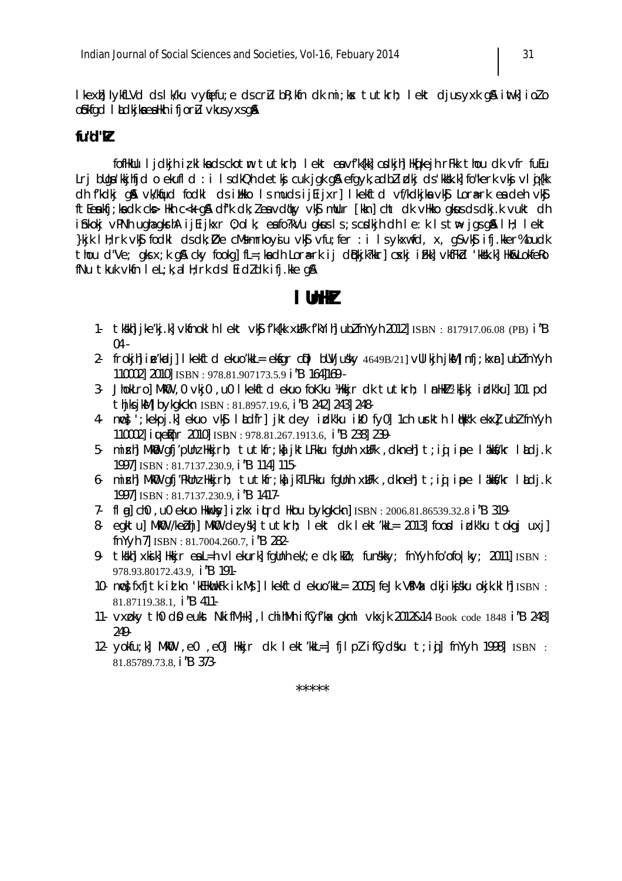I kexh] lykfLVd ds I k/ku vynefu; e ds cru bR; kfn dk mi; kx tutkrh; I ekt djus yxk q& intk] i olo oblfgd I tdkjkaealkh ifjorl vkus yxsga

### fu"d"k

fofHkUu I jdkjh izklkadsckotm tutkrh; lekt eavfk{kk] colkjh] Hkq[kejh rFkk thou dk vfr fuEu Lri bllaa'kkihfid o ekufl d : i IsdkQh detkj cuk jak q& efqyk,adblickj ds'kkkk.k| fo"kerk vkj vlij{kk dh f'kdkj q& vk/kfjud fodkl ds illkko Ismuds ijEijxr] I kekftd vf/kdkjka vk\$ Lora=rk ea deh vk\$ ft Eenkfj; ka dk cks Hkh c<k g& df"k dk; I ea vd¢ky vk\$ mllur [kkn] cht dk vHkko gkus ds dkj.k vukt dh ifikokj vPNh ughagkrhA ijEijkxr 0; olk; eafo?kVu gkusls; scodkjh dh Ie: k Istub jgsg& IH; Iekt }kjk I H; rk vk\$ fodkl dsdk; Øe cM\$mrkoy\$u vk\$ vfu; fer : i I sykxwfd, x, q\$vk\$ ifj.kker%budk thou d"Ve; gks x;k g& cky fookg} fl=;kadh Lora=rk ij dBkjk?kkr] cskij iFkk] vkfFkd 'kkkk.k] Hk&LokfeRo fNu tkuk vkfn let: kallt: rk dsl Eidzdk ifi. kke an

### I lhH

- 1. tkkhì jke'kj.kì vkfnokl h l ekt vkj f'k{kk xWFk f'kYihì ublfnYyh 2012] ISBN : 817917.06.08 (PB) i "B  $04$ .
- 2. frokjh i e kadj I kekftd ekuo kkl= eksar cipi buvjusky 4649B/21] vul kjh jkM nfj; kxr ublfnYyh 110002 2010 ISBN: 978.81.907173.5.9 i "B 164 169 -
- 3. JhokLro] MKO , 0 vkj0 , u0 lkekftd ekuo foKku ) Kkjr dk tutkrh; I mHk2 'kfkj idk'ku] 101 pd thiks jkMl bykgkckn ISBN: 81.8957.19.6, i B 242 243 248-
- 4 nmst ': kekpi.k] ekuo vks ladirliktdev idk'ku iko fvol 1ch urkth lakk'k ekxi ubi fnyvh 110002 | iuelnr 2010 | ISBN : 978.81.267.1913.6, i "B 238 239-
- 5- mirh MkO qfj'pUnz Hkirh; tutkfr;ka jktLFkku fqUnh xUFk ,dkneh t;ig ipe lakkS/kr ladj.k 1997 ISBN: 81.7137.230.9, i "B 114 115-
- 6 mirh] MkO qfj'PkUnz Hkkjrh; tutkfr;ka jkTLFkku fqUnh xUFk ,dkneh] t;iq ipe lakkf/kr ladj.k 1997 ISBN: 81.7137.230.9, i "B 1417-
- 7. [1 a] ch0, u0 ekuo Hakky] iz kx jurd Hkou bykakckn] ISBN: 2006.81.86539.32.8 j"B 319-
- 8- egktu] MKO /kebhi] MKO deysk] tutkrh; lekt dk lekt'kkL= 2013] food idk'ku tokgj uxj] fnYyh 7 ISBN: 81.7004.260.7, i B 282-
- 9. tkkh xkik Hkkir eal=h vlekurk fallnh ek/; e dk; ko; funskky; fnYyh fo'ofo | ky; 2011 ISBN : 978.93.80172.43.9, i B 191-
- 10- nuc} fxfjtk id kn 'kEHkuukFk ik.Ms] I kekftd ekuo'kkL= 2005] feJk V\$Max dkjikjsku okjk.kl h] ISBN : 81.87119.38.1. i B 411-
- 11. VXDkV th0 dQ eukt NkifM+kl , chihMh ifCvf'kx akml vkxik 2012&14 Book code 1848 i"B 2481 249-
- 12 yokfu; k] MkW, e0, e0 Hkir dk lekt'kkl=1 filplifCydsku t; id] fnYyh 19981 ISBN : 81.85789.73.8, i "B 373-

\*\*\*\*\*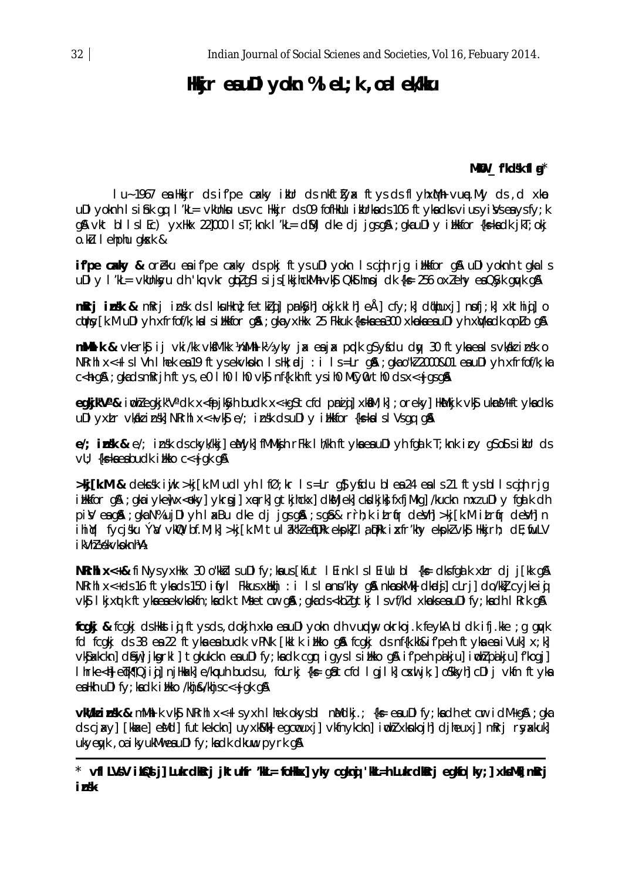## Hikir eau DI voln % el : k, oa l el/klu

#### MKOV f<sup>"</sup>kd\$k fl  $a^*$

I u-1967 ea Hkkjr ds if pe caky ikur ds nkftIyax ftys ds flyhxwlh vune. My ds , d xkm uDI yoknh Isifik qq I'kL= vkUnku usvc Hkir ds09 fofHkUu ikUrkads106 ftykadksviusyiVseaysfy; k  $\alpha$  with  $\alpha$  is the set of the set of the set of the set of the set of the set of the set of the set of the set of the set of the set of the set of the set of the set of the set of the set of the set of the set of the s o.ku I ehphu qkxk &

if'pe cxky & oreku eaif'pe cxky ds pkj ftys uDI yokn Is cih rig ilkkfor g& uDI yoknh tgka Is uDI y I 'kL= vkUnksyu dh 'kq vkr qiblq\$lsijs [kkjhckMh vk\$ Qk\$ hnoj dk {k= 256 oxlehy esQ\$yk qqvk q\$

mRrjinsk & mRrjinsk ds IkuHknł fetkiqi pinkSyhi okjk.klhi eÅ cfy;ki dokhuxji nofj;ki xkthiqi o cthnsy [k. M uDI yh xfrfof/k; kalsi Hkkfor qå ; gka yxHkx 25 Fkkuk {k=ka ea 300 xkmbka ea uDI yh xtyka ck opLo qå

mMhlk & vkerký i j vki/kk vkfM'kk kmMhlkk yky jak enjak podk g\$yfdu dy 30 ftyknen I svkdkz insk o NRrhl x<+1 s | Vh | hek ea 19 ft ys ekvkokn | s Hk; adj : i | s = Lr q& ; gka o "k2 2000&01 ea uDI yh xfrfof/k; ka c<h q& ; qka ds mRrjh ftys, e0 l h0 l h0 vk\$ nf{k.kh ftysih0 MCy0 th0 ds x<+jqsq&

egkjk'Va& iwblegkjk"Va dk x<fpjkSyh budk x<+gStcfd pnig]xkfM;k]; oreky] HkMkjk vkj uknM+ftykadks uDI yxtr vkkk inski NRrhl x<+vk\$ e/; insk ds uDI y itkkfor {k=kals I Vs qq q&

e/; insk & e/; insk ds ckyk/kkj] eMyk] fMMkjh rFkk I h/kh ftyka eauDI yh fgal k T; knk icy gS oS s ikUr ds VU: {k=kaeabudkimkko c<+igkg&

>kj[k.M & dekcsk iwjk >kj[k.M udlyh lfØ;kr ls = Lr q}ysidu blea 24 eals 21 ftys blls cojh rjq illkfor q& ; qka i ykew x<eky] ykroji xerk] qtkjhckx] dkMjek] ckdkjk} fxfjMkq] /kuckn mxz uDI y fqa k dh piv eag a ; gla N% uj DI yh I ax Bu dle dj jgs g a ; s g a & r r h; k i tr fr devh >kj [k.M i tr fr devh] n ihiği fycisku Ýðu vkMD bf.M;k] >kj[k.M tulâk"k]enDRk ekpk] la DRk ixfr'khy ekpk] vk§ Hkkjrh; dE;nuLV i kVhl VekvkoknhVA

NRrhl x<+& fiNysyxHkx 30 o"kkilsuDIfy; kaus [kfut lEink lslEiUu bl {k= clksfqalk xtr clj j [kk q\$ NRrhl x<+ds16 ftykads150 ifyl Fkkus xHkhj : i Islonnu'khy q& nkopskMk| dkodsj] cLrj] do/kk] cyjkeig vk\$ I kjxqtk ftykaeaekvkpkfn;kadk tMsetcr q&;gkads<kblgtkj I svf/kd xkpkseauDI fy;kadh I Rrk q&

fcqkj & fcqkj dsHkkstig ftysds, dokjh xkp eauDI yokn dh vugday okrkoj.k feykA bldk ifj.kke ; q quyk fd fcgkj ds 38 ea 22 ftyka ea budk vPNk [kklk i lkko gå fcgkj ds nf{k.kh&if'peh ftyka ea i Vuk] x; k] vkjakkckn] diejį jkonrkl] tokukcknea uDI fy;ka dk compionys I silkko oja ifpeh paikju] i moki paikju] fkogj] I hrke<h edk¶Qiid nihkakle/kouh budsu, folrki {k= q&tcfd | qilklcxulik; | o\$kkvhlcDli vkfn ftvka ealth uDI fv: kadk ithko /khi &/khisc<+igk g&

vkVkeinsk & mMhlk vkg NRrhl x<+lsyxh lhek okysbl nMdkj.; {k= eauDIfy; kadh etcm idM+q& ; qka ds cjay] [kkae] eMd] futkekckn] uyxkMk eqctuxj] vkfnykckn] indi xknkojh] djheuxj] mRrj ryakuk] ukyeyk, oa i kyukMwea uDI fy; ka dk dkuw pyrk g&

\* vfl LVsV i bQs j] LukrdkRrj jktuh'r 'kA\_= foHkx] yky cgkng 'kA\_=h LukrdkRrj egko|ky;] xksMk] mRrj i nsk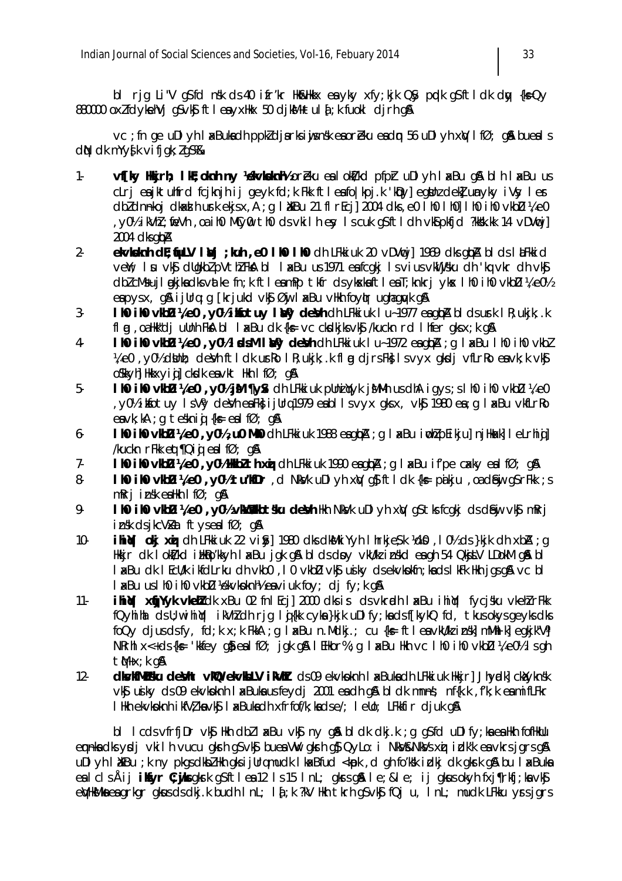bl rjg Li"V q\$fd nsk ds 40 ifr'kr Hko&Hkkx ea yky xfy;kjk Q\$y podk q\$ftldk day {k=Qy 880000 oxlfdykehVj q\$vk\$ ftlexyxHkx 50 djkM+tul {; k fuokl djrh q\$

vc ; fn ge uDI yh I xBukadh ppkldjarksijisnsk eaoreku eadn 56 uDI yh xw I fØ; gå bueals dN dk mYy{k vifjgk; lgS%&

- $1$ vf[ky Hkjrh; Ikt; oknh ny klekvkoknhilo oreku esi okt/kd pfpr uDI yh I xBu g& bl h I xBu us clri esiktuhfrd fciknih ij geyk fd;k Fkk ftlesfolkpi.k 'kDylegbhz deklunyky iVyler dbldnnkoj dkad h urk ekjsx, A ; q I XkBu 21 fl rEcj 2004 dks, e0 I h0 I h0 I h0 i h0 vkbD ¼ e0 , y0½ ikVhl; fieVh , oa ih0 MCym0 th0 ds vkilh ey Is cuk q\$ftldh vk\$pkfjd ?kkšk.kk 14 vDVmzjl  $2004$  clks  $q\phi A$
- $2$ ekvloknh dE; tull V IV j; kuh , e0 IH0 IH0 dh LFkkiuk 20 vDV til 1969 dks glpA blds lafkkid vell; I u vklj dligkbi pVthi FkA bi I akBu us 1971 ea fcgkj I svi usvkliljsku dh 'kq vkr dh vklj dblcMsujlaxikadksvatke fn; k ftleamPp tkfr dsykskaftleaT; knkrj yks IhO ihO vkbD ¼ eO1/2 eapysx, g& ijUrq; g [krjukd vk ]Øwj l xBu vHkh foylur ughaguyk g&
- $3 -$ I h0 ih0 vkbD 14e0, y01/2 ikotuy I by deblh dh LFkkiuk I u~1977 eagbA bl dsurk I R; ukjk; k fl @ , oallkk"di ullnh Fksh bl I axBu dk {ks= yc cksdkiks yksi /kuckn rd I hfer aks x; k ash
- I h0 ih0 vkbD ¼e0 , y0½ I sdsM I bVy deVh dh LFkkiuk I u~1972 ea qbA ; q I asBu I h0 ih0 vkbl  $4-$ 4.60, yol s dunn; devin ft i dk urko i R; ukjk; k fi m djrs Fk; i svyx gkdj vfLrRo envk; k vk; o Skkyh] Hkkxyig] cksdk ea vkt Hkh Ifø; g &
- I h0 ih0 vkb0 ¼e0 , y0½ jM ¶y\\$ clh LFkkiuk pUnity\k jMMh us clhA igys; sl h0 ih0 vkb0 ¼e0  $5 -$ , y0½ ikfotuy IsV'y deVheaFk; ijUrq1979 eablisvyx qksx, vk; 1980 ea; q laxBu vkfLrRo eavk: kA : a tesknid {k = eal f $\varnothing$ : a&
- I h0 ih0 vkbD ¼e0 , y0½, u0 Mh0 ch LFkkiuk 1988 eagbA ; g I xBu i mlz pEikjul njHkxkl I eLrhiqi  $6 -$ /kuckn rFkk ent¶Qiq ealf $\emptyset$ ; q&
- $7-$ **I h0 i h0 vkbD ¼e0 , v0½HkbZ th xi dh LFkki uk 1990 ea abA : a l xBu if'pe cxkv ea l fØ: q\$**
- Ih0 ih0 vkbD ¼e0 , y0½ tu'kfDr , d NkVk uDl yh x\/ g}ftl dk {k = paikju , oa d£ej gSrFkk ; s 8m $Rri$  insk ealkh  $1fØ$ ; g&
- 9. I h0 ih0 vkbD ¼e0 , v0½ vkWkikbtsku deVh Hkh NkVk uDI vh xV aS tks fcaki ds d£wi vkS mRri insk dsjkcVkat ftysealfØ; aA
- ihi (I okj xi ch LFkki uk 22 vi Sy] 1980 dks dk Shki Yyh I hrkje Sk Vd S , I 0½ ds }kj k dh xb A ; g  $10 -$ Hikir dk I okt/kd i Hikito'kkvh I akBu jak q& bl ds dov vkWk i nskd en ah 54 QkjtV LDokM q& bl I acBu dk I EcU/k i kfdLrku dh vkb0, I 0 vkbD vk\$ usiky ds ekvkokfn; ka ds I kFk Hkh jqs q& vc bl I as Bu us I h0 i h0 vkbD Yekvkpknh1/2 eaviuk fov; di fy; k q &
- $11$ ihi (I xujyyk vlehid k xBu 02 fnl Ecj) 2000 dk is ds vkrudh I xBu ihi (I fycjsku vlehid FK fQvhihd ds U: wihind ikVhz dh rig link k cvka }kik u Dlfv: ka ds f[kvkQ fd, tkus okvs gevks dks foQy djusdsfy, fd;k x;k FkkA ;q I xBu n.Mdkj.; cu {k = ft I ea vkU/k i nsk] mMhl k] eqkjk"V} NRrhl x<+ds{k= 'kkfey qhiealfØ; jqk qhil I EHkor%; q l xBu Hkh vc l h0 ih0 vkbD ¼ e0% l s qh tM+x:ka&
- dk/kMusku des/ht vKQ ekvkbLV ikVht ds 09 ekvkpknh I xBukadh LFkkiuk Hkkjr] Jhvalk] cktvknsk  $12$ vký ujky ds 09 ekvkoknh laxBuka usfeydj 2001 ea dh q& bl dk mnns; nf{k.k, f'k; k ea mifLFkr Thin ekykokni i kfVz ka yksi tax Buka dh xfrfof/k; ka dse/; tello; LFkkfir diuk q&

bi icds vfrfjDr vk\$ Hkh dbl i xBu vk\$ ny g& bi dk dkj.k; g g\$fd uDify; ka ea Hkh fofHkUu emnia dis yodj vii I h vucu gish qs visi buea Viv gish qs QyLo: i NkV&NkVs xij i dikk ea virs jgrs q& uDI yh I XKBu ; k ny pkgs dkbl Hkh gks i juramudk I ka Bfud < kpk, d gh fo'kkk i dkj dk gkrk g& bu I a Buka ealclsÅij iKsyr C; üks gkrk gSftlea 12 ls 15 lnL; gkrs g≤ jj gkus okyh fxj¶rkfj; ka vk\$ eWHKMka ea arkar akus ds dkj.k budh InL; I {; k ?kV Hkh tkrh gS vk\$ fQj u, InL; mudk LFkku yrs jgrs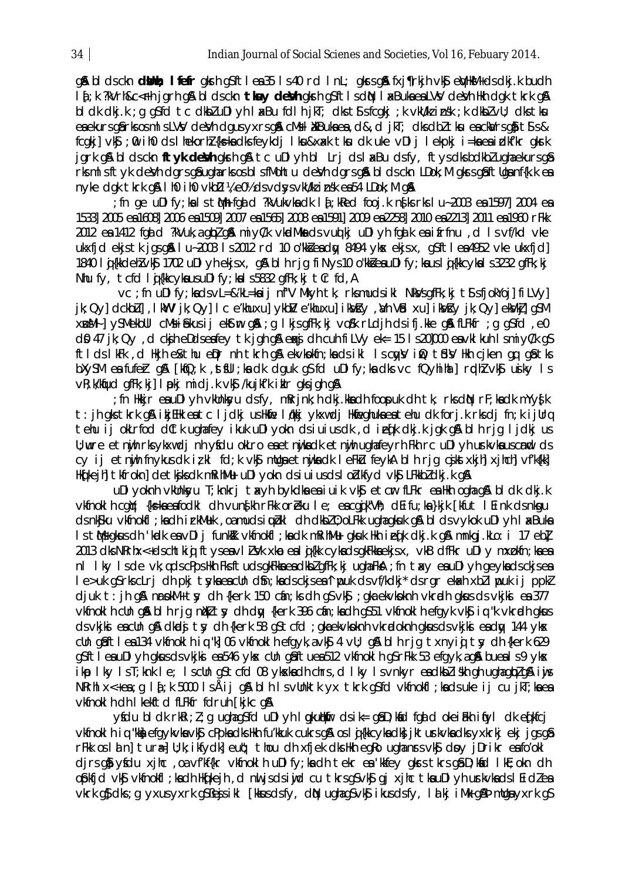gå bldsckn dümb: lifefr glsnh g\$ftlea 35 ls40 rd lnL; glsrsgå fxj¶rkjh vl\$j eWHkM+dsdkj.k budh I { ; k ?kVrh&c<Fh jgrh g& bl ds ckn tksiy deVh gkrh g\$ft I s dN I xBuka ea LVV deVh Hkh dgk tkrk g& bl dk dkj.k ; g g s f d t c dkb z u Dl y h l x Bu f d l h j k T; dks t S s f c g k j k v kU/kz i n sk ; k dkb z v U; dks t ksu ea ekurs qâ rks os mis LVV deVh dqus yxrs qå cMs i äkBuka ea , d&, d jkT; dks dbl tku ea ckv'rs qå t is & fcqki] vk\$ ; @ ih0 ds I hekorh? {k=ka dks feykdj I ku&xak tku dk uke vDI j I ekpkj i=ka ea idkf'kr qkrk jark gå blds ckn ftyk devha krha a tc uDlyh bl Lrjds I xBuds fy, ftys dks bolkblugha ekurs gå rks ml s ft yk de Vh dars af ugharks os bl s fMoht u de Vh dars af bl ds ckn LDok; M gkrs af ft liga nf {k, k ea nyke dak tkrk aå I h0 i h0 vkbD ¼ e0½ ds vdys vkU/k i nsk ea 54 LDok; M aå

: fn ae uDIfy; kalst Wh fadd ?kVukykadk Id; kRed fooi.k nsks rks Iu-2003 ea 15971 2004 ea 1533] 2005 ea 1608] 2006 ea 1509] 2007 ea 1565] 2008 ea 1591] 2009 ea 2258] 2010 ea 2213] 2011 ea 1960 rFM 2012 ea 1412 faild ?kVuk, a giblig & miyC/k vkadMka ds vuolki uDI yh failk ea ifrfnu, d Is vf/kd vke ukxfid ekis tk jasa \$1 u-2003 1 s 2012 rd 10 o k a dw 8494 v k ekis x, a sf tl e a 4952 v k e ukxfidl 1840 li {kkdehlvk\$ 1702 uDI yh ekjsx, q& blh rjg fi Nys10 o"kk}eauDI fy; kausli {kkcykals3232 qfFk; kj Nhu fy, tcfd li{kkcykausuDIfy;kals5832 qfFk;kj tCr fd,A

VC: fn uDIfv: kadsvL=&'kL=kaii nf"V Mkvh tk, rksmudsikl NkVsqfFk: ki t\$sfiokYoil fiLVvl ik: Qv] dckbll], I kWV jk: Qv] I c e'khuxu] ykbl/ e'khuxu] i kVkcy, l/h Vkd xu] i kVkcy jk: Qv] ekVkj] qSM xuMH] ySMekbUI cMsifekusij ekstm g& ; g I kjsgfFk; kj vo Kk rLdjh dsifj.kke g& fLFkfr ; g gSfd , e0 d0 47 jk; Qy, d ckjh eDdseafey tk jgh g& exi dh cuh filly ek= 15 ls201000 eavkl kuh lsmiyC/k gS ftldslkFk, d Hkih exthu eDr nh tkrh g& ekvkokfn;kadsikl IscwylinQ tidly Hkh ciken ga gåtks bXySM ea fufer g& [kno]; k , st ful ; ka clk clguk gS fcl uDI fy; ka clks vc fQyhind ] rophy vkg usiky Is vR: k/kfud afFk: kill poki midi.k vkf /kuikf/k iklr aksiaha&

fn Hkir eauDI yh ykUnkyu dsfy, mRrink;h dki.kkadh foopuk dh tk, rksdN rF;kadk mYy§k; t: jh gks tkrk gå ikjEHk eatc ljdkj us Hkfie løkkj ykxwdj Hkfieghuka eatehu dk forj.k rksdj fn;k ijUrg tehu ij oktrfod dûtk ughafey ikuk uDI yokn dsiuiusdk, diefk dkj.k jak gå blh rig ljdkj us U; wre etnijh rks ykxwdj nh yfdu oklro esetnijksdk etnijh ughsfeyrh Fkh rc uDI yh urkyksuschid ds cy ij etnijh fnykus dk izkl fd;k vk\$ mllga etnijka dk leFkLi feykA bl h rjg cjkstxkjh]xjhch]vfk{kk] Hkfkeih tkfrokni detkjks dk mikih Muu DI yokn dsiuius dsiodkfyd ykj LFkkbldkj.k gj

uDI yoknh vkUnkyu T; knkrj tayh bykdka ea juik vkj etcm fLFkr ea Hkh ogha g& bl dk dkj.k vkfnoklh cqY; {k=kaeafodkl dh vunfkh rFkk oreku le; eacqik"Vh; dEifu;ka}kjk [kfut lEink dsnkqu ds nk\$ku vkfnokfl ; ka dh irkMuk , oa muds i wbkl dh dkbl 0; oLFkk ugha gkuk g& bl ds vykok uDl yh I axBuka Is the ghas dh 'hadk ea vDI j funkk vkfnokfl ; ka dk mikih Mu ghask Hkh i edk dkj.k gå mnkgj.kLo: i 17 ebl 2013 dks NRrhx<+ds chtkig ftyseavlilyk xkp ealg {kk cykads gkFkkaekjsx, vkB dfFkr uDI y mxpkfn; kaea nl lky lsde vk; qds cPps Hkh Fks ftuds gkFkka eadkblgfFk; kjugha FkA; fn taxy eauDlyhgeyka ds ckjs ea I e>uk qSrkscLri dh pkj tsyka ea cUn d\$n; ka ds ckjs ea "I puk ds vf/kdkj\* ds rgr ekakh xbl I puk ij ppkl djuk t: jh q& nrokM+ ty dh {kerk 150 cin; ks dh g\$ vk\$ ; gka ekvkoknh vkrodh gkus ds vkjki ea 377 vkfnoklh cün gâ bih rig nikiz tsy dh day {kerk 396 can; ka dh q\$51 vkfnoklh efgyk vkg iq "k vkradh qkus ds vkjki eaclin gå dkadj ty dh {kerk 58 g\$ tcfd ; gka ekvkoknh vkradoknh gkus ds vkjki eadw 144 ykx cun gâftlea 134 vkfnoklhiq "k] 06 vkfnoklhefqyk, a vk\$ 4 vu; g& blhrjq txnyiq ty dh{kerk 629 g\$ftleauDIyh gkusdsvkjki ea546 ykx cUn g\$ftuea512 vkfnoklh g\$rFkk 53 efgyk, ag& bueals9 ykx ikp I ky Ist; knk I e; IscUn gSt cfd 08 ykskadh chrs, d I ky Isvnkyr eadkbliskh ghughaqblg&iis NRrhl x<+ea; q l{; k 5000 lsÅij q& blh lsvUnktk yx tkrk q\$fd vkfnokfl; kadsuke ij cu jkT; kaea vkfnokl h dh I kekftd fLFkfr fdruh [kjkc q&

yfdu bldk rkRi; l; q ughagfd uDlyh I makuthfir ds ik= g&D; kfd fgald okei Fkh i fryl dk efkfcj vkfnokl h ig "kka efgykvka vkg" cPpka dks Hkh fu'kkuk cukrs g& os lig{kkcyka dkg jkturkvka dks yxkrkj ekj jgs gå rFkk oslan tura= U; k; ikfydk eut; thou dh xfjek dks Hkh eqko uqhanrs vk\$ doy jDrikr eafo'okl dirs all yfdu xilc, oa vf'kf{kr vkfnokl h uDl fy; ka dh tekr ea 'kkfey gkrs tkrs gli D; kid l kE; okn dh opkfjd vkj vkfnokfl;kadh Hk[kejh,d nu jsdsiujd cu tkrsgSvkj gj xjhc tkauDlyh urkvkadsl Eidlea vkrk g\$ dks; g yxus yxrk g\$ßejs ikl [kkus dsfy, dN| ughag\$vk\$ ikus dsfy, lalkj iMk g\$b mllgayxrk g\$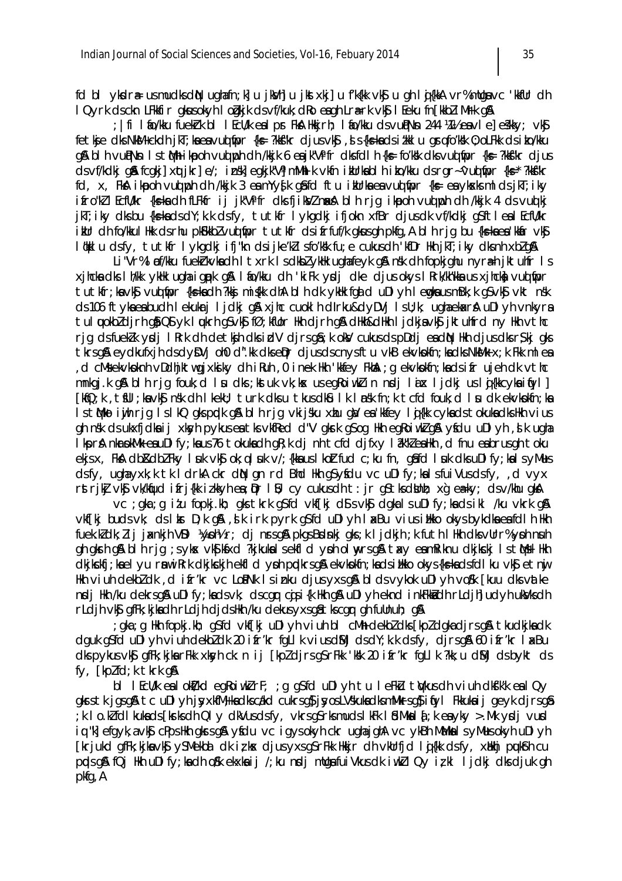fd bl ykdræ usmudksdN ughafn; k] u jkVh] u jktxkj] u f'k{kk vk\$ u gh l j{kkA vr%mUga vc 'kkfUr dh I Qyrk dsckn LFkkfir gkusokyh I odkik dsvf/kuk; dRo eagh Lra-rk vk\$ I Eeku fn Fkkbli Mfk g&

: Ifi I tio/kku fuekick bi I Ecli/k eail pr Fka Hkkirh: I tio/kku dsvuð Nn 244 ¼1½ eavi ei egkkv: vksi fetkje dks NkM+ckdh jkT; ka ea vud fipr {ks= ?kk\$"kr djus vk\$, ds {ks=ka ds i tkkl u grafo'kšk 0; oLFkk ds i ko/kku an blh vupNn IstMh ikpoh vuolpoh ch/kkik 6 enik"Vifr dksfdlh {k= fo'kk dksvuolnfor {k= ?kks"kr djus ds vf/kdkj qå fcqkj] xqtjkr] e/; insk] eqkjk"Vj mMhlk vkfn ikUrkablh iko/kku ds rqr~'vuq fipr {k=\*?kk\$"kr fd, x, FkA ikpoh vud poh dh /kkjk 3 ea mYysk qafd ftu ikurka ea vud fipr {k= ea yksks ml ds jkT; iky ifro"kil EcfU/kr {ks=ka dh fLFkfr ij jk"Vifr dks fjikWl naka blh rjg ikpoh vud poh dh /kkjk 4 ds vud kj ikT; iky dksbu {k=kadsdY; k.k dsfy, tutkfr I ykgdkj ifjokn xfBr djusdk vf/kdkj g\$ftlealEcfll/kr ikUr dh fo/kkul Hkk ds rhu pk5kkblvud fipr tutkfr ds ifrfuf/k gkus gh pkfg, A bl h rjg bu {ks=kaea kkar vk\$ I dkI u dsfy, tutkfr I ykgdki ifi"kn dsijke'kI sfo'k'k fu; e cukusdh 'kfDr Hkh jkT; iky dksnh xblg&

Li "Vr% I pf/kku fuekirkvkadh I txrk I sdkbi yklk ughafeyk gå nsk dh fopkjghu nyra=h jktuhfr I s xincka dks I h/kk ykhk ugha igpk g& I ao/kku dh 'kiFk ysdi dke djus okys I Rrk/kh/kka us xincka vud anor tutkfr; ka vk\$ vud fipr {ks=ka dh ?kk\$ mi\$kk dhA bl h dk ykHk fqad d uDl yh lemka us mBk; k q\$ vk\$ vkt n\$k ds 106 ft yka ea budh I ekukri I jdki gå xihc cuokl h dlrku&dyDVj I sll; k; ugha ekarå uDI yh vnkyra tul wokbldjrh qi Qi yk l wkrh qsvkj fø; kflor Hkh djrh qi dHkh&dHkh l jdkjavkj jktuhfrd ny Hkh vthc rig dsfuekk ydj I krk dh de tkjh dks i dV djrs q &; k okV cukus dspDdj e a dN Hkh djus dks r \$ kj qks tkrsg&eydkufxjhdsdyDVjohOd".kkdkseDrdjusdscnysftuvkBekvkokfn;kadksNkMkx;kFkkmlea d cMsekvkoknh vDdhjktwgjxksky dhiRuh ,0 inek Hkh 'kkfey Fkha'; gekvkokfn; kadsifrujeh dk vthc, mnkgj.k gå blh rjg fouk; d lu dks; kstuk vk; kstus eg kojuklin ngdj laix ljdkj us loj{kkcyka i tyll [kino]: k, tiul; ka vkj nsk dh I kekli; turk dks u tkus dkiu I k I nsk fn; k tcfd fouk; d I u dk ekvkokin; ka Is tulko iujh rjg IslkQ gkspodk g& blh rjg vkijsku xhu gaV ea kkfey luj{kk cyka ds tokuka dks Hkh vius gh nsk ds ukxfjdka i j xksyh pykus ea tks vkfRed d"V gkrk gS og Hkh egRoiwkig & ysdu uDI yh, i k ugha I kprå nkrokMk eauDI fy; kaus 76 tokukadh qR; k dj nh tcfd djfxy l ak"k ealkh, d fnu eabrus qh toku ekjs x, FkA db & db Fky I uk vk\$ ok; q I uk v/; {kka us I ko Zt fud c; ku fn, q \$fd I uk dks uDI fy; ka I s y Mus dsfy, ughayxk; k tk I drkA ckr diN gn rd Bhd Hkh g\$yfdu vc uDI fy; kalsfuiVusdsfy, d vyx rstriki vkj vk/kfud ifri{kk izkkyh ea; Dr I B; cy cukusdh t: jr gStksdBnh; xg eaky; dsv/khu gkA

vc ; gka ; g itu fopkj.kh; gks tkrk g\$fd vkf[kj d\$s vk\$ dgka I s uDI fy; ka ds ikl /ku vkrk g\$ vkf[kj budsvk; dslkr D;k q&, slk irk pyrk q\$fd uDlyh laxBu viusitikko okysbykdka eafdlh Hkh fuek.kldk; lij jankjh VDI 14yoh16 r; dj nrsgå pkgs Bodnkj gks; k ljdkjh; k futh I Hkh dks vUrr% yoh nuh gh gkrh g& blh rjg ; sykx vkS| kfxd ?kjkukalsekfld yoh olnyrsg& taxy eamRiknu dkjkckj IstMslHkh dkjkckfj; kael yu rmwiRrk dkjkckjh ekfl d yph prokrsg& ekvkokfn; kadsi ikko okys{ks=kadsfdl ku vk\$ etnij Hkh viuh dekbldk, difr'kr vc LoPNk Isinku djusyxsq&bldsvykok uDIyh vo&k [kuu dksvatke ndi Hh /ku dekrsg& uDI fy;kadsvk; dscgr cijsi{k Hkh g& uDI yh eknd inkFkkidh rLdih]udyh ukWsdh rldjh vkj qffk; kjkadh rldjh djdshkh /ku dekus yxsqåtkscqr qh fullnuh; q&

gka; q Hkh fopkj.kh; q\$fd ykf[kj uDlyh yiuh bl cMh dekbldks [kpldgkadjrsg&tkudkjkadk dquk q\$fd uDI yh viuh dekbldk 20 ifr'kr fqLIk viusdMj dsdY;k.k dsfy, djrsq& 60 ifr'kr laxBu dks pykus vk\$ qfFk; kjka rFkk xksyh ck: n ij [kp] djrs q\$ rFkk 'kšk 20 ifr'kr fqLlk ?kk; u d\$Nj ds bykt ds fy, [kplfd; k tkrk q&

bl l EcU/k ealokt/kd egRoiwklrF; ; g gSfd uDlyh tu leFku tWkusdh viuh dkf/k'k ealQy gkrstk jgsgåtc uDI yhjsyxkfM+kadkscakd cukrsg}jsyosLVskukadksmMkrsg}ifyI Fkkukaijgeyk djrsgå k I o. ku foll kuka ds [krks dh QI y dkVus ds fy, vkrs g\$rks muds I kFk I £dMka I a j k ea yky >. Mk y dj vud iq "k] efgyk, a vk\$ cPps Hkh gkrs g\$ y\$du vc igys okyh ckr ugha jghA vc ykBh M&Mka I s yMus okyh uDI yh [krjukd qfFk; kjka vk\$ ySMekbal dk izkx djus yxs qSrFkk Hkkjr dh vkUrfjd lig{kk dsfy, xakhj puk\$rh cu pods a \$ fQi Hkh uDI fv: ka dh o \$k ekxka i i /: ku ngdi mllaa fu i Vkus dk i wkl I Qv iz kl I idki dks diuk ah pkfg, A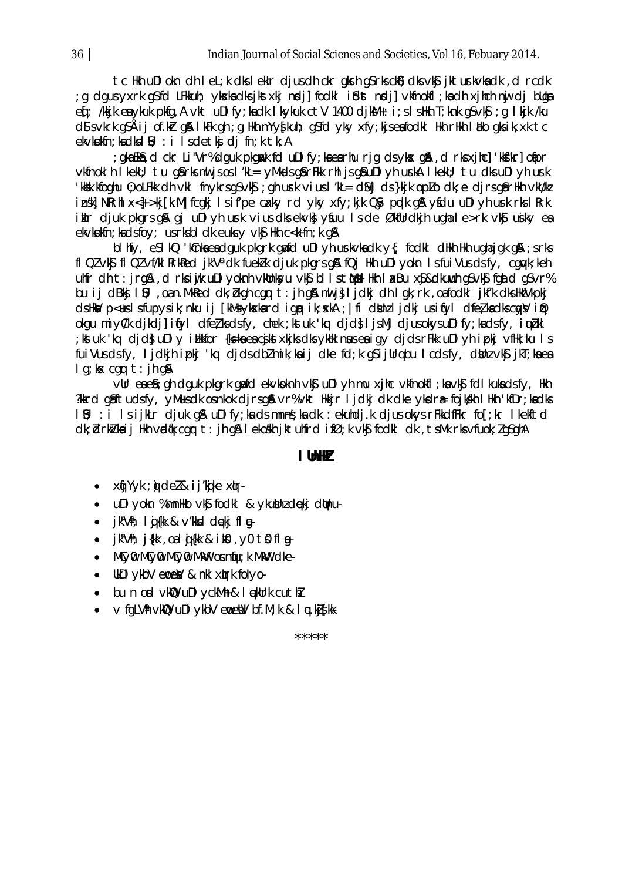tc Hkh uDI okn dh I el; k dks I ekir djus dh ckr gkrh g\$rks ck\$) dks vk\$j kturkvka dk, d rcdk ; g dgus yxrk g\$fd LFkkuh; ykska dks jkstxkj nsdj] fodkl i \$dst nsdj] vkfnokfl ; ka dh xjhch nij dj bllga ed: /kkikeavkukpkfg, AvktuDIfy; kadkIkykukctV 1400 dikM+: i; slsHkh T; knkgSvk\$; glkik/ku d\$svkrk q\$Åij of.kir q\$lkFk qh;q Hkh mYy{kuh; q\$fd yky xfy;kjseafodkl Hkh rHkh Iblko qksik,xk tc ekvkokfn; kadkslø; : i lsdetkj dj fn; k tk; A

gka Ekâ, d ckr Li "Vr% dguk pkgakk fd uDI fy;ka ea rhu rig ds yks gâ, d rks xihc] 'kkf"kr] oapr; vkfnoklh I keku; tu gårks nuljs os I 'kL= yMkds gårFkk rhljs gåuDI yh usrka I keku; tu dks uDI yh usrk 'kk'k.kfoghu 0; oLFkk dh vkl fnykrsg\$vk\$; gh urk vius l'kL= dMj ds}kjk opLo dk; e djrsg&rHkh vkU/kz insk] NRrhl x<} >kj[k.M] fcgkj 1 s if pe cakky rd yky xfy; kjk QSy pqdk g& ysidu uDI yh usrk rks l Rrk ikir djuk pkgrs gå gj uDI yh ust vius dks ekvkt ysuu Is de Økfurdkjh ugha I e>rk vkt usiky ea ekvkoldfn; kadsfoy; usrksbl dk eukcy vk\$ Hkh c<k fn; k q&

bl hfv, esikQ 'kCnka ea dauk pkark aufd uDI vh urkvka dk v{; fodkl dHkh Hkh uaha jak a\$ ; srks fl Ql vk\$ fl Ql vf/kl RrkRed jk"Va dk fueklk djuk pkgrs g& fQj Hkh uDl yokn Is fui Vus ds fy, cgwlk; keh ultin dh t: jrg&, d rksiwik uDI yoknh vkUnksyu vk\$ bl IstMsIHkh I axBu x\$&dkuwh q\$vk\$ fqad d q\$vr% bu ij dBkj 10; oan. MkRed dk; bkgh cgr t: jh g& nu j} ljdkj dh lgk; rk , oafodkl jkf'k dks HklVkpkj ds HkV p<+us Isfupys ik; nku ij [kM+sykskard igp ik; skA; | fi dVnz I jdkj us ifryl dfeł kadks cwV iQ okgu miyC/k djkdj]iftyl dfełksdsfy, chek ;kstuk 'kq djd}ljsMj djusokysuDlfy;kadsfy, iunbkl ktuk 'ka did} uDI y illkfor {ks-kaea cikstxkiks dks ykHk nusea i ay dids rFkk uDI yh i pki vfHk; ku I s; fuiVus dsfy, lidkih ipki 'ka dids dblmik; kaij dke fd; k q\$ ijUrabu I cdsfy, dUnivk\$ ikT; kaea lg; kx cgr t: jh q&

vur enes at a dauk plank and ekvloknt vkg upl vt mu xitic vkfnold : kn vkg fdl kuknds fv, Hkt ?kkrd g&ftudsfy, yMusdk osnkok djrsg& vr%vkt Hkkjr I jdkj dk dke ykdræfojk/kh I Hkh 'kfDr;kadks? IB; : i IsijkLr djuk g\$ uDIfy;kadsmnns;kadk : ekuhdj.k djusokys rFkkdfFkr fo[;kr Ikekftd dk; drkvkaij ikh vrd¢k cgr t: jh gå lekoskh jktuhfrd ifØ; k vk\$ fodkl dk, tsMk rks vfuok; lgSghA

#### I thik

- $\bullet$  x(i)  $Y \vee k$ ;  $\phi$  del & i j'kojke x(ur-
- uDI yokn %mnlko vkj fodki & ykulinz dękj dlinu-
- $\bullet$  jk"Vh; loj{kk & v'kksd duekj flog-
- $\bullet$  jk"Vh; j{kk, oalqi{kk & ikQ, y0 tQ flq.
- · MCVO MCVO MCVO MkW osniu; k MkW dke-
- UkDI ykbV enew & nkl xirk folyo-
- bu n ord vkmp uDI yckMh & I rekurk cuth?
- v fgLVh vkW uDI ykbV emetV bf.M; k & I c.kj {kk-

 $***$ \*\*\*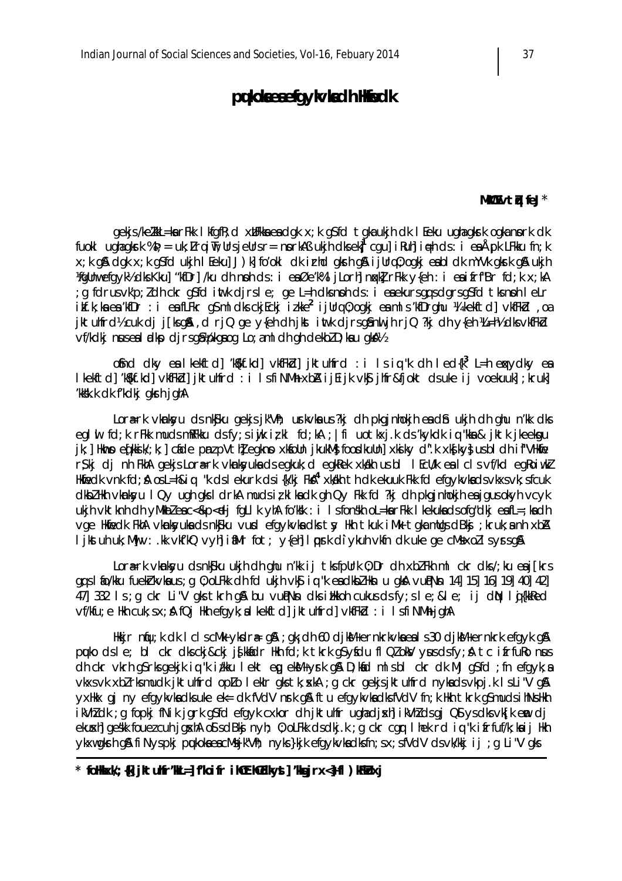# pulolaeaefgylvlach Hiedk

#### MM vtù feJ\*

gekjs /ke/kkL=ka rFkk I kfgfR; d xtlFkka ea dgk x; k g\$fd tgka ukjh dk I Eeku ugha gkrk ogka nork dk fuokl ughagkrk %b; = uk; Lrqin; UrsjeUrsr = norkAB ukjh dksek<sup>1</sup> cgu] iRuh] i n=h ds: i ea Åpk LFkku fn; k x; k g& dgk x; k g\$fd ukjh I Eeku] J) k] fo'okl dk irhd gkrh g& i jUrq 0; ogkj eabl dk mYVk gkrk g& ukjh VigUnwefgyk½ dks Kku] "kfDr] /ku dh nnoh ds: i eaØe'k% ljLorh] nnxk] rFkk y{eh: i eaifrf"Br fd; k x; kA a fdrus vk'p; I dh ckr q\$fd intk djrsle; qe L=h dks nph ds: i enekurs qq s dgrs q\$fd tks nph leLr; ikf.k; ka ea 'kfDr : i ea fLFkr qS ml dks ckjEckj izkke<sup>2</sup> ijUrq 0; ogkj ea ml s 'kfDrghu ¼ kekftd] vkfFkd, oa jktuhfrd½ cuk dj j[ksq&, d rjQ qe y{eh dh jkst intk djrsq&nuljh rjQ ?kj dh y{eh kL=h½ dksvkfFkd vf/kdkj nuseal dkp djrsgål/pkga og Lo; aml dh gh dekbl D; kau gkAl/2

ofind dky en Ikekftd] 'Kakf.kd] vkfFkd] jktuhfrd : i Isiq "k dh Ied{k<sup>3</sup> L=h enkydky en I kekftd] 'k\$kf.kd] vkfFkb] jktuhfrd : i I sfi NMh xbA i jEi jk vk\$ jhfr&fjokt dsuke i j voekuuk] ; kruk] 'kkšk.k dk f'kdkj gkrh jghA

Lore-rk vknkyu ds nkjku gekis ik"Vh; urkvka us?ki dh pkginhokih ea dh ukih dh ghu n'kk dks eglul fd;k rFkk mudsmRFkku dsfy;siwik izkl fd;kA; |fi uotkxj.k ds'kykdk ig "kka& jktk jkeekgu jk;] Hkmp ed[kkik/;k;] cáde pmz pVth] egknp xkfolln jkukM} foodkulln] xkiky d".k xk{ky} us bl dh i f"VHkfie r \$ kj dj nh FkhA gekjs Lora-rk vknkyuka ds egkuk; d egkRek xkakh us bl I EcU/k ea I cl s vf/kd eg RojwkZ Hkfiedk vnk fd; & os L=h&iq "k ds I ekurk ds i {k/kj Fk&<sup>4</sup> xk/kh th dk ekuuk Fkk fd efgykvkads vkxs vk; sfcuk dkbl Hkh vknkyu I Qy ugh gks I drkA muds iz kl ka dk gh Qy Fkk fd ?kj dh pkgjnhokjh ea jgus okyh vcyk ukih vktknh dh yMkbleac<&p<dj fqLlk yhA fo'Kk : i Isfonskh oL=karFkk I kekukads ofg"dkj eafL=;kadh vge Hidiedk Fida vianksyuka ds nišku vurd efgykvia distsy Hida tikuk i Mik taka milias dBkj ; kruk; a nih xbA liktuh uk: Milv: .kk vkf'kQ vyh]i fMr fot; y{eh] I prk di ykuh vkfn dk uke ge cMsxollsyrsg&

Lore rk vknkyu ds nkjku ukjh dh ghu n'kk ij tks fpurk 0; Dr dh xbl Fkh ml ckr dks /; ku eaj [krs ggsl fo/kku fuekirkvkaus; g 0; oLFkk dh fd ukjh vkg ig "k eadkbl Hkn u gka vuigNn 14 15 16 19 40 42 47] 332 Is; q ckr Li"V qks tkrh q& bu vuqNn dks iilkoh cukus ds fy; s l e; & l e; ij dN I qi{kkRed vf/kfu; e Hkh cuk; sx; A fQj Hkh efgyk; a l kekftd] jktuhfrd] vkfFkd : i l sfi NMh jghA

Hkkjr nfu;k dk I clscMk ykdrægå;gk;dh 60 djkM+ernkrkvkaeals30 djkM+ernkrk efgyk gå puko dsle; bi ckr dksckj&ckj j{kkidr Hkh fd;k tkrk q\$yfdu fl Qloky yusdsfy; & tc ifrfuko nus dh ckr vkrh q\$rksqekjk iq "k i/kku lekt eg ekM+yrk q& D;kad mlsbl ckr dk Mj q\$fd ;fn efqyk;a vkxsvk xblrksmudk jktuhfrd oplo lekir gkstk; xkA ; g ckr gekjsjktuhfrd nykadsvkpj.k Isli"V g& yxHkx qi ny efqykykadksuke ek= dk fVdV nrk q& ftu efqykykadksfVdV fn; k Hkh tkrk q\$mudsihNsHkh ikVhldk; g fopkj fNik jgrk g\$fd efgyk cxkor dh jktuhfr ughadjxh] ikVhldsgj Q\$ysdksvkjkem dj ekustil gesk fouez culi jastin of sdBkj nyt; 0; oLFkk dsdkj.k; g ckr car I hek rd ig "k i frfuf/k; ka i j Hkh ykxwgkrh g& fi Nyspkj pukokaeacMsjk"Vh; nyks}kjk efgykykadksfn;sx;sfVdV dsyk/kkj i j ; g Li"V gks

<sup>\*</sup> folkkxk/;{k] jktuhfr'kkl=] f'koifr ih[th[clkyst] 'kkgjrx<} fl )kFklxj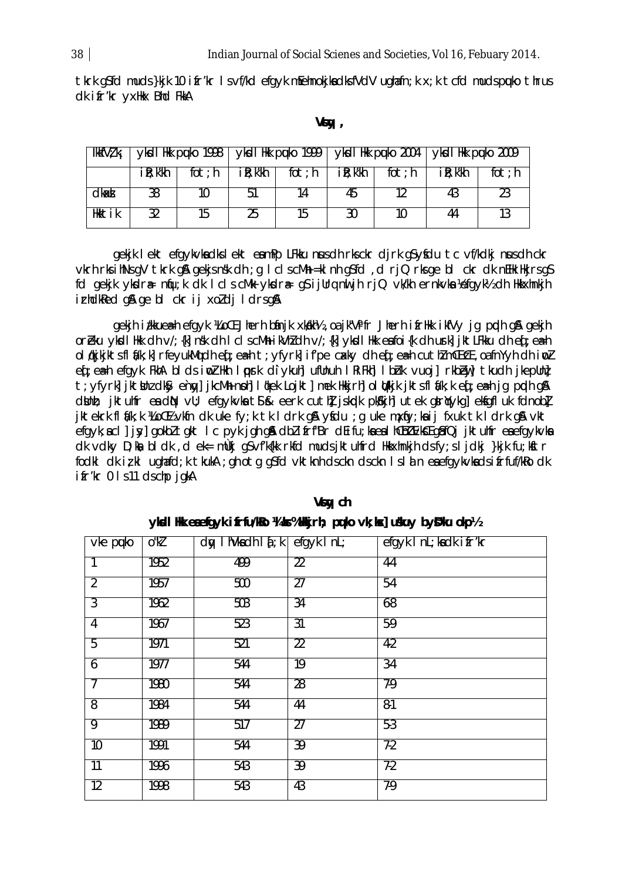tkrk g\$fd muds}kjk 10 ifr'kr lsvf/kd efgyk mEehnokjkadksfVdV ughafn;k x;k tcfd mudspuko thrus dk ifr'kr yxllkx Bhd FlkA

#### Vcw,

| IkkfVZ kj |           |             | yksd I Hiki pulko 1998   yksd I Hiki pulko 1999   yksd I Hiki pulko 2004 |          |           |          | $\sqrt{\kappa}$ di Hkk puko 2009 |             |
|-----------|-----------|-------------|--------------------------------------------------------------------------|----------|-----------|----------|----------------------------------|-------------|
|           | i R; k'kh | $f$ ot; $h$ | i R; k'kh                                                                | $fot$ :h | i R; k'kh | $fot$ :h | i R; k'kh                        | $fot$ : $h$ |
| dkxl      | 38        | 10          | 5 I                                                                      | 14       | 45        |          |                                  |             |
| Hkktik    |           | 15          | 25                                                                       | 15       | 30        | 10       | 44                               |             |

gekik lekt efgykykadks lekt eamPp LFkku nusdh rksckr dirk g\$yfdu tc yf/kdkj nusdh ckr vkrh rks ihNs gV tkrk g& gekis nsk dh; g I cls cMh =kl nh gSfd, d rjQ rks ge bl ckr dk nEHk Hkirs gS fd gekjk ykkdræ niju; k dk I cl s cMk ykkdræ gs i jurg nu jh rjQ ykkh ernkyka Xefgyki dh Hkkxhnkjh irhdkled gå ge bl ckr ij xoldj Idrsgå

gekih i/kkuea-h efgyk XLole Jherh bánjk xkkkh/2, oa jk"Vifr Jherh ifrHkk ikfVy jg prolh g\$ gekjh oreku ykoli Hkk dh v/; {k] nsk dh I cl s cMh i kVhl dh v/; {k] ykoli Hkk eafoi {k dh urk] jktLFkku dh eq; eah ol #kjkjktsfl &/k; k] rfeyukMq dh eq; eah t; yfyrk] if'pe cxky dh eq; eah cuth muliff , oa fnYyh dh iwl ed ; eath efgyk FkhA blds iwl Hkh I work diykuh ufllnuh I RiFkh I bhk vuoj | rkbeij | tkudh jkepllni t; yfyrk] jktlinz dkSy engy] jkcMh noh] I dkek Lojkt] mek Hkkjrh] ol U/kjk jktsfl &/k; k ed[; eah jq podh q\$\ dini; jktulir ea din vu; efgykvlatis eerk cuth jskplk plskjin utek giriykg elfgfluk fdnobl jktekrk flå/k;k XLoCl½ vkfn dk uke fy;k tk ldrk g& ysdu ;g uke mpdjy;ka ij fxuk tk ldrk g& vkt efgyk; acl | jy | gokbl tgkt | c pyk jgh gå dbl ifrf'Br dEifu; kaeal hEblEvkE gåfQj jktuhfr eaefgykvka dk vdky D; ka bl dk , d ek= můkj g\$ vf'k{kk rkfd mudsjktuhfrd Hkkxhnkjh dsfy; sljdkj }kjk fu; kftr fodkl dk izkl ughafd; k tkukA ; gh otg g\$fd vktknh dsckn dsckn Islan eaefgykvkadsifrfuf/kRodk ifr'kr 0 ls11 dschp jgkA

| vke puko        | $0^{\prime\prime}$ | $dy$ I hVka dh I $f$ ; k   efgyk I nL; |                 | efgyk I nL; kadk i fr'kr |
|-----------------|--------------------|----------------------------------------|-----------------|--------------------------|
| $\overline{1}$  | 1952               | 499                                    | $\overline{22}$ | $4-4$                    |
| $\overline{2}$  | 1957               | 500                                    | $\overline{27}$ | 5-4                      |
| $\overline{3}$  | 1962               | 503                                    | $\overline{34}$ | $6-8$                    |
| $\overline{4}$  | 1967               | 523                                    | 31              | 5.9                      |
| $\overline{5}$  | 1971               | 521                                    | $\overline{22}$ | $4-2$                    |
| 6               | 1977               | 544                                    | 19              | $3-4$                    |
| $\overline{7}$  | 1980               | 544                                    | 28              | 7.9                      |
| $\overline{8}$  | 1984               | 544                                    | 44              | $8-1$                    |
| 9               | 1989               | 517                                    | $\overline{27}$ | $5-3$                    |
| $\overline{10}$ | 1991               | 544                                    | 39              | $7-2$                    |
| $\overline{11}$ | 1996               | 543                                    | 39              | 7.2                      |
| $\overline{12}$ | 1998               | 543                                    | 43              | 7.9                      |

Vsw ch ykdi Hk eaefqyk ifrfu/ko 14 km/sHkirh; puko yk; kx] uśluy byb'ku oko1/2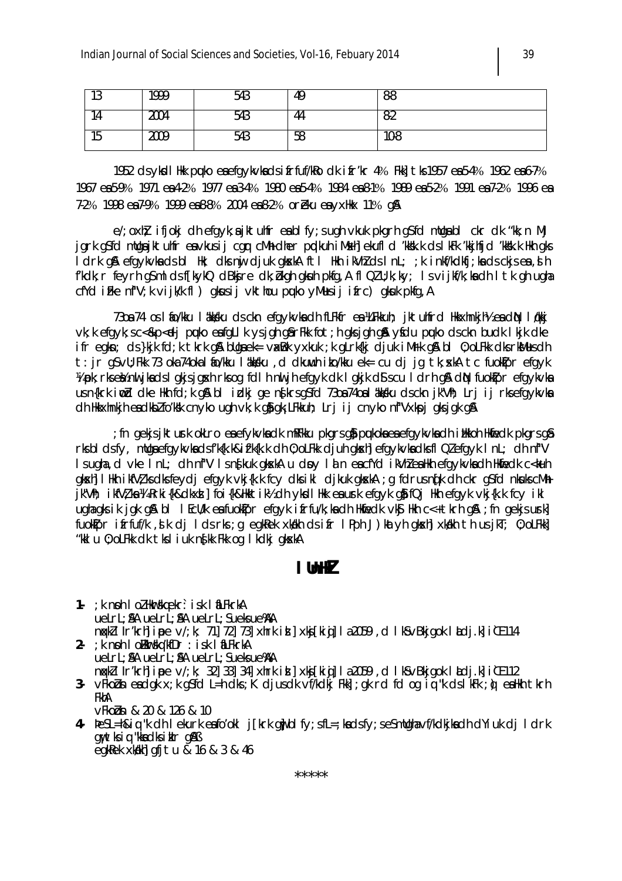| $\sim$<br>יי | 1999 | <br>543                         | 49 | 88           |
|--------------|------|---------------------------------|----|--------------|
| 14           | 2004 | 543                             | 44 | 0 Z          |
| 4F<br>טו     | 2009 | $\overline{\phantom{a}}$<br>543 | 58 | 10.0<br>IV O |

1952 ds ykdl Hkk puko enefgykvknds i frfuf/kRo dk i fr'kr 4% Fkk] tks 1957 en 54% 1962 en 6-7% 1967 ea 5-9% 1971 ea 4-2% 1977 ea 3-4% 1980 ea 5-4% 1984 ea 8-1% 1989 ea 5-2% 1991 ea 7-2% 1996 ea 7-2% 1998 ea 7-9% 1999 ea 8-8% 2004 ea 8-2% or Eku ea yxlikx 11% g &

e/; oxh} ifjokj dh efgyk; a jktuhfr ea bl fy; sugh vkuk pkgrh g\$fd mllga bl ckr dk "kk; n Mj jgrk gSfd mllgajktuhfr eavkusij cgr cMh dher prokuh iMskh ekufl d 'kksk.k ds kFk 'kkihfid 'kksk.k Hkh aks I drk q& efavkyka ds bl Hk; dks nij diuk akska ft I Hkh i kVhZ ds I nL; ; k i nkf/kdkfi; ka ds ckis ea , sl h f'kdk; r feyrh g\$ml dsf[kykQ dBkjre dk; bkgh gkuh pkfg, A fl Ql U; k; ky; ls vijkf/k; ka dh I tk gh ugha cfYd i Fke nf"V; k vijk/k fl ) gkusij vkthou puko yMusij i frc) gkuk pkfg, A

7308 74 os I &o/kku I akksku ds ckn efgykvka dh fLFkfr ea YLFkkuh; jktuhfrd Hkkxhnkjhl/s ea diN I gkkj vk; k efgyk; s c < & p < dj puko e a fg L I k y sjgh g år Fkk fot; h g ksjgh g  $\lambda$  y fd u puko ds ckn budk I kjk d ke ifr egkn; ds}kjk fd;k tkrk g& bllga ek= vaxBk yxkuk;k gLrk{kj djuk iMrk g& bl 0;oLFkk dksrkMusdh t: jr q\$vU; Fkk 73 oka 74oka I tio/kku I akksku, d dkuwuh i to/kku ek= cu dj jq tk; xkA tc fuoktpr efqyk Vipk; rks ek nu jkads I gkjsjg sh rks og foll h nu jh efg yk dk I gkjk d\$ s cu I drh g\$ diN fuoktpr efg yk vka usn{krk impd dke Hkh fd; k g& bl idkj ge n{krsg\$fd 73oa74oalakkku dsckn jk"Vh; Lrj ij rksefgykvka dh Hkkxhnkjh esidkbl fo'kk cnyko ugh yk; k gå gk; LFkkuh; Lrj ij cnyko nf"Vxkoj gks jak gå

; fn gekjs jkturk okLro ea efykyka dk mRFkku pkgrs gå pukoka ea efgykyka dh i likkoh Hkfiedk pkgrs gå rks bl ds fy, mllga efgykvka ds f'k{k.k&if'k{k.k dh 0; oLFkk djuh gksh] efgykvka dks fl Ql efgyk InL; dh nf"V I sugha, d vke InL; dh nf"V I sn{kuk gkxkA u doy I a n eacfYd i kVhl ealkh efgykvka dh Hkfiedk c<kuh gkxh] I Hkh i kfVł, ks dks feydj efgyk vkj{k.k fcy dks i kl djkuk gkxkA ; g fdrus nqfk dh ckr g\$fd nkuks cMh+ jk"Vh; ikfVłka ¼ Rrki{k&dkxd | foi{k&Hkktik½ dh ykdl Hkk ea usrk efgyk qå fQj Hkh efgyk vkj{k.k fcy ikl ughagks ik jok gå bl ledvk en fuoktpr efgyk ifrfu/k; kadh Hkfiedk vkg Hkh c<+ tkrh gå; fn gekjs urk] fuoldipr ifrfuf/k, slk dj I ds rks; q eqkRek xkalkh ds ifr I Pph J) kat yh qkxhl xkalkh th us jkT; 0; oLFkkl "kkl u 0; oLFkk dk tks I i uk nskk Fkk og I kdkj gkskA

#### I thin

- 1. ; k noh I ol Hkurskgekr: isk I aLFkrkA uelrl; AA uelrl; AA uelrl; Sueksue AA ngkll Ir'krh] ipe v/; k; 71] 72] 73] xhrk id ] xkj[kig] I a 2059, d I kS vBkjgok I adj.k] i l 114
- 2- ; k nn I ollkurskg kfDr : isk I aLFkrkA uelrl; AA uelrl; AA uelrl; Sueksue AA nxkllr'krh ipe v/; k; 32 33 34 xhrk id xkj[kiq] la2059, d lkSvBkjgok ladj.k i u 112 3. vFkobn eadgk x; k g\$fd L=h dks; K djusdk vf/kdkj Fkk]; gk rd fd og iq "k ds lkFk; q eaHkh tkrh
- FkhA VEkobn & 20 & 126 & 10
- 4- besl=h&iq "k dh I ekurk eafo'okl j[krk qilp blfy; sfl=; kadsfy; seSmUqhavf/kdkjkadh dYiuk dj I drk gwtksig "kka dksiklr g&B egkRek xkakh qfjtu & 16 & 3 & 46

 $*****$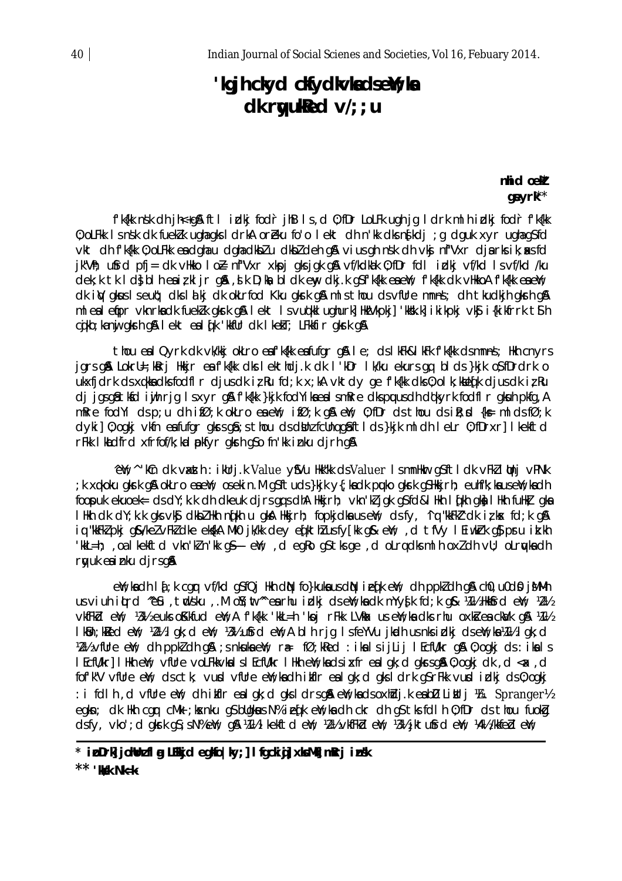# 'kgjh ckyd ckfydkvkadself; ka dk ryuked  $v/$ ; ; u

nhi doek\*  $q$ eyr $k^*$ 

f'k{kk nsk dh jh<+q& ftl idkj fodr jhB ls,d 0;fDr LoLFk ugh jg ldrk mlh idkj fodr f'k{kk 0; oLFkk Isnsk dk fueklk ughagks I drkA oreku fo'o lekt dh n'kk dksnskdj; g dguk xyr ughagsfd vkt dhfk{k 0; oLFkk eadghau dghadkblu dkbldeh g& vius ghnsk dhvkj nf"Vxr djarksik; aks fd jk"Vh; ufird pfj= dk vHkko I o} nf"Vxr xkpj gksjgk g& vf/kdkak 0; fDr fdl i dkj vf/kd I svf/kd /ku dek; k tk l d} bl h ea iz kl jr q& , d k D; kà bl dk eny dkj.k q\$f'k{kk ea enY; f'k{kk dk vHkkoA f'k{kk ea enY; dk i V akus I seut: dks I t ki dk okLrfod Kku akrk a & ml s thou ds vfllre mnns: dh t kudkih akrh a & mlealetior vknrkadk fueklk gkrk g& lekt Isvudkklughurk] HkVkpkj] 'kkkkk] ikikpkj vk§ i{kikfrrk t\$ h coikb; ka noi qkrh q& I ekt eal ofk 'kkfur dk I kekT; LFkkfir qkrk q&

thou eal Qyrk dk vk/kkj okLro eafk{kk eafufgr g& I e; ds I kFk&I kFk f'k{kk dsmnns; Hkh cnyrs jars gå LokrU=; kirj Hkkjr en fk{k dks lekthdj.k dk l'kDr lk/ku ekurs gg blds }kjk os fDrdrk o ukxfidrk ds xqkkadks fodflr djusdkir, Ru fd; k x; kA vktdy ge fk{kk dks 0; olk; kkleqk djusdkir, Ru di jasaf tkfd i wih rig Isxyr all fkkk }kjk fod Yikaea Ism kre dkspwusdh dakyrk fod fl r akuh pkfa, A mkre fodYi dsp;u dh ifØ;k okLro eaeW; ifØ;k g& eW; 0;fDr ds thou ds iR;d {k = ml ds fØ;k dyki] 0; ogkj vkfn esfufgr gkrs g \$; s thou ds dtnz fcUng g \$ftl ds }kjk ml dh l eLr 0; fDrxr] I kelftd rFkk I kadfrd xfrfof/k; kal pkfyr gkrh gSo fn'kk inku djrh g\$

'el'; ' "k'n dk vasth : iklrj.k Value y f Vu Hk"k ds Valuer IsmnHkr g Sftl dk v F k' I Unj v P Nk ; k xqkoku gkrk g& okLro eaeW; osekin.MgSftuds}kjk y{; kadk puko gkrk gSHkkjrh; euhf"k; kauseW; kadh foopuk ekuoek= ds dY; k.k dh dkeuk djrs qg s dhA Hkkjrh; vkn'kljqk qS fd&l Hkh I (kh qk) I Hkh fuHkl; qka I Hkh dk dY; k.k gks vk\$ dkbZ Hkh nqTkh u gkA Hkkjrh; fopkjdka useW; ds fy, ^iq "kkFk2 dk iz ks< fd; k gA iq "kkFkZ pkj g\$&/keZ vFkZ clke ek{kA MkO jk/kk cley eq[kthZ usfy[kk g\$x e\Y; , cl tfVy l EiwkFk g\$ pru ik.kh 'kkL=h; , oa I kekftd vkn'kln'kk q\$---- en'; , degko q\$tks qe , doLrqdksmlhoxldhvU; oLrqvkadh rwuk esinku djrsq&

en'; ka dh I af; k cqnr vf/kd q\$fQj Hkh din fo}kuka us din i eq[k en'; dh ppk'dh qna ch0, u0d0 jmMh us viuh introd "en tudsku". Mog tud en rhu indki ds en ka dk myvsk folk a ka ka ka ka ka en kaz vkfFkd eil; 181/2 euks ofKkfud eili; A fk{kk 'kkL=h 'ksj rFkk LVkax us eili; ka dks rhu oxkš ea ckalk q\$ 141/2 I kBn; kRed eYi; 1/2½ I gk; d eYi; 1/3½ ufrd eYi; A blh rjg I sfeYVu jkodh usnksidkj dseYi; ka ¼ 1/4 l gk; d Web villine en: dh ppk dh qn : s nkuka en: ra fø: kred : ika I s i i Li i I Ecill/kr qn 0: oqki ds : ika I s I EcfU/kr] I Hkh eiY; vfUre voLFkkvkalsI EcfU/kr I Hkh eiY; kadsixfr eal gk; d gkrsgå 0; ogkj dk , d <a, d fof'k"V vfUre en'; dsctk; vud vfUre en'; ka dhi kflr ea I qk; d qks I drk q\$rFkk vud i dkj ds 0; oqkj : i fdl h, d vfUre eW; dh ilflr eal qk; d qks I drs q& eW; kads oxhdj.k eabD Lilltj YE. Spranger! egkn; dk Hkh cgr cMk; kxnku g\$ blgkus N% iefk eW; ka dh ckr dh g\$ tks fd l h 0; fDr ds thou fuokg dsfy, vko'; d gkrk q\$; sN%eW; q& ¼1% I kekftd eW; 12% vkfFkd eW; 18% iktufrd eW; 14% /kkfed eW;

<sup>\*</sup> ipDrkj johthzfl g LEkkjd egkfo | ky; ] I fgcki j xkMkj mRrj in sk  $\star\star$  **Welk** Nk=k-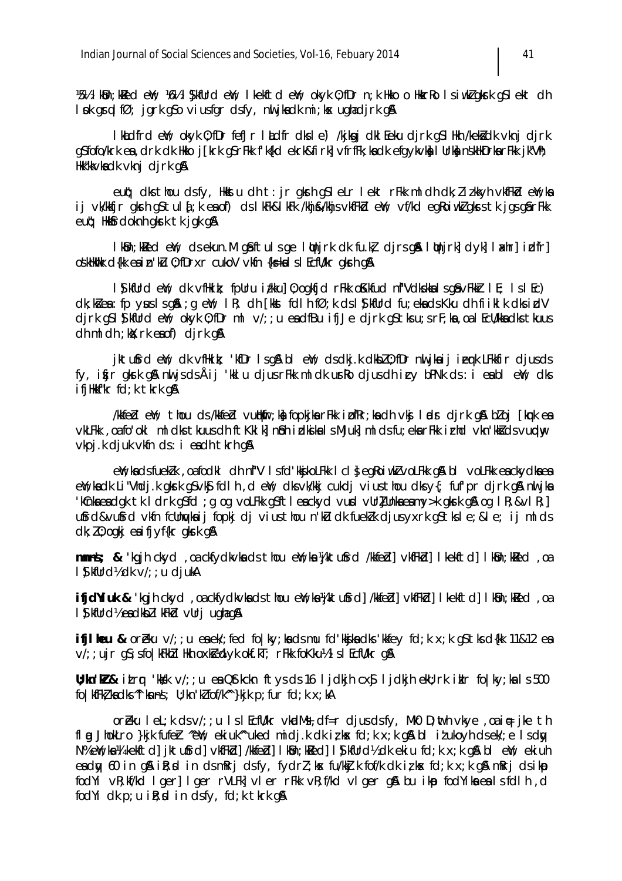151/2 | Kon; killed eil/; 1/61/2 | Sykfurd eil/; I kekftd eil/; okyk 0; fDr n; k Hkko o Hkarko I si wkZgksrk gSI ekt dh I pk gral fØ; jark gSo viusfar dsfy, nu jkadk mi; kx ughadjrk gA

Ikludfrd elf; okyk 0;fDr fefJr Iludfr dksle) /kjkogj dkl Eeku djrk q\$l Hkh /kekidk vknj djrk q\$fofo/krk ea, drk dk Hkko j[krk q\$rFkk f'k{kd ekrk&firk] vfrfFk; kadk efqykvka I Urka nskHkDrka rFkk jk"Vh; Hkk"kkvkadk vkni dirk q&

eut; dks thou ds fy, Hkkstu dht: jr gkrh g\$leLr lekt rFkk mldh dk; lizkkyh vkfFkd enl; ka ij vk/kkfjr gkrh g\$tul{;k ea of) ds lkFk&lkFk /khj&/khjsvkfFkd en/; vf/kd egRoiwkZgkrstk jgsgårFkk eut; Hkksrdoknh gkrk tk jgk g&

IkBn;kled eW; dsekun.M q&ftulsge Ibhirk dk fu.kł dirsg&l Unirk]dyk]Ix-hr]idfr] oskilkikk d{kk eain'ku 0; fDrxr cukoV vkfn {k=kalsl EcfU/kr gkrh g&

I Sy kfulrd en '; dk vfilki k; fpulru i zkku] 0; ogkfjd r Fkk o Kkfud nf "Vdkskka I sgå v Fkk I E; I s I Ec) dk; kies: fp yus Isq&; q eW; IR; dh [kkst fdlh fØ; k ds I Sundrid fu; eksids Kku dh fi iklk dks i dV djrk q\$l\$kfUrd eW; okyk 0;fDr ml v/;;u eadfBu ifjJe djrk q\$tksu;srF;ka,oalEcU/kkadkstkuus  $dh$  ml  $dh$ ;  $M$ ; rk ea of) djrk g $A$ 

jktufind en, dk vihkir, 'kiDn Isg& bl en, dsdkj.k dkbl0; fDn muljkaij ien, LFkkfin djusds fy, if ir gkrk g& nuljs ds Åij 'kklu djus rFkk mldk urko djus dhiry bPNk ds: i eabl enl' dks ifjHkkf"kr fd;k tkrk q&

/kkfeld eiY; thou ds/kkfeld vutklir;ka fopkjkarFkk i bfRr;kadh vkg lidsr djrk gå bloj [kmpk ea vkLFkk, oa fo'okl mldks tkuus dhft Kklk| nibh i dki ka Is Mjuk| mlds fu; eka rFkk i rhd vkn'kki ds vuday vkpj.k djuk vkfn ds: i eadh tkrh g&

ew; ka ds fuekk , oa fodkl dh nf"V I s fd' kkj koLFkk I cl } eq koi wkk voLFkk q\$ bl voLFkk ea ckydka ea e)'; kadk Li"Vhdj.k gkrk g\$vk\$ fdlh, d e)'; dksvk/kkj cukdj viusthou dksy{; fuf'pr djrk g& nuljka 'kûnka ea dak tk ldrk g\$fd; gog volfkk g\$ftlea ckyd vurd vllr?}llnka ea my>k gkrk g&og lR; &vlR; ] ufrd&vufrd vkfn fcUnykaij fopkj dj vius thou n'ku dk fuekk djus yxrk qf tkle; ≤ ij mlds dk; l0; ogkj ea ifjyf{kr gkrk g&

mnns; & 'kgjh ckyd , oa ckfydkyka ds thou eil; ka kjktufrd /kkfebl] vkfFkbl] I kekftd] I kin; kited , oa I S kfUrd<sup>y</sup> dk v/; ; u djukA

ifjdYiuk & 'kqjh ckyd , oa ckfydkvka ds thou eW; ka kjktufrd] /kfebl] vkfFkbl] I kekftd] I k0n; kled , oa I S kfUrd½ ea dkbl I kFkd vUrj ughag &

**ifjlheu &** ordeku  $v/$ ; ; u eaek, fed folky; ka ds mu fd'kkjka dks 'kkfey fd; k x; k q\$ tks d{kk 11&12 ea V/; ; ujr qS; sfo | kFkhZ | Hkh oxkB \/dyk okf.kT; rFkk foKku\ | sl EcfU/kr q\$\

**U; kn'kZ &** itr $\mathbf{r}$  'kkok  $\vee$ /; ; u ea QStkckn ftysds 16 ljdkjh cx\$ ljdkjh ekU; rk ikIr fo|ky; ka ls 500 fo | kfFkZ kadks "I knns; U; kn'kZfof/k" }kjk p; fur fd; k x; kA

orèku lel; k ds v/; ; u ls l EcfU/kr vkdMs, df=r djus ds fy, Mk0 D; nth vkye, oa i∉ jke th fl a JhokLro }kjk fufer "en"; ekiuk" uked midj.k dk izkx fd;k x;k qn% bl izukoyn dsek'e Isdy N% en: ka ¼ kekftdl iktufrdl vkfFkdl /kkfedl lkn: kredl l Skfurd½ dk ekju fd: k x: k q& bl en: ekjuh eady 60 in q& ik; d in dsmkri dsfy, fydrl; kx fu/kkik fof/k dk iz kx fd; k x; k q& mkri dsikp fodYi vR; kf/kd Iger] Iger rVLFk] vIer rFkk vR; f/kd vIger g& bu ikp fodYikaealsfdIh, d fod Yi dk p; u ik; d in dsfy, fd; k tkrk q&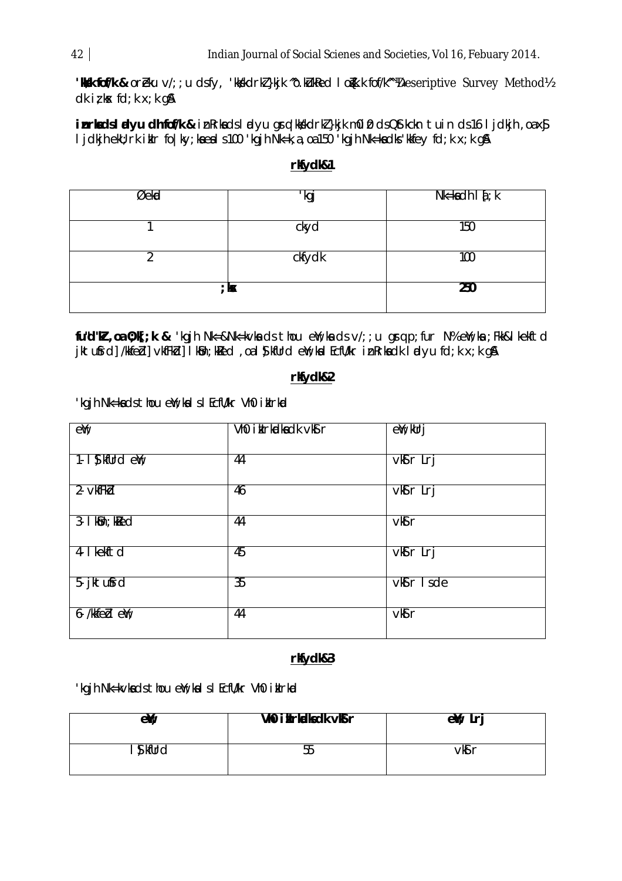"Wesk fof/k & oreku v/; ; u dsfy, 'kkskdrk! }kjk "o.kukRed I o{k.k fof/k" YDeseriptive Survey Method!/2 dk iz k $x$  fd; k  $x$ ; k g $\&$ 

inrladsladyu dh fof/k & inRrladsladyu qrq'lldsldrld }kjk m0i0 dsQttlckn tuin ds16 ljdkjh, oax\$ I jdkjh ekU; rk ikIr fo|ky; kaeal s100 'kgjh Nk=k, a, oa150 'kgjh Nk=kadks' kkfey fd; k x; k q&

#### $Nk=ka$  ch  $1f:k$  $\emptyset$ ekad 'kgj  $\overline{1}$ ckyd  $150$  $\overline{2}$ ckfydk 100 250 ;  $\overline{\mathbf{x}}$

fu"d"N, oa 0; k[; k & 'kgjh Nk=&Nk=kvka ds thou eW; ka ds v/; ; u grq p; fur N% eW; ka ; Fkk&I kekftd jktufrd]/kfed]vkfFkd]Ik9n;kLed,oal§kfUrdeY;kalEcfU/krinRrkadkIdyufd;kx;kq&

#### rkydk&2

'kgjh Nk=kadsthou eW; kalsl EcfU/kr Vh0 iklrkd

| eV                           | Vh0 iklrkadka dk vk9 r | eY;kUrj              |
|------------------------------|------------------------|----------------------|
| $1 - 1$ $\int$ kfllrd $eV$ ; | 44                     | $\overline{v}$ r Lrj |
| 2- vkfFkd                    | 46                     | vkir Lrj             |
| 3- I kBn; kRed               | 44                     | $v$ ks r             |
| 4- I kekftd                  | 45                     | vkir Lrj             |
| 5- jktufrd                   | $\overline{35}$        | vkir Isde            |
| $6$ /kkfe $b$ eW;            | 44                     | $v$ ks r             |

#### rkydk&3

'kgjh Nk=kvkadsthou eW;kalslEcfU/kr Vh0 iklrkd

| e¥;            | VIO i Mrkdks dk vKS r | e¥; Lrj |
|----------------|-----------------------|---------|
| <b>S</b> kfUrd | უუ                    | ∨k¶r    |

#### rlfydl&1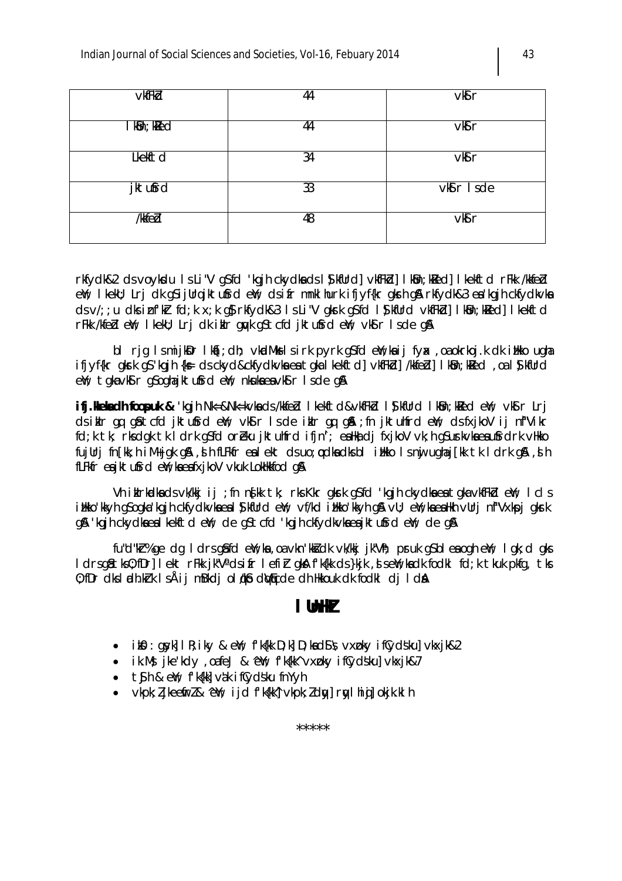| <b>vkfFkb</b> | 44              | vM∫r      |
|---------------|-----------------|-----------|
| I k¶n; kled   | 44              | vkir      |
| Lkekftd       | 34              | vkir      |
| jktufrd       | $\overline{33}$ | vkir Isde |
| /kkfebl       | $\overline{48}$ | vkir      |

rkfydk&2 ds voykdu Is Li"V q\$fd 'kqjh ckydkads I \$kfUrd] vkfFkd] I kBn; kRed] I kekftd rFkk /kkfed ei'; I kekli; Lrj dk qsijllrqjktufird ei'; dsifr mnkl hurk ifjyf{kr qkrh q& rkfydk&3 ea'kqjh ckfydkvka dsv/; ; u dksinfkir fd; k x; k qj; rkfydk&3 IsLi"V qkrk qj; fd I j; kfUrd vkfFkd] I kjin; kjed] I kekftd rFkk /kfeblem/; I kekul; Lrj dk ikulr gwyk gStcfd jktusfrd em/; vksir I sde g&

bl rig IsmijkBr Ika[; dh; vkadMksIsirk pyrk q\$fd eM; ka ij fyax , oa okrkoj.k dk illkko ugha ifjyf{kr gkrk g\$'kgjh {k= ds ckyd&ckfydkvka ea tgka I kekftd} vkfFkd} /kkfed} I kBn; kRed, oa I \$ kfUrd eW; tgkavkSrgSoghajktuSrdeW; nkukaeavkSrlsdeg&

ifj. Weladh foopuk & 'kgjh Nk=&Nk=kvkads/kkfeb | kekftd&vkfFkb | SkfUrd | k9n; kRed eY; vk9r Lrj dsiklr gg gåtcfd jktufrd ell; vkir Isde iklr gg gå; fn jktulfrd ell; dsfxjkoV ij nf"Vikr fd; k tk; rksdgk tk I drk q\$fd oreku jktuhfrd ifjn'; ealkadj fxjkoV vk; h q\$urkvkaeau\$rdrk vHkko fujUrj fn[kk;h iM+jqk q\$A,sh fLFkfr ealekt dsuo; pdkadksbl ilkko Isnijuqhaj[kk tk Idrk q\$A,sh fLFkfr eajktufrd eir; ka eafxjkoV vkuk LokHkkfod g&

Vhitlirkadka ds vk/kkjij; fn n{kkitk; rks Kkrigkrk g\$fd 'kgjh ckydka ea tgka vkfFkd eY; I clis i likko'kkyh qSoqka'kqjh ckfydkvkaeal SkfUrd eiY; vf/kd i likko'kkyh q& vU; eiY; kaealkh vUrj nf"Vxkpj qkrk g& 'kgjh ckydkaeal kekftd e¥; de g\$tcfd 'kgjh ckfydkvkaeajktufrd e¥; de g&

fu"d"kt% ge dg I drs gå fd ell; ka, oa vkn 'kksi dk vk/kkj jk"Vh; pruk g\$blea ogh ell; I gk; d gks I drsg&tks0; fDr] lekt rFkk jk"V" dsifr lefir gkA f'k{kk ds}kjk, seW; kadk fodkl fd; k tkuk pkfg, tks 0; fDr dks Indh. krk Isåij mBkdj oldkb dVlicde dh Hkkouk dk fodkl dj IdnA

### I UnHZ

- ikQ : gsyk] I R; i ky & eW; f'k{kk D; k] D; kad\$ & vxpky i fCydsku] vkxjk&2
- ik.Ms jke'kdy , oafeJ & ^eW; f'k{kk^ vxpky ifCydsku] vkxjk&7
- tSJh & eW; f'k{kk] vak ifCydsku fnYyh
- vkpk: likeefirl& ^e\t; iid f'kfkt^1 vkpk: ldwl rwlhidlokik.klh

 $*****$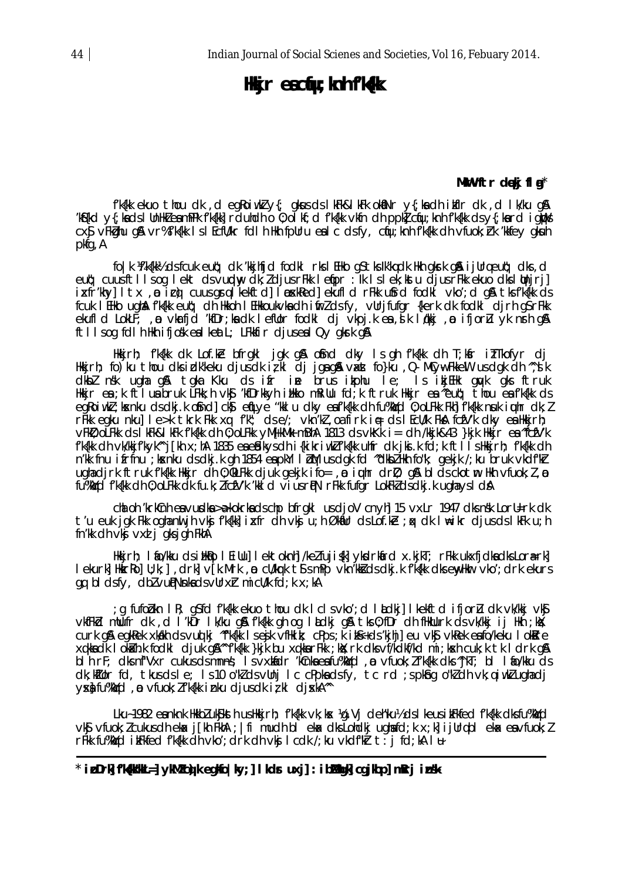# **Heapth**  $\mathbf{F}$  explicitly the field of  $\mathbf{f}'$

#### MWW. Multr dekj fl  $\mathbf{a}^*$

f'k{kk ekuo thou dk , d egRoiwkly{; gkusds kFk&lkFk okaNry{; kadh ikflr dk , d lk/ku g& 'k\${kd y{; kads I UnHkZeamPPk f'k{kk] rduhdh o 0; ol kf; d f'k{kk vkfn dh ppk】 cqu; knh f'k{kk dsy{; kard ig)bs cx\$ vFkghu g& vr%fk{kk 1 slEcfU/kr fdlh Hkh fpUru ealc dsfy, cqu; knh fk{kk dh vfuok; rk 'kkfey gkuh pkfg, A

fo | k ) if 'k{kk½ ds fcuk euq'; dk 'kkjhfjd fodkl rks | EHko q\$tks lk'kqdk Hkh qkrk q&ijUrqeuq'; dks,d eut; cuusftlisog lekt dsvundav dk; djusrFkk letpr : lk islek; katu djusrFkk ekuo dksithirj] ixfr'khy] I tx , n i co cuus grq l kekftd] l n skked] ekufl d r Fkk ufrd fodkl vko'; d q & tk fkkk ds fcuk l EHko ugha f'k{kk eut); dh Hkkoh l EHkkoukvka dh ifirl dsfy, vUrjfufgr {kerk dk fodkl djrh gsrFkk ekufld LokLF; , no vkrfid 'kfDr;kadk leflor fodkl di vkpik ea jk løkki , no ifjorl yk nin ga ftllsog fdlh Hkh ifjosk ealkeatl; LFkkfir djuseal Qy gkrk ga

Hkkjrh; fk{kk dk Lof.ke bfrgkl jgk g\$\ o\$nd dky Isgh fk{kk dh T;k\$r inTkofyr dj Hkkjrh; fo)ku thou dksidk'keku djusdkizki djjgag& vaxat fo}ku ,Q MCyw FkkeW usdgk dh ^^, slk dikbz nsk ugha g\$\ tgka Kku ds ifr ine brus ikphu le; Is ikjEHk gwpk gks ftruk<br>Hkkjr ea;k ftluabruk LFkk;h vk§ ′kfDrkkyh iHkko mRiUu fcl;k ftruk Hkkjr ea^euq'; thou eaf′k{kk cls egkojwk, kosniku ds dkj.k osnol cko eglye "kki u dky es fk{kk dh fu%krd 0; ol Fkk Fkh fk{kk nuk juhr dk; l r Fkk egku nku] I e>k tkrk Fkk xq f'k"; ds e/; vkn'kl, oa firk i ne ds I EcU/k Fka fcfV'k dky ea Hkkjrh; vFkD; oLFkk ds I kFk&I kFk f'k{kk dh 0; oLFkk yM{kMk mBhA 1813 ds vkKk i = dh /kkjk&43 }kjk Hkkjr ea "fcfV'k fk{kk dh vk/kkjfkyk^`j[kh x;hA 1835 eaebJkysdh i{kikriwkIfk{kk uhfr dk jki.k fd;k ftl isHkkjrh; fk{kk dh n'lk fnu ifrfnu; kvnku ds dkj.k gh 1854 en pkyl I bM us dgk fd "dkbl Hkh fo"k; gekjk /; ku bruk vkdf"kr uqhadirk ftruk fk{kk Hkkjr dh 0; (kLFkk djuk gekjk ifo=, o iuhr drl); g& blds ckotm Hkh vfuok; l, o fu%Wd f'k{kk dh 0; oLFkk dk fu k; l fcfV'k 'kkl d vi usrRN rFkk fufgr LokFkl dsdkj k ughays I dA

chi oh 'krkinh en vurdla >a>kokrkndschp bfrgkl usdjoV cnyh] 15 vxLr 1947 dks nsk LorU=rk dk t'u euk jak Fkk oahant jh vkj f'k{kk] ixfr dh vkj u;h ØknŪr ds Lõf.ke ;nx dk I n⊨ikr djus ds I kFk u;h fn'kk dh vkj vxd j aksjah FkhA

Hkkjrh; I fio/kku dsi HkBo I Ei Uu] I ektoknh]/kelfuji\$k] ykdrkfird x.kjkT; rFkk ukxfjdkadksLora-rk] I ekurk] Hkkrko] U; k; ], drk] v[k.Mrk, o cU/krk ts smPp vkn'kks ds dkj.k f'k{kk dks enyHkr vko'; drk ekurs qq bl dsfy, dbl  $\vee$ ull $\wedge$ nkads $\vee$ Urx $\uparrow$  micU/k fd; k x; kA

g fufobkn IR; g\$fd f'k{kk ekuo thou dk Iclsvko';d Iludkj] Ikekftd ifjorlu dk vk/kkj vk\$; vkfFkd millufr dk , d I kbr I kku g& fk{kk gh og I kdkj g& tks 0; fDr dh fHkllurk ds vk/kkj i j Hkn ; kk; curk gå egkilek xkilk dsvud kj "fk{kk l sejk vilktik; cPps; k i ks+ds'kjhj] eu vkj vkilek enfo/keku l okiltre xqkkadk I okikh.k fodkl djuk gamfk{kk }kjk bu xqkkarFkk; kk; rk dks vf/kdkf/kd mi; kskh cuk; k tk I drk ga bih rF; dks nf"Vxr cukus ds mnns; Is vxktidr 'kCnka ea fu%kird , a vfuok; If'k{kk dks "jkT; bi I to/kku ds dk; killor fd, tkus ds le; Is 10 o''kids vllnj IccPpkadsfy, tcrd; spkhig o''kidh vk; giwkiughadj yx) fu%Wd, p vfuok; lf'k{kk inku djusdk iz kl djxkA<sup>n</sup>

Lku~1982 eanknk Hkkbluk\$ksthusHkkjrh; fk{kk vk; kx ¼q.Vj deh'ku½ ds I keus ikFkfed f'k{kk dksfu‰kjd vký vfuok; I cukus dheka j[kh FkhA; | fi mudh b] eka dk Lohdkj ugha fd; k x; k] i jurq b] eka ea vfuok; I rFikk fu‰kird i kFkfed fk{kk dh vko'; drk dh vkj I cdk /; ku vkdf"kř t: j fd; kA I u

\* i bDrk]f'k(kkkk\_=]ykMZcg)k egkfo|ky;]Ikds uxj]:ibMhgk]cgjkbp]mRrj insk-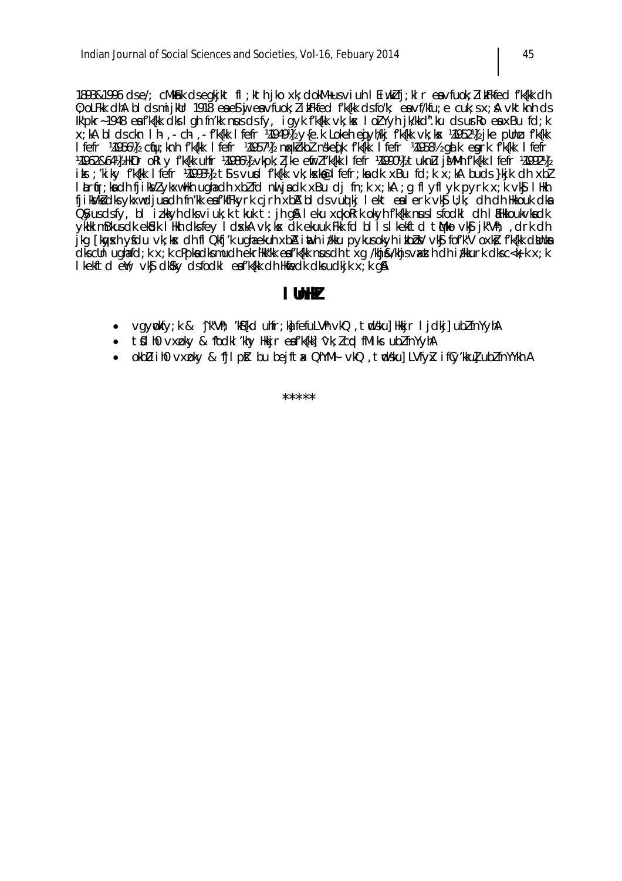1893&1996 ds e/; cMkShk ds egkjkt fl;kth jko xk;dokM+ us viuh lEiwkZfj;klr ea vfuok;Z ikFkfed f'k{kk dh  $0$ ; oLFkk dhA blds mijkUr 1918 ea e Suj e a vfuok; Z i kFkfed f'k{kk ds fo"k; e a vf/kfu; e cuk;s x; A vktknh ds Ik'pkr ~ 1948 en f'k{kk dks I gh fn'kk nus ds fy, i gyk f'k{kk vk;ksx I oliYyh jk/kkd".ku ds urRo en xBu fd;k x;kA blds ckn lh- ,- ch- ,- f'k{kk lfefr ¼1949½ y{e.k Lokeh egiyh/kj f'k{kk vk;kx ¼1952½] jke pUnu f'k{kk lfefr ¼1956½] cqfu;knh f'k{kk lfefr ¼1957½] nqxk ZkbZ n ske q[k f'k{kk lfefr ¼1958½ galk e grk f'k{kk lfefr  $\frac{1}{4962864\frac{1}{4}}$  HkDr oRly f'k{kk uhfr ¼1986½ vkpk; Z jke enfr Z f'k{kk l fefr ¼1990½ tukn L jMMh f'k{kk l fefr ¼1992½] iks ;'kiky f'k{kk lfefr ¼1993½] t's vurd f'k{kk vk;ksxk $\mathcal{D}$ lfefr;ksdk xBu fd;k x;kA buds }kjk dh xbZ lartin;ka dh fjik VI ykxw Hkh ugha dh xbI fd nulja dk xBu dj fn;k x;kA ;g flyflyk pyrk x;k vk $\mathfrak s$  lHkh fjik vks dk sykxw dju sdh fn'kk es f'kfFkyrk cjrh xbA blds vu qkj lekt es lerk vk Ju;k; dh dh Hkkouk dk s QSyus ds fy, bl iz.kkyh dks viuk;k tkuk t: jh g SA leku xg.koRrk okyh f'k{kk nsus Is fodkl dh lEHkkoukvka dk ykHk mBkus dk ekGdk lHkh dks fey I d skA vk;k sx dk ekuuk Fkk fd bl i slkekftd t $M$ ko vk\$j k "Vh; , drk dh jkg [kgyxh yfdu vk; kx dh fl Qkfj'k ugha ekuh xbA inth izkku pykus okyh ikbbV vk sj fof'k"V oxk si f'k{kk d sun ka  $\overline{d}$ k s cUn ughafd;k x;k cPpka dk s mudh ekrihk"kk ea f'k{kk nsus dh txg /khj&/khjs v axth dh izkkurk dks c<+k;k x;k l kekftd ew; vk $S_j$  dk $S_j$  ds fodkl eafk{kk dh Hkmfedk dks udkjk  $x$ ; k g $S$ 

### $\blacksquare$   $\blacksquare$

- vgywokfy;k & ^jk"Vh; 'k S{kd uhfr;ka} fefuLVh vkQ ,twd sku] Hkkjr ljdkj] ubZ fnYyhA
- $\bullet$  timeshind vxpky & ^fodkl'khy Hkkjr eaf'k{kk] ^vk;Z cqd fMiks ubZ fnYyhA
- okbD ihO vxpky & 'fjlpst bu bejftax QhYMI vkQ ,twdsku] LVfyk ifCy'kku] ubZ fnYYkh A

\*\*\*\*\*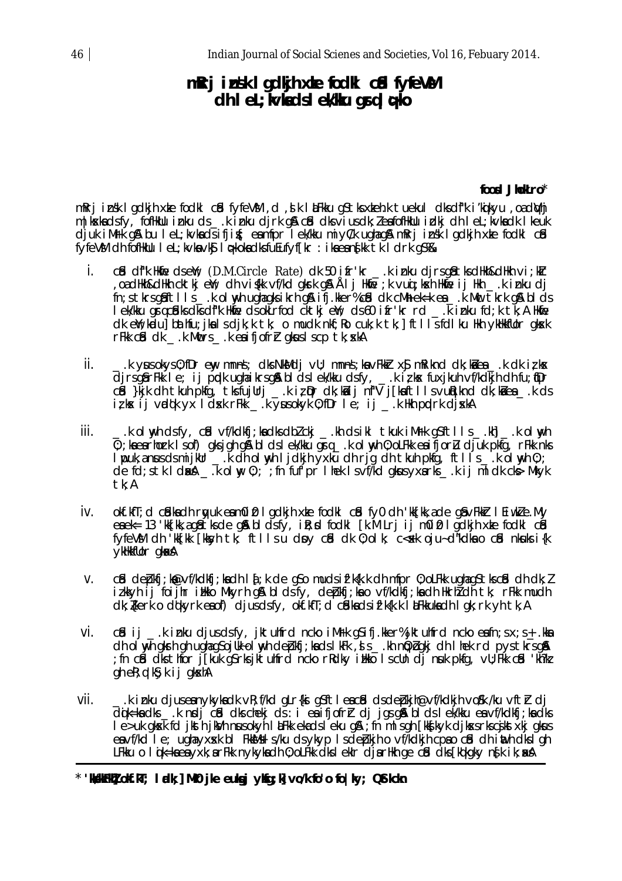# m Rrj insk I gdkjh xke fodkl cid fyfe VM dh lel; wadsiewku grale bo

#### food Jhokro\*

mRrj insk Igdkjh xke fodkl cid fyfeVM , d , s k I aFkku gS tks xkeh.k tuekul dks di"k i 'knikyu , oa diVhj m | kskadsfy, fofHkUu inkuds\_k inkudjrk g& cfd dksviusdk; ZeafofHkUu idkj dh lel; kvkadk I keuk djuk iMrk q& bu let; kvka dsifjit; ea mfpr lek/kku miyC/k ugha g& mRrj insk lgdkjh xke fodkl cfd fyfeVM dh fofHkUu I eL; kvkavk\$ I pkokadksfuEufyffkr : ikaeanfkk tk I drk g\$%&

- i. cud di''k Hidre dsen'; (D.M.Circle Rate) dk 50 ifr'kr .k inku djrsg & tks dilkh&dlikh vi; klr oadHkh&dHkh cktkjeW; dh vi{kk vf/kd qkrk q& Ål j Hkfe ;k vuqi;kxh Hkfe ij Hkh \_.k inku dj, fn; stkrsgåftlls\_kolmyhughagksikrhgå ifj.kker%cfd clk cMhek=kea\_kMnctkrkgå blcs I ek/kku grqcbdks dks df"k Hkme ds okLrfod cktkjeW; ds 60 i fr'kr rd \_k i nku fd; k tk; A Hkme dken, kuduj bathfu; jka i s djk; k tk; o mudk nkf; ko cuk; k tk; j ftllsfdlku lkh yklkkflor glosk rFkk cad dk k Mucrs k eaifjofrt gkuslscp tk; skA
- ii l k yusokysû; fDrew, mnns; dis NikMdj vil; mnns; ka vFikir x\$j mRi knd dk; ka ea\_k dk iz kx\_ dirsg\$rFkk le; ij pudk ughaikrsg\$ bldslek/kku dsfy, kis kx fuxikuh vf/kdkjhdh fu;tDr cu) } yijk dh tkuh pkfg, tks fujUrj \_k iz pr dk; koi j nf"V j[kaftlls vuqtiknd dk; koi ea\_k ds iz kx ij vodet yx I dxk rFkk \_ k yusokyk 0; fDr I e; ij \_ k Hkh podrk djxkA
- iii. kolnyh chsfy, côd vf/kolkfj;kadksdbłckj \_\_.kh chsikl tkuk iMrk qSftlls\_\_.kh]\_\_.kolnyh\_\_.kolnyh\_\_\_\_\_\_ 0; ; kaearhork Isof) gksjgh gå bldslek/kku grq\_k olnyh 0; oLFkk eaifjorlu djuk pkfg, rFkk nks I puk, anus ds mijklr \_\_.k dh ol wyh I jdkjh yxku dh rjg dh tkuh pkfg, ft I I s \_\_.k ol wyh 0; ; de fd; s tk  $\log k$  .k olw  $0$ ; ; fn fuf pr l hek I s v f/kd g kus y x a r ks .k i j m l dk c ks Mky k tk; A
- okf.kfT; d câdka dh ruyuk ea mûi û l gdkjh xke fodkl câd fyû dh 'kk[kk, a de gâvFkkir l Eiwkle.My iv. eaek= 13 'kk[kk,agatksde ga bldsfy, ik; d fodkl [k.M Lrj ij m0i0 lgdkjh xke fodkl cad fyfeVM dh 'kk[kk [kksyh tk; ftlls u doy côd dk 0; olk; c<skk oju~d"kdka o côd nkuks i{k ykHkkfUor gkaka
- cûd de blfi; ke vf/kdkfi; kadh laf; k de q\$o mudsifk{k.k dh mfpr 0; oLFkk ughaq\$tkscûd dh dk; l  $V_{\cdot}$ izkkyh ij foijhr ilkko Mkyrh gå bldsfy, depkfj;kao vf/kdkfj;kadh Hkrhždň tk; rFkk mudh dk; Therk oddkyrk esof) djusdsfy, okf.ktr; d chiksds if kkk.k I alfkkuksdh I gk; rk yh tk, A
- vi. cid ij \_k inku djusdsfy, jktuhfrd ncko iMrk qSifj.kker%jktuhfrd ncko e $\sin s \times s_{\pm}$ .kka ch ol wh gkrh gh ughags ojuk-ol wh clepkfj; kacls lkFk , s s \_\_ kh nq; bgkj ch l hek rd pys tkrs g& fn chủ disthior ji kuk gồ ristichtrd noto ridky i likko I soun di nuk pktg, vụ Fik chủ 'ki?ku';  $ph$  eR;  $q$   $k$ ;  $k$  ij  $q$  $k$  $>$  $k$  $+$
- vii. \_k inku djusennykykndk vR; f/kd gLr{ki gSftlencid dsdepkjh@vf/kdkjh vo%k /ku vftr dj dojk=ka dks \_\_.k nodj côd dks chekj ds : i ea ifjofr'r dj jgs g& bl ds lek/kku ea vf/kdkfj; ka dks le > uk gkosk fd jksth jkWh nous okyn I alfkk ekads leku g\$ ; fn ml s gh [kkstkyk djkoss rks csikst xkj gkous eavf/kd le; ughayxxk bl FkkMsls/ku dsykyp Isdebkjh o vf/kdkjh cpao cid dhinth dkslgh LFkku o li k = ka ea yxk; a rFkk nykyka dh 0; oLFkk dks lekir djarlikh qe cid dks [kotkqky ns k i k; ak A

<sup>\* &</sup>quot;KKKKFKH" oKf.kT; Indk;] MKO jke eukaji ykko;k] vo/k fo'o fo|ky; QStkckn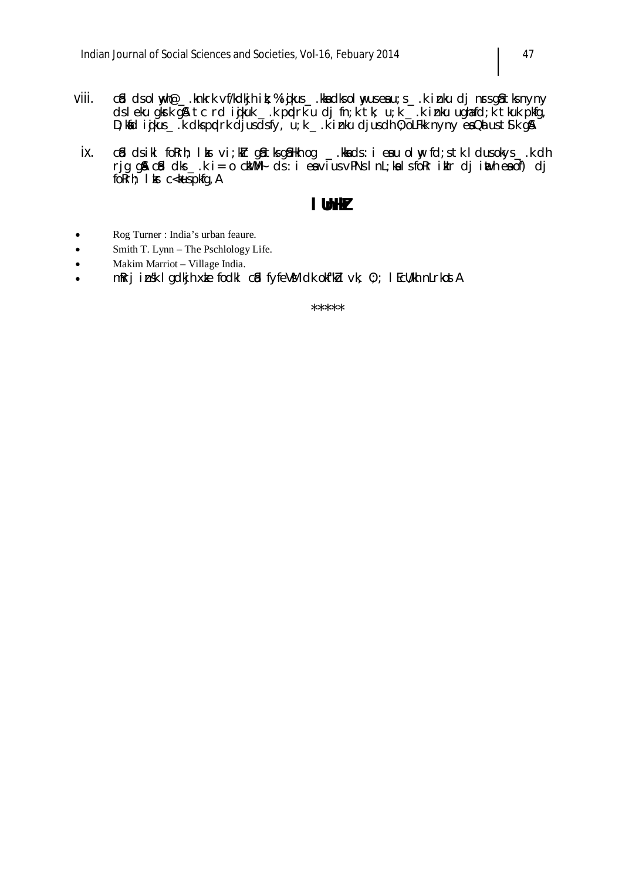- viii. cid dsol wh@\_.knkrk vf/kdkjh ik;%igkus\_.kkadksol wuseau;s\_.k inku dj nrsgåtksnyny dsleku güst gå tc rd igkuk \_k putrk u dj fn;k tk; u;k \_k inku ughafd;k tkuk pkfg, D; knid i gkus \_\_. k dks prdrk djusdsfy, u; k \_\_. k i nku djusdh 0; oLFkk nyny en Qa ust Slk g &
	- cûd dsikl foRrh; I kr vi; kir gâtksgâHkh og \_\_. kkads: i eau olny fd; stk I dusokys\_\_. k dh ix. rig g& c&d dks \_\_.k i= o ckWM+ ds: i envius vPNs In L; ka Is foRr iklr dj inthea of) dj for rh; I ks c<kus pkfq, A

## I UnHZ

- Rog Turner : India's urban feaure.  $\bullet$
- Smith T. Lynn The Pschlology Life.  $\bullet$
- Makim Marriot Village India.  $\bullet$
- mRrj insk I gdkjh xte fodkl cid fyfeVM dk old"kid vk; 0; ; I EcU/kh nLrkost A

\*\*\*\*\*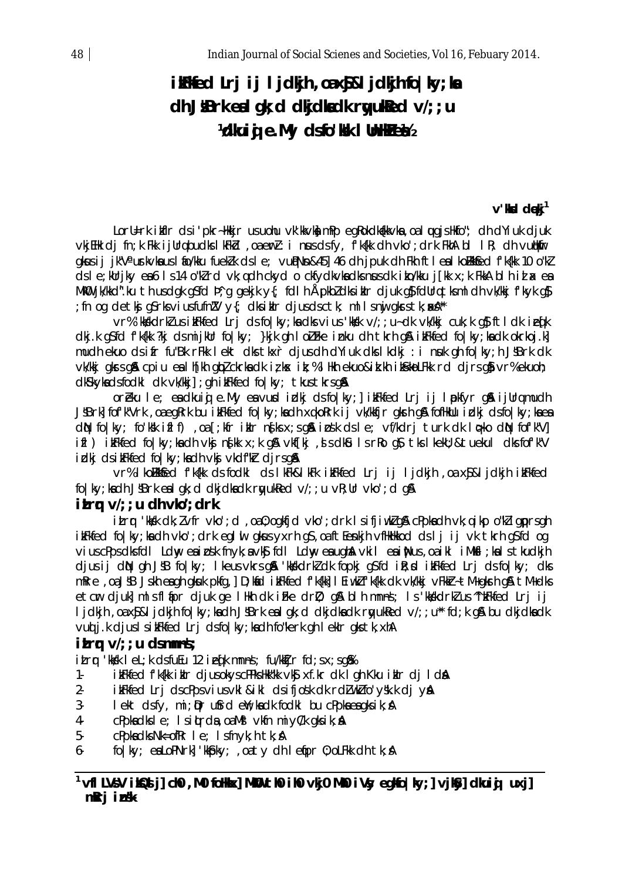# **ilfinal Ludwith Light , oax\$&l jdkin fo | ky; la** dh J&Brk eal qk; d dkjdkadk rwukked  $v/$ ; ; u **Volluig e.My dsfolkk I UnHOEY**

## v'kkd deki<sup>1</sup>

LorU=rk itflr dsi'pkr-Hkir usuohu vk'kkvk) mPp egRokdk(kkvka, oal uugisHkfo"; dh dYiuk djuk vkjEHk di fn; k Fkk i jUrg budks I kFkd, oa ew Z : i nus ds fy, f'kfkk dh vko'; drk FkhA bl I R; dh vullkfir gkusij jk"V" urkvka usláo/kku fuekik dsle; vupNn&45] 46 dh jpuk dh Fkh ftlealkomka fikfkk 10 o"ki dsle; kurjky ea 6 1 s 14 o"kurd vk; q dh ckyd o ckfydkvka dksnusdk i ko/kku j [kk x; k FkkA bl h i d x ea MkO jk/kkd".ku th usdgk g\$fd þ^; g gekjk y{; fdl h Åpkbldksiklr djuk g\$fdUrq tksmldh vk/kkj f'kyk g\$ ; fn og detkj g\$rksviusfufn!V y{; dksiklr djusdsctk; mllsni gkrstk; xxA\*\*

vr% 'kkskdrk' us ikFkfed Lrj ds fo | ky; ka dks vius 'kksk v/; ; u~ dk vk/kkj cuk; k g} ftl dk ieq[k dkj.k q\$fd f'k{kk ?kj dsmijkUr fo|ky; }kjk qh I oliFke inku dh tkrh q& ikFkfed fo|ky;kadk okrkoj.k] much ekuo ds ifr fu"Bk rFkk I ekt dks tkxr djusdh dYiuk dks I kdkj : i nuk gh folky; h JSBrk dk vk/kkj gkrsg& cpiu ealh[kh glp] ckrkadk izkx ik;% lHkh ekuo&ik.kh ikSkoLFkk rd djrsg\$ vr% ekuoh; dkSkykadsfodkI dk vk/kkj] ; gh ikFkfed fo | ky; tkus tkrsg&

oreku le; eadkuig e.My eavud idkj dsfolky; i ikFkfed Lrj ij I pkfyr gå i jurg mudh JSBrk fof k"Vrk, oa eg Rrk bu ikFkfed fo | ky; ka dh xqkoRrk ij vk/kkfjr gkrh g& fofHklu idkj dsfo | ky; ka ea dN fo|ky; fo'k'sk iflf) , oa [; kfr iklr n{ks x; sg\$ i bsk ds le; vf/kdrj turk dk lopko dN fof'k"V] ifl) ikFkfed folky; ka dh vkj n{kk x; k g& vkf[kj, si dkoll s r Rog & tks I keku; & tuekul dks fof'k"V idkj dsikFkfed folky; kadh vkj vkdf"kr djrsg&

vr% I kollkkfed f'k{kk ds fodkl ds I kFk&I kFk i kFkfed Lrj ij I jdkjh , oa xf&l jdkjh i kFkfed fo | ky; ka dh J'JBrk ea I qk; d dkj dka dk ryukRed v/; ; u vR; Ur vko'; d q&

### $itr$  $y$  v/; ; u dh vko'; drk

itrr 'kkk dk; lvfr vko'; d , oa0; ogkfjd vko'; drk Isifjiwklg& cPpkadh vk; qikp o"kligprsgh ikFkfed folky; kadh vko'; drk eglul gkus vxrh g\$, oaft Eenkih vfHkHkkod ds li ji vk tkrh g\$fd og vius cPps dksfdl Ldw eaipsk fnyk; avks fdl Ldw eaught vkil eainNus, oaikl iMksl; kals tkudkjh djusij dN gh JSB folky; I keus vkrs g& 'kkskdrk'dk fopkj g\$fd i &; d i kFkfed Lrj ds folky; dks mRre , oa JSB Jskh eagh gkuk pkfg, 1 D; kad ikFkfed f'k{kk] I EiwkIf'k{kk dk vk/kkj vFkkr-tM+gkrh g& tM+dks etcr djuk] mlsflapr djuk ge llkh dk i fke dri); gå blh mnns; Is kkykdrkus "ikFkfed Lrj ij ljdkjh, oa x\$&ljdkjh fo|ky; ka dh J\$Brk ea I qk; d dkjdka dk rwukRed v/; ; u\* fd; k q\$ bu dkjdka dk vud j.k djuslsikFkfed Lrj dsfo|ky; kadh fo"kerk gh lekIr gks tk, xhA

## $itr$   $v$   $t$  ;  $u$  dsmnns  $t$  :

itrr 'kkk lel; k dsfuEu 12 ie (k mnns; fu/kkijr fd; sx; sq%)

- ikFkfed fk{kk iklr djusokyscPPksHkk"kk vk\$ xf.kr dk I gh Kku iklr dj I da  $1 -$
- ikFkfed Lrj dscPpsviusvkl & ikl dsifjosk dk rdiwkIfo'ysk.k dj ykk  $2 -$
- lekt dsfy, mi; Dr ufrd ell; kadk fodkl bu cPpkaeagksik; A  $\overline{3}$
- cPpkadksle; Isitrda, oaMi vkfn miyC/k gksik; A  $4 -$
- cPpkadksNk=ofRr le; lsfnyk;htk;A  $5 -$
- folky; eaLoPNrkl 'kkpky; oaty dh lefpr 0; oLFkk dh tk; A  $6 -$

<sup>1</sup> vfl LVsV ik2d j] ch0 , M0 foHkx] MkW th0 ih0 vkj0 Mh0 iVy egkfo | ky; ] vjkSy] clkuig uxj]  $mRri$  insk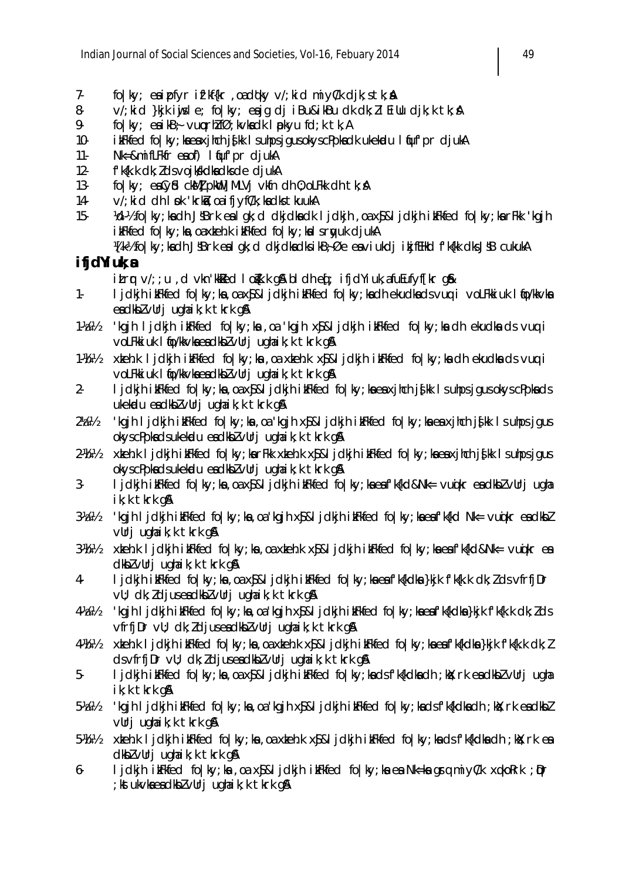- 7- fo $|ky\rangle$  e sipfyr if 'kf{kr , oad q\ky v/; kid miyC/k djk; stk;  $\hat{A}$
- 8 v/; kid }kjk iwis le; fo|ky; e sig di iBu&ikBu dk dk; ll Eillu dik; k tk;  $\AA$
- 9- fo $|ky\rangle$  e sikB<sub>7</sub> vuoprh $\mathbb{Z}$ fØ; kvksdk lopkyu fd; k tk, A
- 10- ikFkfed fo|ky;kse sa xjhch js[kk ls uhps jgus okys cPpk sa dk ukekadu lqfuf'pr djukA
- 11-  $Nk=8$ mifLFkfr esof) I fuf'pr djukA
- $12$  f'k{k.k dk; l ds vojk skdka dks de djukA
- 13- fo|ky; ea Cysd ckwll pkWd| MLVj vkfn dh O;oLFkk dh tk; sA
- 14- v/; kid dh I  $\mathsf{pk}$  'krka, oa ifjyfC/k; ka dks tkuukA
- 15- ¼d-½ fo|ky;k sa dh J s"Brk e sa lgk;d dkjdksa dk ljdkjh ,oa xSj&ljdkjh izkFkfed fo|ky;k sa rFkk 'kgjh  $i$ kFkfed fo $|k$ y;ka, oa xkeh.k ikFkfed fo $|k$ y;ka ls ryuk djukA
	- $\mathcal{W}$ k $\mathcal{V}$  fo|ky; ka dh J $\mathcal{B}$ rk ealgk;d dkjdka dks ikB; $\varnothing$ e ea viukdj ikjfEHkd f'k{kk dks J $\mathcal{B}$  cukukA

## **ifjdYiuk;sa**

- itrr  $v/$ ;;u ,d vkn'kk $\ell$ ed lo $\ell$ k.k g $\ell$  bldh e $\ell$ ; ifjdYiuk,a fuEufyf[kr g $\ell$ s
- 1- ljdkjh i tFkfed fo|ky;ka , oa x\$&ljdkjh i tFkfed fo|ky;k a dh ekudka ds vuq i voLFkkiuk l fo/kkvka e a dkbl vUrj ugha ik; k tkrk g &
- 1-%a½ 'kgjh ljdkjh ikFkfed fo|ky;ka ,oa 'kgjh x\$&ljdkjh ikFkfed fo|ky;ka dh ekudka ds vuq i voLFkkiuk I to/kkvka ea dkbZ vUrj ugha ik;k tkrk g&
- 1-%b½ xkeh.k ljdkjh ikFkfed fo|ky;ka ,oa xkeh.k x\$&ljdkjh ikFkfed fo|ky;ka dh ekudka ds vuq i voLFkkiuk I to/kkvka ea dkbZ vUrj ugha ik;k tkrk g\$
- 2- ljdkjh i t $F$ kfed fo $|k$ y;ka ,oa x $\S$ &ljdkjh i t $F$ kfed fo $|k$ y;k a e a xjhch j $\S$ kk ls uhps jgus okys cPpk ad s ukekadu esidkbZ vUrj ugha ik;k tkrk g&
- $2\frac{1}{4}$  'kgjh ljdkjh i $kF$ kfed fo $|k$ y;ka ,oa 'kgjh x $\frac{1}{2}$ k] jdkjh i $kF$ kfed fo $|k$ y;ka ea xjhch j $\frac{1}{2}$ kk ls uhps jgus okys cPpka ds ukekadu ea dkbZ vUrj ugha ik;k tkrk g &
- $2\%$ b $\%$  xkeh.k lidkih ikFkfed folky;ka rFkk xkeh.k xS $\&$ lidkih ikFkfed folky;k sea xihch j suhps jaus jaus okys cPpka ds ukekadu ea dkbZ vUrj ugha ik;k tkrk g &
- $3-1$  jdkjh iteral follky; ka , oa x $$k1$  jdkjh iteral follky; ka esa f'k{kd&Nk= vu $\dot{q}$ kr esa dkb $\dot{q}$  vUrj ugha ik;k tkrk g&
- $3\%$ a½ 'kgjh ljdkjh i $kF$ kfed fo|ky;ka,oa'kgjh x $$kI$ jdkjh i $kF$ kfed fo|ky;ka ea f'k{kd Nk= vuqikr ea dkbZ vUri ughaik; k tkrk g&
- $3\%$ b½ xkeh.k ljdkjh ikFkfed fo|ky;ka,oa xkeh.k x $\S$ &ljdkjh ikFkfed fo|ky;ka ea f'k{kd&Nk= vuqikr ea  $dk$ bz vUrj ugha ik; k tkrk g $\alpha$
- 4- ljdkjh i kFkfed fo|ky;ka ,oa x $$k1$ jdkjh i kFkfed fo|ky;ka esa f'k{kdka }kjk f'k{k.k dk;  $l$  ds vfrfjDr  $vU$ ; dk;  $l$  djus ea dkb $l$  vUrj ughaik; k tkrk g $\alpha$
- $4\%$ %a $\%$  'kgjh ljdkjh i $kF$ kfed fo|ky;ka,oa kgjh x $\$$ &ljdkjh i $kF$ kfed fo|ky;k a eaf'k{kdka }kjk f'k{k.k dk; $l$ ds  $v$ frfj $Dr$   $vl$ ;  $dk$ ;  $ld$  jus ea dkb $l$   $vl$ rj ugha ik; k tkrk g $A$
- 4-%b½ xkeh.k ljdkjh ikFkfed fo|ky;ka,oa xkeh.k x\$&ljdkjh ikFkfed fo|ky;ka ea f'k{kdka }kjk f'k{k.k dk;Z  $ds$  vfrfi $Dr$  vU;  $dk$ ;  $ld$  jus ea dkb $l$  vUrj ugha ik; k tkrk g&
- 5- ljdkjh i kFkfed fo|ky;ka ,oa x\$&ljdkjh i kFkfed fo|ky;ka ds f'k{kdka dh ;k k;rk e a dkbZ vUrj ugha  $ik; k$  tkrk g $\mathbf{\&}$
- $5\%$ a½ 'kgjh ljdkjh i $kF$ kfed fo $|k$ y;ka oa 'kgjh x $\$$ &ljdkjh i $kF$ kfed fo $|k$ y;k ads f'k{kdka dh ;k k;rk e a dkb $\ell$ vUrj ughaik; k tkrk g&
- $5\%$  xkeh.k ljdkjh ik $F$ kfed fo $|k$ y;ka ,oa xkeh.k x $$k]$ jdkjh ik $F$ kfed fo $|k$ y;k ads f'k $f$ kdka dh;kk;rk es  $dk$  vUrj ugha ik; k tkrk g $\alpha$
- 6- ljdkjh ikFkfed fo|ky;ka ,oa x\$&ljdkjh ikFkfed fo|ky;ka ea Nk=ka grq miyC/k xqkoRrk ; @r  $;$ kstukvka ea dkb $l$  vUrj ugha ik;k tkrk g $\alpha$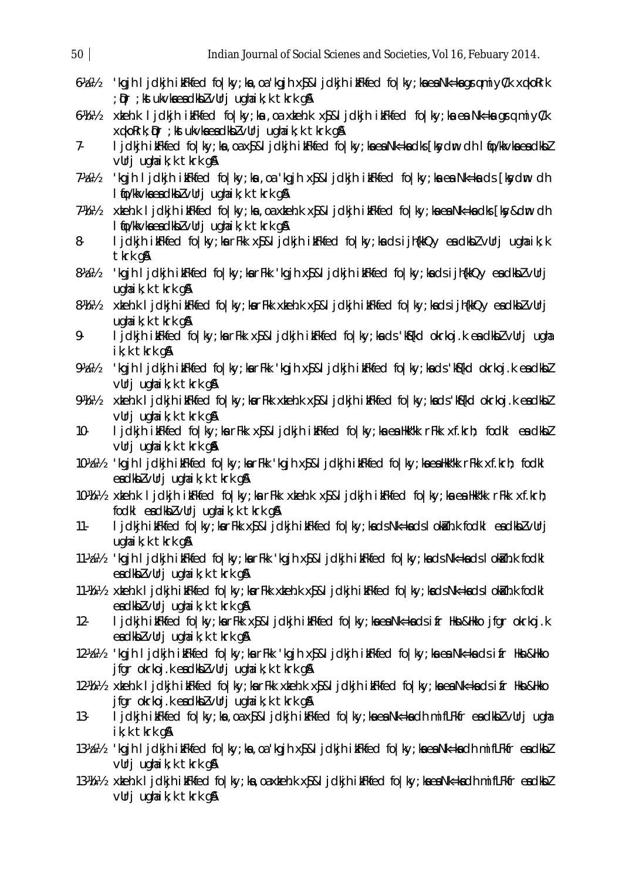| 50                                              | Indian Journal of Social Scienes and Societies, Vol 16, Febuary 2014.                                                                                      |
|-------------------------------------------------|------------------------------------------------------------------------------------------------------------------------------------------------------------|
| $6\%$                                           | 'kgjh I jdkjh i kFkfed fo ky; ka , oa 'kgjh x\$&l jdkjh i kFkfed fo ky; ka ea Nk=ka grqmi yC/k xqkoRrk<br>; Qr ; kst ukvka ea cikbl vurj ughaik; k tkrk g& |
| $6\%$                                           | xteh.k I jdkjh itFkfed fo ky;ka ,oa xteh.k x\$&l jdkjh itFkfed fo ky;ka ea Nk=ka grq miyC/k<br>xqkoRrk; pr ; kst ukvka ea dkbl vUrj ughaik; k tkrk g&      |
| $7-$                                            | I jdkjh i kFkfed fo ky; ka , oa x§&l jdkjh i kFkfed fo ky; ka ea Nk=ka dks [kṣydm dh I tjo/kkvka ea dkbl<br>vUrj ughaik; k tkrk g&                         |
| $7$ /a/ $h$                                     | kgjh ljdkjh ilfkfed fo ky;ka ,oa kgjh x§&ljdkjh ilfkfed fo ky;kaea Nk=kads [ksydm dh'<br>I fjo/kkvka ea dkblvUrjugha i k; k tkrk g&                        |
| 7 Mb                                            | xteh.k I jdkjh itFkfed fo ky; ka , oa xteh.k x\$&I jdkjh itFkfed fo ky; ka ea Nk=ka dks [kṣy&dm dh<br>I fjo/kkvka ea dkblvUrjugha i k; k tkrk g&           |
| 8-                                              | ljdkjh itFkfed fo ky;karFkk x\$&ljdkjh itFkfed fo ky;kadsijh{kkQy eadkblvUrj ughaik;k<br>tkrk g&                                                           |
| $8\%$                                           | 'kgjh I jdkjh ikFkfed fo ky;karFkk 'kgjh x\$&l jdkjh ikFkfed fo ky;kadsijh{kkQy eadkblvUrj<br>ughaik; k tkrk g&                                            |
| $8\frac{1}{2}$                                  | xteh.k I jdkjh itFkfed fo ky; karFkk xteh.k x\$&l jdkjh itFkfed fo ky; kadsijh{kkQy eadkbZvUrj<br>ughaik; k tkrk g&                                        |
| 9-                                              | ljdkjh ikFkfed fo ky;karFkk x\$&ljdkjh ikFkfed fo ky;kads 'k\${kd okrkoj.k eadkblvUrj ugha<br>ik;k tkrk g&                                                 |
| $9\%$                                           | 'kgjh ljdkjh ikFkfed fo ky;karFkk 'kgjh x§&ljdkjh ikFkfed fo ky;kads 'k§{kd okrkoj.k eadkbl<br>vUrj ughaik; k tkrk g&                                      |
| 9 Mb                                            | xkeh.k I jdkjh ikFkfed fo ky; karFkk xkeh.k x\$&I jdkjh ikFkfed fo ky; kads 'k\${kd okrkoj.k eadkbl<br>vUrj ughaik; k tkrk g&                              |
| $10-$                                           | ljdkjh itFkfed fo ky;ka rFkk x\$&ljdkjh itFkfed fo ky;ka ea Hkk"kk rFkk xf.krh; fodkl ea dkbl<br>$V$ Urj ughaik; k tkrk g $\lambda$                        |
| $10\%$                                          | 'kgjh I jdkjh i kFkfed fo ky; karFkk 'kgjh x\$&l jdkjh i kFkfed fo ky; kaeaHkk"kk rFkk xf.krh; fodkl<br>eadkblvUrjughaik; k tkrk g&                        |
| 10- <sup>1</sup> /b <sup>1</sup> / <sub>2</sub> | xkeh.k I jdkjh ikFkfed fo ky;ka rFkk xkeh.k x\$&I jdkjh ikFkfed fo ky;ka ea Hkk"kk rFkk xf.krh;<br>fodki eadkbł∨Urjughaik;k tkrk g\$l                      |
| $11 -$                                          | l jdkjh i kFkfed fo ky; karFkk x\$&l jdkjh i kFkfed fo ky; kads Nk=kads I okikh.k fodkl eadkblvlrj<br>ughaik; k tkrk g&                                    |
| $11$ /a/ $h$                                    | 'kgjh I jdkjh i kFkfed fo ky; ka rFkk 'kgjh x\$&l jdkjh i kFkfed fo ky; ka ds Nk=ka ds I okikh.k fodkl<br>eadkblvUrjughaik; k tkrk g&                      |
| $11\%$                                          | xkeh.k I jdkjh i kFkfed fo ky; karFkk xkeh.k x\$&I jdkjh i kFkfed fo ky; kadsNk=kadsI okikh.k fodkI<br>eadkblvUrjughaik; k tkrk g&                         |
| $12 -$                                          | l jdkjh i lifkfed fo ky; ka rFkk x\$&l jdkjh i lifkfed fo ky; ka ea Nk=ka ds i fr Hkn&Hkko jfgr okrkoj. k<br>eadkblvUrjughaik; k tkrk g&                   |
| $12\%$                                          | kgjh ljdkjh itFkfed fo ky;karFkk 'kgjh x\$&ljdkjh itFkfed fo ky;kaeaNk=kadsifr Hkn&Hko''<br>jfgr okrkoj.k eadkblvUrj ughaik;k tkrk g&                      |
| 12-Mol/2                                        | xteh.k I jdkjh itFkfed fo ky; ka rFkk xteh.k x\$&l jdkjh itFkfed fo ky; ka ea Nk=ka ds ifr Hkn&Hkko<br>jfgr okrkoj.k ea dkblvUrj ughaik;k tkrk g&          |
| $13 -$                                          | l jdkjh i kFkfed fo ky; ka , oa x\$&l jdkjh i kFkfed fo ky; ka ea Nk=ka dh mi fLFkfr ea dkbl vUrj ugha<br>ik;k tkrk g&                                     |
| $13$ -Va $\frac{1}{2}$                          | 'kgjh I jdkjh i kFkfed fo ky; ka , oa 'kgjh x\$&l jdkjh i kFkfed fo ky; ka ea Nk=ka dh mifLFkfr ea dkbl<br>vUrj ughaik; k tkrk g&                          |
| 13 Mol/2                                        | xteh.k I jdkjh itFkfed fo ky; ka, oaxteh.k x\$&I jdkjh itFkfed fo ky; kaeaNk=kadh mifLFkfr eadkbl<br>vUrj ughaik; k tkrk g&                                |
|                                                 |                                                                                                                                                            |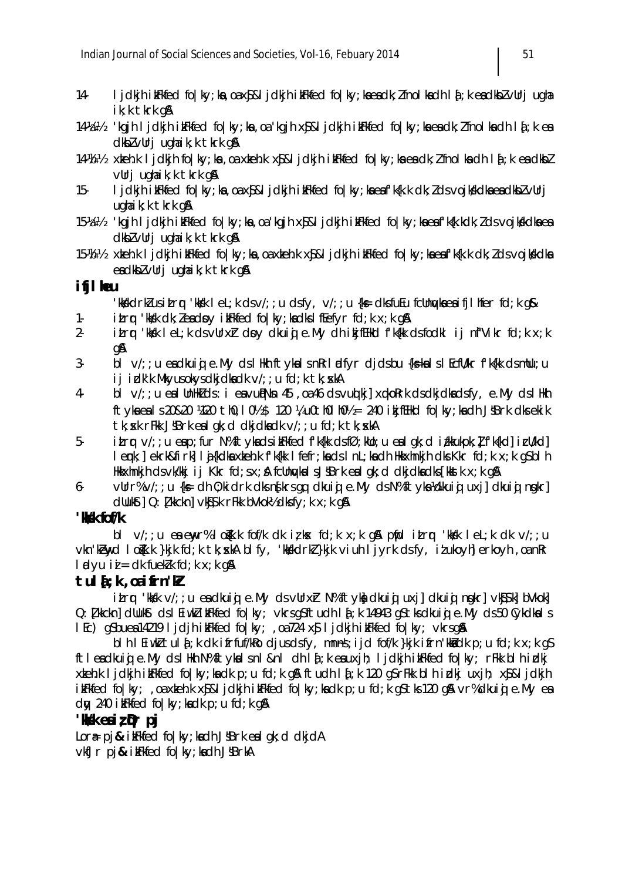- 14- ljdkjh i $kF$ kfed fo $|ky\rangle$ ka,oa $x\$ &ljdkjh i $kF$ kfed fo $|ky\rangle$ k sea dk; $\ell$  fnolk a dh la $\ell$ ;k e a dkb $\ell$  vUrj ugh a ik;k tkrk g&
- 14 $\frac{14}{4}$ %a½ 'kgjh ljdkjh i $kF$ kfed fo|ky;ka ,oa 'kgjh x $\frac{5}{8}$ kljdkjh i $kF$ kfed fo|ky;ka ea dk; $l$  fnolka dh l $\frac{5}{4}$ ;k ea  $dk$ b $l$  vUrj ugha ik;k tkrk g $\beta$
- 14-%b $\nu$  xkeh.k ljdkjh fo|ky;ka, oa xkeh.k x $\beta$ &ljdkjh ikFkfed fo|ky;k sea dk;Z fnolka dh l $\delta$ ;k ea dkbZ vUrj ughaik; k tkrk g&
- 15- ljdkjh i kFkfed fo|ky;ka ,oa x\$&ljdkjh i kFkfed fo|ky;ka e a f'k{k.k dk;Z ds vojk skdka e a dkbZ vUrj  $u$ gha ik; k tkrk g $\alpha$
- 15-¼a½ 'kgjh ljdkjh i kFkfed fo|ky;ka, oa 'kgjh x\$&ljdkjh i kFkfed fo|ky;k a e a f'k{k.kdk; Z ds vojk skla e a  $dk$ bz vUrj ugha ik; k tkrk g $\alpha$
- 15-%b½ xkeh.k ljdkjh ikFkfed fo|ky;ka,oa xkeh.k x\$&ljdkjh ikFkfed fo|ky;ka ea f'k{k.k dk; Z ds vojkkdka e a dkbl vuri ugha ik; k tkrk gå

## **ifjlheu**

'kkskdrkZusitrr 'kksk leL;k ds v/;;u ds fy, v/;;u {ks= dk s fuEu fcUn yksesifjlhfer fd;k g&

- 1- it r with dk;  $l$  e sa d sow it farmed follour; the same formulation of  $l$  in  $k \times k$  of  $s$
- 2- itrr 'kksk lel;k ds vUrx $k$  dsoy dkuigi e.My dh ikjfEHkd f'k{kk ds fodkl ij nf"Vikr fd;k x;k g SA
- $3-$  bl v/;; u eadkuigi e.My ds IHkh ftykals nRrladfyr dids bu {k  $\frac{1}{2}$ kals lEcfU/kr f'k{kk d s mUu; u ii idk'k Mkyus okys dkidka dk v/;;u fd;k tk; skA
- 4- bl v/;;u e a l UnHk ds: i e a vu pNn 45, o a 46 ds vu q kj] xq ko Rrk ds dkjdka d s fy, e.My ds I Hkh ftyka ea ls 20&20 ¼20 th0, l0½ \$ 120 ¼,u0th0lh0½ = 240 ikjfEHkd fo|ky;ka dh JSBrk dks ekik tk; sk rFkk J $B$ Fk ealgk;d dkjdka dk v/;; u fd;k tk; skA
- 5- itrr  $v/$ ;;u esp;fur N% ftyksds ikFkfed f'k{kk ds fØ;kUo;u eslak;d izkkukpk;Zi f'k{kd] izU/kd] lenk;] ekrk&firk] laj{kdka xkeh.k f'k{kk lfefr;ka ds lnL;ka dh Hkkxhnkih dks Kkr fd;k x;k q\$ blh Hkkxhnkjh ds vk/kkj ij Kkr fd;s x; A fcUn wka I s J s $Brk$  e a I gk;d dkjdka dks [kkstk x;k g A
- 6- vUrr% v/;;u {k = dh 0; kidrk dk s ns[kr s qq dkui $j \in M$ y d s N% ftyk » ¼dkui $j \in M$ kui $j \in M$ kui $j \in M$ dUukst] Q: *I*kkckn] vk\$\$k rFkk bVkok½ dks fy;k x;k q&

### **'kks/k fof/k**

bl v/;;u estenyr% lo $N_{k}$ k fof/k dk izkst fd;k x;k g & prid itror 'kks/k lel;k dk v/;;u vkn'k Ewyd lo (k.k }kjk fd;k tk; xkA blfy, 'kkkdrkZ }kjk viuh ljyrk ds fy, izukoyh] erkoyh ,oa nRr  $\mathbf{I}$  adyu i $\mathbf{i} = \mathbf{I}$ k fuekZk fd;k x;k g &

## **tula[;k ,o a i zfrn'kZ**

itrr 'kkk v/;;u eadkuig e.My ds vUrxł N% ftyka dkuig uxj] dkuig ngkr] vk\$\$k] bVkok] Q:  $I$ kkckn] dUuk $t$  ds I Eiwklika Fried fo $|k$ y; vkr s g Sftudh I  $i$ ; k 14943 g Stk s dkui $i$  e.My ds 50 Cykdka I sa l s lEc) g S bue a 14219 ljdjh i kFkfed fo|ky; , oa 724 x § ljdkjh i kFkfed fo|ky; vkrs g &

blh lEiwk tul  $\{x; k \leq k \}$  ifrfuf/kRo djus dsfy, mnns; ijd fof/k }kjk ifrn'kkidk p;u fd;k x;k g S ftlea dkuig e.My ds lHkh N% ftyka Isnl&nl dh Iq;k eauxjh; ljdkjh ikFkfed fo|ky; rFkk blh idkj  $x$ keh.k ljdkjh ikFkfed fo|ky;ka dk p;u fd;k g& ftudh l $f$ ;k 120 g\$rFkk blh izlkj uxjh; x\$&ljdkjh ikFkfed fo|ky; ,oa xkeh.k x\$&ljdkjh ikFkfed fo|ky;ka dk p;u fd;k g\$tks 120 g&vr% dkui $j$ e.My ea dw 240 ikFkfed fo $|k$ y; ka dk p; u fd; k g &

## **'kki eaiz Dr pj**

Lor<sub>#</sub> pj& ikFkfed fo|ky;ka dh J'SBrk ealgk;d dkjdA vkfJr pj& ikFkfed fo|ky; ka dh J'<sub>S</sub>BrkA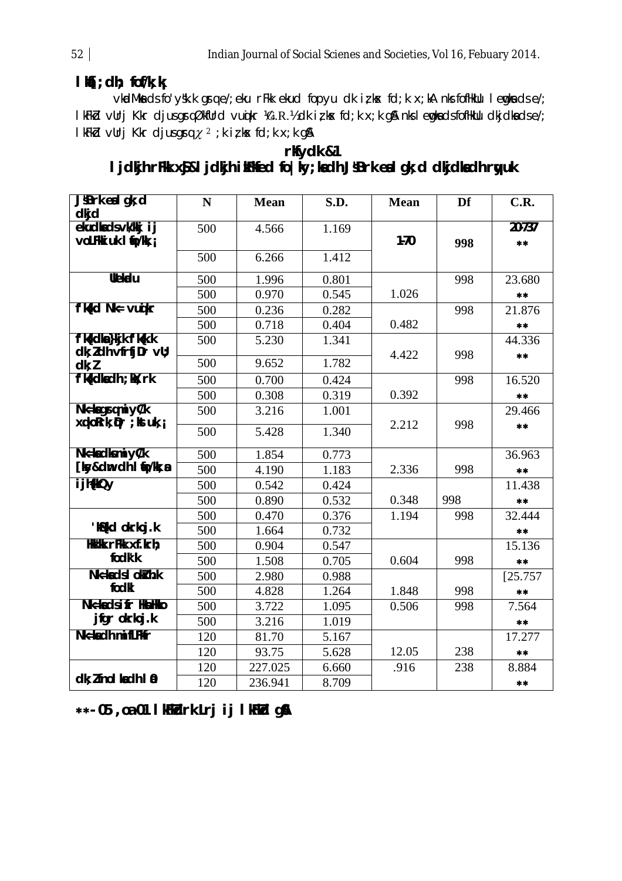## **lkaf[;dh; fof/k;k¡**

vk ad MHs ds fo'ys"k.k gr q e/; eku rFkk ekud fopyu dk iz;k x fd;k x;kA nks fofHkUu lewgk ads e/; l kFkd vUrj Kkr djus gr qØkfUrd vu qikr ¼C.R.½ dk iz, kx fd;k x;k g & nks le wgka ds fofHkUu dkjdka ds e/; lkFkbd vUrj Kkr djus grq  $\chi^2$ ;k iz; k fd;k x;k g &

**rkfydk &1 ljdkjh rFkk x\$&ljdkjh i kFkfed fo|ky;kadh JSBrk eslgk;d dkjdkadh ryuk** 

| JSBrk eal gk; d                   | N   | <b>Mean</b> | S.D.  | <b>Mean</b> | Df  | C.R.     |
|-----------------------------------|-----|-------------|-------|-------------|-----|----------|
| dkjd                              |     |             |       |             |     |          |
| ekudkadsvk/kijij                  | 500 | 4.566       | 1.169 | $1-70$      |     | 20-737   |
| voLFkii uk I fp/kk, i             |     |             |       |             | 998 | **       |
|                                   | 500 | 6.266       | 1.412 |             |     |          |
| <b>Ueldu</b>                      | 500 | 1.996       | 0.801 |             | 998 | 23.680   |
|                                   | 500 | 0.970       | 0.545 | 1.026       |     | **       |
| f'Kkd Nk= vuikr                   | 500 | 0.236       | 0.282 |             | 998 | 21.876   |
|                                   | 500 | 0.718       | 0.404 | 0.482       |     | **       |
| f'Kkdla}kjk f'Kk.k                | 500 | 5.230       | 1.341 |             |     | 44.336   |
| $dk$ ; <i>l</i> dh vfrfj $Dr$ vU; |     |             |       | 4.422       | 998 | $**$     |
| dk: l                             | 500 | 9.652       | 1.782 |             |     |          |
| f'Kkdladh; K; rk                  | 500 | 0.700       | 0.424 |             | 998 | 16.520   |
|                                   | 500 | 0.308       | 0.319 | 0.392       |     | $* *$    |
| Nk=lagramiy0k                     | 500 | 3.216       | 1.001 |             |     | 29.466   |
| xqkoRrk; Dr ; kt uk, ;            | 500 | 5.428       | 1.340 | 2.212       | 998 | $**$     |
| Nk=kadksmiy0k                     | 500 | 1.854       | 0.773 |             |     | 36.963   |
| [ky&dm dh I tp/kk; a              | 500 | 4.190       | 1.183 | 2.336       | 998 | $**$     |
| i jh(kQy                          | 500 | 0.542       | 0.424 |             |     | 11.438   |
|                                   | 500 | 0.890       | 0.532 | 0.348       | 998 | $**$     |
|                                   | 500 | 0.470       | 0.376 | 1.194       | 998 | 32.444   |
| 'Ko(kd okrkoj.k                   | 500 | 1.664       | 0.732 |             |     | $**$     |
| <b>HK'K rFK xf.krh:</b>           | 500 | 0.904       | 0.547 |             |     | 15.136   |
| fodk'k                            | 500 | 1.508       | 0.705 | 0.604       | 998 | $**$     |
| Nielads I okkh.k                  | 500 | 2.980       | 0.988 |             |     | [25.757] |
| fodkl                             | 500 | 4.828       | 1.264 | 1.848       | 998 | $**$     |
| Nk=kadsifr HknHko                 | 500 | 3.722       | 1.095 | 0.506       | 998 | 7.564    |
| jfgr okrkoj.k                     | 500 | 3.216       | 1.019 |             |     | $**$     |
| Nk=lach mifLFlfr                  | 120 | 81.70       | 5.167 |             |     | 17.277   |
|                                   | 120 | 93.75       | 5.628 | 12.05       | 238 | $**$     |
|                                   | 120 | 227.025     | 6.660 | .916        | 238 | 8.884    |
| dk; Zfnol ladh I 0                | 120 | 236.941     | 8.709 |             |     | $* *$    |

**- 05 ,o a -01 lkFkZdrk Lrj ij lkFkZd gSA**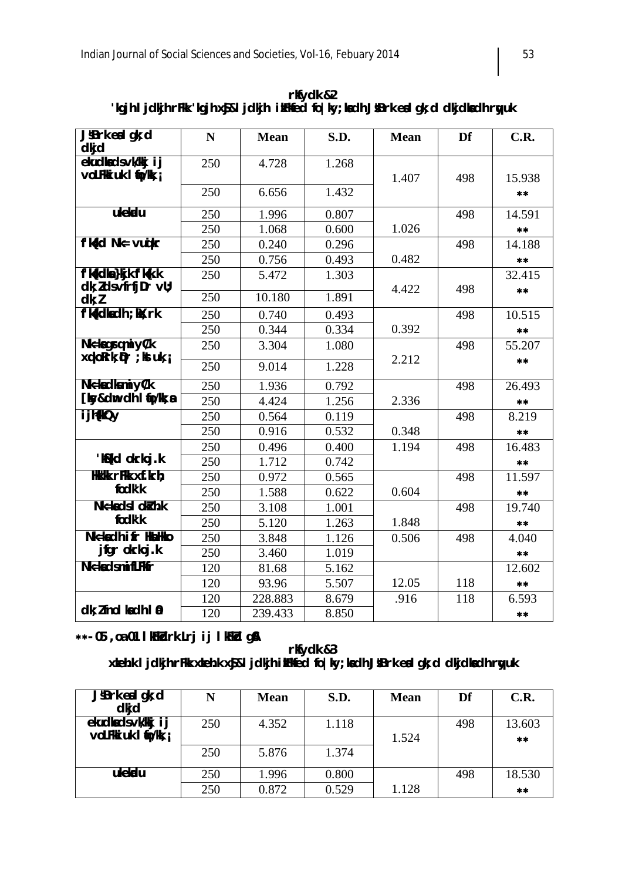| JBrk eal gk; d<br>dkj d       | N   | <b>Mean</b> | S.D.  | <b>Mean</b> | Df  | C.R.   |
|-------------------------------|-----|-------------|-------|-------------|-----|--------|
| ekudladsvk/ki ij              | 250 | 4.728       | 1.268 |             |     |        |
| voLFkki uk I tp/kk, j         |     |             |       | 1.407       | 498 | 15.938 |
|                               | 250 | 6.656       | 1.432 |             |     | $**$   |
| ukekadu                       | 250 | 1.996       | 0.807 |             | 498 | 14.591 |
|                               | 250 | 1.068       | 0.600 | 1.026       |     | $***$  |
| f'kkd Nk= vuikr               | 250 | 0.240       | 0.296 |             | 498 | 14.188 |
|                               | 250 | 0.756       | 0.493 | 0.482       |     | **     |
| f'k(kdla}kjk f'k(k.k          | 250 | 5.472       | 1.303 |             |     | 32.415 |
| dk; I ds vfrfjDr vU;<br>dk; l | 250 | 10.180      | 1.891 | 4.422       | 498 | **     |
| f'kkdkadh; kt; rk             | 250 | 0.740       | 0.493 |             | 498 | 10.515 |
|                               | 250 | 0.344       | 0.334 | 0.392       |     | $**$   |
| Nk=lagramiy0k                 | 250 | 3.304       | 1.080 |             | 498 | 55.207 |
| xqkoRrk; Dr ; kt uk, ;        | 250 | 9.014       | 1.228 | 2.212       |     | $**$   |
|                               |     |             |       |             |     |        |
| Nk=kadksmiy0k                 | 250 | 1.936       | 0.792 |             | 498 | 26.493 |
| [ky&dm dh I tp/kk; a          | 250 | 4.424       | 1.256 | 2.336       |     | $**$   |
| i jkWQy                       | 250 | 0.564       | 0.119 |             | 498 | 8.219  |
|                               | 250 | 0.916       | 0.532 | 0.348       |     | **     |
|                               | 250 | 0.496       | 0.400 | 1.194       | 498 | 16.483 |
| 'k&kd okrkoj.k                | 250 | 1.712       | 0.742 |             |     | $**$   |
| <b>HK'K rFK xf.krh:</b>       | 250 | 0.972       | 0.565 |             | 498 | 11.597 |
| fodk'k                        | 250 | 1.588       | 0.622 | 0.604       |     | $***$  |
| Nk=kadsIokkh.k                | 250 | 3.108       | 1.001 |             | 498 | 19.740 |
| fodk'k                        | 250 | 5.120       | 1.263 | 1.848       |     | **     |
| N⊫ladh ifr HaHko              | 250 | 3.848       | 1.126 | 0.506       | 498 | 4.040  |
| jfgr okrkoj.k                 | 250 | 3.460       | 1.019 |             |     | $**$   |
| N <b>ERdsmifLFKr</b>          | 120 | 81.68       | 5.162 |             |     | 12.602 |
|                               | 120 | 93.96       | 5.507 | 12.05       | 118 | **     |
|                               | 120 | 228.883     | 8.679 | .916        | 118 | 6.593  |
| dk; Zfnol ladh I @            | 120 | 239.433     | 8.850 |             |     | $**$   |

**rkfydk &2** 'kgjh I jdkjh rFkk 'kgjh x\$&l jdkjh ikFked fo|ky;kadh J&Brk eal gk;d dkjdkadh r yuk

#### **- 05 ,oa -01 lkFk Zdrk Lrj ij lkFkZd g SA**

## **rkfydk &3** xkeh.k I jdkjh rFkk xkeh.k x**\$&l jdkjh ikFked fo|ky;kadh J&Brk eal gk;d dkjdkadh r yuk**

| JBrk eal gk; d        | N   | <b>Mean</b> | S.D.  | <b>Mean</b> | Df  | C.R.   |
|-----------------------|-----|-------------|-------|-------------|-----|--------|
| dkjd                  |     |             |       |             |     |        |
| ekudkedsvk/kij ij     | 250 | 4.352       | 1.118 |             | 498 | 13.603 |
| voLFkki uk I tp/kk, j |     |             |       | 1.524       |     | $***$  |
|                       | 250 | 5.876       | 1.374 |             |     |        |
| ukekadu               |     |             |       |             |     |        |
|                       | 250 | 1.996       | 0.800 |             | 498 | 18.530 |
|                       | 250 | 0.872       | 0.529 | 1.128       |     | **     |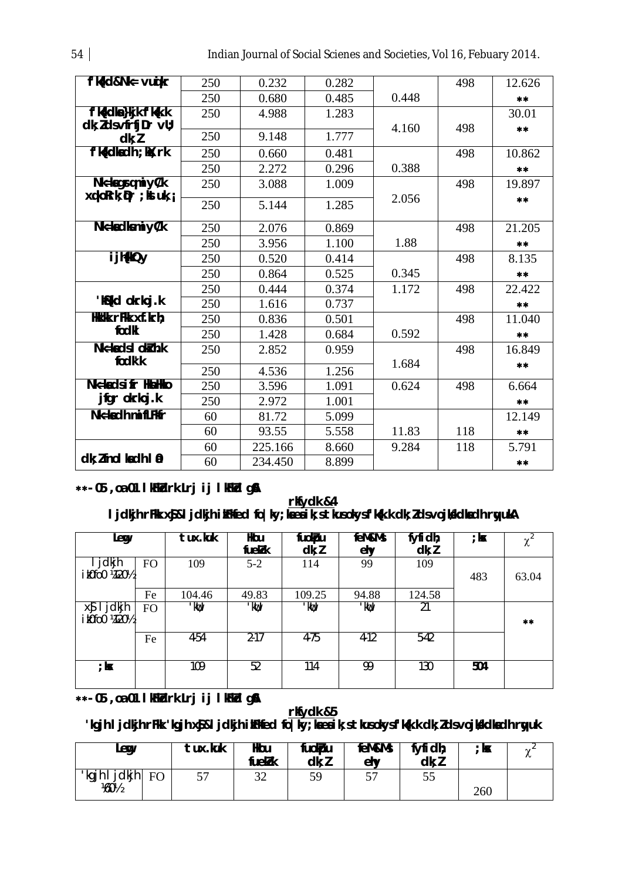| f'Kkd&Nk= vuikr             | 250 | 0.232   | 0.282 |       | 498 | 12.626 |
|-----------------------------|-----|---------|-------|-------|-----|--------|
|                             | 250 | 0.680   | 0.485 | 0.448 |     | $**$   |
| f'Kkdla}kjk f'Kk.k          | 250 | 4.988   | 1.283 |       |     | 30.01  |
| dk; I dsvfrfjDr vU;         | 250 | 9.148   | 1.777 | 4.160 | 498 | $**$   |
| dk; l                       |     |         |       |       |     |        |
| f'Kkdladh; K ; rk           | 250 | 0.660   | 0.481 |       | 498 | 10.862 |
|                             | 250 | 2.272   | 0.296 | 0.388 |     | $**$   |
| Nk=lagsqmiyCk               | 250 | 3.088   | 1.009 |       | 498 | 19.897 |
| xqkoRrk; Dr; ktuk, i        | 250 | 5.144   | 1.285 | 2.056 |     | $**$   |
| Nk=kadksmi y0k              | 250 | 2.076   | 0.869 |       | 498 | 21.205 |
|                             | 250 | 3.956   | 1.100 | 1.88  |     | $**$   |
| ijh(KQy                     | 250 | 0.520   | 0.414 |       | 498 | 8.135  |
|                             | 250 | 0.864   | 0.525 | 0.345 |     | **     |
|                             | 250 | 0.444   | 0.374 | 1.172 | 498 | 22.422 |
| "Ko{kd okrkoj.k             | 250 | 1.616   | 0.737 |       |     | $**$   |
| <b>HK'K rFK xf.krh;</b>     | 250 | 0.836   | 0.501 |       | 498 | 11.040 |
| fodkl                       | 250 | 1.428   | 0.684 | 0.592 |     | $**$   |
| N <sub>k</sub> =kads1okkh.k | 250 | 2.852   | 0.959 |       | 498 | 16.849 |
| fodk'k                      | 250 | 4.536   | 1.256 | 1.684 |     | $**$   |
| Nk=kadsifr HkaHko           | 250 | 3.596   | 1.091 | 0.624 | 498 | 6.664  |
| jfgr okrkoj.k               | 250 | 2.972   | 1.001 |       |     | $**$   |
| N <b>ERdhmifLFKr</b>        | 60  | 81.72   | 5.099 |       |     | 12.149 |
|                             | 60  | 93.55   | 5.558 | 11.83 | 118 | $**$   |
|                             | 60  | 225.166 | 8.660 | 9.284 | 118 | 5.791  |
| dk; Zfnol ladh I @          | 60  | 234.450 | 8.899 |       |     | $**$   |

### **- 05 ,oa -01 lkFk Zdrk Lrj ij lkFkZd g SA**

#### **rkfydk &4** I jdkjh rFkk x**\$&l jdkjh ilfkfed fo|ky; menik;s tkus okysf'k**(k.k dk; Zds vojk kdladh r yukA

| Leg                                                        |           | tux.kuk | Hkou<br><b>fuekk</b>    | fuolipu<br>dk; l | feM&Ms<br>ehy | fyfidh;<br>dk; l | ; kx | $\gamma$<br>λ |
|------------------------------------------------------------|-----------|---------|-------------------------|------------------|---------------|------------------|------|---------------|
| I jdkjh<br>i k0fo0 <i>A</i> 20 <sup>1</sup> / <sub>2</sub> | FO        | 109     | $5 - 2$                 | 114              | 99            | 109              | 483  | 63.04         |
|                                                            | Fe        | 104.46  | 49.83                   | 109.25           | 94.88         | 124.58           |      |               |
| x <b>j</b> ljdkjh<br>i k0fo0 ¼20½                          | <b>FO</b> | ' Mi';  | $\overline{\mathbf{W}}$ | 'W               | ' kU';        | 21               |      | $***$         |
|                                                            | Fe        | 4-54    | $2 - 17$                | 4-75             | $4-12$        | $5-42$           |      |               |
| ; kx                                                       |           | 109     | 52                      | 114              | 99            | 130              | 504  |               |

**- 05 ,oa -01 lkFk Zdrk Lrj ij lkFkZd g SA**

#### **rkfydk &5**

#### **'kgjh I jdkjh rFkk 'kgjh x\$&l jdkjh ibFk**fed fo|ky;kaea ik;s tkus okys f'k{k.k dk;Zds vo**jkkdkadh ry**uk

| Leg                      |    | tux.kuk  | Hkou<br><b>fuekk</b> | fuokbu<br>dk; Z | feM&Ms<br>ehy | fyfidh;<br>dk; l | ; kx | ∼ |
|--------------------------|----|----------|----------------------|-----------------|---------------|------------------|------|---|
| dkjh<br>'kgjh<br>1/601/2 | FO | r –<br>ີ | $\cap$<br>ے ر        | 59              | ٣Π<br>ັ       | СC               | 260  |   |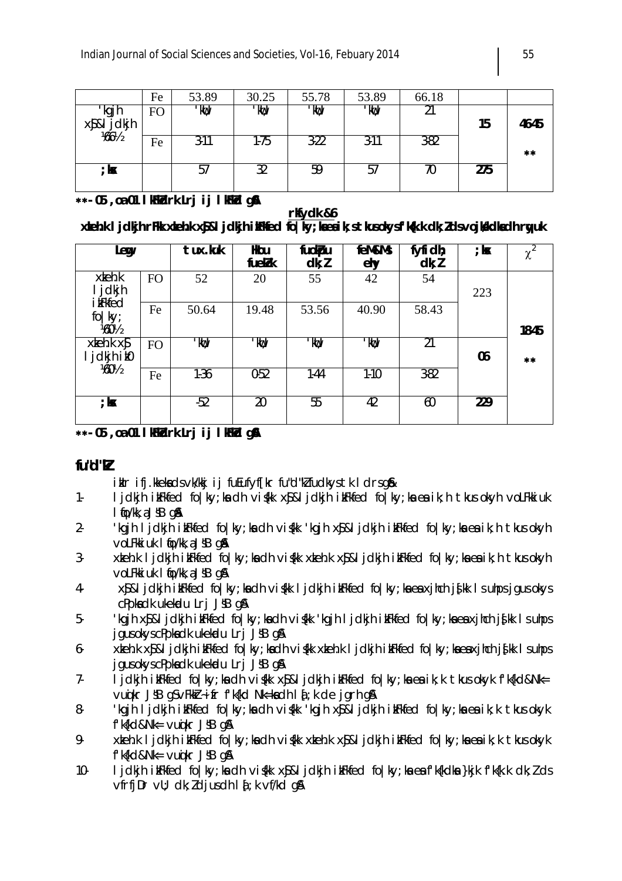|                                     | Fe        | 53.89  | 30.25            | 55.78 | 53.89    | 66.18              |     |       |
|-------------------------------------|-----------|--------|------------------|-------|----------|--------------------|-----|-------|
| 'kgjh<br>x <b>j</b> &l j̃dkjh<br>‰½ | <b>FO</b> | ' kU;  | <b>'W;</b>       | 'W    | "W;      | າາ<br>$\mathbf{Z}$ | 15  | 46-45 |
|                                     | Fe        | $3-11$ | $1\overline{75}$ | 3.22  | $3 - 11$ | 3-82               |     | **    |
| ; kx                                |           | 51     | 32               | 59    | 57       | 70                 | 275 |       |

**\*\* 05,0a 01 l KFK Lrj ij l KFK d g SA** 

#### **rkfydk &6**

## xkeh.k I jdkjh rFkk xkeh.k x\$&l jdkjh ikFkfed fo|ky;kaea ik; s tkus oky sf'k{k.k dk; Z d s vojkkdkadh ruyuk

| <b>Leg</b>                           |           | tux.kuk    | Hou<br>fuekk   | fuolipu<br>dk; l | feM&Ms<br>ehy           | fyfidh;<br>dk; l | ; kx | χ     |
|--------------------------------------|-----------|------------|----------------|------------------|-------------------------|------------------|------|-------|
| $x$ keh. $k$<br>I jdkjh              | <b>FO</b> | 52         | 20             | 55               | 42                      | 54               | 223  |       |
| <i>i kFkfed</i><br>fo ky;<br>1/601/2 | Fe        | 50.64      | 19.48          | 53.56            | 40.90                   | 58.43            |      | 18-45 |
| $x \times f$<br>jdkjh ik0            | <b>FO</b> | <b>'W;</b> | <b>' kii</b> ; | 'W∵              | $\overline{\mathbf{w}}$ | 21               | 06   | $***$ |
| 1/601/2                              | Fe        | 1.36       | 0.52           | 1-44             | $1-10$                  | $3-82$           |      |       |
| ; kx                                 |           | $-52$      | 20             | 55               | 42                      | 60               | 229  |       |

#### **- 05 ,oa -01 lkFk Zdrk Lrj ij lkFkZd g SA**

## **fu"d"kZ**

iklr ifj.kkeka ds vk/kkj ij fuEufyf[kr fu"d"kZ fudkys tk I drs g &

- 1. ljdkjh ikFkfed fo|ky;ka dh viskk xsj&ljdkjh ikFkfed fo|ky;ka ea ik;h tkus okyh voLFkkiuk  $l$  to/kk, a J $\mathcal{B}$  g  $\mathcal{B}$
- 2- 'kgjh ljdkjh ikFkfed fo|ky;ka dh vi{kk 'kgjh x\$&ljdkjh ikFkfed fo|ky;ka ea ik;h tkus okyh voLFkkiuk I tjo/kk, a JSB g &
- 3- xkeh.k ljdkjh ikFkfed fo|ky;ka dh vi{kk xkeh.k x\$&ljdkjh ikFkfed fo|ky;ka ea ik;h tkus okyh voLFkkiuk I tjo/kk, a JSB g &
- 4-  $x\$ &l jdkjh i kFkfed fo|ky; ka dh vi $\frac{1}{k}$ k ljdkjh i kFkfed fo|ky; ka e a xjhch j $\frac{1}{k}$ k ls uhps jgus okys cPpka dk ukekadu Lrj JSB g &
- 5- 'kgjh x\$&ljdkjh i kFkfed fo|ky; ka dh vi {kk 'kgjh ljdkjh i kFkfed fo|ky; ka ea xjhch js[kk ls uhps jgus okys cPpka dk ukekadu Lrj JSB g &
- 6- xkeh.k x\$&ljdkjh ikFkfed fo|ky;ka dh vi\$kk xkeh.k ljdkjh ikFkfed fo|ky;ka e a xjhch j\$kk l s uhp s jgus okys cPpka dk ukekadu Lrj JSB g &
- 7- ljdkjh i kFkfed fo|ky;ka dh vi (kk x\$&ljdkjh i kFkfed fo|ky;k a e a i k;k tkus okyk f'k{kd&Nk= vu ikr JSB g S vFkkr- i fr f'k {kd Nk=k a dh I a ; k de jarh g &
- 8- 'kgjh ljdkjh ikFkfed fo|ky;ka dh vi{kk 'kgjh x\$&ljdkjh ikFkfed fo|ky;ka ea ik;k tkus okyk  $f'$ k{kd&Nk= vu $\phi$ kr J $\beta$ B g&
- 9- xkeh.k ljdkjh ikFkfed fo|ky;ka dh vi {kk xkeh.k x \$ & ljdkjh ikFkfed fo|ky;ka ea ik;k tkus okyk  $f'$ k{kd&Nk= vu $\phi$ kr J $\beta$ B g&
- 10- ljdkjh itaFkfed fo|ky;ka dh vi{kk x\$&ljdkjh itaFkfed fo|ky;ka ea f'k{kdka }kjk f'k{k.k dk;Z ds vfrfj $Dr$  v $U$ ; dk; djus dh I $f$ ; k vf/kd g $\Lambda$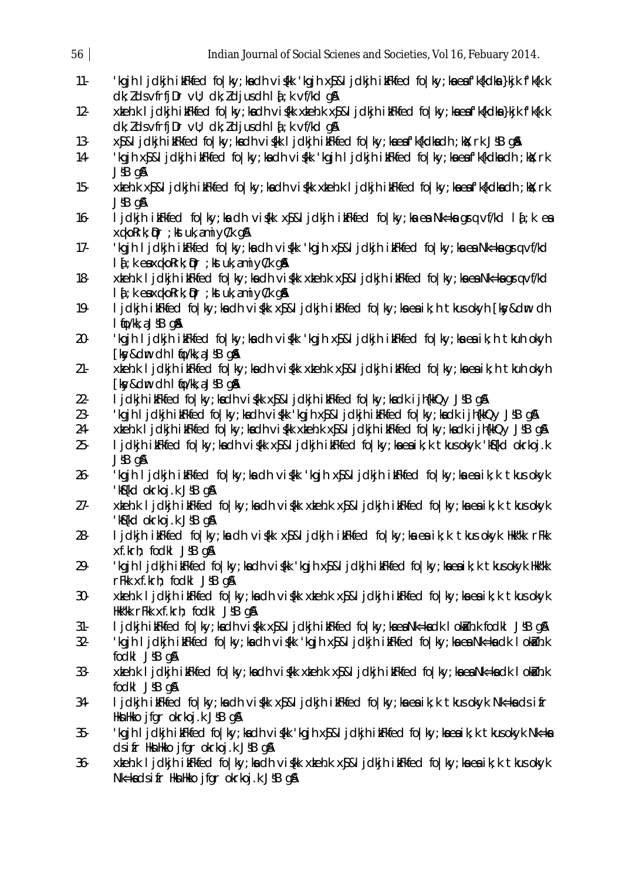| 56     | Indian Journal of Social Scienes and Societies, Vol 16, Febuary 2014.                                                                                                     |
|--------|---------------------------------------------------------------------------------------------------------------------------------------------------------------------------|
| $11 -$ | 'kgjh I jdkjh i kFkfed fo ky; ka dh vi{kk 'kgjh x\$&l jdkjh i kFkfed fo ky; ka ea f'k{kdka }kjk f'k{k.k<br>$dk; l ds$ vfrfj $Dr$ vll; $dk; l dy$ us dh l $l$ ; k vf/kd g& |
| $12 -$ | xteh.k I jdkjh itFkfed fo ky; kadh vi{kk xteh.k x\$&l jdkjh itFkfed fo ky; kaeaf'k{kdka}kjk f'k{k.k<br>$dk; l ds$ vfrfj $Dr$ vll; $dk; l dy$ us dh l $l$ ; k vf/kd g&     |
| $13-$  | x\$&I jdkjh ikFkfed fo ky; kadh vi{kk I jdkjh ikFkfed fo ky; kaeaf'k{kdkadh ; kX; rk J\$B g&                                                                              |
| 14     | 'kgjh x\$&l jdkjh ilfkfed fo ky; kadh vi{kk 'kgjh l jdkjh ilfkfed fo ky; kaeaf'k{kdkadh ; kX; rk<br>$J\sharp B$ g&                                                        |
| $15 -$ | xkeh.k xŷ&l jdkjh ikFkfed fo ky; kadh vi{kk xkeh.k l jdkjh ikFkfed fo ky; kaeaf'k{kdkadh ; kk; rk<br>$J\sharp B$ q $\Lambda$                                              |
| $16-$  | ljdkjh ikFkfed fo ky;kadh vi{kk x\$&ljdkjh ikFkfed fo ky;kaeaNk=kagrq vf/kd l{;kea<br>xqkoRrk; $\mathbf{\hat{p}}$ r ; kst uk, ami yC/k g&                                 |
| $17 -$ | kgjh ljdkjh itFkfed fo ky;kadh vi{kk 'kgjh x\$&ljdkjh itFkfed fo ky;kaeaNk=kagrqvf/kd'<br>I { ; k ea xqkoRrk; \pr ; kst uk, ami yC/k g&                                   |
| $18-$  | xkeh.k I jdkjh ikFkfed fo ky; ka dh vi{kk xkeh.k x\$&l jdkjh ikFkfed fo ky; ka ea Nk=ka grq vf/kd<br>I { ; k ea xqkoRrk; \r ; kst uk, ami yC/k g&                         |
| 19-    | l jdkjh i kFkfed fo ky; ka dh vi{kk x\$&l jdkjh i kFkfed fo ky; ka ea i k; h t kus okyh [ksy&dm dh<br>I fo/kk, a JSB g&                                                   |
| $20 -$ | kgjh ljdkjh ikFkfed fo ky;kadh vi{kk 'kgjh x\$&ljdkjh ikFkfed fo ky;kaeaik;h tkuh okyh'<br>$[ky&dm$ ch $l$ to/kk, a $JSB$ g&                                              |
| $21 -$ | xkeh.k I jdkjh ikFkfed fo ky;kadh vi{kk xkeh.k x\$&l jdkjh ikFkfed fo ky;kaeaik;h tkuh okyh<br>$[ky&dm$ ch $l$ to/kk, a $JSB$ g&                                          |
| $22 -$ | I jdkjh ikFkfed fo ky; kadh vi{kk x\$&I jdkjh ikFkfed fo ky; kadk ijh{kkQy J\$B g\$\                                                                                      |
| $23 -$ | kgjh I jdkjh i kFkfed fo ky; kadh vi{kk 'kgjh x\$&l jdkjh i kFkfed fo ky; kadk i jh{kkQy J\$B g\$l'                                                                       |
| 24.    | xkeh.k I jdkjh ikFkfed fo ky; kadh vi{kk xkeh.k x\$&l jdkjh ikFkfed fo ky; kadk ijh{kkQy J\$B g\$A                                                                        |
| $25 -$ | l jdkjh iliFkfed fo ky;kadh vi{kk x\$&l jdkjh iliFkfed fo ky;kaeaik;k tkusokyk 'k\${kd okrkoj.k<br>$J\sharp B$ g&                                                         |
| 26     | kgjh ljdkjh ilfkfed fo ky;kadh vi{kk 'kgjh x\$&ljdkjh ilfkfed fo ky;kaeaik;k tkusokyk'<br>'k\${kd okrkoj.k J\$B q\$                                                       |
| 27-    | xkeh.k I jdkjh ikFkfed fo ky;kadh vi{kk xkeh.k x\$&ljdkjh ikFkfed fo ky;kaeaik;k tkusokyk<br>'k\${kd okrkoj.k J\$B q&                                                     |
| $28-$  | ljdkjh ildFkfed fo ky;kadh vi{kk x\$&ljdkjh ildFkfed fo ky;kaeaik;k tkusokyk Hkk"kk rFkk<br>xf.krh; fodkl JSB q&                                                          |
| 29-    | 'kgjh I jdkjh ikFkfed fo ky; kadh vi{kk 'kgjh x\$&l jdkjh ikFkfed fo ky; kaea ik; k tkus okyk Hkk"kk<br>rFkk xf.krh; fodkl JSB g&                                         |
| $30 -$ | xkeh.k I jdkjh ikFkfed fo ky;kadh vi{kk xkeh.k x\$&l jdkjh ikFkfed fo ky;kaeaik;k tkusokyk<br>Hkk"kk rFkk xf.krh; fodkl JSB g&                                            |
| $31 -$ | l jdkjh ikFkfed fo ky; kadh vi{kk x\$&l jdkjh ikFkfed fo ky; kaeaNk=kadk lokikh.k fodkl  J\$B g\$\                                                                        |
| $32 -$ | kgjh ljdkjh ikFkfed fo ky;kadh vi{kk 'kgjh x\$&ljdkjh ikFkfed fo ky;kaeaNk=kadk lokikh.k'<br>fodkl JSB g&                                                                 |
| $33 -$ | xkeh.k I jdkjh ikFkfed fo ky; ka dh vi{kk xkeh.k x\$&l jdkjh ikFkfed fo ky; ka ea Nk=ka dk I okikh.k<br>fodkl JSB q&                                                      |
| 34.    | ljdkjh itFkfed fo ky;kadh vi{kk x <b>j</b> &ljdkjh itFkfed fo ky;kaeaik;k tkusokyk Nk=kadsifr<br>HknHkko jfgr okrkoj.k JSB g&                                             |
| $35 -$ | 'kgjh I jdkjh i kFkfed fo ky; kadh vi{kk 'kgjh x\$&l jdkjh i kFkfed fo ky; kaea i k; k tkusokyk Nk=ka<br>ds i fr HknHkko jfgr okrkoj k JSB q&                             |
| $36 -$ | xkeh.k I jdkjh ikFkfed fo ky; ka dh vi{kk xkeh.k x\$&l jdkjh ikFkfed fo ky; ka ea ik; k tkus okyk<br>Nk=kadsifr HknHkko jfgr okrkoj.k JSB g&                              |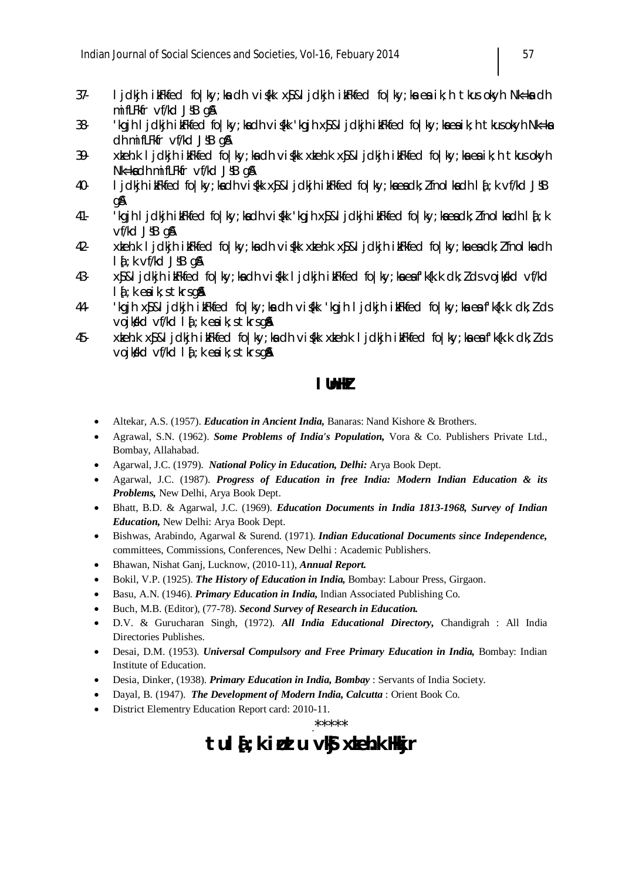- 37- ljdkjh ikFkfed fo|ky;ka dh vi{kk x\$&ljdkjh ikFkfed fo|ky;ka ea ik;h tkus okyh Nk=ka dh  $m$ ifLFkfr vf/kd J $\overline{\text{SB}}$  g S
- 38- 'kgjh ljdkjh i kFkfed folky; ka dh visk 'kgjh xsj&ljdkjh i kFkfed folky; ka e a ik; htku s okyh Nk=k a  $dh$  mifLFkfr vf/kd  $J\overline{s}B$  g  $\overline{s}$
- 39- xkeh.k ljdkjh ikFkfed fo|ky;ka dh viskk xkeh.k xsj&ljdkjh ikFkfed fo|ky;ka ea ik;h tkus okyh  $Nk=ks$  dh mifLFkfr vf/kd JSB g $\beta$
- 40- ljdkjh i kFkfed fo|ky; ka dh vishk x\$&ljdkjh i kFkfed fo|ky; ka e a dk; Z fnolka dh la[; k vf/kd J'sB g SA
- 41- 'kgjh ljdkjh i $kF$ kfed fo|ky;k a dh vi $k$ k 'kgjh x $\delta$ &ljdkjh i $kF$ kfed fo|ky;k se a dk; $l$  fnolk a dh l $\delta$ ;k  $Vf/Rd$  J $SB$   $a\$
- 42- xkeh.k ljdkjh ik $F$ kfed fo $|k$ y;k adh viskk xkeh.k xsj&ljdkjh ik $F$ kfed fo $|k$ y;k se adk; $l$  fnolk s dh  $l$   $l$ ; k vf/kd J $\text{SB}$  g  $\text{M}$
- 43- x $\S$ &ljdkjh ikFkfed fo|ky;k a dh vi $\S$ kk ljdkjh ikFkfed fo|ky;k a e a f'k $\S$ k.k dk; $\overline{l}$ ds vojk $\overline{k}$ ld vf/kd la<sup>[; k eaik; s tkrs g &</sup>
- 44- 'kgjh x $s$ &ljdkjh ikFkfed fo $|k$ y;ka dh viskk 'kgjh ljdkjh ikFkfed fo $|k$ y;ka esa f'ksk, k dk; $l$  d s vojk kd vf/kd  $l$   $j$ ; k e sik; s tkr s g &
- 45- xkeh.k  $x\$ &ljdkjh ikFkfed fo|ky;k adh viskk xkeh.k ljdkjh ikFkfed fo|ky;k se f'ksk.k dk; ds vojk kd vf/kd l  $s$ ; k e sik; s tkr s g &

## **lUnHkZ**

- Altekar, A.S. (1957). *Education in Ancient India,* Banaras: Nand Kishore & Brothers.
- Agrawal, S.N. (1962). *Some Problems of India's Population,* Vora & Co. Publishers Private Ltd., Bombay, Allahabad.
- Agarwal, J.C. (1979). *National Policy in Education, Delhi:* Arya Book Dept.
- Agarwal, J.C. (1987). *Progress of Education in free India: Modern Indian Education & its Problems,* New Delhi, Arya Book Dept.
- Bhatt, B.D. & Agarwal, J.C. (1969). *Education Documents in India 1813-1968, Survey of Indian Education,* New Delhi: Arya Book Dept.
- Bishwas, Arabindo, Agarwal & Surend. (1971). *Indian Educational Documents since Independence,* committees, Commissions, Conferences, New Delhi : Academic Publishers.
- Bhawan, Nishat Ganj, Lucknow, (2010-11), *Annual Report.*
- Bokil, V.P. (1925). *The History of Education in India,* Bombay: Labour Press, Girgaon.
- Basu, A.N. (1946). *Primary Education in India,* Indian Associated Publishing Co.
- Buch, M.B. (Editor), (77-78). *Second Survey of Research in Education.*
- D.V. & Gurucharan Singh, (1972). *All India Educational Directory,* Chandigrah : All India Directories Publishes.
- Desai, D.M. (1953). *Universal Compulsory and Free Primary Education in India,* Bombay: Indian Institute of Education.
- Desia, Dinker, (1938). *Primary Education in India, Bombay* : Servants of India Society.
- Dayal, B. (1947). *The Development of Modern India, Calcutta* : Orient Book Co.
- District Elementry Education Report card: 2010-11.

# **tula[;k i zoztu vkSj xzkeh.k Hkkjr**

.\*\*\*\*\*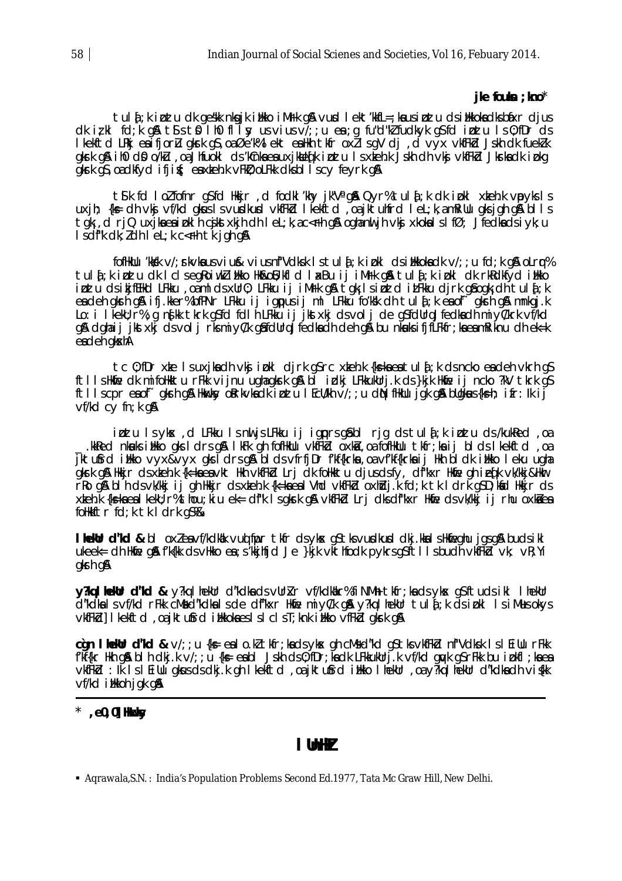#### ike fouka ; kno $*$

tul {; k i ntu dk geskk nkgjk i ilkko i Mrk g& vud l ekt'kkfL=; ka us i ntu ds i ilkkoka dks báxr djus  $dk$  iz kl fd; k g  $k$  ts ts in lho fils us vius  $v/t$ ; u es ; g fu"d" $k$  fudky k g s fd i pt u ls 0; fDr ds I kekftd LRki eaifjorlu gkrk g\$, oaØe'K% I ekt eaHkh tkfr oxllsgV dj, d vyx vkfFkd Jskh dk fueklk gkrk gå ih0 d0 o/ku, oa Jhfuokl ds kchka ea uxjkdedk i ortu I s xkeh.k Jskh dh vkj vkfFkd Jkrka dk i okg akrk as, oadkfyd ifjir : eaxteh.k vFMD; oLFMx dksbl I scy feyrk an

tik fd lolfofnr gisfd Hikijr, d fodki 'khy jk''V gin Qyr% tuli[;k dk inki xkeh.k vpyksist uxjh; {k= dh vkj vf/kd gkuslsvudkud vkfFkd lkekftd, oa jktuhfrd leL;k, a mRillu gksjgh g\$ blls tgk; drjQ uxjkaea ipklh cakstxkjh dh let;k,ac<rh g& oghanuljh vka xkokalslfØ; Jfedkadsiyk;u Is dik dk; I dh I eL; k c<Fh tk j gh g &

fofHkUu 'kkkk v/; rkvka usvius&vius nf"Vdksk Istulą̃; k i bkl dsiHkkoka dk v/; ; u fd; k g&oLrqr% tulą̃;k iprtu dk I clsegRoiwkZiMkko Hkokon3;kfld lakBu ij iMrkgå tulą̃;k ipkl dk rkRdkfyd iMkko iptu dsikjfEHkd LFKku , oamldsxUr0; LFKku ij iMrk g& tgk lsiptd iLFkku djrk g\$ogk; dh tul{; k ea deh gkrhig & ifj.kker % bfPNr LFkku ij ig pusij ml LFkku fo kkk dh tula; k ea of gkrhig & mnkgj.k Lo: i l keku; r̃%; g n{kk tkrk g\$fd fdl h LFkku i j jkstxkj dsvol j de g\$fdurqJfedkadh miy(/krk vf/kd q& dqhaij jkstxkj dsvolj rksmiy(/k q&fdllrq Jfedkadh deh q& bu nkwuks ifjfLFkfr; ka eam Riknu dh ek=k ea deh gkxhA

tc 0; fDr xke Isuxjkadh vkj i bkl djrk qSrc xkeh.k {k=kaeatula}k dsncko eadeh vkrh qS ftlls Hkie dk mifoHkktu rFkk vijnu ughagkrk gå blidkj LFkkukUrjk ds}kjk Hkie ij ncko ?kV tkrk g\$ ftllscpreaof~gkrhg&Hkakky oktrkvkadk i butu l Ecl/kh v/;; u diN fHkllu jgkg&bllgkaus{ksh; i fr: lk i j  $Vf/Rd$  cy fn; k g&

iptu Isyks, d LFkku IsnuljsLFkku ij igpprsgåbl rjg dstulą;k iptu ds/kukRed, oa .kkRed nkuks illkko gks Idrsg&lkFk gh fofHkUu vkfFkd oxka ,oa fofHkUu tkfr;ka ij blds Ikekftd ,oa jktufird illkko vyx&vyx qksidrsq& bldsvfrfjDr f'kf{krka, oavf'kf{krkaij Hkh bldk illkko leku uqha gkrk gå Hkkjr dsxteh.k {k=kaeavkt Hkh vkfFkd Lrj dk foHktu djusdsfy, df"kxr Hkfie gh i e{k vk/kkj&Hkr rko gå bli dsvk/kkjijgh Hkkjr dsxteh.k {k=kaeal Vhd vkfFkd oxhdj.k fd;k tk ldrk g\$D;kad Hkkjr ds xteh.k {k=kaealkekU; r%thou; kiu ek= df"k Isgkrk g& vkfFkd Lrj dksdf"kxr Hkfie dsvk/kkj ij rhu oxkaea follklftr fd; k tk I drk qS%&

I heldr d'hd & bl oxienvf/kdkak vuolinpr tkfr ds yks q\$ tks vurdkurd dkj.kkals Hkfieqhu jqs q\$ buds ikl ukeek= dh Hidie q& f'k{kk ds vHkko ea ; s'kkjhfjd Je }kjk vkthfodk pykrs q\$ftlls budh vkfFkd vk; vR; Yi gkrh g&

y?kg I hekur d"kd & y?kg I hekur d"kdka ds vurkr vf/kdkakr% fi NMh tkfr; ka ds ykx g\$ftuds ikl I hekur d"kdkalsvf/kd rFkk cMad"kdkalsde df"kxr Hkfe miy(/k q& y?kqlhekUr tul{j;k dsipkl IsiMusokys vkfFkd] I kekftd, oa jktufrd i likkoka es I s I c I s T; knk i likko vfFkd gkrk g&

cgn I hekur d'hd &  $v/$ ;; u {k = ealo.k] tkfr; kads ykx gh cMs d'hd g\$tks vkfFkd nf"Vdksk Isl Eillu r Fkk f′kf{kr Hkh q&h blh dkj.k v/;;u {k∈ eabl Jskh ds0;fDr;kadk LFkkukUrj.k vf/kd quyk qSrFkk bu ipkfl;kaea vkfFkd : Ik IslEiUu gkusdsdkj.k gh I kekftd , oa jktufrd i likko I hekUr , oa y?kg I hekUr d"kdka dh vi{kk vf/kd illkkoh jak a&

#### $*$ , e0, 0] Haxley

#### I Unik

<sup>•</sup> Agrawala, S.N.: India's Population Problems Second Ed. 1977, Tata Mc Graw Hill, New Delhi.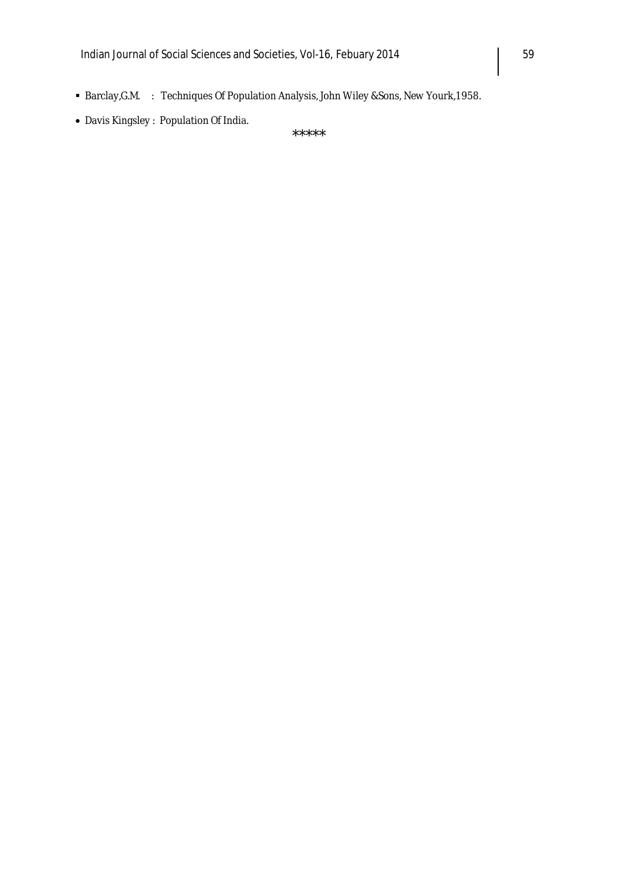- Barclay,G.M. : Techniques Of Population Analysis, John Wiley &Sons, New Yourk,1958.
- Davis Kingsley : Population Of India.

\*\*\*\*\*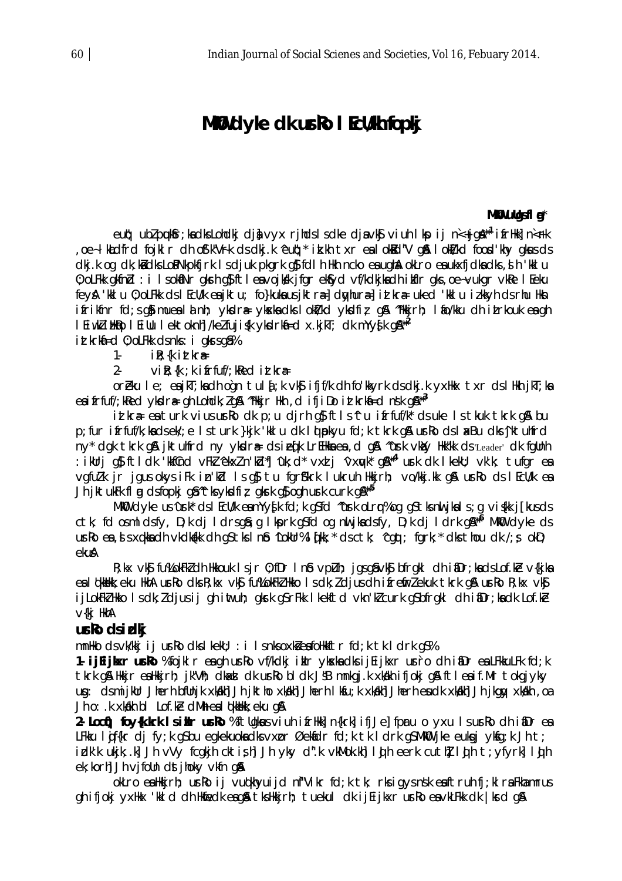# MKU dyke dk urko I Ecl/Kh fopkj

#### MKOV ullgsfl  $q^*$

eut; ublpukfr; kadks Lohdkj dja vyx rjhds I s dke djavk\$ viuh I kp i j n<+jga<sup>x+1</sup> i frHkk] n<Fk oe-latedfrd fojklr dhofk"Vfk ds dkj.k ^eut;\* it.kh txr ealokted"V g& lokt/kd food'khy gkus ds, dkj.k og dk; kå dks LoPNkpkfjrk Isdjuk pkgrk q\$ fdlh Hkh ncko ea ugha okLro ea ukxfjdka dks, sin 'kklu 0; oLFkk gkfnd : i I sokaNr gkrh g} ftl eavojkk jfgr ektyd vf/kdkjkadh ikflr gks, oe-vukgr vkRe I Eeku fey& 'kklu 0; oLFkk ds I EcU/k eajktu; fo}kuka us jktra=] dyhura=] intkra= uked 'kklu izkkyh ds rhu Hkn ifrikfnr fd; s g} mueal a nh; ykdra= ykxka dks l okt/kd ykdfiz g\$ ^Hkkjrh; l ao/kku dh itrkouk ea gh I Eiwklikken I Eillu I ektoknh /kelfujisk ykdrka=d x.kjkT; dk mYysk g&\*2

ittkrkfi=d 0; oLFkk dsnks: i gkrsg&%

 $1$  $i$ *R*;  $\{k$  *i t*t $k$ ra=

 $2 \forall$ ile; {k ; k ifrfuf/; ked itkra=

oreku le; ea jkT; ka dh ogn tula; k vk\$ ifjf/k dh fo'kkyrk ds dkj.k yxHkx txr ds l Hkh jkT; ka eaifrfuf/; kRed ykdr a qh Lohdk; I q& "Hkir Hkh, d ifji Do itkrkfi=d nsk q&"3

ittlers en turk vius ur lo dk p; u djrh q} ftls 'tu ifrfuf/k' ds uke Is tkuk tkrk q& bu p; fur ifrfuf/k; ka ds ek/; e Is turk } kjk 'kkl u dk Id pkyu fd; k tkrk g& urko ds I xBu dks 'j ktuhfrd ny\* dgk tkrk gå jktulfrd ny ykdræ ds i eqk LrEHkka ea , d gå "usrk vkly Hkk"kk ds Leader dk fgllnh : ikUrj q}ftldk 'kkfûnd vFk2 ^ekx2 n'kid\*] ^uk;d\* vxd j ^vxwk\* q&\*\*4 urk dk lkekU; vk'k; tufqr eæ vgfulk jr jgus okys i Fk in kid Is gj tu fgrfkrk I ukruh Hikirh; vo/kkj.kk gj uriko ds I Ecu/k ea Jh jktuk Fliqq dsfopkj q $\delta^{\prime\prime}$ tk ykolfiz qkrk q $\delta$  ogh urk curk q $\delta^{\prime\prime5}$ 

Mkill dyke us^urk\* ds I Ecl/k eamYy{k fd;k q\$fd ^urk oLrr%og q\$tksnluikals;q vi{kk j[kusds ctk; fd osml dsfy, D;k dj I drsg\$; g I kprk g\$fd og nuljkadsfy, D;k dj I drk g&<sup>not</sup> MkwO dyke ds urlo ea, is xqkka dh vkdkakk dh qs tks I nis "LokUr% I qkk;" ds ctk; "cqqt; fqrk;" dks thou dk /; s okD; ekuA

R; kx vk\$ fu%LokFkZ dh Hkkouk Isjr 0; fDr In\$ vpLth; jasa\$vk\$ bfrakI dh i\$Dr; kadsLof.ke v{kjka ealdkakk; eku HkhA urko dks R; kx vk\$ fu%LokFkZ Hkko Isdk; Z djusdh ifrefirZ ekuk tkrk q& urko R; kx vk\$ ijLokFkZHkko Isdk;Zdjusij ghimtuh; gkrk gSrFkk Ikekftd vkn'kZcurk gSbfrgkl dhiaDr;kadk Lof.ke  $\vee$ {kj HkhA

#### $ursRo$  dsidkj

mnHko dsvk/kkj ij urRo dks I kekU; : i I snksoxkiesfoHkkftr fd; k tk I drk gS%

1. ijEijkxr usio %fojkl r eagh usio vf/kdkj iklr ykska dks ijEijkxr usiro dh iaDr ea LFkkuLFk fd;k tkrk qå Hkir eaHkirh; jk"Vh; dkad dk urko bl dk JSB mnkgj.k xkkh ifjokj gå ftl eaif.Mr tokgjyky ug: dsmijkUr Jherh bfUnjk xkakh] Jh jktho xkakh] Jherh Iksu; k xkakh] Jherh eudk xkakh] Jh jkgqy xkakh , oa Jh o: .k xkakh bl Lof.ke dMh eal dkkakk; eku g&

2. Locii) foy{k.krk IsiMur usRo %ftUgkusviuh ifrHkl] n{krk] ifjJe] fpru o yxu IsusRo dh iiDr ea LFkku ligf{kr dj fy;k g\$bu egkekuokadksvxpr Øekadr fd;k tk ldrk g\$Mk@ jke eukgj ykag;k Jh t; idk'k ukjk; k] Jh vVy fcqkjh cktişh] Jh yky d".k vkMok.kh] I uh eerk cuth] I uh t; yfyrk] I uh ek; korh] Jh vjfolln dstjhoky vkfn q&

okLro ea Hkkjrh; usrko ij vuqkhyuijd nf"Vikr fd;k tk; rksigysnsk eaftruh fj;kl ra Fkhamrus gh ifjokj yxHkx 'kild dh Hkfedk eag& tksHkkjrh; tuekul dk ijEjjkxr urRo eavkLFkk dk |krd g&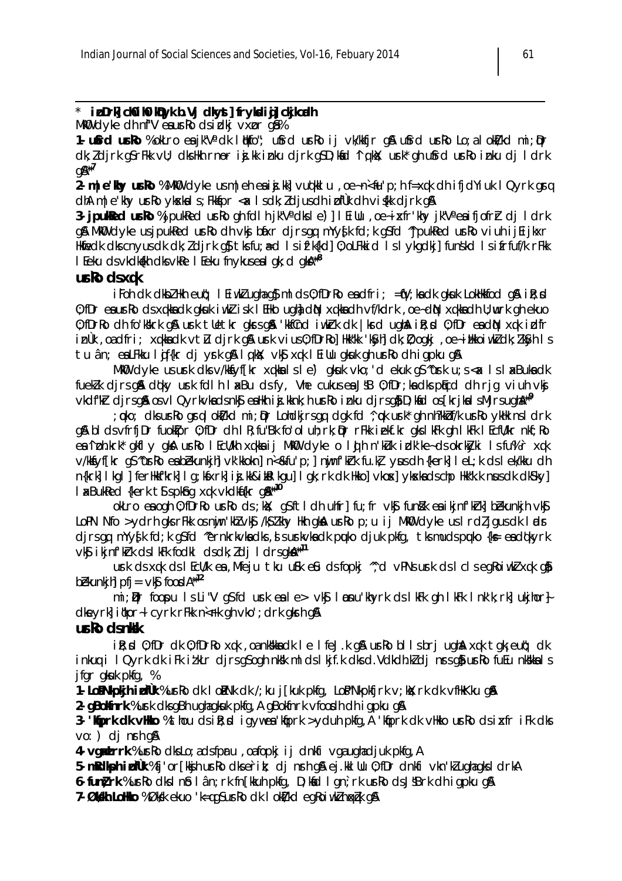## ipDrk choiho'kovk b.Vi dkytl frykdiel ckikcath

MKO dvke dh nf''V eaurko dsidki vxpr qa%

1. ufrd ur Ro % okLro ea jk"V<sup>a</sup> dk l tkfo"; ufrd ur Ro ij vk/kfjr g& ufrd ur Ro Lo; a l okt/kd mi; Qr dk; *l*djrk gSrFkk vU; dksHkh rnor ij. kk inku djrk gSD; kid 'lqkk'; urk\* qh utrd urko inku di ldrk  $Q\mathbb{A}^{*7}$ 

2. m | e'khy ur Ro % MkO dyke us m | eh ea ij.kk| vuqkklu, oe-n<fu'p; h f=xqk dh ifjdYiuk I Qyrk grq dhAm|e'khy urko ykskals; Fkkfpr < x lsdk; ldjusdh i pfùk dh vi {kk djrk q &

3. jpulled urlo % jpulled urlo gh fdl h jk"V<sup>a</sup>dkle) l Eillu, oe-ixfr'lhy jk"V<sup>a</sup> eaifjofrh dj Idrk g& Mk@ dyke usjpukked urko dh vkj bixr djrsgq mYy{k fd;k g\$fd "jpukked urko viuh ijEijkxr Hidredk discnvusdk di: Zdirk af tisfu: ad Isifikkid 0: olfikid Isl vitadi: I funsid I sifrfuf/k r Fiki I Feku ds vkdkikh dks vkRe I Feku fn ykus en I ak; d akt<sup>\*8</sup>

#### $ursRo$  ds  $xqk$

iFoh dk dkbl Hkh eut; l Eiwklughag}ml ds 0; fDrRo eadfri; = $\psi$ ; kadk gkuk LokHkkfod g& iR; d 0; fDr en urko ds xqkkn dk qkuk i wkł isk I EHko ught diN xqkkn dh vf/kdrk, oe-diN xqkkn dh U; wrk gh ekuo 0; fDrRo dh fo'kkirk q& ush tletkr qkrs q& 'kkfCnd iwkh'k dk | krd ugh iR; d 0; fDr eadN xqk idfr inÙk , oa dfri; xqkka dk vtlu djrk q& urk vius 0; fDrRo] Hkk"kk 'k\$yh] dk; D; oqkj , oe~iHkkoiwkZ dk; Zk\$yh Is tu ân; ealFkku liffkr di yrk gâ light; yk xgk lillu ghak gh urko dh igpku gâ

Mkill dyke us urk dks v/kkfyf[kr xqkka | s | e') gkuk vko; 'd ekuk q\$ "urk u; s < a | s | a< Buka dk fuekk dirs qual doky unk foll h I axBu ds fy, Vhe cukus ea JSB 0; fDr; ka dks plied dh rig viuh vkj vkdf"kir djrsgin osvl Qyrkvkadsnkj ealkh i j.kknk; h urko i nku djrsgi D; kid os [krjka | sMjrsugham<sup>9</sup>

; pko; dks urko gral okt/kd mi; Dr Lohdkjrs ga dak fd ^; pk urk\* ah nh?kkof/k urko ykhk ns l drk g& blds vfrfj Dr fuoktor 0; fDr dh I R; fu"Bk fo'ol uh; rk; Dr rFkk i ekf. kr gks I kFk gh I kFk I Ecfl/kr nkf; Ro ea 'i ph.krk' gkfl y gka urko l Ecu/kh xqkka i j Mki dyke o l uh n'kuk i dk'ke-ds okrkvki l s fu% r xqk v/kkfyf[kr qs ~urko esbekunkjh] vk'kkokn] n<&fu'p; ] nijnf'khk fu.kt yus dh {kerk] I eL; k ds I ek/kku dh n{krk] | kg| ] ferHklf"krk] | g; kfxrk] ij. kk&ikRl kgu] | gk; rk dk Hkko] vkox] vkskadschp Hkk"k. k nusdk dkSkv] I as BukRed {kerk t \$ s pkfor x q k vkdkafkr q a<sup>\*\*\*10</sup>

okLro ea ogh 0; fDrRo urRo ds; kx; qSftldh uhfr] fu; fr vk; fundk ea ikjnfkrk] bekunkjh vk; LoPN Nfo > vdrh aks r Fkk osnin' khi vks /ks /khv Hkh aka urko p; u ji Mko d vke us I rd i jaus dk I ad r dirs qq mYy{k fd; k q\$fd "ernkrkvkadks, d s urkvkadk puko djuk pkfq, tks muds puko {k= eadolkyrk vký ikjníkh dslkFk fodkl dsdk; ldj ldrsqkA\*<sup>11</sup>

urk ds xak ds I EcU/k en Mifeju tku ulk elu ds fopki "d vPNs urk ds I cl s earojuk zak ali bekunkjh pfj =  $\vee$ kj food $A^{*12}$ 

mi; Dr foopu Is Li"V qS fd urk eale > vkS I Donu'khyrk ds I kFk qh I kFk I nk'k; rk] ukjhor} dkevrkl itkor-I cvrk rfkk n<fk ah vko'; drk akrh a&

### urko dsnkk

ik; sd 0; fDr dk 0; fDrko xqk, oa nkkka dk le lfeJ.k q& usrko blls bri ugha xqk tak; eut; dk inkun i 1 Qvrk dk i Fk i tklr dirs asoah nksk ml ds l kif.k dks d. V dk dh.k di nrs af ur Ro fu Eu nkska I s jfgr gkuk pkfg, %

1. Lo**BNkokjh i pfük** % usrRo dk I oBNk dk /; ku j [kuk pkfq, LoB"Nkpkfjrk v; kk; rk dk vfHkKku q&

2- aBolfnrk %urk dks aBh uahaakuk pkfa. A aBolfnrk vfoodh dh i apku a&

3. "Kaprk dk vHko % thou ds ile; d igywea 'kaprk >yduh pkfg, A 'kaprk dk vHko urlo ds ixfr ifk dks  $vo:$  dinrh q $\lambda$ 

4. vaxtrrk % us Ro dks Lo: a ds for u . oa fopki i i dnkfi va a u a ha i uk pkfa. A

5- mRdkph ipfük %fj'or [kkjh urko dkserik; dj nrh q& ej.kkl Uu 0; fDr dnkfi vkn'klughagks | drkA

6- fun? rk % urko dks I n\$ I ân; rk fn [kkuh pkfg, D; kid I gn; rk urko ds JSB rk dh i gpku g \$

7- Økskh Lohko %Øksk ekuo 'k=gq\$urko dk I okt/kd egkojwklnokojk q&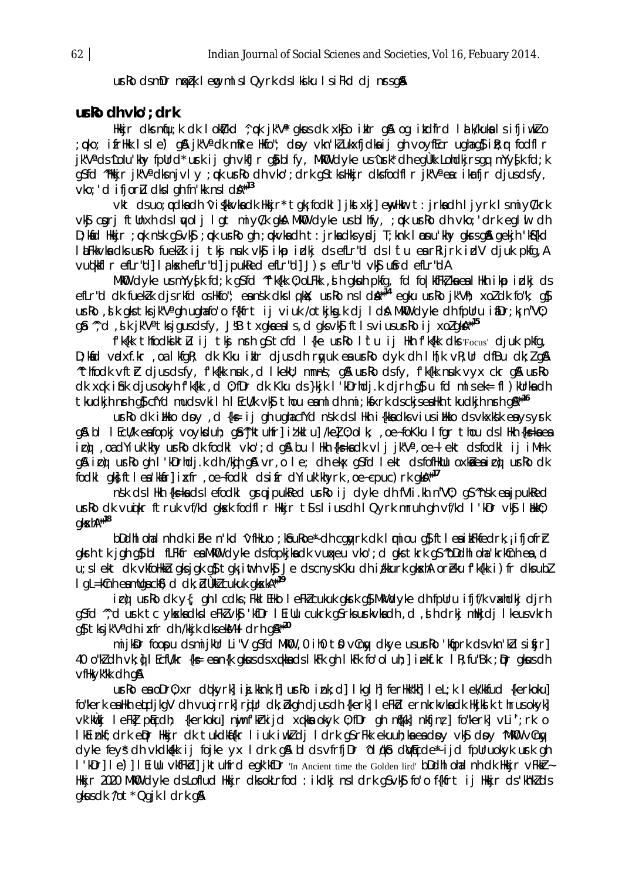urlo dsmDr nadk lem misl Qyrk dsikiku isiFkd dj nrsg&

## $ursRo$  dh  $vRo$ '; drk

Hkkjr dks niju;k dk lokt/kd ^;qok jk"V\* gkus dk xkjo iklr g\$\ og ikdfrd lalk/kukalsifjiwkZo ; pko; ifrHkk Isle) g& jk"Va dk mRre Hkfo"; dpy vkn'klukxfjdka ij gh voyfEcrughag\$ iR; r fodfl r jk"V' ds 'Lolu'khy fpUrd\* urk ij gh vkfJr ghibl fy, Mkm dyke us 'urk' dh eg ukk Lohdkjrs gg mYysk fd; k g\$fd "Hkkjr jk"V" dksnjvly; nk urko dh vko'; drk g\$tksHkkjr dksfodflr jk"V" ea: ikrfjr djusdsfy, vko; 'd ifjoru dks I gh fn 'kk ns I da<sup>\*\*13</sup>

vkt dsuo; pdka dh 'vi{kkvka dk Hkkjr\* tgk; fodkl] jkstxkj] enyHkur t: jrka dh ljyrk lsmiyC/krk vký cyrj ftlinxh dslwolj lgt miy(/k gkA MkW dyke usblhfy, ; wh urko dh vko; 'drk eglul dh D; kid Hkkjr; ok nsk qsvkj; ok urko qh; okvkadht: jrkadksydjī; knk I onu khy qkrsqå qekjh 'kis{kd la Ekkvka dks ur Ro fuekla ij tkj nak vkj ik po idkj ds eflr d ds litu ear Rijrk id V djuk pkfg, A vuot wird eftr"d] I a kach eftr"d] j pukked eftr"d] J); eftr"d vkj ufrd eftr"dA

MKOU clyke usmyyglk fcl; k qsfcl "fkfkk 0; olfkk , sh qkuh pkfq, fcl folkffkikaeal Hkh ikmo iclki cls efLr"d dk fuekk dis rkfd os Hkfo"; eansk dk lukk; urko ns l da<sup>\*14</sup> egku urko ik"Vh; xol dk fo"k; q \$ urlo, ik gls tls jk"V<sup>a</sup> gh ughafo'o f{kfrt ij viuk /otkjkg.k dj I dA Mki dyke dh fpllru iiDr;k; n"V0; a <sup>6</sup> c d . I k ik "V" thsiqus dsfv . J SB txake e is . d aks v k if the sviusur Ro ii xold k \*<sup>15</sup>

f'k{kk thfodkiktlı ij tkj nrh g\$tcfd I{ke urko l'tu ij Hkh f'k{kk dks Focus' djuk pkfg, D; kid vadxf.kr , oa I kfqR; dk Kku i klr djus dh rayuk ea urRo dyk dh I h[k vR; Ur dfBu dk; I q\$ "throck vith djusdsiy, ikik nuk, d I keku; mnns; g& urko dsiy, ikik nuk vyx ckr g& urko dk xak i hik dius okyh f<sup>k</sup>kkk, d 0: fDr dk Kku ds }kik l 'kDrhdi, k dirh al u fd ml s ek= fl ) kUrka dh tkudkih nrh qi cfYd mudsvkilh I EcU/k vkj thou eaml dh mi ; kixrk dsckisealkh tkudkih nrh qi \*\*\*

urlo dk illko dov, d {k = i j qh u qha cf Y d n sk ds I Hkh i {kka dks vius illko ds vkxksk ea vs vrk g& bl IEcU/k eafopkj voykduh; gâ "jktuhfr] itkklu] /kel 0; olk; , oe~foKku Ifgr thou ds IHkh {k=kaea icù , oadYiuk'khy urko dk fodkl vko'; d g& bu llkh {kskadk vlj jk"Va, oe~lekt dsfodkl ij iMrk gå icò urlo gh l'kDrhdj.k dh /kin gå vr, o le; dh ekx g\$fd lekt dsfofHkUu oxkieaicò, urlo dk fodkl aktitlem'kmfrlixfr.oe-fodkl dsifr dYiuk'khyrk.oe-cpuc)rk aka\*17

nsk ds I Hkh {k=ka ds I efodk| ar ai pukked ur ko ij dyke dh fVIi .kh n "V0; qS "nsk ea j pukked urlo dk vujkr ftruk vf/kd gksk fodfl r Hkkjr tsslius dh I Qyrk mruh gh vf/kd I 'kDr vks I Hkk0;  $\alpha$ kwh $A^{\star\star18}$ 

bDdhlohalnh dki Fke n'kd 'vfikuo ; kôu Roe \* dh cquyrk dk I miou q}ftleaikFkfedrk, i fjofrh gkrh tk jgh g} bl fLFkfr ea MkO dyke dsfopkjka dk vunkeu vko'; d gks tkrk g\$ "bDdhl oha 'krkCnh ea, d u; slekt dk vkfollkko gksjgk g\$tgk; inth vk\$ Je dscnyskku dh i/kkurk gkxhA oreku fk{kk i) fr dksubl I gL=kCnh eamllgack 5) cl clk; blukkl cukuk akskA\*\*19

icò urlo dk y{; qh I cdks; FkkI EHko I eFkI cukuk qkrk q} MkIIdyke dh fpUru ifjf/k vaxhdkj djrh g\$fd ", d urk tc ykskadks l eFkZ vk\$ 'kfDr I Eillu cukrk g\$rks urkvkadh , d , th drkj mHkjdj I keus vkrh g} tksjk"Vadhixfr dh/kkjk dksekM+I drh g&\*20

mijkDr foopu dsmijkUr Li"V gSfd MkD, 0 ih0 t0 vCny dkye usurko 'kiprk dsvkn'klsifjr] 40 o"k] ch vk; h I Ecfl/kr {k = e a n{k q k us d s x q k k a d s | k F k q h | k F k fo'ol uh; | i e k f . k r | R; f u "B k ; D r q k us ch vfHkyk"kk dh q&

urlo en oDr0; xr dqkyrk] in knk; h] urlo ink; d] I kgl h] ferHk"kh] I eL; k I ek/kkfud {kerkoku] fo"kerk ealkh etdikgV dh vuojrrk] rijur dk; bkgh djus dh {kerk] I eFkd ernkrkvka dk Hkjkd k thrus okyk] vk'külki lefki plicdh; {kerkoku] nujnf'kirkijd xqkka okyk 0;fDr qh n&fki nkfjn; | fo"kerki vLi'; rk o I kEinkf; drk epr Hkir dk tukdka{kr I iuk iwkI dj I drk g\$rFkk ekuuh; ka ea doy vk\$ doy 1Mkw vCny dyke feys dh ykdkakk ij fojke yx I drk gå blds vfrfjDr 'olakb di tedes i jd fpuruokyk urk gh I'MDr] I e') | I Ei Uu vkfFkd] jktuhfrd egk'kfDr In Ancient time the Golden lird' bDdhl ohal nh dk Hkkjr vFkkr-Hkir 2020 Mki dyke dsLoflud Hkir dksokLrfod : ikdkj nsl drk q\$vkj fo'o f{kfrt ij Hkir ds'kh"k2 ds akus dk 'Yot' Qaik I drk a&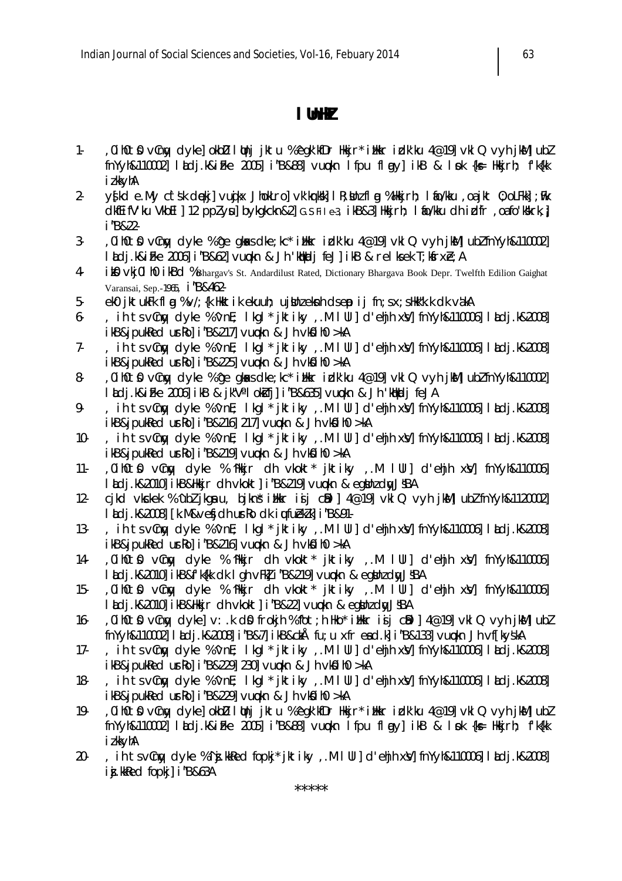- 1. ,0ih0t0 vCnny dyke] okbD I Unj jktu % ^egk'kfDr Hkkjr\* iHkkr izHk'ku 4@19] vklQ vyh jkM] ubZ  $fny'$ k $(110002)$  ladj.k $&$ i fke 2005] i "B $&888$ ] vu okn lfpu flagy] ikB  $&$  look  $\{k$ s Hkkirh; f'k $f$ kk iz.kkyhA
- 2- ys[kd e.My c`t s'k d qekj] vuqikx JhokLro] vk'k qrks"k] IR; Unz fl g % Hkkjrh; Info/kku ,oa jkt 0; oLFkk]; wFk dkfEifV'ku VkbEl] 12 ppZ ysu] bykgkckn&2] G.s. File-3, ikB&3] Hkkjrh; I to/kku dh idfr ,oa fo'k skrk, j i`"B&22-
- $3-$ ,0ih0t0 vCnny dyke % ^ge gkaxs dke;kc\* ithkir idk'ku 4@19] vklQ vyh jksM] ubZ fnYyh&110002] l adj.k&iFke 2006] i "B&62] vu pkn & Jh 'kt|kadj feJ] ikB & relks ek T;kfrxE;A
- 4- **ike vkj0lh0 ikBd** % Bhargav's St. Andardilust Rated, Dictionary Bhargava Book Depr. Twelfth Edilion Gaighat Varansai, Sep.-1965, i`"B&462-
- 5- ek0 jktukFk flgg % v/; {k Hkktik ekuuh; ujbUnz eksnh ds ep ij fn;s x;s Hkk"k.k dk valkA
- 6- , ih ts vCngy dyke % 'vnE; lkgl\* jktiky ,.M IUI] d'ehjh x\J] fnYyh&110006] lldj.k&2008]  $ikB&j$  puk $Red$  usr $Rol$  i "B $&217$ ] vu okn  $&Jh$  vkolih0  $>kA$
- 7. , ih ts vCngy dyke % 'vnE; lkgl\* jktiky ,.M IUI] d'ehjh xsV] fnYyh&110006] ladj.k&2008]  $i$ kB&jpuk $Red$  ur $R$ o $i$  i "B&225] vu okn & Jh vk $\Omega$ ih0 >kA
- 8. 0ih0t0 vCny dyke % ^ge gkaxs dke;kc\* illkkr idk'ku 4@19] vklQ vyh jksM] ubZ fnYyh&110002] ladj.k&iFke 2006] ikB & jk"Valokifj] i"B&635] vu pkn & Jh 'k hkadj feJA
- 9. , ih ts vCngy dyke % 'vnE; lkgl\* jktiky ,.M IUI] d'ehjh xsV] fnYyh&110006] ladj.k&2008]  $i$ kB&jpukRed urRo]  $i$ "B&216] 217] vu pkn & Jh vk $0$ ih $0$  >kA
- 10- , ih ts vCngy dyke % 'vnE; lkgl\* jktiky ,.M IUI] d'ehjh xyl] fnYyh&110006] ladj.k&2008]  $ikB\&jpu$ k $ed$  ur $Ro$ ] i $B\&219$ ] vu $\phi$ kn & Jh vk $\phi$ ih0 >kA
- 11. , 0ih0t \$0 vCnny dyke % ^Hkijr dh vkokt\* jktiky ,.M IUI] d'ehjh x\V] fnYyh&110006] l Ldj.k&2010] ikB&Hkkjr dh vkokt] i"B&219] vu pkn & eg thz dyJ sBA
- 12- cjkd vkckek %  $\Delta$ ubZ jkga u, bjkn ši i Hkkr isij cDil] 4@19] vklQ vyh jk M] ubZ fnYyh&1120002] l Ldj.k&2008] [k.M&vefjdh urro dk i ufuek k] i "B&91-
- 13- , ih ts vCngy dyke % 'vnE; lkgl\* jktiky ,.M IUI] d'ehjh xyl] fnYyh&110006] ladj.k&2008]  $i$ kB&jpuk $Red$  ur $R$ o $i$  i"B&216 $i$  vu $Q$ kn & Jh vk $Q$ ih0 >kA
- 14. ,0ih0t0 vCny dyke % ^Hkir dh vkokt\* jktiky ,.M IUI] d'ehjh xy] fnYyh&110006] l Ldj.k&2010] ikB&f'k{kk dk I gh vFkZ i "B&219] vu okn & egihz dwJsBA
- 15- ,0ih0t0 vCnw dyke % <sup>4</sup>Hkir dh vkokt<sup>\*</sup> iktiky ,.M IUI1 d'ehih xwl fnYyh&1100061 ladj.k&2010] ikB&Hkkjr dh vkokt] i"B&22] vu pkn & egthz dwJsBA
- 16- ,0ih0t0 vCn $y$  dyke] v: k d0 frokjh %  $f$ ot;h Hko\* iHkr isij cD1] 4@19] vklQ vyh jkM] ub Z fnYyh&110002] laLdj.k&2008] i`"B&7] ikB&czkÅ fu;u xfr e sa d.k] i`"B&133] vu qokn Jh vf[kys'kA
- 17- , ih ts vCngy dyke % 'vnE; lkgl \* jktiky , M I UI ] d'ehjh xsV] fnYyh&110006] ladj.k&2008]  $i$  kB&jpukRed urRo] i "B&229] 230] vu pkn & Jh vk $\Omega$ ih0 >kA
- 18- , ih t s vCny dyke % 'vnE; lkgl \* jktiky , M I Ul] d'ehjh x V] fnYyh&110006] l Ldj.k&2008]  $ikB\&jpukRed$  urro] i  $B\&229$ ] vu pkn & Jh vk $\sinh 0 > kA$
- 19. ,0ih0t \$0 vCn tyke] okbD I thi jktu % ^egk'kfDr Hkkjr\* i Hkr i dk'ku 4@19] vklQ vyh jk M] ub Z fnYyh&110002] laLdj.k&izFke 2005] i`"B&88] vu qokn lfpu flagy] ikB & lsok {ks= Hkkjrh; f'k{kk iz.kkyhA
- 20- , ih ts vCny dyke % ^ij.kkRed fopkj\* jktiky ,.M I UI] d'ehjh x\V] fnYyh&110006] lldj.k&2008] i**j**.kkRed fopkj] i "B&63A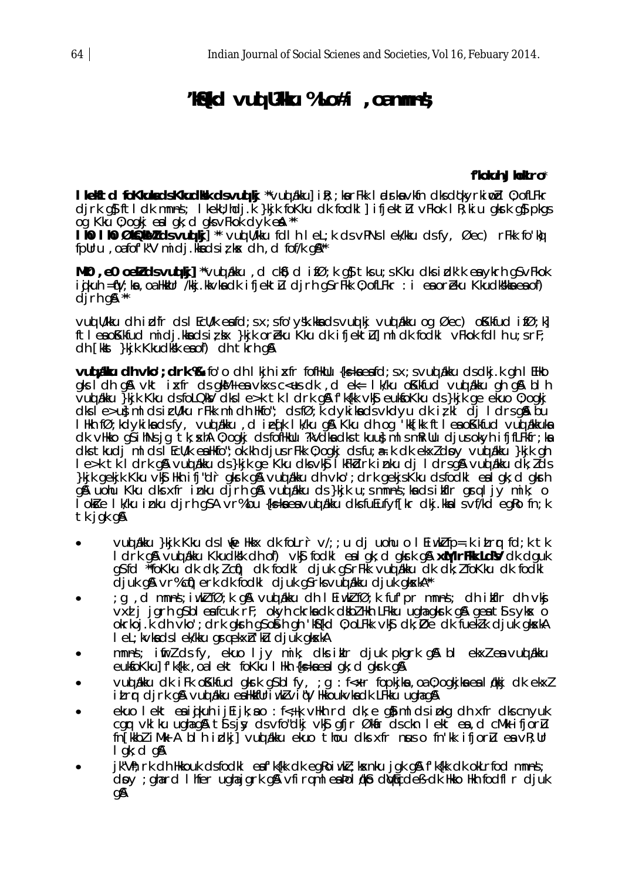# **Kind vud U?Ku %Lo#i**, oamnes;

f'loluh Jhollro\*

I lelftd foklulads Kludkk dsvul kj \*\*vul ákku] i R; ; ka r Fkk I alska vkfn dks dókyrki við 0; of L Fkr dirk q}ftldk mnns; I kekU; hdj.k }kjk foKku dk fodkl]ifjektlu vFkok I R; kiu qkrk q}pkqs og Kku 0; ogkjent gk; d gk v Fkok d yk en \*\*<br>**I h I h ØkQMZ ds vuol kj**] \*\* vuol W kku fd I h I e L; k ds v PNs I e k/kku ds fy, Øec) r Fkk fo koj

fpllru, oafof k"V midj.kkadsizkx dh, d fof/k q&\*\*

**MIO** , eO oekZdsvuotki] "vuotaku , d ck\$) d if $\emptyset$ ; k q\$ tks u; s Kku dks idk'k ea ykrh q\$ vFkok igikuh =QV;ka, oa HkkUr /kkj.kkvka clk ifjektlu cljrh g\$rFkk 0; ofLFkr : i ea oreku Kkuclkkka ea of)  $dirh$   $q\$   $'$ 

vud U/kku dhirdir ds I EcU/k eafd; s x; s fo'y'k.kka ds vud kj vud akku og Øec) o Kkfud i fØ; k] ftleao Khfud midj.kkadsirkx }kjk oreku Khu dk ifjektu]midk fodkl vFkok fdlhu;srF; ch [kkst } kjk Kkudksk ea of) ch tkrh g&

**Vul Alle Ch vlo'; drk %** fo'o ch I kjh i xfr foflkllu {ks=kaeafd;  $sx$ ; s vul Alku ds clkj. k gh I Elko gks I dh g& vkt i xfr ds gkW+ ea vkxs c<us dk, d ek= I k/ku o Kkfu d vuot alku gh g& bl h vuq akku }kjk Kku dsfoLQkV dksle>k tk I drk g& fk{kk vk§euksoKku ds}kjk ge ekuo 0; ogkj dks le>u}mlds i cl/ku rFkk mldh Hkfo"; ds fØ; k dykika ds vkdyu dk i z kl dj ldrs g& bu I Hkh fØ; kdykika dsfy, vud ákku , die (k I k/ku gå Kku dhog 'kk[kk ftlea o Kkfud vud ákkuka dk vHkko gšihNsjg tk; skh 0; ogkj dsfofHklu ?kVdka dks tkuu} mlsmRillu djusokyh ifjfLFkfr; ka dks tkudj ml ds I EcU/k ea Hkfo"; ok.kh djus rFkk 0; ogkj ds fu; a k dk ekxl dpy vud akku }kjk gh le>k tkidrk g&vuq akku ds}kjk ge Kku dksvkj ikFkdrk inku dj Idrsg&vuq akku dk; lds }kik gekik Kku vk\$ Hkh ifj"d`r gkrk g\$vud akku dhvko'; drk gekis Kku dsfodkl ealgk; d gkrh g& uohu Kku dksxfr inku djrh g& vuqlakku ds}kjk u;smnns;kadsikflr grqljy mik; o I oktre I k/ku inku djrh g\$A vr%bu {ks=kaeavuq akku dksfuEufyf[kr dkj.kkalsvf/kd egRofn;k tk jgk g&

- vud akku }kjk Kku ds I we Hkkx dk folrr v/;; u dj uohu o I Ei wklfp=.k itror fd; k tk l drk gå vunt alku Kkudk kal of) vkg fodkl en løst; digkrk gå **xmir Fik Ldb** dk dguk<br>gsfd "foKku dk dk; *l* cni) dk fodkl djuk gsr Fikk vunt alku dk dk; *l* foKku dk fodkl djuk q& vr%ct) erk dk fodkl djuk q\$rksvud akku djuk qkskA\*\*
- g, d mnns; iwklfØ;k g& vuddikku dh lEiwklfØ;k fufpr mnns; dh ikflr dh vkj; vxi j jgrh q\$ bl ea fcuk rF; okyh ckrka dk dkbl Hkh LFkku ugha gkrk q& geatS sykx o okrkoj. k dh vko'; drk gkrh gsosih gh 'ks{kd 0; oLFkk vk\$ dk; Øe dk fuekZk djuk gkskA I eL; kvkads I ek/kku grqekxh ku djuk gkxkA
- mnns; if rl ds fy, ekuo ljy mik; dks iklr djuk pkgrk q& bl ekxl ea vud akku eukfokku] f'k{kk, oa lekt fokku lhkh {k=kaea lqk; d qkrk q&
- vud akku dk i Fk o Kkfud gkrk q S b I fy, ; g : f< x r fo pkjka , o a 0; o gkjka e a I akkj dk ekxl itrr dirk gå vud akku exhktfurivklvitV hkkoukvka dk LFkku ugha gå
- ekuo lekt eaijkuh ij Eijk; ao : f<+ k vHkh rd dk; e g} ml ds i bkg dh xfr dks cnyuk car vkl ku ughaq& ts s j y ds vfo"dkj vk\$ gfjr Økar ds ckn I ekt ea, d cMk ifjorlu fn[kkb] iMk A blh idkj] vud kku ekuo thou dk xfr nus o fn'kk ifjoru en vR; Ur  $I$  qk; c q&
- jk"Vh; rk dh Hkkouk dsfodkl eaf'k{kk dk eqkoiwkl; kxnku jqk q&f'k{kk dk okLrfod mnns; dpy ; ghard I hfer ughajgrk g& vfirgml eapol dkb di dicedes dk Hkko Hkh fodfl r djuk qA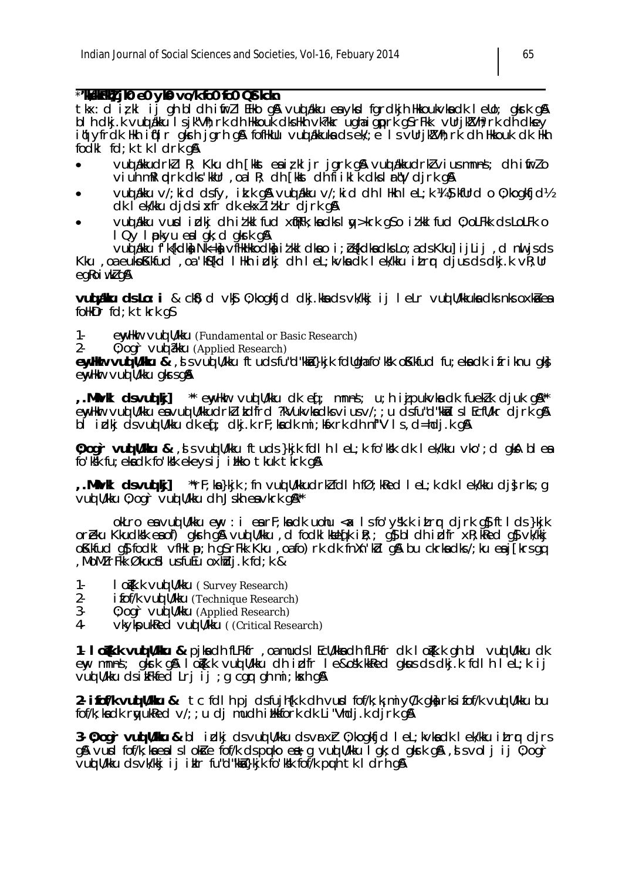\*\* WHAT IN EQ VIO VO/k foo foo Ottickn

tkx: d izkl ij gh bl dh ifirz I EHko g& vud akku ea ykd fgrdkjh Hkkoukvka dk I eUo; gkrk g& b I h cki.k vud akku I s ik"Vh; rk ch Hkkouk cks Hkh vk?kkr ugha i giprk g\$rFkk vllrik?Vh? rk ch ckev i di yfrak Hkh i fi'ir glwrh jarh gâ fofHkllu vud akkuka ds ek'; e I s vllrjk?Vih; rk dh Hkkouk dk Hkh fodkl fd; k tk I drk g&

- vud akkudrkl I R; Kku dh [kkst ea i z kl jr jgrk g\$ vud akkudrkl vius mnns; dh ifirlo viuh mRI pdrk dks kkUr, oal R; dh [kkst dh fiiklk dks Friv dirk q&
- vud akku v/; kid dsfy, ik.k gå vud akku v/; kid dh I Hkh I eL; k ¼ § kfUrd o 0; kogkfjd½ dk lek/kku djdsixfr dk ekxlitkLr djrk g&
- vud akku vurd indki dhit kkl fud xtRFk; ka dks l y>krk q\$o it kkl fud 0; oLFkk ds LoLFk o I Qy I pokyu ea I gk; d gkrk g&

vud ákku f<sup>r</sup>kíkolka Nik=ka vihkhkkodka izkki dkao izbíkolkadks Lozads Kkul i i Li i "d nu isds Kku, oa eukpKkfud, oa 'kKkd IHkh irdkj dh I eL; kvka dk I ek/kku itrog djus ds dkj. k vŘ; Ur egkoi wkł g&

vuoj *t*iku ds Lo: i & ck\$) d vk\$ 0; kogkfjd dkj. kka ds vk/kkj ij leLr vuoj U/kkuka dks nks oxka ea folkDr  $fd; k$  tkrk qS

 $1$ enyllkur vud U/kku (Fundamental or Basic Research)

 $2 0$ ; ogr vud  $\delta$ ku (Applied Research)

ewiller vul Ulku & , I s vul U/kku ftuds fu"d"kki }kjk fdllgha fo'kk o Kkfud fu; eka dk i friknu akk envilker vud U/kku akrsan

"Min/kil dsvuqlig] \*\* enytikur vuqlu/kku dk eq[; mnnsi; u;h ijpukvka dk fueklk djuk g&\*\* enyther vuot U/kku en vuot U/kkudrki itdird ?kVukvkadks vius v/; ; u disfu"d"kkal si EcfU/kr djrk g& bl idkj dsvuot U/kku dk eq[; dkj.k rF; kadk mi; ktxrk dh nf"V Is, d=hdj.k g A

0; ogir vuotumiku & , si vuotukku ftuds }kjk fdlh lel; k fo ksk dk lek/kku vko ; d qka blea fo'ksk fu; ekadk fo'ksk ekeysij illkko tkuk tkrk q&

, Minuki dsvuojkij \*rF;ka}kjk ; fn vud Wkkudrklfdl h fØ;kRed l eL;k dk l eWkku dj}rks ; g vud U/kku 0; og`r vud U/kku dh Jskh eavkrk g&\*\*

okLro en vud U/kku eny : i en rF; kn dk uohu <a lsfo'y'kk itrog dirk q\$ftlds}kjk oreku Kkudkik en of) gkrh gå vud U/kku, d fodki kiled[k i k;; g} bi dh i dfr xk; kRed g} vk/kkj oKkfud q\$ fodkl vflkl p; h g\$ rFkk Kku, oa fo) rk dk fnXn'kd g\$ bu ckrka dks /; ku ea j [krs gq , MoMI rFKk Økucfd usfuEu oxhidj.k fd; k &

- $1$ l ofk.k vud U/kku (Survey Research)
- $2$ **ifof/k vud Wkku (Technique Research)**
- $3 -$ 0; ogr vul U/kku (Applied Research)
- $4$ vkykpukked vull l/kku ((Critical Research)

1. lo**čk k vud Ulku &** pjka dh fLFkfr, oa muds I EcU/kka dh fLFkfr dk ločk k qh bl vud U/kku dk eny mnns; gkrk gå lokk vud Wkku dhidfr le&osk.kkRed gkus ds dkj.k fdlh leL;k ij vud U/kku dsikFkfed Lrjij; q cgr qh mi; kskh q&

**2. if of /k vuolu/kku &** tc fdl h pj dsfujh {k.k dh vund fof /k; k; mi y  $C/k$  qk arks if of /k vuolu/kku bu fof/k; kadk ryukRed v/; ; u dj mudh i Hkkfork dk Li "Vhdj.k djrk g&

3. 0; ogir vuo Ulku & bl idkj ds vuo Ulku ds vrxh 0; kogkfjd let; kvka dk lek/kku itror djrs and yout for the last of the form of the south of the set of yout like the light of the set of the south in the south of the south of the south of the south of the south of the south of the south of the south of the south vud U/kku dsvk/kkj ij ikir fu"d"kka }kjk fo'kk fof/k pun tk I drh q&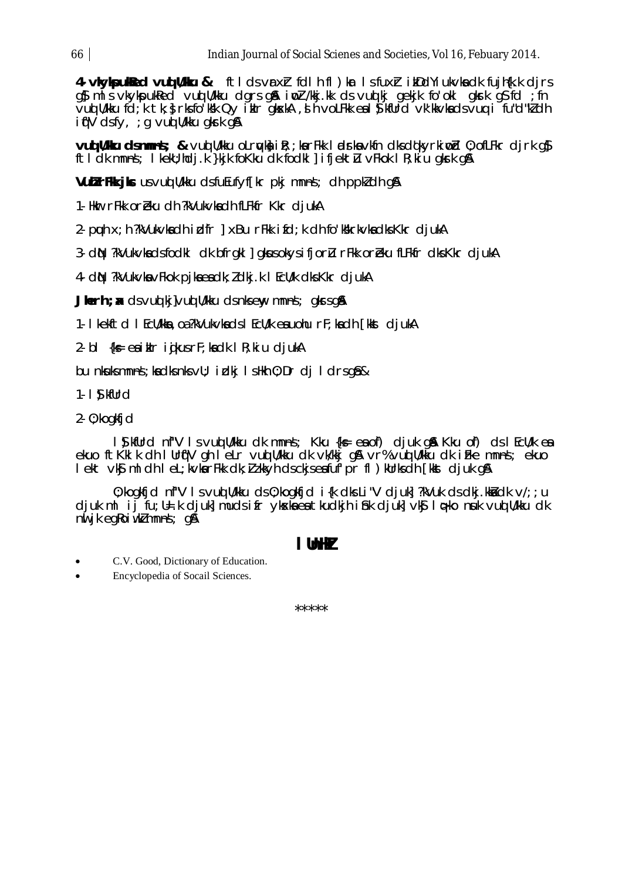4. vkykpulled vull Ulku & ftlds vrxh fdlh fl) kr Isfuxh ikDdYiukvkadk fujh(k.k djrs g} mls vkykpukked vuq U/kku dgrs g& inoZ/kkj.kk ds vuq kj gekjk fo'okl gkrk g\$fd ; fn vud U/kku fd;k tk;}rksfo'k'k Qy iklr gkskA, shivoLFkk exil) kfUrd vk'kkvkadsvug i fu"d"k/dh if "V dsfy, a vuot U/kku gkrk g &

vud U'Hu dsmnns; & vud U'kku olruka i R; ; karFkk I adstavkin dks dokyrki ud 0; of LFkr dirk q\$ ftldk mnns; I kekl; hdj.k }kjk foKku dk fodkl] i fjektlu vFkok I R; ki u gkrk g&

VultrFlk jls us vud U/kku dsfuEufyf[kr pkj mnns; dh ppk] dh g&

1. Hlur rFlok oreku dh ?kVukvladh fLFlofr Kkr diukA

2. puh x; h ?kVukvkadh idfr | xBu rFkk ifd; k dh fo'k&rkvkadks Kkr djukA

3- diN ?kVukvka dsfodki dk bfrgki] gkusokysifjorlu rFkk oreku fLFkfr dks Kkr djukA

4 din ?kVukvka vFkok pjka ea dk; I dkj.k I EcU/k dks Kkr djukA

**Jierh** ; x  $ds$  vuot kj] vuot U/kku cls nks eny mnms ; gkrs g &

1. I kekftd I EcU/kka, oa?kVukvkads I EcU/k eauohu rF; kadh [kkst djukA

2- bl  $\{k = e^{\alpha}$  ikir igkus r $F$ ; kadk IR; kiu djukA

bu nkuksmnns; kadksnksvU; idkj IsHkh O; Dr dj Idrsgå&

 $1 - 1$   $\sqrt{}$  kfllrd

 $2 - 0$ : koakfid

I Sykflurd nf"V I svud U/kku dk mnns; Kku {k = ea of) djuk g& Kku of) ds I EcU/k ea ekuo ft Kklk dh I Urq"V gh I eLr vuq U/kku dk vk/kkj g& vr% vuq U/kku dk i Fke mnns; ekuo lekt vkg ml dh lel; kvkarFkk dk; jizkkyh dsckjseafuf pr fl) kurks dh [kkst djuk g&

0: koakfid nf"V Is vud U/kku ds 0: koakfid i {k dks Li"V diuk] ?kVuk ds dki. kka dk v/: : u djuk ml ij fu; U= k djuk) mudsifr ykska ea tkudkjh ishk djuk) vks I oko nuk vud U/kku dk  $\mathsf{m}$  is equotively morphonously  $\mathsf{q}$ 

#### I Unliv

- C.V. Good, Dictionary of Education.
- Encyclopedia of Socail Sciences.

 $*****$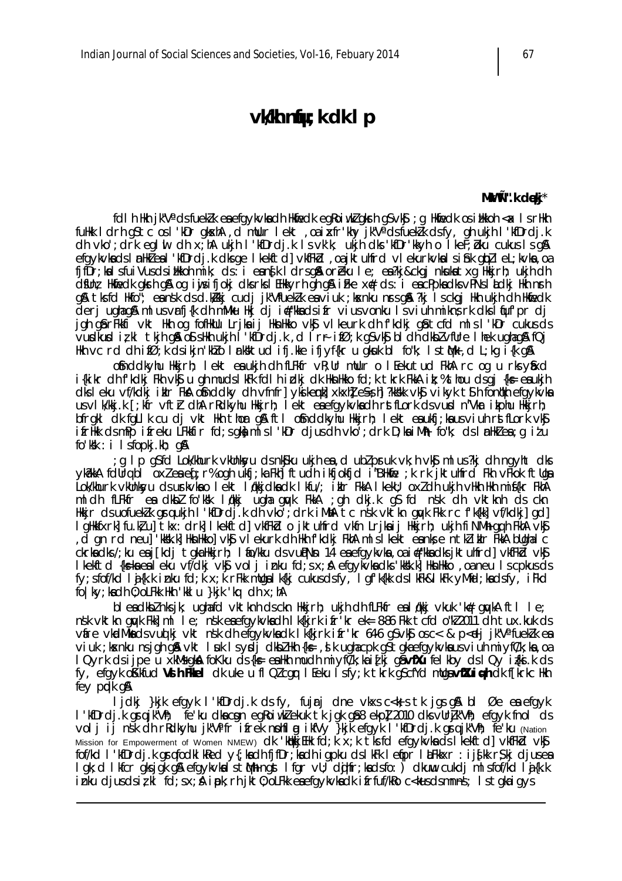# vk/kh ntu; k dk 1 p

#### MKWÑ".k dękj\*

fdl h Hkh jk"Vª ds fueklk ea efgykyka dh Hkfiedk eg Roi wkl gkrh g\$ vk\$; g Hkfiedk os i Hkkoh <a< I s rHkh fullk I drh g\$tc os I 'kDr gkxhA, d mllur I ekt, oa i xfr'khy jk"Va ds fueklk ds fy, gh ukjh I 'kfDrdj.k dh vko'; drk eqlul dh x; hA ukjh I'kfDrdj.k Is vk'k; ukjh dks 'kfDr'kkyh o IkeF; bku cukus Is q& efgykvkads InnHkZeal'kfDrdj.kdksge Ikekftd]vkfFkd, oa jktuhfrd vIekurkvkalsinkgb2leL;kvka, oa fifDr; kalsfuiVusdsihkkoh mik; ds: i eansk Idrsgå oreku Ie; ea?kj&ckgj nkukatxg Hkkirh; ukjh dh d film; Hidiedk glorh gå og i ujsifjokj dksrks i EHkkyrh gh gå i Fke xq# ds: i eacPpka dksvPNs i aldkj Hkh nrh g& tksfd Hkfo"; eansk dsd.k/kkj cudj jk"Vfuek/k eaviuk ;kxnku nrsg& ?kj Isckgj Hkh ukjh dh Hkfiedk derjughag& mlusvrfj{k dh mMku Hkj dj in#"khadsifr viusvonku lsviuh miknsrk dkslinuf'pr dj jgh gårFkkfi vkt Hkh og fofHkUu Lrjka ij HknHkko vkj vlkeurk dhfkdkj gåtcfd mlsl'kDr cukusds vurdkurd izkl tkjh qå ofshkh ukjh I ktDrdjk, d I r iføk gsvkj bldh dkblvflre I hek ughagå fQj Hkh vc rd dhifØ;k dsikjn'hko Irksktud ifj.kke ifjyf{kr u gkuk bl fo"k; IstMk ,d L;kg i{k g\$l

ofinddkyhu Hikirh; lekt en ukih dh fLFkfr vR; Ur mUur o lekutud FkhA rc og u rks yfixd i{kikr dh f'kdkj Fkh vk\$ u qh mudslkFk fdlh idkj dk HknHkko fd;k tkrk FkkA ik;%thou dsgj {ks eaukjh dks I eku vf/kdkj ikir FkA osnddky dh vfnfr] yki kemk] xkxhl es-s h] ?kkskk vkg vikyk ts h fontkh efgykvka us vik/kkj.k [;kfr vft/r dhA rRdkyhu Hkkjrh; lekt entefgykvkndh rstflork ds vuid n"Vkr ikphu Hkkjrh; bfrakl dk fallk cu di vkt Hkh thor an ftl ofnddkyhu Hkirh; lekt en ukfi;knus viuh rstflork vkg ifrHkk dsmPp ifreku LFkkfir fd;sqk) mlsl'kDr djusdh vko';drk D;kaiMk\ fo"k; dslmHklea;q itu  $\frac{1}{2}$  fo  $\frac{1}{2}$  ks  $\frac{1}{2}$  i  $\frac{1}{2}$  s fopkj.kh; q&

g I p g§fd Lok/khurk vkUnkyu dsnk\$ku ukjh es,d ublpruk vk;h vk\$ mlus?kj dh ngyht dk; ykakkA fdUrq bi oxlea eq; r% oqh ukfj;ka Fkh ftudh ikfjokfjd i"BHkie ;k rk jktuhfrd Fkh vFkok ftUqa Ľok/khurk vkunksyu cisusrkvkao lěkt lípkkjckack lkfu/; ikir FkkA lkeku; oxi dh ukjh vhkh hkh mis{kr FkhĂ m I dh fLFkfr ea dkbl fo'kk I nkkj ugha gryk FkkA ; gh dkj.k g\$ fd n\$k dh vktknh ds ckn Hkir dsuofuekik graukih I kfDrdik dh vkoʻ; drk i MhA tc nsk vktkn guyk Fkk rc f k{kk] vf/kdki] gd] I ghkkfxrk] fu kì u] tkx: drk] I kekftd] vkfFkd o jktuhfrd vkfn Lrjka i j Hkkjrh; ukjh fi NMh gq h FkhA vk\$ , ď gn rd neu] 'kkšk.k] HknHkko] vk\$ viekurk dh Hkh f'kdkj FkhA ml sikekt eanks e ntkliklr FkkA bUghal c<br>ckrkadks/;ku eaj[kdj tgkaHkkjrh; lifo/kku ds vulpNn 14 eaefgykvka,oaii#"kkadksjktuhfrd] vkfFkd vk\$ I kekftd {k=kaealeku vf/dkj vk\$ volj inku fd;sx; & efgykvkadks 'kkkk.k] HknHkko , oa neu I s cpkusds fy; sfof/kd li {k.k inku fd; k x; k rFkk mUqalk{kj cukusdsfy, l qf'k{kk dslkFk&lkFk yMfd; kadsfy, iFkd folky; kach 0; oLFkk Hkh 'kkl u }kjk 'kq ch x; hA

ble a clkb  $l$  nks jk; ughafd vkt knh cls ckn Hkkj rh; ukjh clh fl Ekfr ealdkkj vkuk 'ko#gwkA ft l le; nsk vktkn gwk Fkk]ml le; nsk enefgykvkndh I k{kjrk ifr'kr ek= 8-86 Fkk tcfd o''k2011 dh tux.kuk ds víre vkdMkadsvuolki vkt nsk dhefqykvkadk lk(kjrk ifr'kr 646 gsvkg osc< & p<dj jk"Vafuekkea viuk; kxnku nsjgh g& vkt luk lsydj dkblłkh {k = , d k ughacpk g stgka efg vkvka usviuh mivf(/k; ka , oa I Qvrk dsipe u xkMsqknA foKku ds{ks ealkh mudh miyfČk; kaidkj gavfku felkby dsl Qy i{ks k ds fy, efgyk o Kkfud Vsih Fikkel dk uke u fl Qlcgr I Eeku I sfy; k tkrk g ScfYd milga vflauieth dk f[krkc Hkh fey podk g&

ljdkj}kjk efgyk l'kfDrdj.k dsfy, fujrj dne vkxsc<k;stk jgsg&bl Øe entefgyk I 'kfDrdj.k grajk''Vh; fe'ku dkacan egkoiwklekuk tk jgk gå 8 ekpl 2010 dks vUrjk''Vh; efgyk fnol ds voljij nsk dh rkdkyhu jk"Vifr ifrek nohfla ikfVy }kjk efqyk l'kfDrdjk grajk"Vh; fe'ku (Nation Mission for Empowerment of Women NMEW) OK 'KHAI EHK fO ; k x ; k this fol efgykyka Os I kelftdl vkfFkd vkf fof/kd I kfDrdjk grafodki kRed y{; kadh fjfDr; kadh i gpku dsi kFk i efpr i aFkkxr : i jskk r\$kj djusea l gk; d l kfcr gksjgk g& efgykvkalstMh ngst l fgr vll; dilfr; kadsfo: ) dkuw cukdj ml sfof/kd l j{k.k inku djusdsi $\iota$ kl fd;sx;A ipk;rhjkt0;oLFkk e $\iota$ efgykvk $\iota$ dk ifrfuf/kRoc $\lt$ kusdsmn $\iota$ s; Istgkaigys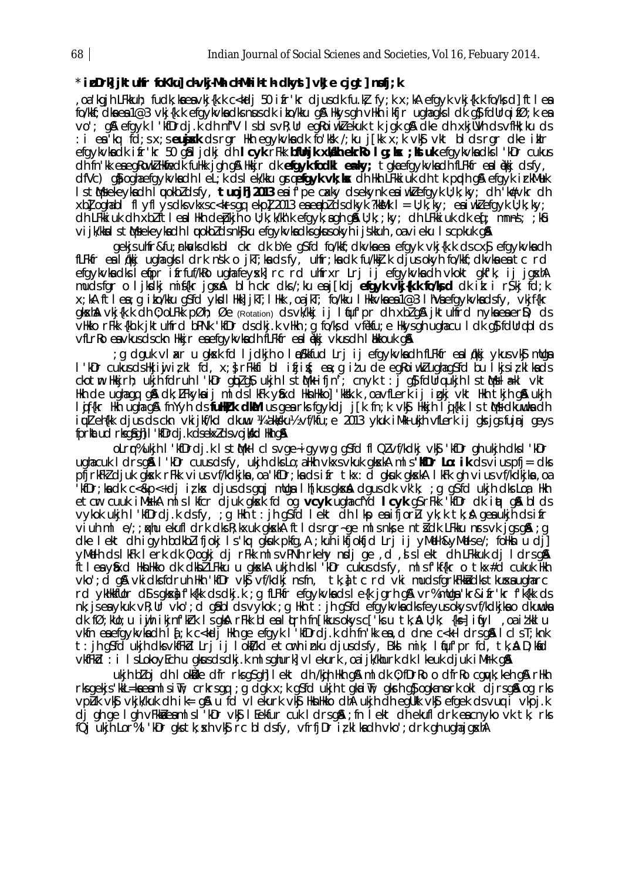#### \* ipDrk jktuh'r foKku chvkj-Mh chMhihth dkyt vkJe cjqt nofj;k

oa'kgjh LFkkuh; fudk;kaeavkj{k.k c<kdj 50 ifr'kr djusdk fu.k, fy;k x;kA efgyk vkj{k.k fo/ksd] ftlea, fo/kkf; dka ea 1@3 vkj{k.k efgykyka dks nus dk i to/kku g& Hkys gh vHkh i kfjr ugha gks I dk g\$ fdUrq i fØ; k ea vo'; gå efgyk I kifDrdj. Kelh nf"V IsblsvR; UregRoiwilde kuk tkjgk gå dke dh xkjUVh dsvfHk; ku ds : i ea kq  $\vec{f}$  fd; s x; s eussisk ds rgr Hkh egykvka dk  $\vec{f}$  o'kkk /; ku j $\vec{f}$  kk x; k vk $\vec{g}$  vkt blds rgr dke iklr efgykvka dk i fr'kr 50 gâl j dkj dh I cyk rFkk bfthijk xkikh ekriko I g; kx ; ktuk efgykvka dks l'kDr cukus dh fn'kk ea eg kowk! Hkfiedk fuilkk jgh g& Hkkjr dk **efgyk fodk! ea ky**; t gka efgykvka dh fLFkfr ea l akkj ds fy, dfvc) af oghaefa vkvkadh I elik ds I elvkku arg**efa vkvkske**dh Hkh LFkki ukjdh tk proth af efa vki i rkMerk Is twiselie yka dh I wokbldsfy, tuojh 2013 ea if pe cakly dsekynk ea i wklefgyk U; k; ky; dh k#vkr dh xb] oghabl flyflysdksvkxsc<krsgq ekp] 2013 eaerpbldsdkyk ?kkMk l = U; k; ky; eaiwklefgyk U; k; ky; dh LFkkiuk dh xblftl eal Hkh depkjh o U; k; k/kh'k efgyk; agh g& U; k; ; ky; dh LFkkiuk dk eq ; mnns; ; k& vijk/kka I stMsekeykadh I uu okbidsnk§ku efgykvkadksgkusokyh ijškkuh , oavieku Iscpkuk g&

gekis ultfr&fu; rka/ks dks bl ckr dk bYe g\$fd fo/kkf; dkvka ea efgyk vkj{k.k ds cx\$ efgykvka dh fLFkfr en I nki ugha gks I drk nsk o jkT; ka ds fy, uhfr; ka dk fu/kkj.k djus okyh fo/kkf; dkyka en tc rd efgykvka dks letpr i frfuf/kko ugha feyskl rc rd uhfrxr Lrj ij efgykvka dh vkokt gkfk, ij jgsthA mudsfgr o ljkmdkj mif{kr jgstan bln ckr dks/; ku enij[kdj efgnyk v knjfkk. krito/ks; d dk ik: i r\$kj fd; k<br>x; kAftlen; g iko/kku g\$fd ykodlHkk]jkT; lHkk , oajkT; fo/kku lHkkvknen:1@3lhVnefgykvknedsfy, vkjf{kr gkxha vkj{k.k dh 0; oLFkk pØh; Øe (Rotation) ds vk/kkj i j l fuf'pr dh xbl g& jktuhfrd nyka ea erD; ds vHkko rFkk {kh.k jktuhfrd bPNk 'kfDr dsdkj.k vHkh ; g fo/ksd vfekfu; e Hkysgh ughacu I dk g\$ fdUrqbl ds vfLrko en vkus ds ckn Hkir en efgykvkndh fLFkfr en I giki vkus dh I Hkkouk gin

; q dquk vlar u qksk fd ljdkjh o lø kkfud Lrj ij efgykvka dh fLFkfr ea lakkj ykus vkg mulga I'kDr cukusdsHkjiyi izkl fd, x;}rFkkfi bl ifjig; ea;g izu de egRoiwklughagSfd bu Ikjsizklkads ckotm Hkkjrh; ukjh fdruh I kDr gbz g\$ ukjh I sthNk ifjn"; cnyk t: j g} fdUrqukjh I sthNs i akl vkt Hkh de ughaqq qå dk; LFkykaij midsikFk yfixd HknHkko] 'kksk.k , oavfLerk ij igkj vkt Hkh tkjh qå ukjh ligf{kr Hin ugha g\$ fnYyh ds **fuHckk dial us** gearks fgykdj j[k fn;k vk\$ Hikkjh lig{kk ls tMa dkumuka dh jų̃uleh{kk cljus as ckn vkijkf/kd ckuwu ¼ akkkku½ vf/kfũ;e 2013 ykuk iMk ukjh vflerk ij gksjąs fujri geys fprlatud rlsgågh| I 'ldDrdj.k dsekvldsvojldild Hingji

olrr%ukjh I 'kfDrdj.k IstMk I cIsvge~igyw;g gSfd fl Qlvf/kdkj vkg 'kfDr ghukjh dksl 'kDr ugha cuk I drs gha I 'kDr cuus ds fy, ukjh dks Lo; allkh vkxs vkuk gkokka ml s **'kDr Lo: ik** ds vius pfj = dks přjrkFkZ cljuk gkosk rFkk vius vf/kclkjka ,oa kfDr;ka clsifr tkx: clgkuk gkoskA lkFk gh vius vf/kclkjka ,oa<br>kfDr;ka clk c<&p<+clj izkos cljus clsguj mUga lh[kusgkoskA clgus clk vk'k; ;g gSfcl ukjh clks Loa Hkh; etcr cuuk iMskA mislkfcr djuk gksk fd og vcyk ughacfYd lcyk g\$rFkk 'kfDr dk int g\$ blds vykok ukjh l'kfDrdj.k dsfy, ;g Hkh t:jh g\$fd lekt dh lkp enifjorlu yk;k tk;A genukjh dsifr viuh ml e/; ; pkhu ekufl drk dks R; kxuk gkskA ftlds rgr~ge mlsnkse ntddk LFkku nrsvk jgsg&; g dke lekt dhigyh bdkblifjokj ls'kq gkuk pkfg, A ; kuh ikfjokfjd Lrj ij yMelh&yMelse/; follkn u dj] y Meth ds I kFk I erk dk 0; ogkj dj rFkk mlsvPNh rkehy ndj ge, d , s i ekt dh LFkkuk dj I drsg & řtlea yáxd HknHkko dk dkbŽ LFkku u gkxkA ukjh dks l'kDr cukus ds fy, ml s f'kf{kr o tkx#d cukuk Hkh vko'; d g& vki dks fdruh Hkh 'kfDr vky vf/kdkj ns fn, tk, a tc rd vki muds fgrkFkkadks tkussaugharc rd ykhkhulor d\$sgkx; f'k{kk dsdkj.k ; g fLFkfr efgykvkadsle{k jgrh g\$vr% mllga 'kr&ifr'kr f'k{kk ds nk; jsea ykuk vR; Urī vko'; dīgā bids vykok; gī Hkh t: jh g\$fd efgykvka dks feyus okys vf/kdkjka o dkunuka chk fØ; klo; u iyih ikjnfkrk Isqka rFkk blealqtrh fn[kkusokysc['ksu tk, all; k; {ks] iqfyl , oa itkklu vkfn en efgykvknigh i  $\{x : k \in k$ dj Hkh ge efgyk i 'kf $D$ rdj.k dh fn'kk en , d dne c<k i drsgå i cl sT; knk t: ih q\$fd ukih dksvki kid Lri ij loki/kd etarh inku djusdsfy, Bkl mik; lijuf pr fd, tk, & D; kid vkfFkd: i IsLokovEch u gkusdsdkj.kmlsghurk]vlekurk, oa ijk/khurk dk Ikeuk djuk iMrk gA

ukjh bioj dh I okülke dir rksgsghi I ekt dh /kqih Hkh g&ml dk 0; fDrRo o dirRo cguyk; keh g&rHkh rksgekjs kkL=kaeamlsinT; crkrsgq; g dgk x; k g\$fd ukjh tgkainT; gkrh g\$ ogkanork okl djrsgA og rks vpuk vký vkjk/kuk dhi k= g\$ u fd vlekurk vký HknHkko dhA ukjh dhe gukk vký efgek dsvuq i vkpj.k di gh ge I gh vFkkiesmlsl kDr vkj I Fekfur cuk I drsgli, fn I ekt dhe kufl drk escnyko vk tk, rks fQjukjh Lor%l 'kDr gks tk; skh vk\$ rc bldsfy, vfrfjDr iz klkadh vko'; drk ghughajgshA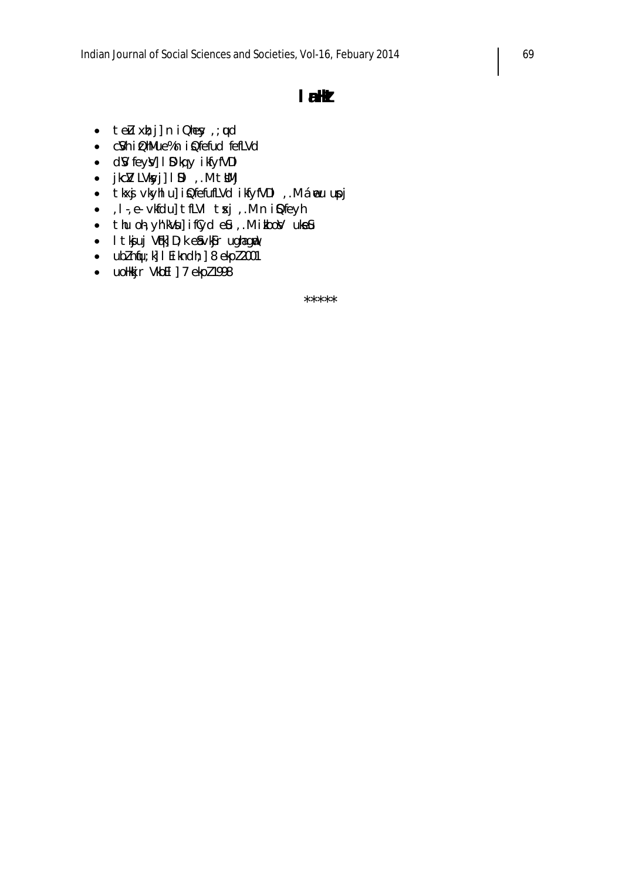# $\mathsf{I}$  alk

- $\bullet$  telu xh; j] n i Qhesy, ;  $\mu$ d
- cVh i QhMue%n i Qfefud fefLVd
- dv feyv] I D'kq y ikfyfVDI
- jkcV LVkyj] I DI , M tUMj
- · tkxj vkyhl u] i QfefufLVd i kfyfVDI , M áreu upj
- · , I -, e vkfdu] tfLVI txj , .M n i Dfeyh
- · thu oh, yh'kVu] ifCyd eLi, M ikbol/ ukeLi
- I tkjuj Vfk] D; k esvkjr ughagw\
- $\bullet$  ublnfu; k] I Ei kndh; ] 8 ekpl 2001
- uoHkkjr VkbEl] 7 ekpl 1998

 $*****$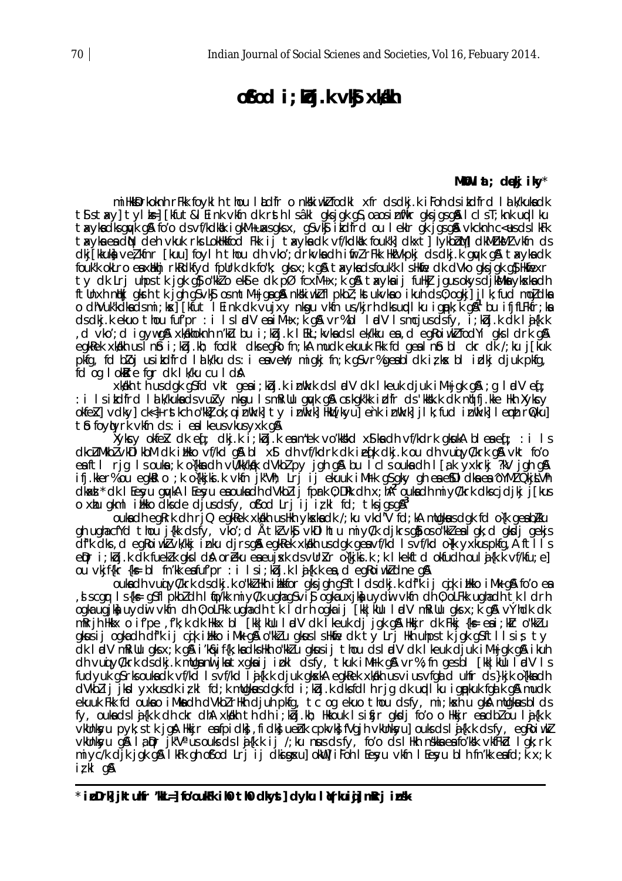# $0$  $0$  $0$  $d$   $i$ ;  $d$  $i$  $j$ . $k$   $v$  $l$  $d$  $s$   $x$  $l$  $d$  $k$  $h$

#### MKW  $\mathbf{t}$ : deki ikv $^*$

millkkDrkoknh rFkk foykl h thou l Ldfr o nkkiwkl fodkl xfr dsdkj.k i Foh dsildfrd l a k/kukadk tistav) tylk=] [kfut&l Eink vkfn dk rsth Isâkl gksjgk g\$, oa osinffkr gksjgsg & I cl sT; knk upd I ku txykadksgyk gå fo'o ds vf/kdkak igkM+uxsgksx, gs vkg ikdfrd ou I eklr gk jgsgå vkcknh c<usds I kFk tayka ea din deh vkuk rks Lokhkkfod Fkk ij tayka di vf/kdkak fouk'k] dkxt] lykbbml] dkMckMlZ vkfn ds dkj kkuka večkin [kuu] foyl h thou dh vko'; drkvka dh i firz rFkk Hkë Vkpkj ds dkj k quyk qå tak yka dk fouk'k okLro eaxHkhj rkRdkfyd fpUrk dk fo"k; gksx;k g& txykadsfouk'k I sHkfie dk dVko gksjgk g} Hkfiexr ty dk Lrj uhps tk jgk g}o "kkio eksie dk pØ fcxM+x;k g& taxyka ij fullki jgusokys djk&Mwa ykska dh ftUnxh ntki gkrh tk jgh gsvks osmtM+jgagå nkskiwklfl pkbl; kstukvkao ikuh dsv; ogkji ilk; fud mojdka o dhVuk'kdka dsmi; kxj [kfut I Eink dk vujxy nkqu vkfn us/kjrh dks und ku ignok; k g k bu ifjfLFkfr; ka  $ds$  clkj.k ekuo thou fuf'pr : i IsladV ea iM+x; k qo $\lambda$  vr%bl ladV Ismcjusclsfy, i; kbj.k clk laj{k.k , d vkoʻ; d igywg& xkakhoknh n'ku bu i; koj.k lEkL; kvka dslek/kku ea, d egRoiwku fodYi gksldrki g& egkRek xkalkh us Inb i; kbj.kh; fodkl dks egko fn; kA mudk ekuuk Fkk fd gea Inb bl ckr dk /; ku j[kuk pkfg, fd bloj usitdfrd lat k/ku ds: i eavent; migkj fn; k g\$vr%geabldk iz kx bl idkj djuk pkfg, fd og lokkere far dk lk/ku cu I da

xkakh thusdak asfd vkt geal; kbj.k in thk.k dslælV dk I keuk djuk i M+jak a A ; a I ælV ed; : i Isikdfrd Ialk/kuwa disvuaky nkigu Ismíkillu guyk g\$l crkgk/kk irdfr ds 'kks"k dk nihifj.kke Hkh Xykocy okfek] vdky] ck<} rstkch o"kk] ok;qinikk.k] ty inikk.k] Hku[kyu] enk inikk.k] jlk;fud inikk.k] lemb riQku] the foylight of the ds: i eal keus vkus yxk q&

 $\lambda$ ykcy okfeix dk eq<sup>r</sup>; dkj.k i; kbj.k e $\lambda$  m"ek voʻkk\$kd x\$ ka dh vf/kdrk qkukA bleaeqr; : i ls dkcUMkbIvkDI kbM dk illkko vf/kd g& bl x\$ dh vf/kdrk dk i eqk dkj k ou dh vuq yC/krk g& vkt fo'o earftl rjg Isouka;k o{kkach vŬ/kk/kqk clVkb/py jgh g&bu lclsoukach I[akˈyxkrkj̃?kV jgh g&<br>ifj.kker%ou egk&lo ;k o{kkjka.k ∨kfn jk"Vh; Lrj ij ekuuk iM⊧k g\$\_gky gh eae\$Dlclkaea^oYMZOkjŁVh diaxi \* dk I Eeyyu quykA I Eeyyu enoukndin dVkblij fprk 0; DRk dh x; hA<sup>2</sup> oukndin miyC/krk dkscjdjkj j[kus o xhu gkml illko dksde djusdsfy, ofod Lrjijitkl fd; tksjgsg $\mathbb{R}^3$ 

ouka dh egRrk dh rjQ egkRek xkakh ushkh ykska dk /; ku vkd"V fd; kA mllgkus dgk fd o{k gea bZku gh ughacfYd thou j{kk dsfy, vko';d Åtklvk§vkDlhtu miyC/k djkrsg}ioso"kklealgk;d gkdj gekjs df'k dks, degkoiwklvkky inku djrsg& egkkek xkkkh usdgk genvf/kd I svf/kd o{k yxkuspkfg, A ftil i s epr i; kbj.k dk fueklk gksl da oreku eseujsk dsvllrkr o{kjki.k; k l kekftd okfudh oul s{k.k vf/kfu; e] ou vkjf{kr {k = bl fn'kk eafuf'pr : i lsi; kbj.k laj{k.k ea, d eqRoiwkldne q &

ouka dh vuq yükrk ds dkj.k o"kki Hkh imkkfor gksjgh g\$ftl ds dkj.k df"k ij cgik imkko iMk g\$ fo'o ea , i scgr l s{k ≡ g\$fl pkbldh l tjo kk miyl/k ughag\$vi\$ ogkauxjka uydu vkfndh 0; oLFkk ughadh tk ldrh ogka ugjka uyda vkfn dh 0; ol Fkk ughadh tk ĭdrh ogka ij [kk|klu ladV m killu gksx;k g\$ vÝhdk dk mkrih Hkkx o if'pe ,f'k;k dk Hkkx bl [kk|kllu lødV dk Ikeuk dj jgk g& Hkkjr dk Fkkj {k= eni;klr o"kklu gkusij ogkach df"k ij cuk illkko iMk g& o"kk'u gkuslshklie dk ty Lrj Hkh uhps tk jgk g\$ftllsis ty ck ladV mRillu gksx;k gå i′kaβif{k;ka ckshkh o"kkl u gkusij thou cksl adV ck lkeuk cijuk iM+jgk g& ikuh dh vuq yukrk ds dkj.k milga nu jka txgla ij i bkl ds fy, tkuk i Mirk gå vr%; fn ges bl [kk|kllu l adV l s fudyuk g\$rksoukadk vf/kd I svf/kd la{k.k djuk gkxkA egkRek xkalkh usviusvfgad uhfr ds}kjk o{kkadh dVkbzij jkd yxkusdkizkl fd; k mllgkusdgk fd i kbj. k dksfdl h rig dk undl ku ignokuk fal k al mudk ekuuk Fik fd oukao iMkadh dVkbl rHkh djuh pkfg, tc og ekuo thou dsfy, mi; kak u gka mugkaus bl ds fy, oukadslafk.k dh ckr dhA xkakh th dh i; kbj.kh; Hkkouk Isifjr gkdj foo o Hkkjr eadblou Ij {k.k vkUnkyu pyk;stk jgå Hkir enfpidk), fidk) uehk cpkvk}fVgjh vkUnkyu] ouksdsli{k.kdsfy, egkojwkl vkUnksyu gå lapr jk"V" us ouks ds lafk.k i j/ku nus ds fy, fo'o ds likh nskka ea fo'ksk vkfFkd lgk; rk miyc/k dik jqk q& IkFk qh o\$'od Lri ij dkiqxul okWul iFoh I Eesyu vkfn I Eesyu blh fn'kk eafd; k x; k  $i \zeta$  kl g&

<sup>\*</sup>ipDrk jktuhr 'kL=]fo'oukfkih0th0dkyst]dyku lirkuig]mRrjinsk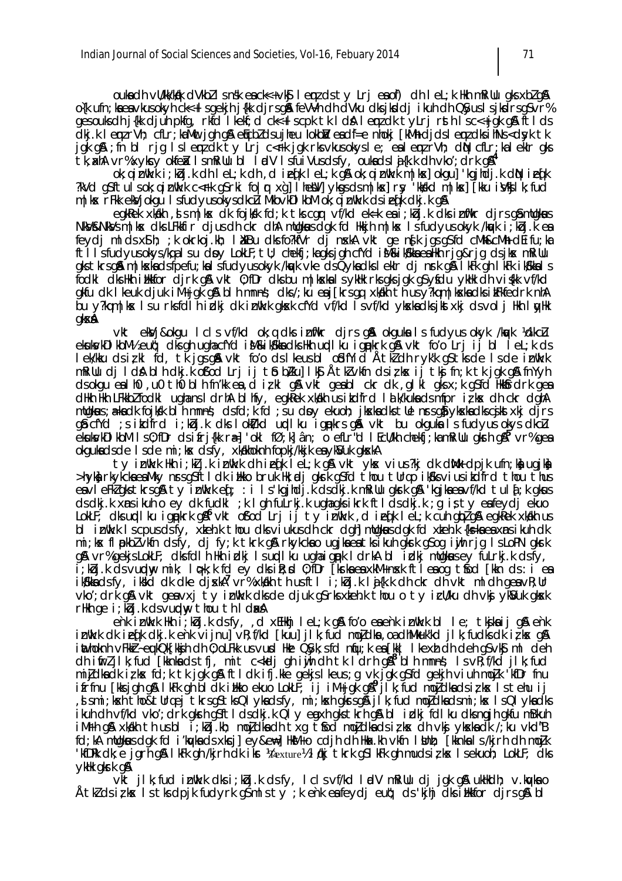ouka dh vWkWkak dVkblisnsk eack<+vk\$ lemids ty Lrjea of) dh leL;k Hkh mRiUu qks xblg& o{k ufn; ka ea vkus okyh ck<+l s gekjh j{kk cljrsg\$ feVVh ch dVku cks jkddj ikuh ch QSyus I s jkdrsgSvr% gesouks dhj{kk djuh pkfg, rkfd lkekf; d ck<+lscpk tk ldA lemadk tylrj rsth lsc<+jgk gA ftlds dkj.k I emzrVh; cfLr;kaMuc jgh g& elicbldsujheu lokbl/eadf=e nhokj [kMh djdsl emzdksihNs<dsyk tk jgkig&; fn bli rjg Islem, dkity Lrj c<rk jgkirks vkus okysle; ealem, rVh; dkn cfLr; kalekir gks tk, xhA vr%xykcy okfeik IsmRillu bl IndV IsfuiVusdsfy, oukadslj{k.k dh vko'; drk g&

ok;qin\ki.ki;kobj.kdhlet;kdh,dieq[klet;kgp&ok;qin\ki.km|kos]okgu]'kgjhdj.kdnNieq[k ?kVd g\$ftulsok;qin\k.k c<rk g\$rki fo|r xg| lhebV] ykgsdsm|kx]rsy 'kkkkd m|kx] [kku i}/kjlk;fud m | kx rFkk ekVjokqu Isfudyusokysdkcu MkbvkDI kbM ok gintkk dsiefk dkj.k q&

egkRek xkakh , sim | kx dk fojkak fd; k tks cgr vf/kd ek=k esi; kbj.k dks infikr djrs q\$ mulqkaus NKV&NKVsm|kx dksLFkkfir djusdh ckr dhA mllgkus dgk fd Hkkjh m|kx l sfudyusokyk /kp/k i koj. K ea feydj mlds x\$ h; ; k okrkoj.kh; lXkBu dks fo?kfVr dj nxkA vkt ge n{k jgs g\$fd cMh&cMh dEifu; ka ftilisfudyusokys/kqalsu doy LokLF; tU; chekfj; kagksjgh cfYd iMi&iKikka ea ikh rjg&rjg dsjkx mRiUu gks tkrsgå m|kskadsfpefu; kalsfudyusokyk /ka/k vke dsQykadksleklr dj nsk gå lkFk gh lkFk ikSkkals fodki dks Hkh i Hkkfor djrk q& vkt 0; fDr dks bu m|kska i s ykHk rks qks jqk q\$ yfdu ykHk dh vi{kk vf/kd gkfu dk Ikeuk djuk iM+jgk g\$ blh mnns; dks/;ku eaj[krs̃gq xkalkh̃ th̃us y?kqm|kxkadksikFkfedrk nhA <u>bu v?komlkes Isu rksfdlň jdki dk intkk akesk cfyd vf/kd Isvf/kd vkeskodksjksti stoli Hidrothkh I wth </u> qkxA

vkt ekvij&okqu Icisvf/kd ok;q dksinfikr djrsq& okquka isfudyusokyk /kqvk /dkclu ekukukDIkbM½ euq; dksghughacfYd iM&ikkkadkshkhuqdIku igpokrkga vkt foo Lrjijbl lel;k ds lek/kku dsizkl fd, tk jgsg&h vkt fo′odslkeusbl o£dfYid ÅtkZdh ryk′k g\$tksde Isde inNk.k mkillu di Idah bih dkik ofod Lri ij tih bikul iki Åtkivkin dsizkx ij tkj in k tk jak qa in yyh dsokquealh0, u0 th0 blh fn'kk ea, dizkl q& vkt qeabl ckr dk, qlkl qksx; k qSfd Hkkfrdrk qea dhh hìn LFkkbl fodki ughans i drhA bi hfy, egkkek xkkh us i kdfrd i a kkuka dsmfpr i i kx dh ckr dghA mugkus; a=ka cik fojkik blih mnns; cisfci; ki fci ; su cloy ekuoh; jkska ciks tile nrsg) ykska cikscjkst xkj cijrs gå cfYd; sitdfrd i; kbj.k dks lokt/kd undlku ignpkrsgå vkt bu okguka lsfudyusokysdkcu  $ekukvkb1kbM 1 s0; fDr ds ifrifkk ræ|'okl fØ; k] an; o eflr''d 1 EclVkh chekfij ka mRilu qkrh qk<sup>5</sup> vr% qe$ okqukadsde Isdemi; kx dsfy, xkakhoknh fopkj/kkjk eaykSuk qkxkA

ty in Whi; kij.k in Whik dhieqk lel; k gjå vkt ykx vius?kj dk diwlk dpjk ufn; kjugjkj<br>hykja rkykcka ea Mky nrsgsftldk i Hiko bruk Hk; adjgkrk gsfd thou tllrqo i kiks vius i kdfrd thou thus </ref> eavieFklgkstkrsg&tyin\k.ket; :ils'kgjhdj.kdsdkj.kmRiUugkrkg&'kgjkaeavf/kdtulf;kqkus ds dkj.k xms ikuho ey dk fudkl; k I gh fulrkj.k ugha gks ikrk ftl ds dkj.k; g is ty ea feydj ekuo LokLF; dks und I ku ignokrk gå<sup>6</sup> vkt of od Lrj ij ty in tk.k, d i en k I el; k cun gobi gå egknek xkalkh us bl in the list couse of fy, x teh. k thou dls viukus dh ckr dgh mulghus dgk fd x teh. k {k = k a ea x ns i kuh dk mi; kx flpkblvkfn dsfy, dj fy; k tkrk g& rkykckao ugjkaeatksikuh gkrk g\$og iwjh rjg IsLoPN gkrk q& vr% gekjs LokLF; dkšfdlh Hkh izlkj Isundlku ugha ignok IdrkA bl izlkj mllgknusev fullrkj.k dsfy, i; kbj.k cisvuply mik; lopk; k fd ey dksik; xi 0; fDr [krkaeaxkM+nxk ftleaog tfiod [kkn ds: i ea ikkkadsfy, ikkkad dk dke djxkk<sup>7</sup> vr%xkkkh thusftl i; kbj.k laj{k.k dhckr dhvkt mldhqeavR; Ur vko'; drk g& vkt geavxj ty inthkk dks de djuk g\$rks xkehk thou o ty icll/ku dh vkj ykSuk gksk rllth ge i; kbj.k ds vurdty thou th I dash

enk intk.k Hkhi;k bij.k dsfy, ,d x EHkhj le L;k g\$A fo′o eaenk intkl.k bl le; tkojka ij g\$A enk inth.k dk iefk dkj.k enk vijnu] vR; f/kd [kuu] jlk; fud mojdka, oa dhMkuk'kd jlk; fudks dk izks q& inthoknh vFkkr-eukQkFkkjh dh 0; oLFkk usvurd Hke Q\$yk; sfd niju; k en Fkk | I kexh dh deh q\$ vkj ml deh dh ifirljlk; fud [kknkadstfj, mit c<kdj gh iyih dh tk idrh ga<sup>8</sup> blh mnns; IsvR; f/kd ilk; fud mijdka dk iz kas fd; k tk jgk gå ftldk ifj. kke gekjsleus; g vk jgk g sfd gekjh viuh mojk 'hter fru<br>ifrfnu [kksjgh gå lkFk gh bldk ihtko ekuo LokLF; ij iM+jgk gå<sup>9</sup>jlk; fud mojdkadsizka: Istehu ij , smi; ksh tho & turqej tkrsg\$tksQlykadsfy, mi; ksh gkrsg&jlk; fud mo.jdkadsmi; ks IsQlykadks, ikuh dh vf/kd vkoʻ; drk qkrh qsftldsdkj.k Qly engxh qkstkrh q&blidkj fdlku dksnngjh qkfu mBkuh i Mirh g\$A xkakh thus bl i; kbj.kh; mojdka dh txg t\$od mojdka dsi; kx dh vkj ykska dk /; ku vkd"B fd; kA mulgkaus dgk fd i 'kayka ds xkcj] ey&e#] HkM+o cdjh dh Hka. kh vkfn I Unh; [kknka I s /kjrh dh mojk "kfDRk dk;e jqrn q&lkFk qh/kjrh dk ikr krexture! I kkj tkrk q\$lkFk qh mudsizkx I sekuon; LokLF; dks ykHk gkrk g&

vkt jlk; fud intkk dksi; kbj.k dsfy, Iclsvf/kd lødV mRillu dj jak als ukhkdh; v.kw.kao Atkldsikks Istksdpjk fudyrk g\$mlsty;k enk eafeydjeut; ds'kjhj dksilkkfor djrsg&bl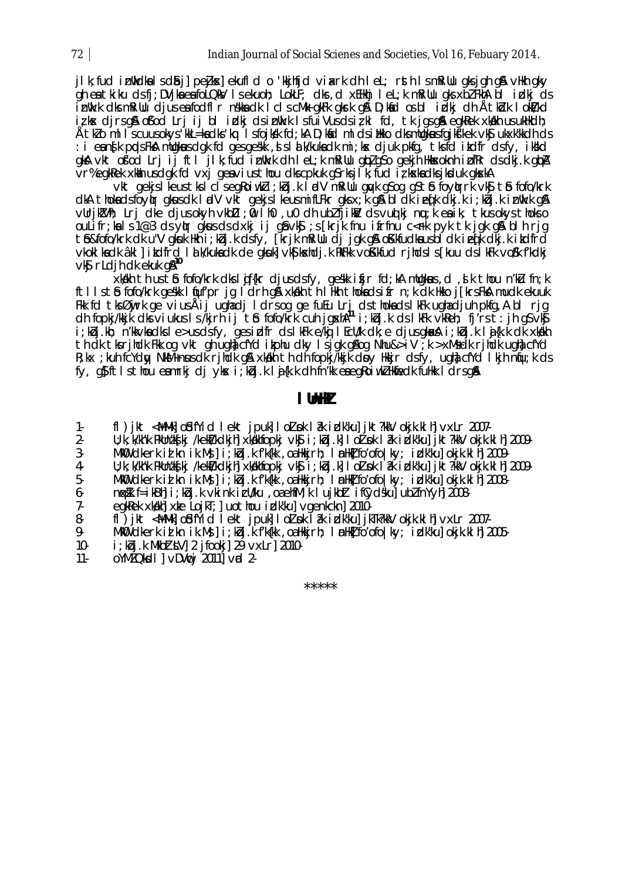jlk; fud inthidals då je pejloxe ekufldo 'kkjhfjdviark dh let; rsth Ism Rillu glsjgh gå villa gky gh ea tkiku dsfj; DVjka ea folQkV Isekuoh; LokLF; dks, d xEHkhj IeL; k mRiUu gks xbl FkhA bl idkj ds inthk.k dksmRillu djuseafodflr nskkadk I clscMk gkFk gkrk gå D;kad os bli dkj dhåtkdk I okul/kd iz kos cijrsgnā o focilrjij bi izkij dsin klk. Is fui Vusdsiz klfd, tk jgsgnā egk ke skalkh usu khlkdh; Åtklom II scuusokys kkL=kacks kq Isfojkk fcl;kAD;kaclm Iclsinkko cksmlgkusfgjkskek vkg ukxk'kkchicls<br>: i eans[k ppdsFkAnlugkusclgk fcl gesgeskk,sislak/kukackmi;kxcljukpkfg,tksfcl ikclfrclsfy,ikkkcl qkA vkt ofod Lrj ij ftl jlk; fud inWk.k dh lel; k mRiUu qblqŠo qekjh Hkkxoknh infRr dsdkj.k qbA vr%egkRek xkkh usdgk fd vxj genviusthou dkscpkuk g\$rksjlk; fud iz kixkndksjkduk gkixkA

vkt gekjslkeustkslclsegkoiwkli; kbj.kladVmRiUu gwk gSog gStbfoywrrkvkStbfookrk dkA thokadsfoyin gkusdk ladV vkt gekjslkeusmifLFkr gksx;k g& bldk ieqk dkj.k i; kbj.k in kk g& vUrikVh: Lri dke dius okyh vkbD ;  $\tilde{0}$  InO , uO dh ubliikV ds vuotki nu; k eaik, tkus okys thoks o oulifr;kals1@3 dsyktr gkasdsdxkj ij gåvk\$;s[krjk fnu ifrfnu c<rk pyk tk jgk g&blh rjg the following the state of the state of the state of the state of the state of the state of the state of the state of the state of the state of the state of the state of the state of the state of the state of the state of vkoki kadk âki ] i kdfrd i a k/kukadk de gkukj vKS| kshdj.k RKFKK voškkfud rjhds i s [kuu ds i kFk vošk f'kdkj<br>vk\$rLdjh dk ekuk g&<sup>10</sup>

xkakh th us tib fofo/krk dks ligf{kr djusdsfy, geskk ifjr fd;kA mulgkaus,d,slk thou n'ku fn;k ftllstið fofo/krk geskk lifuf'pr jg ldrh gið xkalkh thlilkh thokadsifr n;k dk Hkko j[krsFka mudk ekuuk Fkk fcl tksØnjrk ge viusÅij ughadj Idrsog ge fuEu Lrj ds thokadslkFk ughadjuh pkfg,A bl rjg<br>ch fopkj/kkjk dksviukusls/kjrh ij t\$b fofo/krk cuh jgsxhA<sup>n</sup> i;kbj.k dslkFk vkReh; fj′rs t:jh gSvK§ i; kbj.kh; n'kkvkadksle>usdsfy, gesirdfr dslkFk e knj lEcWk dk; e djusgkaxali; kbj.k laj{k.k dk x knlkh th dk tkrjhdk Fkk og vkt gh ught cfYd i kphu dky lsjgk g&og Nhu&>iV ;k >xMsdk rjhdk ught cfYd R; kx; kuh fcYdyy NkM+nusdk rjhdk g&xkakh th dh fopkj/kkjk doy Hkkjr dsfy, ugh) cfYd I kjh nifu; k ds fy, g}ftlsthou eamrkj dj ykx i; kbj.k lj{k.k dh fn'kk eaegRoiwkZHkfiedk fuHkk ldrsg&

### I Unik

- $1$ fl) jkt <MMk| o£dfYid I ekt jpuk| I ol ok I &k irdk'ku| jkt?kkV okjk.kl h| vxLr 2007-
- $2 -$ U; k; k/kh/k PkUn/k[kj /keki/kclkjh] xkdkhfopkj vkj i; kbj.k] I od ok 1 åk i dk/ku] jkt?kkV okjk.kl h] 2009-
- $3 -$ MKO dkerk id kn ik.Ms | i; kbj.k fk{kk, oa Hkkjrh; I mHkl footo | ky; idkku | okjk.kl h 2009-
- $\overline{4}$ U; k; k/kh/k PkUntk{kj /kekt/kdkjh] xkdkhfopkj vkj i; kbj.k] I ol sk l ak i zk/ku] jkt?kkV okjk.kl h] 2009-
- MKO clkerk id kn ik.Ms | i kbj.k fk(kk , oa kkirh; I mHk) footo | ky; i clkku | okjk.kl h 2008-5
- nokšk f=ikBh] i; kbj.k vkink icU/ku, oa ehfM; k l ujkbžt ifCydskul ublfnYyhl 2008-6
- $7$ egkRek xkkkh xke LojkT; uothou idk'ku vgenkckn 2010-
- fl)jkt <MMk]ofdfYid lekt jpuk]lolnk I ak irdk'ku]jkTk?kkV okjk.klh]vxLr 2007-8-
- MKO clkerk id kn ik.Ms | i; kbj.k fk{kk, oalkkjrh; Inlkl footo | ky; inlk'ku| okjk.kl h| 2005-9-
- $10$ i; kbj.k MkbZtlV| 2 jfookj| 29 vxLr| 2010-
- oYMZ Okoll | vDVmzi 2011] vid 2- $11 -$

 $***$ \*\*\*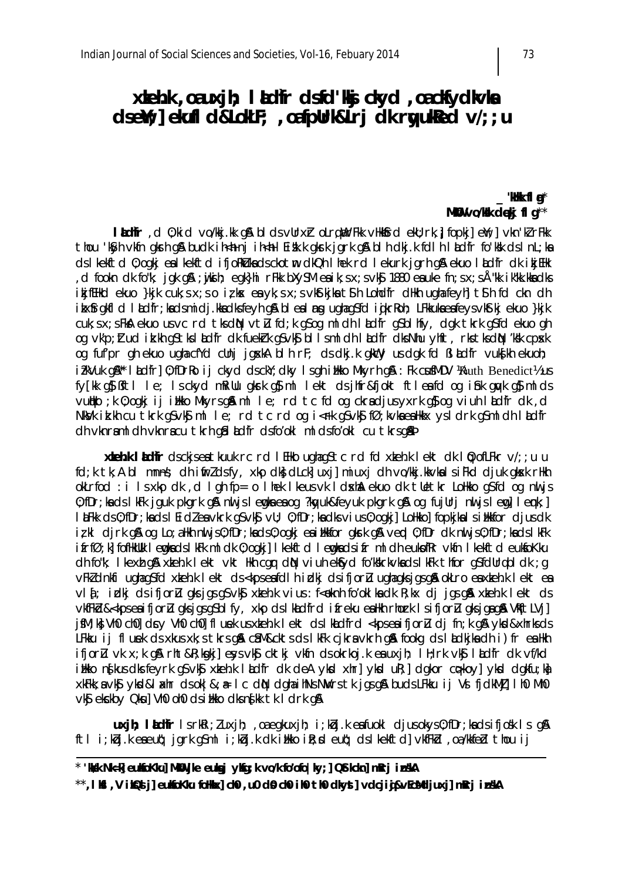# xkeh.k , oauxjh; I hdfr dsfd'ksj ckyd , oackfydkvka dsew;] ekufl d&LokLF; , oafpurk&Lrj dk rwukked v/;; u

## "kHk fi a\* MKOV vo/kk dęki fl $q^*$

I hdfr, d 0; kid vo/kkj.kk q\$ bldsvUrx} oLrqWrFkk vHk\$rd ekU; rk, j fopkj] eW; ] vkn'klrFkk thou 'kýh vkín gkrh g& budk ih<h nj ih<h l Ei kk k gkrk jark g& bl h dkj k fdl h l Ldfr fo'kk ds l nl k k ds I kekftd 0; ogkj en I kekftd ifjoRkLuknds ckotm dkQh I hek rd I ekurk jgrh gå ekuo I ludir dk i kjEHk d fookn dk fo"k; jqk q&;wikih; eqk}hi rFkk bXySM eaik;sx;svk\$ 1880 eauke fn;sx;sÅ"kk ik"kk.kkadks, ikjfEHkd ekuo }kjk cuk; s x; s o iz kx ea yk; s x; s ykstkjka t\$ h Lohdfr dHkh ugha feyh] t\$ h fd ckn dh itxfrgkfld lådfr; kadsmidj.kkadksfeyhg&blealing ughagSfd idkritoh; LFkkukaeafeysvkftkjekuo }kjk cuk; sx; sFkA ekuo usvc rd tksdN vtL fd; k qSoq ml dh I kdfr qSbI hfy, dgk tkrk qSfd ekuo qh og vk'p; ttud it kh g stks I tedfr dk fuekt k g svk sbl I sml dh I tedfr dks Nhu yhft, rks tks dN 'k' k cpsk og fuf'pr gh ekuo ugha cfYd cUnj jgxkA bl h rF; ds dkj.k gkuty us dgk fd Bl Ludfr vukskh ekuoh; i?kVuk g&\*\* I & dfr] 0; fDrRo ij ckyd dsckY; dky I sgh i Hkko Mkyrh g& : Fk cusMDV KRuth Benedict% us fy[kk q} Bftl le; Isckyd mRillu gkrk q} ml lekt dsjhfr&fjokt ftleafd og ishk quyk q} mlds vutto ; k 0; ogkj i j ittko Mkyrsgå ml le; rd tc fd og ckradjusyxrk gå og viuh ladfr dk , d NkVk ik.kh cu tkrk q\$vk\$ ml le; rd tc rd og i<rk q\$vk\$ fØ; kvkaealkkx ysldrk q\$mldh ladfr dh vknraml dh vknracu tkrh gal adir dsfo'okl ml dsfo'okl cu tkrsgap

**xkeh.k I kdfr** dsckjsent kuuk rc rd I EHko ughag Stc rd fd xkeh.k I ekt dk I 0; of LFkr v/; ; u u fd; k tk; A bl mnns; dh ifirldsfy, xkp dk; dLck] uxj] miuxj dh vo/kkj.kkvkalsiFkd djuk qkxk rHkh okLrfod : i Isxko dk d I ah fp= o I hek I keusyk I dskha ekuo dk tletkr Lollkko astd og nul is 0; fDr; ka ds I kFk jquk pkgrk q\$ nuljs lemgka ea og ?knyuk&feyuk pkgrk q\$ og fujUrj nuljs lemg] lemak; ] I LFkk ds 0; fDr; kads I Eidleavkrk gSvk\$vU; 0; fDr; kadksvius 0; ogkj] LoHkko] fopkjka I siHkkfor djus dk izkl dirk q& og Lo: allkh mill is0: fDr: kads0: ogki ea illkkfor gkrk q& verd 0: fDr dk mill is0: fDr: kads1 kFk ifrfØ; k] fofHkUUk I emgkads I kFk mldk 0; ogkj] I kekftd I emgkads ifr mldh eukofRr vkfn I kekftd eukfoKku dh fo"k; I kexh q& xkeh.k I ekt vkt Hkh car dN viuh ekfyd fo'kkrkvkads I kFk thfor q\$fdUrqbI dk ; q vFkZdnkfi udhaqSfd xkeh.k lekt ds<kpseafdlhirdki dsifiorLu udhaqksiqsq&okLro eaxkeh.k lekt ea vi [; idkj ds ifjorl qks jqs q\$ vk\$ xteh.k vius : f<oknh fo'oklka dk R; kx dj jqs q& xteh.k lekt ds vkfFkd&<kpseaifjorlugksjgsgSblfy, xkp dslkadfrd ifreku eaHkh rhork Isifjorlugksjgag& VkftLVjl jsM; k} Vh0 ch0] dry Vh0 ch0] fl unek us x keh.k l ekt ds l khadfrd < kps en ifjorl dj fn; k g & y kd&x hrks ds LFkku ij fluek ds xkus xk; s tkrs gå cå M&ckts ds lkFk cjkra vkrh gå fookg ds lådkjka dh i) fr ea Hkh ifjorlu vk x; k q& rht&R; konkil eys vk\$ cktki vkfn ds okrkoj.k ea uxjh; IH; rk vk\$ Illdfr dk vf/kd itikko ng kus disfeyrk q\$vk\$ xiteh.k I ludfr dik deA ykd xhr] ykd uR;] dakor copkoy] ykd dakfu; ki xkFkk: a vks vksd&l xhr ds ok | &: a | c din daha ihNs NWrs tk jasan buds LFkku ji Vs fidkMil I h0 Mh0 vký ekckby Okul Vh0 oh0 dsihkko dksnýkk tk l drk g&

uxjh; Ibdfr IsrkRi; luxjh; , oa egkuxjh; i; kbj.k ea fuokl cljusokys0; fDr; ka clsifjosk Is q& ftl i;kbj.k eaeut; jgrk g\$ml i;kbj.k dk itkko ift;d eut; dslkekftd]vkfFkd,oa/kkfed thou ij

\* 'kkik Nk=kj eukiso Kkuj Mkill jke euksj ykkg; k vo/k fo'ofo | ky; ] Q\$t kckn] m Rrj in skA \*\*,Iki,VikQdijeukkoKku foHkx]ch0,u0d0ch0ih0th0dkyst]vdcji@kvEcMdjuxj]mRrjinskA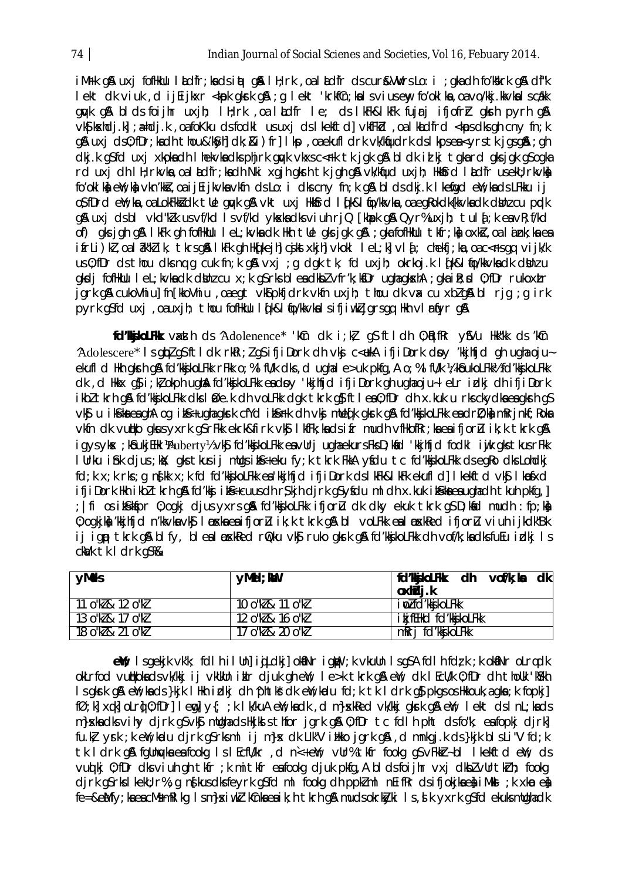iMrk q& uxj fofiklu l Ldfr; kadsint q& l H; rk, oa l Ldfr ds cur& VW rs Lo: i ; qkadh fo'k'krk q& df'k lekt dk viuk, d ij Eijkxr < kpk gkrk g&; g lekt 'krkf $cn$ ; kalsvius eny fo'oklka, oa vo/kkj. kkvkalscakk quyk q& blds foijhr uxjh; lH;rk, oa ladfr le; ds lkFk&lkFk fujrj ifjofrr gkrh pyrh q& vkS| kxhdj.k| ; a=hdj.k , oa foKku dsfodk| usuxj dslkekftd| vkfFkd , oa lkadfrd <kps dks qh cny fn; k q& uxj ds0; fDr; kadh thou&'kSyh] dk; &i) fr] I kp, oaekufl drk vk/kfjudrk dslkpsea<yrstk jqsq&; qh dkj.k g\$fd uxj xkokadh I hekvkadks phjrk gwk vkxs c<fk tk jgk g& bldk idkj tgkard gks jgk g\$ogka rd uxj dh I H; rkvka, oa I kdfr; ka dh Nki xgjh gkrh tk jgh g& vk/kfud uxjh; Hkkfrd I kdfr usekU; rkvkk fo'oklka em; ka vkn'kka, oa ij Eijkvka vkfn ds Lo: i dks cny fn; k q& bl ds dkj. k I kefigd em; ka ds LFkku ij os fDrd eil; ka , oa LokFkki dk tle quyk q& vkt uxj Hkkird I (k&I to/kkvka , oa eqRokdkfkkvka dk dijnz cu pudk g& uxj dsbl vkd"klk usvf/kd Isvf/kd ykskadksviuh rjQ [khpk q& Qyr%uxjh; tulą́;k eavR;f/kd of) gks jgh g& I kFk gh fofHkUu I eL; kvka dk Hkh tUe gks jgk g&; gka fofHkUu tkfr; ka oxkš, oa I ank; ka ea ifrLi)kl, oalâk"klik, tkrsgâ lkFk gh Hkdkejh cjkstxkjh vkokl lel;k vla; chekfj;ka, oac<fsgq vijk/k us 0; fDr ds thou dks ng q cuk fn; k q& vxj ; q dqk tk, fd uxjh; okrkoj.k I dk&I to/kkvka dk dbhz u gkdj fofHkUu I eL; kvka dk dblnz cu x; k g\$rks bl ea dkbZ vfr'k; kfDr ugha gkxhA; gka i R; d 0; fDr rukoxLr jgrk g& cukoVhiu] fn[kkoVhiu , oaegt vkjpkfjdrk vkfn uxjh; thou dk vx cu xblg& bl rjg ; g irk pyrk q\$fd uxj ,oauxjh; thou fofHkUu I (k&l fo/kkvkal sifjiwkljgrsqq Hkh vlrfyr q&

fd'MasikoLFKk vaxsth ds ^Adolenence\* 'kCn dk i;k} g\$ftldh 0; qifRr y\$Vu Hkk"kk ds 'kCn "Adolescere" Is quol qs ftldk rkRi; lqs ifjiDork dh vkj c<ukA ifjiDork doy 'kkjhfjd qh uqha ojuekufl d Hkh gkrh g& fd'kkjkolfkk rFkk o; % I fl/k dks, d ughale>uk pkfg, A o; % I fl/k ¼ kôukolfkk½ fd'kkjkolfkk dk, d Hkkx q}i; k}okph uqhA fd'kkjkolFkk eadpy 'kkjhfjd ifjiDork qh uqhaoju~leLr idkj dh ifjiDork ikbl tkrh qå fd'kkjkolfkk dks I Øe.k dh volfkk dak tkrk qå ftlea0; fDr dh x.kuk u rks ckydka ea aksrh q\$ vký u ilške es ghA og ilš+ughagkrk cfYd ilšerk dh vkj muledk gkrk g& fd'kkjkoLFkk es dril; k) mRrjnkf; Roks vkfn dk vudko gkus yxrk q\$rFkk ekrk&firk vk\$l kfFk;kads ifr mudh vfHkofRr;kaea ifjorl ik;k tkrk q& igysykx; kfoukjEHk )/Puberty½ vk\$ fd'kkjkoLFkk eavUrjughaekursFksD; kfd 'kkjhfjd fodkl iwjk gkstkusrFkk I Urku i fik djus; Ws; gks tkus i j mllgs i ks+eku fy; k tkrk FkkA ysdu tc fd'kkjkolfkk ds eg ko dks Lohdkj fd: k x: k rks: a nskk x: k fd fd'kksikolfkk ea kkihfid ifiiDork ds kFk&lkFk ekufldl kekftd vks konsta ifjiDork Hkh ikbltkrh gå fd'kkj iks+cuusdh r\$kjh djrk g\$yfdu mldh x.kuk ikskeeaughadh tkuh pkfg, ] ; Ifi os itsktspr 0; ogkj djus yxrs gå fd'kkjkolfkk ifjorlu dk dky ekuk tkrk gs D; ktd mudh : fp; kt 0: ogkika 'kkihfid n'kkyka yksi lopska ea ifioru ik: k tkrk gå bl volfkk ea lopskied ifioru viuh iikdk"Bk ij igp tkrk gå blfy, bleal poxkRed riQku vkg ruko gkrk gå fd'kkjkoLFkk dh vof/k; kadksfuEu idkj ls ckWk tk I drk qS%k

| yMds              | yMid; Mu          | fd'ksikoLFkk<br>dk<br>vof/k: ka<br>dh<br>oxhdi.k |
|-------------------|-------------------|--------------------------------------------------|
| 11 o"kl & 12 o"kl | 10 o"kl & 11 o"kl | i on fd'kksjko LFkk                              |
| 13 o"kl & 17 o"kl | 12 o"kl & 16 o"kl | i kj fEHkd fd'kkj kolfkk                         |
| 18 o"kl & 21 o"kl | 17 o"kl & 20 o"kl | mRri fd'kkjkoLFkk                                |

et: Isgekjk vk'k; fdlhillnd igldkjd olantrigub; kvkulln Isg\$A fdlhfdzk; kolantrolrgdk okLrfod vudkokadsvk/kkjij vklklniklr djuk gheny; le>k tkrk g&eny; dk l Ecl/k 0; fDr dh tholk 'Kykh Is gkrk g& eN; kads}kjk IHkh irdkj dh ^phtkš dk eN; krdu fd; k tk I drk g\$ pkgs os Hkkouk, a gka; k fopkj] fø; k] xqk] oLrg 0; fDr] legg] y{; ; k lk/kuA eM; kadk , d m}xkRed vk/kkj gkrk g& eM; lekt ds l nL; kads m} xka dks vihy djrk q\$ vk\$ mllqha ds Hkjkd s thfor jqrk q& 0; fDr tc fdl h pht ds fo"k; ea fopkj djrk] fu.k} yrk; kewl; kadu djrk g\$rksml ij m}x dk Llk"V i Hkko jgrk g&, d mnkgj.k ds}kjk blsLi"V fd; k tk I drk gå fgunyka ea fookg I s I Ecfu/kr, d n<+en/; vur% tkfr fookg g\$ vFkkr-bl I kekftd en/; ds vud ki 0; fDr dks viuh gh tkfr ; k mitkfr eafookg djuk pkfg, A bl ds foijhr vxj dkbl vUrtkrh; fookg djrk q\$rkslkekU; r%; q n{kusdksfeyrk q\$fd ml fookq dh ppk2ml nEifRr dsifjokjkae) iMks ; k xkm e) fe=&eMfv; kaea cMsmRI kg Ism}xiwkI'kCnkaea ik; h tkrh g& mudsokrkyki Is, sk yxrk gSfd ekuks mulghadk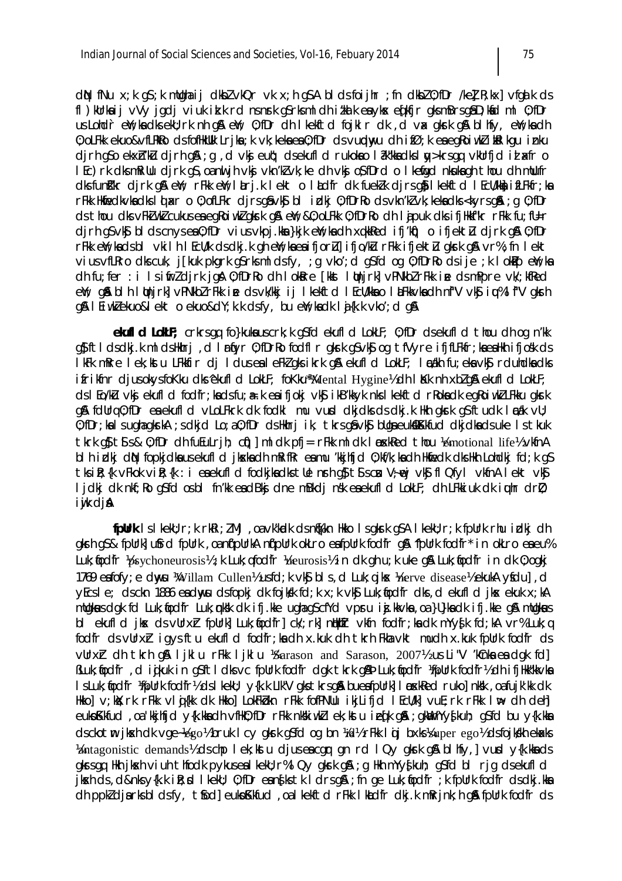$dN$  fNu  $x$ ; k qs ; k mllqha i j dkb $l$  vkQr vk  $x$ ; h qs A bl ds foi jhr ; fn dkb $l$  0; fDr /ke $l$  R; kx] vfqa k ds fl)Wrkaij vVy jądį viuk ikk rd ns nrk g\$rksml dh itkalk ealyks edkfir gksmBrsg\$D;kad ml 0;fDr us Lohding Millia diseluit nic disemit to the line of the life of the line of the life of the disemination of the disemination of the disemination of the disemination of the disemination of the disemination of the disemina 0; oLFkk ekuo&vfLRkRo dsfofHkUUk Lrika; k vk; keka ea 0; fDr dsvundavu dhifØ; k ea egRoiwkZibRl kgu in ku dirh qso ekxh'ku dirh q& ; q , d vkj eut; dsekufl d rukoko l ak"kka dksl w>krsqq vkurfid id asfr o I Ec) rk dks mikillu djrk q\$, oa nul jh vkj vkn'kl vk; ke dh vkj o\$ fDrd o I kefiqd nkuka qh thou dh mllufr dksfunkkr djrk gå en; rFkk en; larjk lekt oladfr dk fuekk djrs gå lkektd ledvka ifLFkfr; ka r Fkk Hkfiedk vka dks I (takr o 0; of L Fkr djrs gå vk\$ bl i dkj 0; fDrRo ds vkn'kZ vk; keka dks <kyrs gå; g 0; fDr ds thou dks vFki wkl cukus en egkoiwkl gkst gå en en 20; olfk 0; fDrko dh lipuk dks ifjHkft r Fkk fu; fU=r dirh q\$vK\$ bldscnysea0;fDrviusvkpj.kka}kikeW;kadhxqkkRed ifj'kf) o ifjektlu dirk q&0;fDr rFkk en kadsbl vkiln lEcU/k dsdkj.k ghen/kaeaifjorl] ifjo/kl rFkk ifjektlu gkrk gn vr%; fn lekt vius vfLRro dks cuk, j[kuk pkgrk q\$rksml dsfy, ; q vko'; d q\$fd og 0; fDrRo dsije ; k l okPp eNr; ka dh fu; fer : i I s i firl djrk jg A 0; fDrRo dh I okkre [kkst I uhjrk] vPNkbl rFkk i e ds mPpre vk; kfRed end; gn blh lunirk] vPNkblrFkk ine dsvk/kkj ij lkekftd lEcU/kka o latFkkvka dh nf"V vksj i umalf"V gkrh g& I Eiwklekuo&I ekt o ekuo&dY; k.k dsfy, bu eW; kadk I aj{k.k vko'; d g&

elufid Lollef; crkrsgq fo}kuka uscrk; k g\$fd ekufid LokLF; 0; fDr dsekufid thou dh og n'kk q}ftldsdkj.k mldsHkhrj,dlrfyr 0;fDrRo fodflr qkrk q\$vkj og tfVyre ifjfLFkfr;kaeaHkh ifjosk ds I kFk mRre lek: kstu LFkkfir di I dus ea leFkZ aksikrk a & ekufld LokLF; ladkh fu; eka vk\$r duhdka dks ifrikfnr djusokysfoKku dks ekufl d LokLF; foKku Mental Hygine» dh I Kk nh xbl q& ekufl d LokLF; ds I Eo/ku vkj ekufld fodfr:kadsfu:a-k ea ifioki vkj ikB'kkvk nks I kekftd r Rokadk eg Rojwk L F kku g krk g& fdUrq 0; fDr ea ekufl d vLoLFkrk dk fodkl mu vurd dkjdks ds dkj.k Hkh gkrk q\$ftudk læak vU; 0; fDr; ka I s ugha gkrkA; s dkjd Lo; a 0; fDr ds Hkhrj ik, tkrs gå vk\$ bUga euk&Kkfud dkjdka ds uke I s tkuk tkrk of ts s & 0; fDr dh futulrih; cf) ml dk pfj = rFkk ml dk l poxkRed thou Vemotional lifely vkfnA bl h idki din fopkjdka usekufl d jkska dh mikifikr ea mu 'kkjhfjd 0; kf/k; ka dh Hkfedk dks Hkh Lohdkj fd; k q\$ tksik: {k vFkok vik: {k : i eaekuf| d fodkikadks tUe nrh a} t\$ scu V; nei vk\$ f| Qfv| vkfnA | ekt vk\$ ljdkj dk nkf; Ro q\$fd osbl fn'kk eadBkj dne mBkdj nsk eaekufld LokLF; dh LFkkjuk dk juhr drl}; iwk di**a** 

fpurk Islkeku; r; k rkRi; ZMj, oa vk'kadk ds nafkn Hkko Isgkrk q\$A I keku; r; k fpurk rhu i dkj dh gkrh g\$& fpUrk] u\$rd fpUrk, oanf(pUrkA nf(pUrk okLro esfpUrk fodfr g\$ 'fpUrk fodfr' in okLro eseu% Luk; fodfr ½psychoneurosis½; k Luk; qfodfr ¼ueurosis½ in dk gh u; k uke g& Luk; fodfr in dk 0; ogkj 1769 extory; e dww *W*illam Cullen<sup>y</sup> ustd; k vk bl s, d Luk; gikx Vnerve disease<sup>y</sup> ekuk A vfdul, d yEcs I e; ds ckn 1886 en dwy u ds fopkj dk fojkk fd; k x; k vkj Luk; fodfr dks, d ekufl d jkx ekuk x; kA mulgkuus dak fd Luk; fjodfr Luk; mksk dk ifj.kke uahags cfyd vpru ij.kkvka, oa }U}ka dk ifj.kke g& mulgkuus bl ekufld jkx ds vUrxir fpUrk] Luk; fodfr] ck/; rk] nitkir vkfn fodfr; ka dk mYyg[k fd; kA vr% Luk; q fodfr ds vUrxh igys ftu ekufld fodfr; ka dh x.kuk dh tkrh Fkha vkt mudh x.kuk fpUrk fodfr ds vUrxh dh tkrh g& ljklu rFkk ljklu KSarason and Sarason, 2007h us Li"V 'kCnka ea dgk fd] BLuk; fodfr, d i jkuk in g\$ftldksvc fpUrk fodfr dgk tkrk g&b Luk; fodfr ) apurk fodfr % dh i fillk"kvka I s Luk; fodfr KfpUrk fodfr1/2 ds I kekU; y{k.k LIk"V gks tkrsg& bueafpUrk] I pokkRed ruko] nkkk, oafujk'kk dk Hkko] v;kkl;rk rFkk vlij{kk dk Hkko] LokFkokn rFkk fofPNUu ikjLifjd IEcU/k] vuE;rk rFkk I vb dh deh] eukoKkfud, oa kijhfjd y{k.kkadh vfHk0; fDr rFkk nkkijwkZlek; kstu jedk g&; gkWmYyfkuh; gSfd bu y{k.kka dsckotm jkskh dk vge-Vegol/bruk I cy gkrk g\$fd og bn lidl/arFkk I i j bxksl/super egol/dsfojkskh ekaks Vantagonistic demands/2 ds chp lek; kstu djus ea cqr qn rd l Qy qkrk q & bl hfy, vurd y{k. kka ds akrsam Hkh jksh viuh thfodk pykusem keku; r%l Qy akrk a& ; a Hkh mYyskuh; asfd bl rig dsekufld jksh ds, d&nksy{k.k ik}; d I kekU; 0; fDr eansk tk I drsg&; fn ge Luk; fodfr ; k fpUrk fodfr dsdkj.kka dh ppkl djarks bl ds fy, t fodl euko Kkfud, oa I kekft dr Fkk I kadfr dkj.k m Rrjnk; h gå fpurk fod fr ds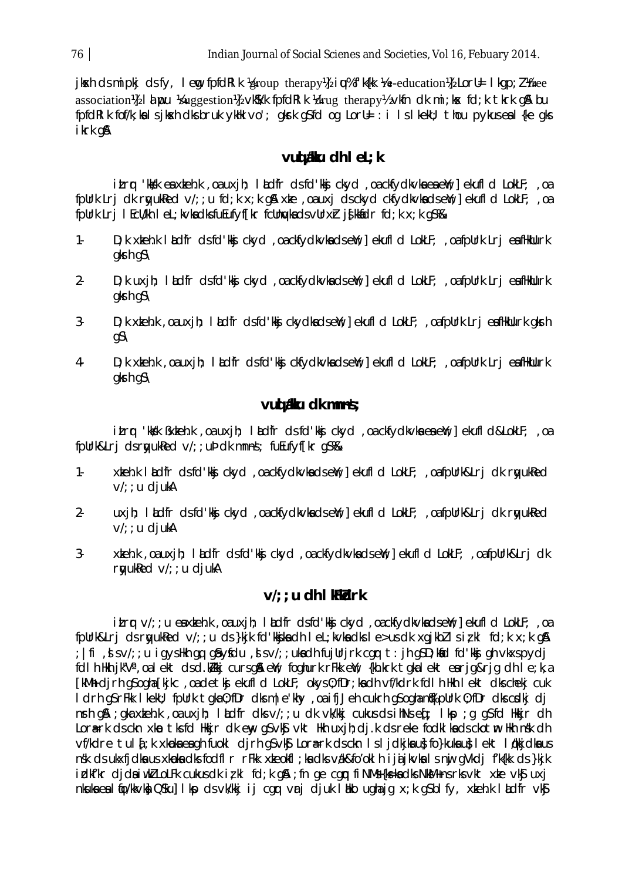76 Indian Journal of Social Scienes and Societies, Vol 16, Febuary 2014.

jkst ds mipkj ds fy, leng fpfdRlk  $V$ group therapy! in  $W$  f'k{kk  $V$ re-education! Lorl= lkgp; l'free association<sup>y</sup> 1 alwpu <sup>y</sup>suggestion<sup>y</sup> vk W fpfdRlk <sup>y</sup>drug therapy<sup>y</sup> vkfn dk mi;k s fd;k tkrk g Sa bu fpfdRlk fof/k;ka i s jk skh dks bruk ykHk vo'; gkrk gS fd og LorU= : i ls lkekU; thou pykus es l{ke gks ikrk g&

# vu**d** *ilku* dh I eL; k

itrr 'kksk en xkeh.k ,oa uxjh; ladir ds fd'kki ckyd ,oa ckfydkvkn en ew;] ekufld LokLF; ,oa fpUrk Lrj dk ryukRed v/;;u fd;k x;k g& xke ,oa uxj ds ckyd ckfydkvka ds eY;] ekufld LokLF; ,oa fpUrk Lrj I EcU/kh I eL; kvka dks fuEufyffkr fcUnyka ds vUrxh jsfkkadr fd;k x;k gS%&

- 1- D; k xteh.k l tudir ds fd'kkj ckyd , oa ckfydkvka ds et'; ] ekufld LokLF; , oa fpUrk Lrj ea fHkUurk  $g$ k srh  $g$
- 2- D; k uxjh; låd fr ds fd'kkj ckyd ,oa ckfydkvka ds eil; ] ekufld LokLF; ,oa fpUrk Lrj ea fHkUurk  $q$ krh  $qS \setminus$
- 3- D; k xteh.k , oa uxjh; l t dfr ds fd'kkj ckydka ds et /; ] ekufld LokLF; , oa fpUrk Lrj ea fHkUurk gk sh  $q\Omega \setminus$
- 4- D;k xkeh.k , oa uxjh; lad fr ds fd'kki ckfydkvka ds en jekufld LokLF; , oa fpUrk Lri ea fHkUurk  $q$ krh  $qS \setminus$

# **vud alku dk mn n s;**

itrr 'kkk Bxkeh.k ,oa uxjh; ladir ds fd'kkj ckyd ,oa ckfydkvka ea ent;] ekufld&LokLF; ,oa  $f$ pUrk&Lri ds rwukRed v/;;uP dk mnns; fuEufvffkr as  $\%$ 

- 1- xkeh.k laLd fr ds fd'kkj ckyd ,oa ckfydkvka ds env; ] ekufld LokLF; ,oa fpUrk&Lrj dk rqyukRed  $v$ ; u djuk $A$
- 2- uxjh; laLdfr ds fd'kkj ckyd ,oa ckfydkvka ds ent; ] ekufld LokLF; ,oa fpUrk&Lrj dk rayukRed  $v$ :  $u$  diukA
- 3- xkeh.k ,oa uxjh; lald fr ds fd'kkg ckyd ,oa ckfydkvka ds ent; ekufld LokLF; ,oa fpUrk&Lrj dk rwukked  $v/$ ; u djukA

# **v/:: u dh l KKdrk**

itrr v/;;u ea xkeh.k ,oa uxjh; lad fr d s fd'kkj ckyd ,oa ckfydkvka d s enY;] ekufld LokLF; ,oa fpUrk&Lrj ds r gyukRed v/;; u ds }kjk fd'kkjka dh I eL;kvka dks I e>us dk xgjkbZ ls iz;kl fd;k x;k q& ; |fi ,slsv/;;u igys Hkh gq q $\delta$ y $s$ du ,slsv/;;uka dh fujUrjrk cgr t:jh g $s$  D;k $\delta$ d fd'kk $\delta$  gh vkxs pydj fdlh Hkh jk"V<sup>a</sup>, oalekt ds d.kZkkj curs gå ene; foghurk rFkk ene; {kh.krk tgkalekt earjg&rjg dh le;k,a [kM+h djrh gS ogh a [kjkc ,oa detksj ekufld LokLF; okys O;fDr;k sa dh vf/kdrk fdlh Hkh lekt dks chekj cuk ldrh gS rFkk lkekU; fpUrk tgka O;fDr dks m|e'khy ,oa ifjJeh cukrh gS ogh a nq%f'pUrk O;fDr dks csdkj dj n sh g  $\lambda$  ; gk a xkeh.k , oa uxjh; l  $\lambda$  d fr dks v/;; u dk vk/kkj cukus ds ihNs e q; lk p;g g S fd Hkkjr dh Lora=rk ds ckn xkp tks fd Hkkjr dk ewy g S vk S vkt Hkh uxjh;dj.k ds reke fodkl ka ds ckot m Hkh nsk dh vf/kdre tula[;k xk bka e a gh fuokl djrh gS vk Sj Lora=rk d s ckn ls ljdkjka u sho}kuka u slekt lakkjdka u s n sk ds ukxfjdka us xk boka dk sfodflr rFkk x keo kfl;ka dk s v ak&fo'oklh ijaijkvka ls nuj gVkdj f'k{kk ds }kjk  $i$ dkf'kr djda iw.k LoLFk cukus dk iz;kl fd;k g  $\lambda$ ; fn ge cg r fiNMs {k s=k a dk Nk M+ n s rk s vkt x ke vk \$j uxj nkuka e a lifo/kkvk a QSku] lk p d s vk/kkj i j car v ri djuk lahko ugha jg x;k g S blfv, x teh.k lald fr vk S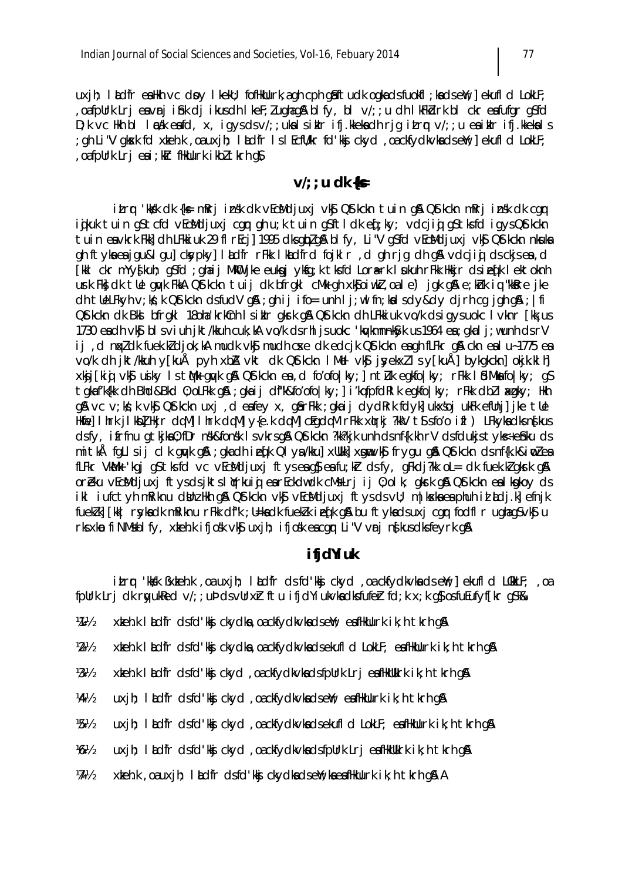uxjh; ladfr ealth vc doy l kekU; fofHkUurk,a gh cph gaftudk ogka ds fuokfl;ka ds ent;] ekufld LokLF; , oafpUrk Lrj eavri ifik di ikus dh lkeF; Zughag& blfy, bl v/;; u dh lkFk drk bl ckr eafufgr gSfd  $D$ ; k vc Hkh bl lacak e sid, x, igys ds v/;; uks is ikir ifj.kkeks dh rjg it r v/;; u e sikir ifj.kkeks is ;gh Li"V gksk fd xkeh.k ,oa uxjh; lad fr ls lEcfU/kr fd'kksj ckyd ,oa ckfydkvka ds ew;] ekufld LokLF; , oa fpUrk  $Lri$  es i; kIr fHkUurk ikbZ tkrh qS

## **v/; ; u dk {k =**

itrr 'kks'k dk {ks= mRrj insk dk vEcMdjuxj vk\$ QStkckn tuin g\$A QStkckn mRrj insk dk cgr igkuk tuin g Stcfd vEcMdjuxj cgr gh u;k tuin g Sftldk e g;ky; vdcjig g Stk sfd igys Q Stkckn tuin ea vkrk Fkk] dh LFkkiuk 29 flrEcj] 1995 dks gib Z g & blfy, Li"V g S fd vEcMdjuxj vk S Q Stkckn nk suka gh ftykses jgu&lgu] cksypky] ladfr rFkk lkadfrd fojklr ,d gh rjg dh g\$A vdcjig ds ckjs es,d [kkl ckr mYy{kuh; g\$fd ;ghaij MkWD jke eukspj yksg;k tksfd Lora=rk lsukuh rFkk Hkkjr dsieq[k lektoknh urk Fk; dk tue guyk FkkA QStkckn tuij dk bfrgkl cM+ gh xk; oiw.k oa le j jgk g & e;khk iq "kk tre jke dh tUeLFkyh v;ks;k Qstkckn ds fudV g&;gh ij ifo= unh lj;w lfn;ka ls dy&dy djrh cg jgh g&; |fi QStkckn dk Bk bfrgkl 18oh a'krkCnh I sikIr gkrk g & QStkckn dh LFkkiuk vo/k dsigys uokc lvknr [kk; us 1730 e si dh vk Sj bls viuh jkt/kkuh cuk;kA vo/k ds rhljs uokc 'k wkmnne Kyk us 1964 e s;gk a lj;w unh d s rV ij, d ngxz dk fuek.kz djok;kA mudk vk Sj mudh csxe dk edcjk QStkckn es gh fLFkr g& ckn es lu~1775 es vo/k dh ikt/kkuh y[kuÅ pyh xbA vkt dk QStkckn IMed vk jj j syekxZ ls y[kuÅ] bykgkckn] okjk.klh] xkjj[kigj vkSj usiky ls ttM+k gapk g\$A QStkckn esa,d fo'ofo|ky;] nt Zuk egkfo|ky; rFkk lSdM+sa fo|ky; g S tgka f'k{kk dh Bhd&Bkd O;oLFkk q\$\;qka ij df"k&fo'ofo|ky;] i'kqfpfdRlk egkfo|ky; rFkk dbZ laxgky; Hkh g& vc v;ks;k vk SQStkckn uxj, d estey x, g srFkk ;gka ij dydRrk fdyk] ukxsoj ukFk efUnj] jke tUe Hkie] lhrk jlkb] Hkjr dqM] lhrk dqM] y{e.k dqM] c£gdqM rFkk x(rkj ?kkV tSls fo'o ifl) LFkyka dks ns[kus ds fy, ifrfnu gtkjka 0; fDr nsk&fon sk I s vkr s g & QStkckn ?kk?kjk unh ds nf{k.kh rV ds fdukjs tyks+e Snku ds mitkÅ fgLlsij clk gwk g&;gka dhie q[k Qlya/kku] xUUkk] xsquvk\$j frygu g& QStkckn ds nf{k.k&iwlea fLFkr VkaM+ 'kgj gS tks fd vc vEcMdjuxj ftys ea g Sea fu;k cds fy, gFkdj?kk oL= dk fuek.kZ gkrk g & or Eku vEcMdjuxj ftys ds jkts litrkuig e ar Eckdw dk cM+s Lrj ij 0;olk; gkrk gA QStkckn ea lk gkoy ds ikl iufctyh mRiknu d bhz Hkh g & Q Stkckn vk Sv Ec M d juxj ftys d s vU; m |k sk a e a phuh izladj.k] efnjk fuekZk] [kk] r syka dk mRiknu rFkk d f"k ; U=ka dk fuekZk ie q[k g & bu ftykads uxj cg qr fodflr ugha g S vk \$j u rks xk a fiNMs blfy, x keh.k ifjosk vk \$ uxjh; ifjosk e a cg qr Li"V vr j ns[kus dks feyrk g A

### **ifjdYiuk**

iirr 'kksk ßxkeh.k ,oa uxjh; lad fr ds fd'kksj ckyd ,oa ckfydkvks ds ewyj ekufld LOkkLF; ,oa fpUrk Lrj dk ryukRed v/;;uÞ ds vUrxh ftu ifjdYiukvka dks fufeh fd;k x;k g $\delta$  os fuEufyf[kr gS $\%$ 

 $\frac{1}{4}$  xkeh.k I kudifr ds fd'kkj ckydka , oa ckfydkvka ds eil; ea fHkUurk ik;h tkrh g A

 $\mathcal{W}$   $\mathcal{W}$  xkeh.k I ald fr ds fd'kkj ckydka oa ckfydkvka ds ekufld LokLF; ea fHkUurk ik;h tkrh gA

- $\frac{1}{32}$  xkeh.k ladfr ds fd'kkj ckyd ,oa ckfydkvka ds fpUrk Lrj ea fHkUUkrk ik;h tkrh gA
- $\frac{1}{4}$  uxjh; ladfr dsfd'kkj ckyd ,oa ckfydkvka ds ent; ea fHkUurk ik;h tkrh g A
- 15-1/<sub>2</sub> uxjh; ladfr ds fd'kkgi ckyd ,oa ckfydkvka ds ekufld LokLF; ea fHkUurk ik;h tkrh gA
- $\frac{1}{6}$ % $\frac{1}{2}$  uxih; ladfr ds fd'kki ckyd ,oa ckfydkyka ds fpUrk Lri ea fHkUUkrk ik;h tkrh q&
- $W_1$  xkeh.k , oa uxjh; lad fr ds fd'kkj ckydka ds en; ka ea fHkUurk ik;h tkrh ga A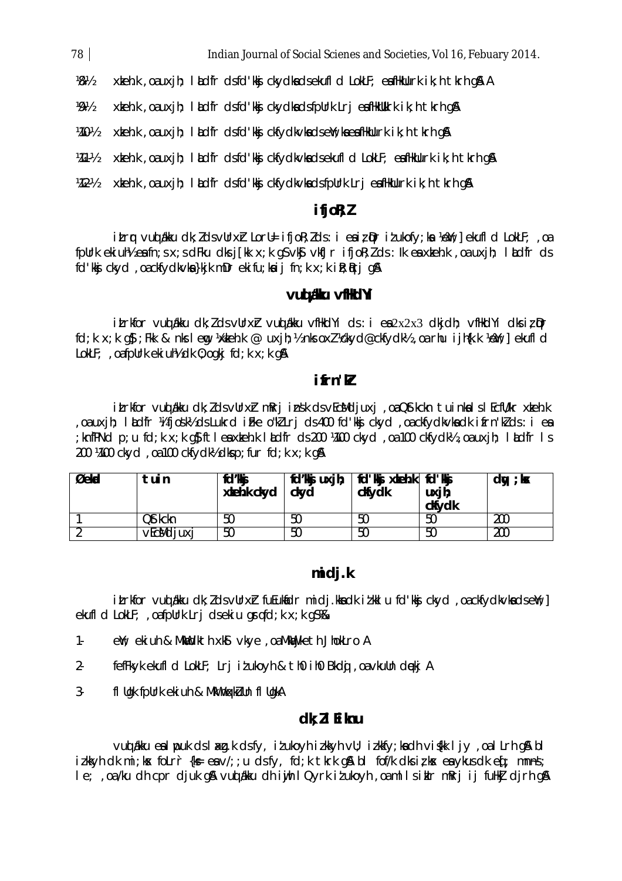| 78<br>Indian Journal of Social Scienes and Societies, Vol 16, Febuary 2014. |  |
|-----------------------------------------------------------------------------|--|
|-----------------------------------------------------------------------------|--|

- 1/81/<sub>2</sub> xkeh.k , oa uxjh; lad fr ds fd'kkgi ckydka ds ekufld LokLF; ea fHkUurk ik;h tkrh q& A
- 1/9-1/<sub>2</sub> xkeh.k , oa uxjh; lald fr ds fd'kkg ckydka ds fpUrk Lrj ea fHkUUkrk ik;h tkrh g A
- $\frac{1}{40\%}$  xkeh.k , oa uxjh; lad fr ds fd'kkj ckfydkvka ds ent; ka ea fHkUurk ik;h tkrh gn
- $\frac{1}{4}$  xkeh.k , oa uxjh; lad fr ds fd'kkj ckfydkvka ds ekufld LokLF; ea fHkUurk ik;h tkrh g \$
- What is, oauxjh; ladfr ds fd'kkj ckfydkvka ds fpUrk Lrj ea fHkUurk ik;h tkrh gA

#### **ifjoR;Z**

itrr vud akku dk;Z ds vUrxIr LorU= ifjoR;Z ds : i ea iz Dr iz'ukofy;ka ½eY;] ekufld LokLF; ,oa fpUrk ekiuh½ eafn;s x;s dFku dks j[kk x;k g\$ vk\$j vkfJr ifjoR;l ds : lk eaxteh.k ,oa uxjh; lad fr ds fd'kkj ckyd ,oa ckfydkvka }kjk mDr ekifu;ka ij fn;k x;k ik;krj q&

#### **vu dáku vílkd<sup>Y</sup>i**

itrkfor vuq alkku dk; I ds vUrx $r$  vuq alkku vfHkdYi ds : i ea  $2x2x3$  dkjdh; vfHkdYi dks iz  $p$ r  $fd; k \times k$  g $s$ ; Fkk & nks leng ½xkeh.k @ uxjh;½ nks ox $l$  ½ckyd@ckfydk½, oa rhu ijh{k.k ½ew}} ekufld LokLF; , oafpUrk ekiuh½ dk 0; ogkj fd;k  $x$ ;k g&

#### **ifrn'k**

itrkfor vud akku dk; I ds vUrxr mRrj insk ds vEcMdjuxj , oa QStkckn tuinka I s I EcfU/kr xteh.k , oa uxjh; laLdfr ¼ifjosk½ ds Lukrd i Fke o"k Z Lrj ds 400 fd'kkj ckyd ,oa ckfydkvka dk i frn'k ds : i ea ; kn fPNd p;u fd;k x;k g S ftles x keh.k lald fr ds 200 ¼100 ckyd ,oa 100 ckfydk½ ,oa uxjh; lald fr ls 200 ¼00 ckyd, oa 100 ckfydk½ dks p; fur fd; k x; k g &

| Øekol | tuin      | fd'ki<br>$x$ keh. $k$ ckyd $ $ ckyd |    | $fd'$ k juxjh;   fd'k jxkeh.k   fd'k j<br>cktvdk | uxjh;<br>ckydk | dw<br>: kx |
|-------|-----------|-------------------------------------|----|--------------------------------------------------|----------------|------------|
|       | 2stkckn   | 50                                  | 50 | 50                                               | 50             | 200        |
|       | vEcMdjuxj | 50                                  | 50 | 50                                               | 50             | 200        |

# **midj.k**

itrkfor vuo alkku dk; I ds vUrxh fuEukadr midj.kka dk itkklu fd'kkg ckyd , oa ckfydkvka ds env; 1 ekufld LokLF; , oa fpUrk Lri ds ekiu grufd;k x;k g S % &

- 1- eW; ekiuh & MkWdkth xkg vkye ,oa MkWjketh JhokLro A
- 2- fefFkyk ekufld LokLF; Lrj iz'ukoyh & th0 ih0 Bkdqj ,oa vkuUn dqekj A
- 3- fl Ugk fpUrk ekiuh & MkW nokkLuUn fl UgkA

#### **dk; Z lEiknu**

vuq alkku esilopuk ds laxg.k ds fy, izlukoyhiz.kkyh vU; iz.kkfy;k sa dh vishkiljy ,oa lLrh g\$A bl izkkyh dk mi;k sx folr  $r$  {k = e sv/;;u d s fy, fd;k tkrk g\$A bl fof/k dk s iz k sx e sykus dk e  $f$ ; mn $+$ n s'; le; , oa /ku dh cpr djuk q& vud akku dh iujh I Qyrk izukoyh , oa ml I sikIr mRrj ij fuHkj djrh g &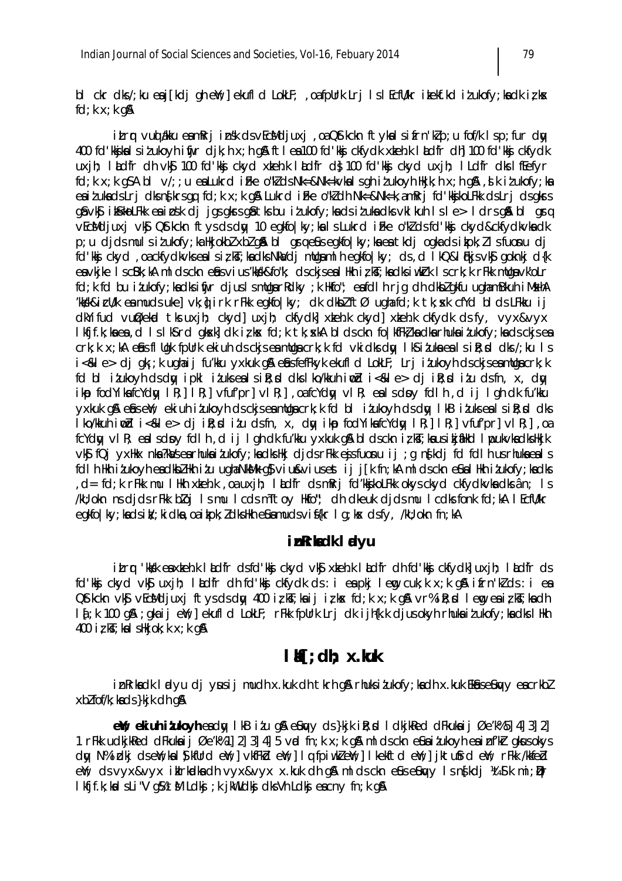bl ckr dks/; ku eaj[kdj qh en'; ] ekufl d LokLF; , oafpUrk Lrj IslEcfU/kr ikekf.kd it ukofy; kadk it kx  $fd$ ;  $k \times jk$  g&

itrr vuo ikku eamRrjinsk dsvEcMdjuxj, oa Qstkckn ftykalsifrn'klp;u fof/klsp;fur dw 400 fd'kkjkalsitukovhimir dik;h x;h q& ftlea100 fd'kkj ckfydk xkeh.k ladfr dh| 100 fd'kkj ckfydk uxih; lådfr dh vkg 100 fd'kkg ckyd xteh.k lådfr då 100 fd'kkg ckyd uxih; lldfr dkg lfefyr  $fd$ ; k  $x$ ; k qSA bl  $\sqrt{2}$ ; u ealukrd iFke o''kds Nk=&Nk=k $\sqrt{k}$ ls qh ituko $\sqrt{k}$ lkik; h  $x$ ; h q&, d k itukof $\sqrt{k}$ ; ka eaitukadsLri dks nskrs qq fd; k x; k q& Lukrd i Fke o"kd dh Nk=&Nk=k, a m Rri fd'kkjkoLFkk dsLri ds qkrs qâ vkâ ikskolfkk ea ipsk dj jqsqkrs qâ tks bu itukofy; ka dsituka dks vkl kuh Isle> I drs qâ bl qrq vEcMdjuxj vKj Qtrkckn ftysdsdy 10 egkfolky; kals Lukrd i Fke o''k' ds fd' kkj ckyd&ckfydkvkadk p; u djds muls it ukofy; ka Hkjokbl xbl q\$a bl q\$q e\$us eqkfo | ky; ka ea tkdj oqka ds ikpk; lls fuonu dj fd'kkj ckyd, oa ckfydkvks ea I s i z kī; ka dks Nka/dj mllgaml hegkfo | ky; ds, d I kQ&I fikjs vkĵ goknkj d{k eavkike IscBk; kAmldsckne fusvius 'kkkk&fo"k; dsckiseal Hkhizkī; kadksi wkhk Iscrk; k rFkk mulgavk'oLr fd; k fd bu itukofy; kadks ifijr djus I smllgarRdky; k Hkfo"; eafdl h rjg dh dkbl gkfu ughamBkuh i MakhA "kksk&icU/k eamuds uke] vk; nirk rFkk egkfo|ky; dk dkbZftØ ughafd; k tk; sk cfYd blds LFkku ij divifud vuper trial the trial chequal uxit critical steak chequing the critical ds fy, vyx&vyx I kfjf.k; ka ea , d I s I k\$ rd gksk| dk iz ks fd; k tk; skA bl ds ckn fo | kfFkZ ka dka rhuka izukofy; ka ds ckjs ea crk; k x; kA efus fl Ugk fpUrk eki uh ds ckjs ea mUga crk; k fd vki dks dty IkS i tuka ea Is i R; sd dks /; ku Is i<&le> di qk; :k uqha i fu'kku vxkuk q& efus feffkvk ekufl d LokLF; Lri itukovh ds ckis ea mllga crk; k fd bl itukoyh ds dy ipkl itukseals ik; d dks lko/kkuh impd i<&le> dj ik; d itu ds fn, x, dy ikp fodYikafcYdw, IR; | IR; | vfuf'pr| vIR; | oafcYdw, vIR; ealsdpy fdlh, dij Iqh dk fu'kku vxkuk a \$ e use if: ekiuh ituko vh ds ckis e a mlla a crk; k fd bl ituko vh ds dw IkB ituks e a I s i R; d dks  $\lceil \frac{k_0}{k_1} \rceil$  is  $\lceil \frac{k_1}{k_2} \rceil$  is  $\lceil \frac{k_1}{k_1} \rceil$  is  $\lceil \frac{k_1}{k_1} \rceil$  is  $\lceil \frac{k_1}{k_1} \rceil$  is  $\lceil \frac{k_1}{k_1} \rceil$  is  $\lceil \frac{k_1}{k_1} \rceil$  is  $\lceil \frac{k_1}{k_1} \rceil$  is  $\lceil \frac{k_1}{k_1} \rceil$  is  $\lceil \frac{k_1}{k_1} \rceil$  is fcYdw vl R; ealsdoy fdl h , d ij l gh dk fu'kku yxkuk g&bl dsckn izkT; kausikjaHkd I poukvkadksHkjk vký fQi vxHkx nka?kWsearhukaitukofy; kadksHki didsrFkk ejsfuonu ii : a nýkdi fd fdlh usrhukaeals foll h Hkh itukovh endkbl Hkh itu ugha NkMk g}viu&viusest ii i[k fn:kA ml ds ckn e\$unl Hkh itukofv:ka dks d = fd; k rFkk mu I Hkh xkeh.k , oa uxjh; I kdfr ds mRrj fd'kkjkoLFkk okys ckyd ckfydkvka dks ân; I s /kU; okn ns djds rFkk bloj Ismu I cds mTtoy Hkfo"; dh dkeuk djds mu I cdks fonk fd; kA I EcfU/kr egkfolky; kadsit/; kidka, oaitpk; ZdksHkh efuamudsviffkr I g; kx dsfy, /kU; okn fn; kA

#### inkriedk I alyu

itrr 'kkk eaxkehk lådfr dsfd'kkj ckyd vkj xkehk lådfr dhfd'kkj ckfydk] uxjh; lådfr ds fd'kkj ckyd vkj uxjh; lådfr dh fd'kkj ckfydk ds: i ea pkj lem, cuk; k x; k gå ifrn'k'ds: i ea Oftkckn vký vEcMdjuxj ftysdsdyy 400 izkT;kaij izkx fd;k x;k gA vr% iR;xd lengeaizkT;kadh I aj: k 100 g\$ ; gka i j e\y j ekufl d LokLF; rFkk fpUrk Lrj dk ijh{k.k djusokyh rhuka izukofy; ka dks I Hkh 400  $i \zeta$  kg ; ka I s Hkjok; k  $x$ ; k g &

# $\mathbf{H}$   $\mathbf{F}$  ; dh; x.kuk

inRrkadk I adyu dj yusij mudh x.kuk dh tkrh gå rhuksitukofy; kadh x.kuk EkuseSuyy eacrkbl  $x$ bl fof/k; ka ds } kj k dh q $\alpha$ 

ett; ekiuh itukoyh eady lkB itu q& eLuyy ds }kjk ik; d I dkjkRed dFkukaij Øe'k%51 41 31 21 1 rFkk udkjkRed dFkuka i jØe'k% 1 | 2 | 3 | 4 | 5 vrd fn; k x; k gå mldsckn efua i tukoyh en i nf'kr gkusokys dy N% idkj dseW; kal SkfUrd eW; | vkfFkd eW; | IqfpiwkZeW; | Ikekftd eW; | jktufrd eW; rFkk /kkfed end; ds vyx&vyx intradional byx&vyx x.kuk dh qn ml ds ckn ents entry Is no shot ints k mi; pr I kfjf.k; ka I s Li "V q \$ t M L dkj; k j k WL dkj dks Vh L dkj eacn y fn; k q &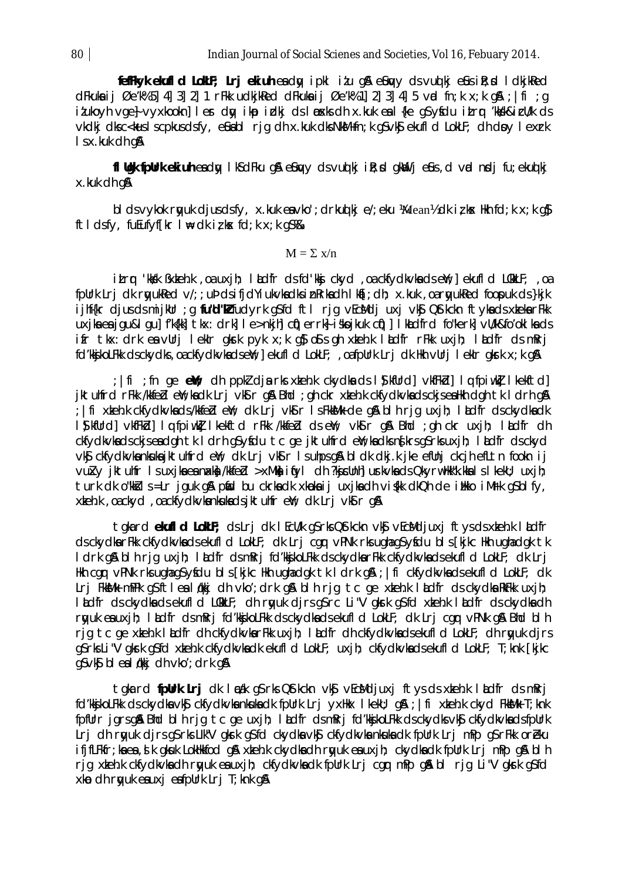**fefFkyk ekufld LokLF; Lrj ekiuh** ead ay ipkl izu g & e Surv ds vu q kj e Sus i R;sd I dkjkRed dFkuksaij Øe'k% 5] 4] 3] 2] 1 rFkk udkjkRed dFkuksaij Øe'k% 1] 2] 3] 4] 5 vad fn;k x;k g\$A ; |fi ; g izukoyh vge vyxkookn] ler dw ik pizdkj ds looks dh x.kuk es l{ke g S ysfdu itrr 'kk sk izU/k d s vkdkj dks c< kus ls cpkus dsfy, e Sua bl rjg dh x.kuk dks Nk M+ fn; k g S vk Sj ekufld LokLF; dh dsoy lexrk  $l$  s x.kuk dh q $\lambda$ 

fl Ugk fpulrk ekiuh esdy lk S dFku g& e Suy y d s vuolki ik;sd gkWlij e Sus, d vad n sdj fu;ekuolkj  $x.kuk$  dh  $a$ A

blds vykok r gyuk djus ds fy, x.kuk esa vko'; drku q kj e/; eku ¼Mean½ dk iz; k x Hkh fd; k x; k q S ftldsfv, fuEufyf $\lceil kr \rceil$   $\neq$  dk iz kx fd;k x;k a S  $\%$ 

#### $M = \sum x/n$

itrr 'kksk ßxkeh.k ,oa uxjh; lad fr ds fd'kksj ckyd ,oa ckfydkvka ds enY;] ekufld LOkkLF; ,oa fpUrk Lrj dk r gyukRed v/;; uÞ ds ifjdYiukvka dks inRrka dh I kaf; dh; x.kuk ,oa r gyukRed foopuk ds }kjk ijhf{kr djus ds mijkUr ;g **fu"d"k** fudyrk g\$fd ftl rjg vEcMdj uxj vk\$ Q\$tkckn ftyka ds xkeka rFkk uxjka ea jgu&lgu] f'k{kk] tkx: drk] le>nkjh] cq̃)errk} iskojkuk cq̃)] lk aLdfrd fo"kerk] vU/k&fo'oklka ds ifr tkx: drk es vUrj lekIr gkrk pyk x;k g\$ oSls gh xkeh.k laLdfr rFkk uxjh; laLdfr ds mRrj fd'kkjkoLFkk ds ckydks , oa ckfydkvka ds ew; ] ekufld LokLF; , oa fpUrk Lrj dk Hkh vUrj I ekIr gkrk x; k g &

; |fi ;fn ge **e\;** dh ppkZ dja rks xkeh.k ckydka ds l\$kfUrd] vkfFkbl] lqfpiw.k] lkekftd]  $i$ ktuhfrd rFkk /kkfe $d$  ew $i$ ;ka dk Lri vk $\beta$ r gå Bhd  $i$ gh ckr xkeh.k ckfydkvka d $s$  cki $s$  ea Hkh dgh tk I drh gå ; | fi xkeh.k ckfydkvka ds /kkfebl enY; dk Lrj vkSlr ls Fkk SM+k de g & blh rjg uxjh; laLd fr ds ckydka dk l§kfUrd] vkfFkd] lq:fpiwk] lkekftd rFkk /kkfed ds ewY; vk\$r g\$A Bhd ;gh ckr uxjh; lad fr dh ckfydkvka ds ckjs ea dght k ldrh gS ysfdu tc ge jktuhfrd ew; ka dks ns[krs gS rks uxjh; ladfr ds ckyd vkg ckfydkvka nkuka iktuhfrd ew; dk Lrj vkg r I suhps g & bldk dkj.k jke efUnj ckcjh efLtn fookn ij vu Ky jktuhfr I suxjka e a n akk /kkfe Cd >xMk ifyl dh ?k j sunh] u skvka d s Qkyr w Hkk"k.kka I s I kekU; uxjh; turk dk o"kksils =Lr jguk g\$ pmid bu ckrka dk xknoka ij uxjka dh vishk dkQh de inkko iM+rk g\$ blfy, xkeh.k , oa ckyd , oa ckfydkvka nkuka ds jktuhfr ewy; dk Lrj vkSlr g &

tgka rd ekufld LokLF; ds Lrj dk l EcU/k g Srks Q Stkckn vk SvEc Mdjuxj ftys ds x keh.k l adfr ds ckydka rFkk ckfydkvka ds ekufld LokLF; dk Lrj cgr vPNk rks ugha g Sysfdu bls [kjkc Hkh ugha dgk tk ldrk gå blh rjg uxjh; låd fr ds mRrj fd'kkjkoLFkk ds ckydka rFkk ckfydkvka ds ekufld LokLF; dk Lrj Hkh cgr vPNk rks ugha g\$ ysfdu bls [kjkc Hkh ugha dgk tk ldrk g&; | fi ckfydkvka ds ekufld LokLF; dk Lrj Fkk&Mk mPPk g S ftlea lq/kkj dh vko';drk g & blh rjg tc ge xkeh.k ladfr ds ckydka RkFkk uxjh; lad fr ds ckydka ds ekufld LOKKLF; dh rayuk dirs g S rc Li"V gkork g S fd xoleh.k laLd fr ds ckydka dh r guk es uxjh; lad fr ds mRrj fd'kkjkoLFkk ds ckydks ds ekufld LokLF; dk Lrj cg qr vPNk g & Bhd blh rig tc ge xkeh.k ladir dh ckfydkvka rFkk uxjh; ladir dh ckfydkvka ds ekufld LokLF; dh rayuk djrs g S rks Li"V gk srk g S fd xteh.k ckfydkvka dk ekufld LokLF; uxjh; ckfydkvka ds ekufld LokLF; T;knk [kjkc  $qS \vee kS$  blealøkkj dh vko'; drk g $s$ 

tgka rd fpurk Lrj dk lædk g\$ rks Q\$tkckn vk\$ vEcMdjuxj ftys ds xkeh.k ladfr ds mRrj fd'kkj koLFkk ds ckydka vk Sj ckfydkvka nkuka dk fpUrk Lrj yxHkx I kekU; g &; | fi xkeh.k ckyd FkkM+ T; knk fpfUrr jgrs gå Bhd blh rjg tc ge uxjh; låd fr ds mRrj fd'kkjkoLFkk ds ckydks vk s ckfydkvka ds fpUrk Lrj dh ryyuk djrs g Srk s LIk"V gkork g Sfd ckydka vk Sj ckfydkvka nkuka dk fpUrk Lrj mPp g SrFkk orZeku ififLFkfr;kses, slk gk suk LokHkkfod g\$A xkeh.k ckydks dh rwuk esu xih; ckydks dk fpUrk Lri mPp g\$ blh rig xkeh.k ckfydkvka dh rwyuk ea uxjh; ckfydkvka dk fpUrk Lrj cgr mPp gå bl rjg Li"V gkrk g\$fd  $x$ k a dh r  $y$ uk e $a$ u $x$ j e $a$  fpUrk Lrj T; knk q $a$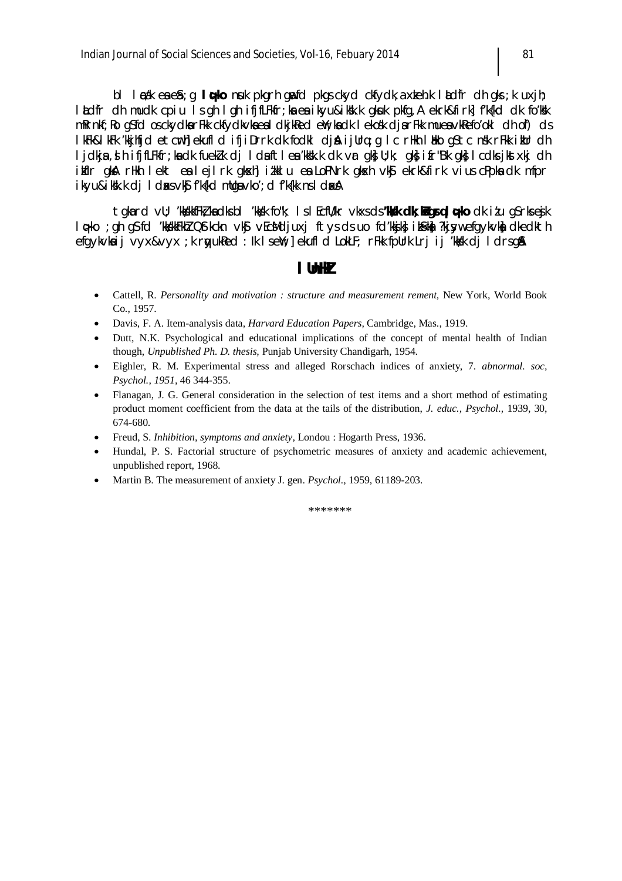bl læ $i$ k en en gig lær muk pligr highet pligs ckyd ckfydk, a x tehl klad frið highs ; klux jh; Itdfr dh mudk cpiu Is gh I gh ififLFkfr; ka ea ikyu&ikkk, gkuk pkfg, A ekrk&firk] f'k{kd dk fo'kk mRrnkf; Ro q\$fd os ckydkarFkk ckfydkvkaealdkjkRed eW; kadk I ekośk djarFkk mueavkRefo'okl dh of) ds I kFk&l kFk 'kkjhfjd etcmh| ekufld ifjiDrrk dk fodkl djå ijUrq; q I c rHkh I bko q\$tc nsk rFkk i bur dh lidkja, si hififLFkfr; ka dk fuekk di I daftlea kksk, k dk vr gks U; k; gks i fr"Bk gks I cdks i kst x ki dh ikfir gka rikh lekt ea lejlrk gkoki itkklu ea LoPNrk gkoki vka ekrk&firk vius cPpka dk mfpr ikyu&ikk.k dj I dasvkj fk{kd mlgavko'; d fk{kk ns I dasa

tglard vU; 'kkklkfFlk, kadksbl 'kkkl fo"k; Isl EcfU/kr vkxsds'**kkk dk; kšgrgl q-ko** dk i*t*u q\$rksejk locko ; gh qs fd 'kkskkFkh2 Qstkckn vks; vEcMdjuxj ftys ds uo fd'kksjk; ikskni ?kjsywefqykvkni dkedkth efgykykaij vyx&vyx; k rgyukRed: k IseW; ekufld LokLF; rFkk fpUrk Lrjij'kkk dj Idrsg&

#### I lhHZ

- Cattell, R. Personality and motivation: structure and measurement rement. New York, World Book Co., 1957.
- Davis, F. A. Item-analysis data, *Harvard Education Papers*, Cambridge, Mas., 1919.
- Dutt, N.K. Psychological and educational implications of the concept of mental health of Indian though, Unpublished Ph. D. thesis, Punjab University Chandigarh, 1954.
- Eighler, R. M. Experimental stress and alleged Rorschach indices of anxiety, 7. abnormal, soc. Psychol., 1951, 46 344-355.
- Flanagan, J. G. General consideration in the selection of test items and a short method of estimating product moment coefficient from the data at the tails of the distribution, *J. educ.*, *Psychol.*, 1939, 30, 674-680.
- Freud, S. *Inhibition, symptoms and anxiety*, Londou: Hogarth Press, 1936.
- Hundal, P. S. Factorial structure of psychometric measures of anxiety and academic achievement, unpublished report, 1968.
- Martin B. The measurement of anxiety J. gen. Psychol., 1959, 61189-203.  $\bullet$

\*\*\*\*\*\*\*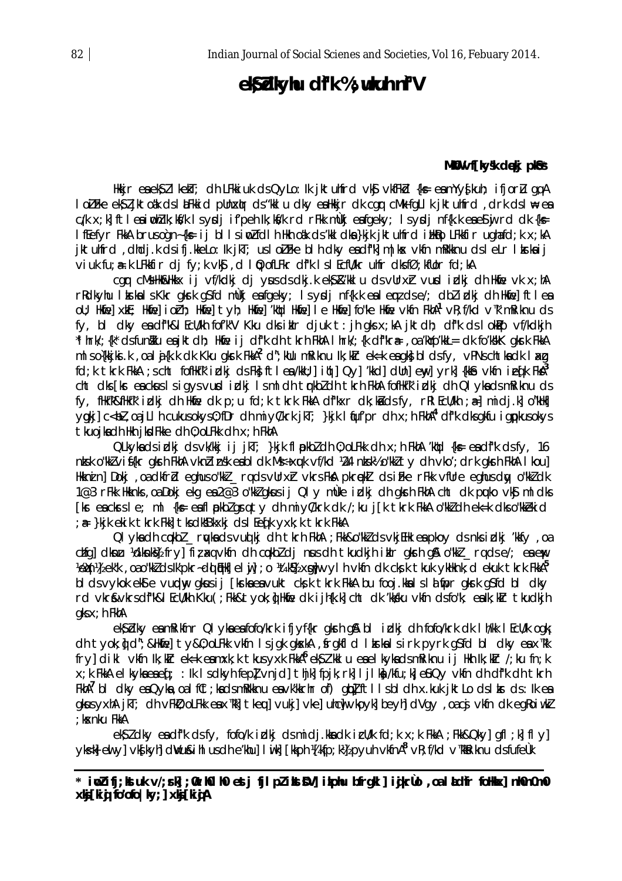# els dikyltu di<sup>k</sup> %; ukuh ni''V

#### MKU vf[kysk dękj pk\$s\*

Hkir eaek\$llkekT; dh LFkkiuk ds QyLo: Ik jktuhfrd vk\$ vkfFkd {k= eamYy{kuh; ifjorl qqA lolifke eksiliktoak dsi Lifkkid pllnxlir ds "kkiu dky ealkkir dk car cMk fall k jktuhfrd, drk dsi # ea c/k x; k] ftleaimblk; kf/k lsydjif'peh k; kf/k rd rFkk mÙkj eafgeky; lsydj nf{k.k eaeSij rd dk {k= I feefyr FkkA brusogn-{k= ij bllsim2fdlh Hkh oak ds'kkI dka}kjk jktuhfrd iHkao LFkkfir ughafd;k x;kA jktumfrd, dhdj.k dsifj.kkelo:k jkT; usloiFke blh dky eadfkj m|kx vkfn mRIkknu dsleLr I krkaij viuk fu; a k LFkkfir dj fy; k vkg, d l q; ofLFkr dfk l s l EcflVkr unfr dksfØ; kfllor fd; kA

car cMsHk&Hkkx ij vf/kdkj dj yusdsdkj.k ek\$ &'kklu dsvUrxr vurd irdkj dh Hkfie vk x; hA r Rolkyhu I krka I s Kkr gkrk g S fol mulki en fgeky; I s y g i nf{k.k en I emz d s e/; d b Z i g kj dh Hkfiel ft I en ou; Hkiie] xkE; Hkiie] i oich; Hkiie] tyh; Hkiie] 'kitcl Hkiie] I e Hkiie] fo"ke Hkiie vkfn FkhA<sup>1</sup> vR; f/kd v™ mRi knu ds fy, bi dky eadfk&l EcU/kh fof'k"V Kku dksikir djuk t: jh qks x;kA jktdh; df"k ds I okPp vf/kdkjh \*I hrk/; {k\* dsfundku eajktdh; Hkne ij df"k dh tkrh FkhA I hrk/; {k\* df"kra=", oa 'kho'kkL= dk fo'kskK gkrk FkkA mlso{kkjksi.k, oala{k.k dk Kku gkrk FkkA<sup>2</sup> d"; kllu mRiknu lk; klr ek=k eagk} bl dsfy, vPNschtkadk I xg fd; k tkrk FkkA ; s cht fofHk"k i dkj ds Fk} ftl ea /kkU; ] i \ij ] Qy] 'kkd] dUn] eny] yrk] {kkê vkfn i eq[k FkA3 cht dis [kr eackus | sigys vurd idki | sml dh trkbl dh tkrh FkhA fofik" kidki dh QI ykadsmRiknu ds fy, filk"k&filk"k idkj dh likfie dk p;u fd;k tkrk FkkA df"kxr dk;kidsfy, rRI EcU/kh ;a=] midj.k] o"kHk]  $\gamma$ gki] c<bl, oa jLI h cukus okys 0; fDr dh mi yC/krk jkT; }kjk I fuf'pr dh x; h FkhA<sup>4</sup> df"k dks gkfu i gpkus okys tkuojka dh Hkh jkodFkke dh 0; oLFkk dh x; h FkhA

QLkyka ds indkj ds vk/kkj ij jkT; }kjk fl pkbl dh 0; oLFkk dh x; h FkhA 'kt|d {k= ea df'k ds fy, 16 ntsk o"kkIvif{kr gkrh FkhAvknIinsk eabldk Ms+xqukvf/kd 124 ntsk16 o"kkIty dhvko'; drk gkrh FkhAlkou] Hikini n] Dokj, oa dikfrid eghus o"kil rij ds vilrxir vkrs Fika pkriekil ds i Fike rFikk vflire eghus diy o"kil dk 1@3 rFkk Hkknks, oa Dokj ekg ea 2@3 o"kkZ gkusij QI y mulke idkj dh gkrh FkhA cht dk puko vk\$ ml dks [kr eackrsie; mi {k= eaflpkblgruty dh miy(/krk dk /; ku j[k tkrk FkkA o"kkl dh ek=k dks o"kklekid : a }kjk ekik tkrk Fkk] tks dk'Bkxkj ds I Eeq'k yxk; k tkrk FkkA

QI yka dh copkbi \_ruyka ds yuq kj dh tkrh FkhA ; Fkk&o"kki ds ykj EHk ea pkoy ds nks i dkj 'kkfy , oa chfg] dknu "/dknki! fry] fiz xq vkfn dh cpkbz dj nus dh tkudkjh ikir gkrh g& o"kkz\_rq ds e/; ea epk Velinia ek"k , oa o"kki ds lk'pkr-dd lithk] el uj] ; o ktka xgu vyl h vkfn dk cks k tkuk ykliknk; d ekuk tkrk Fkka<sup>5</sup> bldsvykok ekse vundny akusij [krkaea vukt cksk tkrk FkkA bu fooj.kka Islanfor akrk a Sfd bldky rd vkr&vkrsdfk&I EcU/kh Kku(; Fkk&tyok; || Hkfie dk i jh{k.k] cht dk 'kkku vkfn dsfo"k; ealk; kIr tkudkjh  $q$ ks  $x$ ; h FkhA

ek\$ blky eamRikfnr QI yka ea fofo/krk ifjyf{kr gkrh g& bI indkj dh fofo/krk dk I h/kk I EcU/k ogk; dh tyok; j d"; &Hkfie] ty&0; oLFkk vkfn Isjgk gkskA, frgkfld I krkalsirk pyrk g\$fd bl dky eax"kk fry] dikl vkfn lk; klr ek=k eamxk; k tkus yxk FkkA<sup>6</sup> ek\$ l'kkl u eael kyka dsmRiknu ij Hkh lk; klr /: ku fn; k x; k FkkA el kyka ea eq; : lk I s dkyh fepl vnjd] thjk| fpjk; rk| l j l ka /kfu; k} e a Qy vkfn dh df'k dh tkrh FkhA<sup>7</sup> bl dky eaQyka, oalfCt; kadsmRlkknu eavk'kkrhr of) gipl ftllsbldh x.kuk jktLo dslisr ds: lk ea akus vxhA ikT; dh vFkD; oLFkk eax<sup>n</sup>kkl tkeul vukil vkel uhdu vkovkl bevhl dVav , oacj vkfn dk eaRojwkl : kxnku FkkA

ek\$ l dky ea df'k ds fy, fofo/k i dkj ds midj.kka dk i cU/k fd; k x; k FkkA ; Fkk& Qky] gfl ; k] fl y] VISH et vi vKrkvhi divussibli us dhe'khui Liriki Ekkoh Xrkfo; kvi p vuh vkfna<sup>8</sup> vR; f/kd vikkriiknu dsfufeur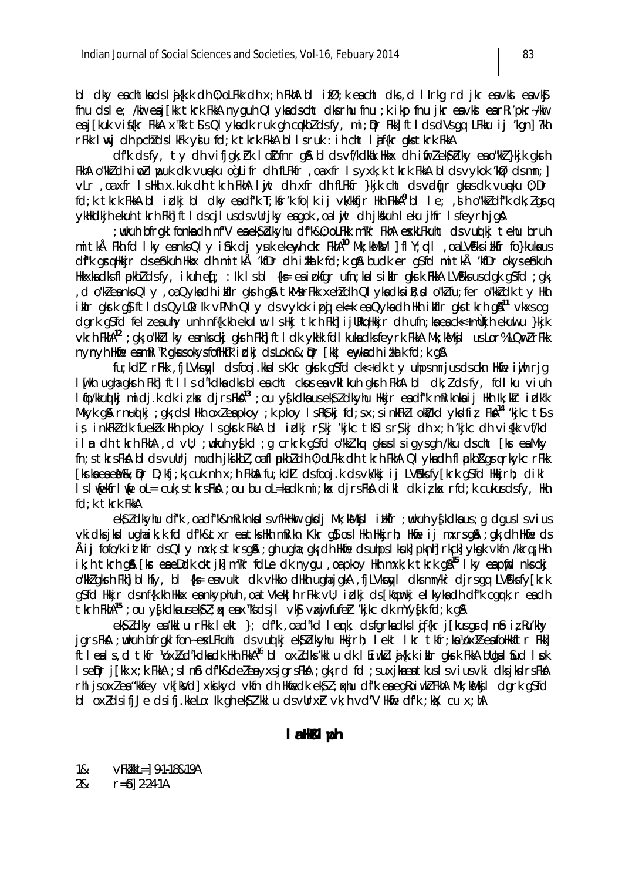bl dky eachtkadslafk.kdh0; oLFkkdhx; hFkhAblifØ; keachtdks, dIlrkgrdjkreavksleavk\$ fnu dsle; /kii eaj[kk tkrk FkkA nyguh Qlykadscht dksrhu fnu ;k ikp fnu jkr eayks earRijpkr-/kii ea i [kuk vishr FkkA x]kk ts s QI vka dk ruk gh cokbl ds fv, mi; Dr Fkk] ftl ds dVs ga LFkku ii 'kgn] ?kh rFkk I wj dh pchlds I kFk ysju fd; k tkrk FkkA bl I sruk : ih cht I affkr gks tkrk FkkA

df"k dsfy, ty dh vifjak; hk I olofnr an bl ds vf/kdkak Hkkx dh i firleks blky en o"kkl }kjk akrh FkhA o"kkZ dh i wZ I wouk dk vuneku ogLifr dh fLFkfr, oa xfr I s yxk; k tkrk FkkA bl ds vykok 'kØ ds mn; ] vLr, oa xfr Is Hkh x.kuk dh tkrh FkhA I y t dh xfr dh fLFkfr }kjk cht ds vadigir gkus dk vuneku 0; Dr fd; k tkrk FkkA bl idkj bl dky eadfk T; kfr'k folk ij vk/kkfjr Hkh FkkA<sup>9</sup> bl le; , d h o"kkZ df"k dk; Z grg yklkdkih ekuh tkrh Fkh ftldscilusdsvllriky eagok, oal wit dhikkuh leku ihfr Isfeyrhig A

: wkuh bfrakl fonkadh nf"V eaek\$ blkvhu df"k&0: oLFkk m™kr FkhA exkLFkuht ds vud ki tehu bruh mitkÅ Fkh fd I ky eanks QI y i fik dj yuk ekenyh ckr FkhA<sup>10</sup> Mk; kMkVI ] fl Y; qdl , oa LVfcks i Hkfr fo}kuka us di''k grullkir dsebikulı likkx dlı mitkå 'kiDr dlı itki k fd; k g& budk er g\$fd mitkå 'kiDr okysebikulı Hkkxkadksflopkbldsfy, ikuh eqf; : lk Isbl {k $\epsilon$  eaipkfqr ufn;kalsiklr qkrk FkkA LV\$cks usdqk q\$fd;qk; d o"kleanks QI y, oa Qyka dhibfir gkrh g& tkMsrFkk xehldh QI yka dksilt; d o"klfu; fer o"kkldk ty Hkh, ikir giksk af ftids QyLûk: Ik vPNh Qiy ds vykok ipi ek=k en Qyka dh Hkh ikfir aks tkrh giki<sup>11</sup> vkxs og dgrk g\$fd felzeauhy unh nf{k.kh ekulw IsHkj tkrh Fkh] ijURkqHkkjr dh ufn;kaeack<+mÙkjh ekulu }kjk vkrh FkhA<sup>12</sup> ; gk; o"kk] I ky eanks ckj gkrh Fkh] ft I dk ykHk fd I kuka dks feyrk FkkA Mk; kMksj I us Lor% LQm2 rFkk nynyh Hidie eamRi "k gikusokysfofilk" kidki dsLokn&; Dr [kk] enykadh i tka k fd; k g&

fu; kdl rFkk, fjLVkcqyl dsfooj.kkals Kkr gkrk gSfd ck<+dk ty uhps mrjus dsckn Hkfe iwih rig lufkh ugha gkrh Fkh] ftlls d"kolka olks bleacht ckus ea vklkuh gkrh FkhA bl dk; lds fy, foll ku viuh I fjo/kkud kj midj.k dk izks djrsFka<sup>13</sup> ;ou ys[kdka usek\$zdkyhu Hkkjr ea df"k mRiknka ij Hkh Ik;kir idk'k Mkyk gå rnud ki ; gk ds I Hkh oxien pkoy; k pkoy I s Rks kj fd; s x; s i n kFki I okt/kd y kodfiz Fka<sup>14</sup> 'k j kc t s s is inkFk2 dk fuek2k Hkh pkoy Isgksrk FkkA bl idkj r\$kj 'kjkc tKSIsr\$kj dh x;h 'kjkc dh vi{kk vf/kd ilm dh tkrh FkhA, d vU; ;wukuh y{kd ; q crkrk q\$fd o"kkZ'kq qkuslsiqysqh/kku dscht [kr ea Mky fn; s tkrs FkA bl ds vullrj mudh jkikbl, oafl pkbl dh 0; oLFkk dh tkrh FkhA QI yka dh fl pkb&grq rkykc rFkk [krkaeaeM&; Qpr D; kfj; k; cuk nh x; h Fkha fu; kdl dsfooj.k dsvk/kkj ij LV\$cksfy[krk g\$fd Hkkjrh; dikl Islive that the olecule; stars Flat; ou bu olela dk mi; lax dins Flat dikl dk izlax nfd; k culcus ds fy, Han fd:k tkrk FkkA

ek\$ I dkyhu df"k, oa df"k&mRiknka I svfHkHkur gkdj Mk; kMkjl i Hkfr; wukuh y{kdka us; g dgus I svius vkidksjkd ughaik; k fd df"k&txr eatksHkh mRikn Kkr q\$ oslHkh Hkkjrh; Hkfie ij mxrsq&; gk; dh Hkfie ds Åij fofo/k iztkfr dsQl y mxk;stkrsq&;qh uqha;qk;dh Hkfie dsuhpsl kuk] pknh]rkck] ykqk vkfn /kkrq;Hkh ik; h tkrh gå [kr eaeDdk cktjk] m<sup>n</sup>kr fdLe dk nygu, oapkoy Hkh mxk; k tkrk gå<sup>15</sup> lky eapfid nksckj o"kk2 gksh Fkh] bl hfy, bl {k= eavukt dk vHkko dHkh ughajgkA, fjLVksyl dksmnAr djrsgq LV\$:ksfy[krk asfd Hkir ds nf{k.kh Hkkx eankyphuh , oat Vkekl h rFkk vU; idki ds [ktcmki el kykadh df"k cark; r eadh tkrh  $FkhA^{15}$ ; ou y $\sqrt{s}$ kdka usek $\frac{s}{2}$ ;  $\alpha$  eax<sup>n</sup>ks ds jl vk $\frac{s}{2}$  vaxij fufer 'kjkc dk m $\sqrt{s}$ k fd; k q&

ek\$ldky ea'kklu rFkk lekt }; df'k , oad "kd lenk; dsfgrkadksliffkr j[kusgrqln\$ iz Ru'khy jgrs FkA ; wkuh bfrgkl fon-exLFkuht ds vud kj ek\$ blkyhu Hkkjrh; lekt lkr tkfr; ka YoxI/2 ea foHkkftr Fkk] ftleals, dtkfr YoxYz d"kdkadk Hkh FkkA<sup>16</sup> bloxZdks'kklu dk lEiwkZla{k.k iklr gkrk FkkA bllgal fud lpk IseDr j[kk x; k FkkA ; s In \$ df"k&deleayxsjgrsFkA; gk; rd fd ; suxjkaeatkusIsviusvki dksjkdrsFkA rhi jsoxiea "kkfey vk[kVd] xkjkyd vkfn dh Hkfedk ek\$i; kkhu df'k ea egRoiwki FkhA Mk; kMkjl dgrk q\$fd bl oxldsifjJe dsifj.kkeLo: Ik ghek\$l'kklu dsvUrxh vk; hvd"V Hkfie df"k; kX; cu x; hA

# I alk&I ph

 $18<sub>1</sub>$ VFKZKKL=1 9-1-18&19A  $28<sub>1</sub>$  $r = 0$  2-24-14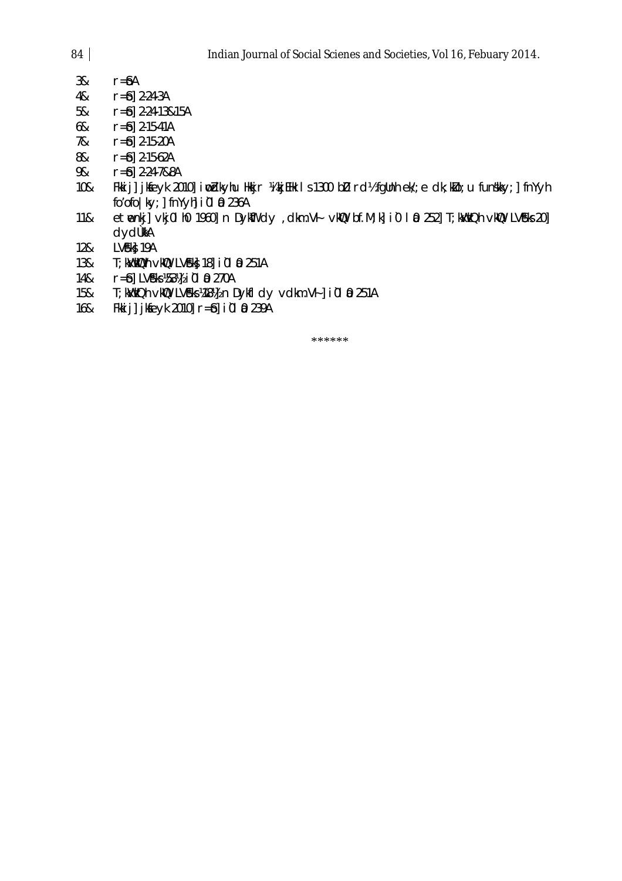- $38$   $r = bA$
- 4& r=So] 2-24-3A
- 5& r=So] 2-24-13&15A
- 6&  $r = 6$ ] 2-15-41A
- 7& r=\$] 2-15-20A
- $88$   $r=6$ ]  $2-15-62$ A
- 9& r=\$| 2-24-7&8A
- 10& Fkkij] jksfeyk 2010] iwo Zkyhu Hkkjr ¼ikjEHk ls 1300 bD rd½ fgUnh ek/;e dk;kOo;u funskky;] fnYyh  $fo'ofo|ky;$ ]  $fnYyh]$  i $0l$   $0$  236A
- 11& et wenkj] vkj0lh0 1960] n DykWidy , dkm.Vł vkWQ bf.M;k] i0 l 0 252] T;kWkkQh vkWQ LV & so 30] dydÙkkA
- 12& LV**t**k 19A
- 13& T; kWkkKOLh vkKO LVSk} 18] i01 @ 251A
- $148$   $r=6$ ] LV $k$ ks  $453/4$  i 0l 0 270A
- 15& T; kkkkQh vkKQ LV \$cks ¼18½ n Dykfldy vdkm.V + 1 i 01 0 251A
- $168$  Fkkij] jk $f$ eyk 2010]  $r = 5$ ] i`0l 0 239A

\*\*\*\*\*\*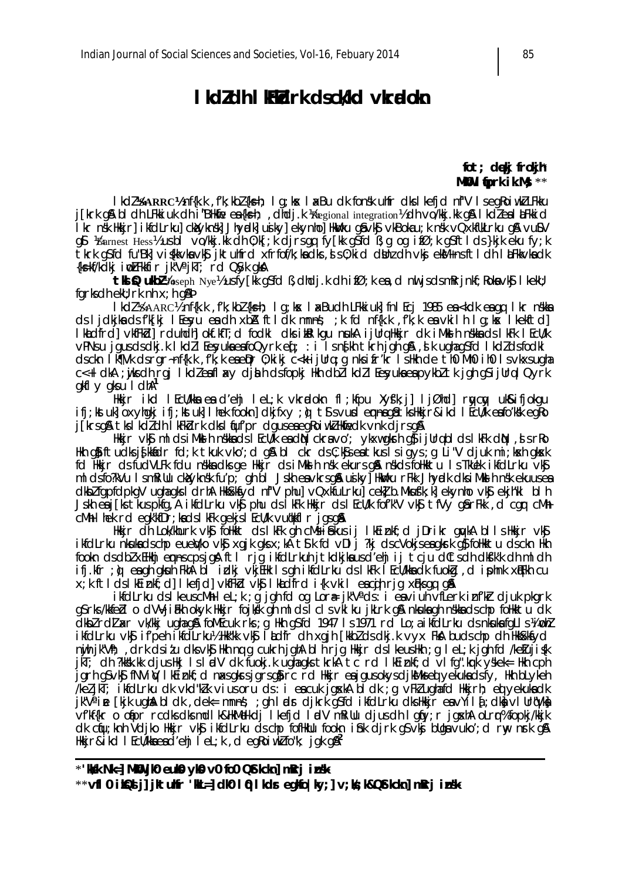# IkdZdh IKFKdrk dscWkd vkraiokn

fot; dekj frokj $h^*$ MKOV I foork ik. Ms  $**$ 

lkdl%BARRC%nf{k.k, fk;kbl{k=h; lq;kx lxBu dkfonsk uhfr dkslkefjd nf"V lsegRoiwklLFkku j [krk q \$ b | d h L F kki uk d h i "B H kfie e a {k = h; dhdj.k \ Regional integration \ d h v 0/kkj.kk q \$ | kdl e a | a F kki d I kr nsk Hkkjr] i kfdLrku] ckldyknsk] Jhyrdk] usiky] ekynho] HkWku q&vk\$ vkBokau; k nsk vQxkflkLrku q&vu&V g\$ VEarnest Hess% us bl vo/kkj.kk dh 0; k[; k djrsgq fy[kk g\$fd 8; g og ifØ; k g\$ftlds}kjk eku fy; k tkrk gSfd fu"Bk] vi{kkvka vk\$ jktuhfrd xfrfof/k; ka dks , s s 0; kid dkhnz dh vksj ekM+nsftl dh I aFkkvka dk {k=kf/kdkj inoLFkkfir jk"V<sup>a</sup> jkT; rd QSyk gkA

 $\overline{\text{td}}$  Q ukbl $\overline{\text{W}}$ oseph Nye $\overline{\text{w}}$  ustv $\overline{\text{W}}$  astd B, dhdi.k dhif $\varnothing$ :k ea, d nulisdsm $\overline{\text{R}}$ rinkf: Rokavk $\overline{\text{s}}$  I keku: farks  $dh$  ekU; rk  $nh$   $x$ ; h  $qM$ 

lkdZVsAARC½ nf{k.k ,f'k;kbZ{ks=h; lq;ksx laxBudh LFkkiuk] fnlEcj 1985 ea <kdk ea qq lkr nskka ds ljdkjka ds f'k[kj l [esyu ea dh xbal ft l dk mnns; ; k fd nf{k.k , f'k; k ea vkilh lg; kx l kekftd] I kudird] vkiFkd] rduhdin] oki kiT; d fodki dks i kul kgu nukA i jurq Hkkjr dk i Mki h nskku ds I kFk I Ecu/k vPNsu jgusdsdkj.k IkdZI EeyukaeafoQyrkeq; : i Isn{kh tkrh jgh g\$, , ik ughag\$fd IkdZdsfodkl dsckn I k¶Vk dsrgr~nf{k.k, f'k;k eaepr 0;kikj c<k i jUrq;g nksifr'kr I sHkh de th0 Mh0 ih0 I svkxsugha c<+I dkA; jus dh rgj I kdleafl xy djah dsfopkj Hkh dbl I kdl I Eesyuka ea pykbl tk joh os i jura I Qyrk gkfl y gks u I dhA<sup>1</sup>

Hkir ikd I EcU/kka ea d'ehi let;k vkradokn fl;kfpu Xyfk;j] ljØhd] raycay uk&ifjokqu ifj; kstuk] oxyhqkj ifj; kstuk] I hek fookn] dkjfxy; p}t\$svusd emnaqatksHkkjr&ikd I EcU/k eafo'kkk eqRo j[krsg&tkslkd]dhlkFkidrkdkslfudfprdguseaegRoiwk]Hkfiedkvnkdjrsg&

Hkkjr vk§mlds iMkelh nskkads I EclVk eadiN ckravo'; ykxwgkrhg}ijllrqblds I kFk diN , si s r Ro Hkh qi ftudk ji kifadr fd;k tkuk vkoʻ;d qi bl ckr ds C;kjs en tkus Isigys;g Li"V djuk mi;ksh gksk fd Hikir ds fudVLFk fdu nskka dks ge Hikir ds i Mikih nsk ekurs gå nskds follktu i s Tillek i kfdLrku vkg ml dsfo?kVu IsmRillu ckXyknsk fu'p; qh bl Jskh eavkrsq& usiky|HkWku rFkk Jhyndk dksiMksh nsk ekuusea dkbl fapfdpkaV ughagks I drhA Hkkškkfyd nf"V phu] vQxkfuLrku] cek! b. Mkufk; k] ekynho vkf ekjhkl bl h Jskh eaj [ks tǐkus pǐfg, A ikfdLrku vky phu ds ikFk Hkkjr ds I EcU/k fof'k"V vky tfVy gårFkk, d cgr cMh cMh I hek rd egk'kfDr; kads I kFk gekjs I EcU/k vuokkfl r jgsg&

Hkkjr dľn Lok/khurk ∨k\$j foHkkt ds lkFk gh cMsiĭ\$ekusij lkEinkf;d jDrikr gnykA bllsHkkjr ∨k\$j ikfdLrku nkukadschpeuewtkovkostajke gksx;k Attarid vDIj?kj dscVokjseagkrk gji follkktu dsckn llin fookn ds dbl xEHkhj empiscpsjg& ftl rjg ikfdLrkuh jtkdkjka us d'ehj ij tcju dCts dh dkfk'k dh ml dh ifj.kfr ; o) ea gh gkuh FkhA bi irdkj vkjEHk Isgh ikfdLrku dslkFk IEcU/kka dk fuokg, d iphnk x&Fkh cu x,kftldslkEnkf,dllkefidlvkfFkdvkfIkddfrdi{kvkileacjhrigxFksqqqM

ikfdLrku dslkeuscMhlel;k;g jghfd og Lor# jk"V'ds: i enviuh vfLerk inf'kr djuk pkgrk q\$rks/kkfeblo dVVjikikhokyk Hkkjr fojkšk qhmldsIclsvkiku jkLrk q&nksukaqhnskkadschpfoHkktu dk dkbl rdl ar vk/kkj ugha gå foMEcuk rks; g Hkh g\$fd 1947 I s 1971 rd Lo; a i kfdLrku ds nkuka fgLl s ¼ mohl ikfdLrku vkj if'peh ikfdLrku½ Hkk"kk vkj lidfr dh xgjh [kkbldsdkj.k vyx FkA budschp dh HkkSkkfyd nich jk"Vh; drk dsitu dksvk\$ Hkh ng g cukrh jghA blh rjg Hkkjr dsi keusHkh; g let; k jgh fd /ketuji\$k jkT; dh ?kksk.kk djus Hkj IsladV dk fuokj.k ugha gks tkrkA tc rd IkEinkf; d vIfq".krk yskek= Hkh cph jgrh g\$vk\$fNVi\V I kEinkf; cl naxsgkrsjgrsg}irc rcl Hkkjr eajgusokyscljkMkseql yekuka clsfy, Hkh bLykeh Nel ikt; ikfdLrku dk vkd"klk viusoru ds: i eacuk jgxkA bl dk ; g vFkl ughafd Hkkjrh; en yekukadk jk"V" i.e. [kjk ugha bldk ,dek= mnns; ;gh lads djkrk gsfd ikfdLrku dkshkkjr en vYila[;dkn] vlurt|Vkn]<br>vf/kf{kr o ofipr rcdksdksmdlk&hkMekdj lkefjd ladV mkillu djusdh lgfiy;r jgsxhA oLrin"& fopkj/kkjk dk ciju; knh Vdjko Hkkjr vkj i kidLrku ds chp fofHklu fookn i shk djrk qs vkj bllga vuko'; d ray nrk ga Hkir&ikd I Ecl/kbaead'ehj I eL; k, d eqRoiwkIfo"k; jqk q $\mathbb{R}^2$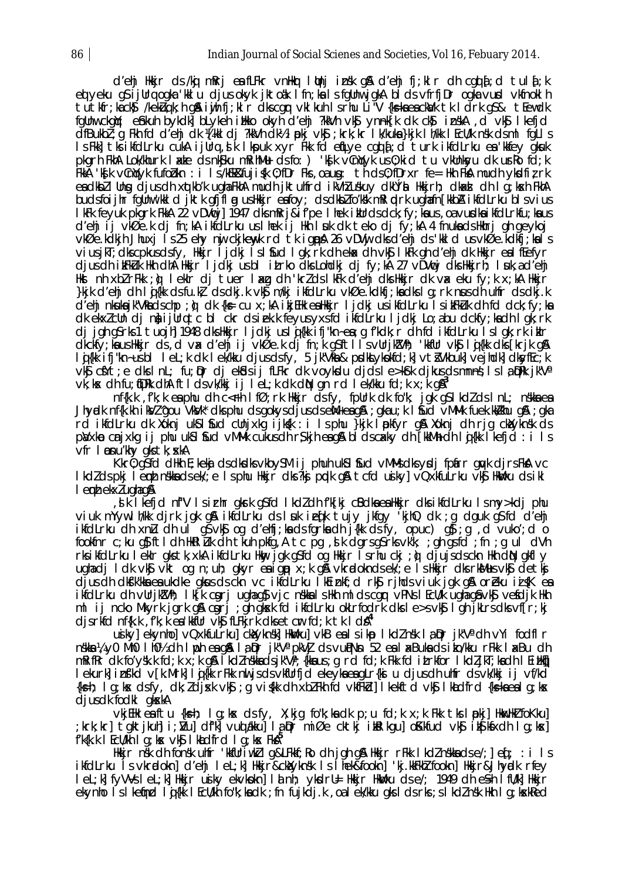d'ehj Hkir ds/ki mkrj en fLFkr vnHkr linj insk q& d'ehj fj;klr dh cqi af;d tular;k ed yeku g\$ ijUrq ogka 'kkiŭ djus okyk jktoak i fn;ka i s fgUnwijgkA bi ds vfrfjDr ogka vurd vkfnokih tutkfr; kack) /kekLuqk; h g& iyih fj; klr dkscgr vklkuh Isrhu Li"V {ks=kaeackLuk tk I drk g\$& tEewdk fgünwrckgYr; éfnkun bykdkj blyken i ilkko okyn d'enj ?kkVn vkj ynnakjk dk ck) i nskAr, d vkj l kefjd<br>dfBukbl;g Fkn fd d'enj dk ¼jkkl dj ?kkVn dk½ l pkj vkj;krk;kr l k/kuka}kjk l h/kk l Ecu/k nsk dsml fgLl s Is Fiki) this intellect of the light of the state of the state of the state of the state of the state of the state of the state of the state of the state of the state of the state of the state of the state of the state of pkarh FkhA Lok/khurk I ade as nkiku mRihMu dsfo: ) 'k[k vcntyk us0; kid tu vkUnkyu dk urRo fd; k FKA 'K[k vCn)(yk fufobkn : i ls/kEk&fuji{k 0;fDr Fks,oaug: th ds0;fDrxr fe= Hkh FkA mudh ykdfizrk ea dkbl I Ung djus dh xqtkb'k ugha FkhA mudh jktuhfrd ikVhl uskuy dkUÝal Hkkjrh; dkad dh I g; kach FkhA budsfoijhr fglinw kkl d jktk gfjfl g ushkkjr eafoy; dsdkblfo'kk mRI plrk ughafn[kkbA ikfdLrku blsvius I kFk feyuk pkark FkkA 22 yDVwil 1947 dksmRri&if'pe I hek ikUrdsdck: fy: ka us, oa vurdka ikfdLrkfu: ka us d'ehj ij vkØe.k dj fn;kA ikfdLrku uslhek ij Hkn I uk dk teko dj fy;kA 4 fnukadsHkhrj gh geykoj vkØe.kdkjh Jhuxj Ís25 ehy nyi ckjkenyk rd tk igpå 26 vDVyi dksd'ehj ds'kkld usvkØe.kdkfj;kals viusjkT; dkscpkusdsfy, Hkkjr I jdkj I sl fud I gk; rk dh ekax dh vkfj I kFk gh d'ehj dk Hkkjr ea I fEefyr djusch i trkuk Hkh dha Hkkjr I jdkj usbl i trko dks Lohdkj dj fy;ka 27 vDV ti dks Hkkjrh; I suk, a d'ehj Hist nh xblrFkk ; yì lekir dj tuer laxg dh 'krlds lkFk d'ehj dis Hikir dk vax eku fy; k x; kA Hikijr }kik d'ehi dh li kik dsfu.ki dsdki.k vkj m/ki i kfdLrku vkØe.kdkfi; ka dksl q; rk nus dh uhfr dsdki.k d'ehj nkukajk"Vkadschp; o) dk {k = cu x; k Aikij EHk ea Hkkjr ljdkj usikfdLrku I sikFkuk dh fd dck; fy; ka dk ekxidindj ni jurq tc bl ckr dsiekk feyus yxsid i fdirku I jdkj Lo; abu dckiy; kadh I qk; rk dj jgh g\$rks1 tuojh] 1948 dksHkkjr I jdkj uslij{kk ifj"kn~ea; g f'kdk; r dh fd ikfdLrku I sl gk; rk iklr dkckfy; knius Hkkjrds, dva d'ehjijvkØe.kdj̃m; kjgsftlisvUrjk/Vh; 'kkfUrvkjijk(k dkš[krjkg)&<br>Igi{kk ifj"kn~usbl leL; kdk lek/kku djusdsfy, 5 jk"Vkna& pdkkLykokfd; k]vt&Vkbuk]vejhdk]dksyfEc; k vký cfYt; e dks InL; fu; pr dj ekkds ij fLFkr dk voykdu djds I e>kfrk djkus ds mnns; Is I a přek jk"Va  $vk$ ; ke dhfu; tipRk dhA ftldsvk/kkjijleL; k dk diN qn rd lek/kku fd; k  $x$ ; k q $\mathbb{R}^3$ 

nf{k.k f'k; k ea phu dh c<rh l fØ; rk Hkkjr ds fy, fpUrk dk fo"k; jqk q\$ l kdl ds l nL; n\$kka ea Jhyrdk nf{k.kh i kVZ 'gou VkVk' clks phu cls gokys djus cls eM+eag&; gkau; k I bud vMMk fuek.kk/khu g&; gka rd ikfdLrku dk Xoknj uKslitud cllnjxkg ijksk : i Isphu }kjk Ipkfyr g& Xoknj dh rjg cktyknsk ds polyxkon conjxkg ij phu ul SI sud vMMk cukus dhr \$kjh eag & bl ds cakky dh [kkMh+ dh loj{kk l kefjd : i l s vfr I pnu'khy gks tk; skA

Kkrū́; gšfd dilih E; kekaj ds dikidilis vikbysmi i j phuh uks I fud vMMs diks yidj fpiirr giyk djrs Fka vc I kdl ds pkj lemb nskka ds ek/, e I s phu Hkkjr dks ?kj prdk g& t cfd usiky] v Oxkfu Lrku vkg Hkw'ku ds i kl I en hekxlughag A

, i k lkefjd nf"V Isirhr gkrk g\$fd lkdldh f'k[kj cBdkaeaHkkjr dksikfdLrku Ismy>kdj phu viuk mYywllWk djrk jgk g& ikfdLrku dsluk ieq[k tujy jkfgy 'kjhQ dk ;g dguk g`sfd d'ehj<br>ikfdLrku dh xnu dh ul g`svkj og d'ehfj;kadsfgrkadh j{kk dsfy, opuc) g};g ,d vuko';d o fookfnr c; ku q} ftldh HkRl Luk dh tkuh pkfg, A tc pg , d k dgrs q\$ rks vk'k; ; gh qs fd ; fn ; g ul dVh rksikfdLrku leklr gkstk, xkA ikfdLrku Hway jgk g\$fd og Hkkjr Isrhu ckj ; o) djujsdsckn Hkh d(N gkfl y ughadj ldk vkj vkt og n;uh; gkyr ealigip x;k gni vkradokndsek/;e lshkkjr dksrkMusvkj detkj<br>djusdh dkfk'kkaeaukdke gkusdsckn vc ikfdLrku lkEinkf;d rkj rjhdsviuk jgk gni oreku ia{K ea ikfdLrku dh vUrjk!Vh; Ik[k cgrj ughaq} vjc nskkalshkh mldscgr vPNs lEcU/k ughaqâvk\$ ve\$djk Hkh mlijncko Mkyrkigrk g\$ carj; gh gksk fd ikfdLrku okLrfodrk dksle>svk\$ lgh jkLrsdksvffr;kj disrlid nf{k.k f'k; kea'khilr vkg fLFkjrk dketcr fd; ktkldA4

ujky] ekynhol vQxkfuLrkul cklyknskl HkWkul vkB ealsikp IkdZnsk lapr jk"V° dh vYi fodflr nskka ¼ yū Mhū I hū½ dh I uph ea gâ I a Dr jk"Va pkVi ds vu PNn 52 ea I ak Buka ds i ko/kku r Fkk I ak Bu dh mRifRr dk fo'y'sk.k fd; k x; k q& I kdlnskkadsjk"Vi; {kkaus; q rd fd; k Fkk fd itrkfor I kdljkT; kadh I Ei Hkij I ekurk] infkd v[k.Mrk] I q{kk rFkk nuljsdsvkfUrfjd ekeyka eagLr{kaj u djusdh uhfr dsvk/kkj ij vf/kd {ks=h; Ig;kx dsfy, dk;ldjxk vk\$; gvi{kk dh xblFkh fd vkfFkd] I kekftd vk\$ I khLdfrd {ks=kaealq;kx djusdk fodkl gloskA

vkjEHk eaftu {ks=h; Ig;ks< dsfy, X;kjg fo"k;kadk p;u fd;k x;k Fkk tks Ipokj] HknecHkZ foKku] krk;kr] taktikuh] i; vu] df'k] vud dku] la pr̃miØe cktkj ibalkau] oKkfud vk\$ ib��ksdh la;ks]; ;  $f'$ k $\{k,k\}$  I Ecli/kh I g; kx vk $\int$  I khtdfrd I g; kx Fk $\mathbb{A}^3$ 

Hkkjr nsk dh fonsk uhfr 'kkfUriwk'Ig&LFkkf; Ro dh jgh g& Hkkjr rFkk Ikdlnskkadse/; ] eq[; : i Is ikfdLrku Isvkradokn] d'ehj lel;k] Hkkjr&cklyknsk Is Ihek&fookn] 'kj.kkFkhlfookn] Hkkjr&Jhyadk rfey I el; k] fyVVsI el; k] Hkkjr usiky ekvkokn] I a nh; ykdrll= Hkkjr HkWku dse/; 1949 dh esh I fl/k] Hkkjr ekynho Islkefind lij{kk lEcWkh fo"k;kadk ;fn fujkdj.k ,oalek/kku qksldsrks;slkdZnsk Hkh lg;kxkRed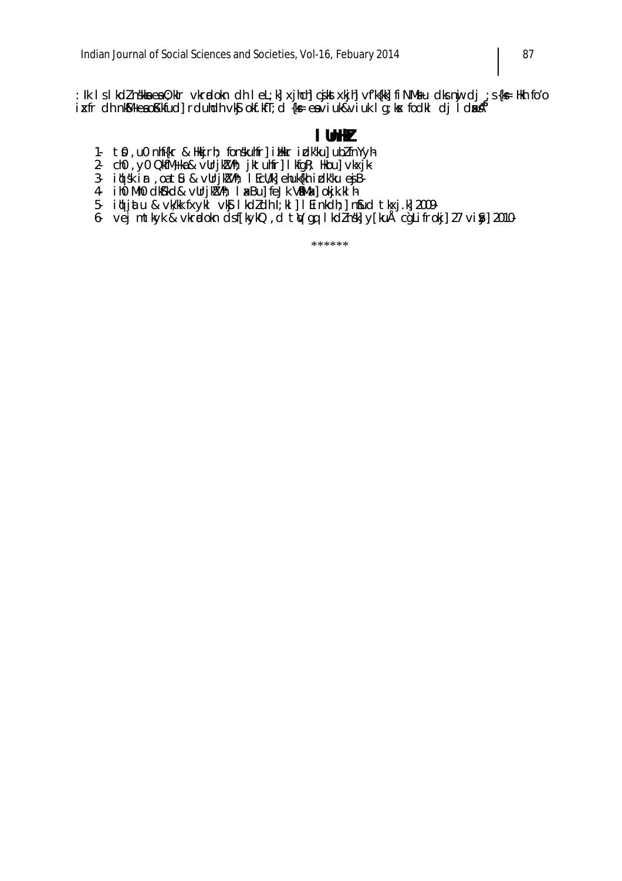: lk IslkdZnskkaea0;kIr vkradokn dh IeL;k]xjhch]cjkstxkjh]vfk{kk]fiNMsiu dksnuj dj ;s{k≡ Hkh fo′o<br>ixfr dh nkM+eaoKkfud]rduhdh vk§okf.kfT;d {k≡eaviuk&viuk Ig;kx fodkl dj IdaxaA

# I UnHZ

- 1. t0, u0 nhf{kr & Hkkjrh; fonskuhfr] i Hkkr i dk'ku] ublfnYyh
- 2 ch0 , y0 QkfM+ ka & vUrjkZVh; jktuhfr] I kfgR; Hkou] vkxjk
- 3 i hisk ir , oa t & v UrjkVh; I EcU/k] ehuk(kh i cIk'ku ej B-
- 4 ih0 Mh0 dk\$'kd& vUrjk!Vh; I asBu] feJk VMhaz] okjk.kl h
- 5 iljijatu & vk/kk fxykl vkg Ikdldh I;kl] I Einkdh;] nfud tkxj.k] 2009
- 6 vej mtkyk & vkridokn dsf[kykQ , d tiv gq I kdlnsk] y[kuÅ cgLifrokj] 27 visy] 2010

\*\*\*\*\*\*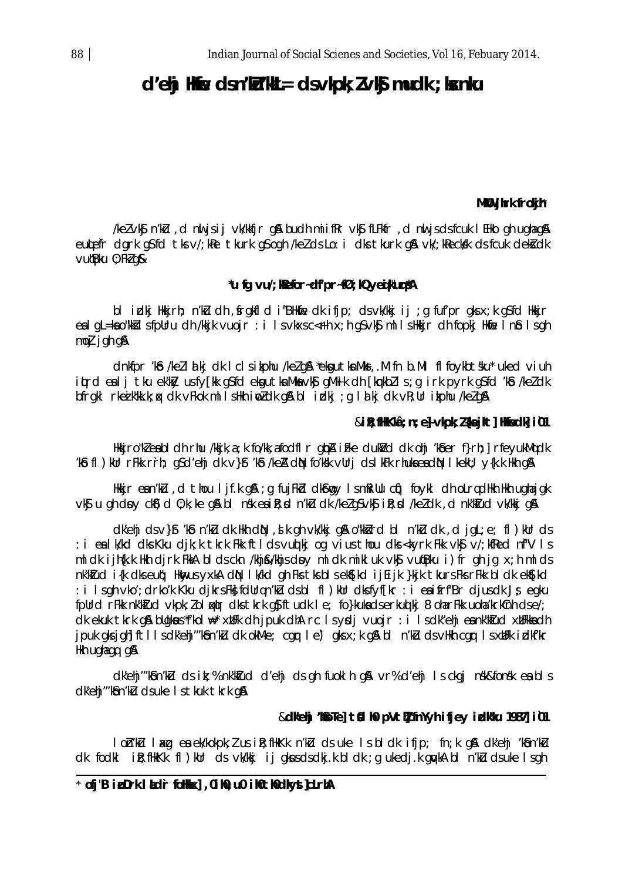# $d'$ ehi Hne dsn'ku'kk $=$  dsvkok:  $2\nu$ ko mudk: kxnku

#### MKU jhrk frokjh<sup>\*</sup>

/ke/vk/j n/ku, d nuljsij vk/kkfjr g& budh miifRr vk/j fLFkfr, d nuljsdsfcuk IEHko ghughag& eutefr dark as fd the v/; ke thank as oah /ke/ ds Lo: i dks thank as vk/; keckk ds fouk dek dk vudBku 0; FkZ q&

## \*u fg vu/; kRefor~df'pr~fØ; kQyeqk"uq\*A

bl idkj Hkkjrh; n'ku dh , frgkfl d i"BHkfie dk ifjp; dsvk/kkj ij ; g fuf'pr gksx; k g\$fd Hkkjr ealgL=kao"kkilsfpllru dh/kkjk vuojr : i lsvkxsc<Fh x; h qSvk\$ mllsHkkjr dhfopkj Hkfe In\$ Isqh mol igh g&

dnkfpr 'kb /kellakj dk | clsikphu /kelq& \*ekgutknMks, M fn b.Ml fl foykbtsku\* uked viuh itrd ealj tku ekky usfy[kk gSfd ekgutknMkavks] gMlik dh [kmkblls; g irk pyrk gSfd 'ko /keldk bfrakl rkeik"kk.k; ax dk vFkok ml Ishkh i widk a& bl idki; a liki dk vR; Ur ikphu /kela&

#### & iR; fHKka; n; e} vkpk; l{kejkt] Hiedk] i01

Hkkjro"kleabl dh rhu /kkjk, a ; k fo/kk, a fodfl r gtpA i Fke dukVd dk ohj 'kôer f}rh; ] rfeyukMq dk 'kiô fl) kur rFkk rrh; qSd'ehj dk v}\$ 'kiô /keA diN fo'kik vurj dsl kFk rhuka ea diN I keku; y{k.k Hkh q&

Hkir ean'ku , d thou lif.k q& ; q fujFkd dkfmy lsmRillu c(i) foykl dh olradHkh Hkh ughajqk vký u gh dovy cký) d 0; k; ke gů bl nák eniř; d n'ku dk /ke/gývký iř; d /ke/dk , d nk'kud vk/kkj gů

dk'ehj dsv}fr 'kfo n'kū dk Hkh d(N, d) k gh vk/kkj g(A) o "kkird bl n'kū dk, d jgl; e; fl) kur ds : i ealk/kd dks Kku djk; k tkrk Fkk ftlds vuolki og vius thou dks <kyrk Fkk vkg v/; kfRed nf"V Is m I dk i jh{k.k Hkh djrk FkkA bldsckn /khj & /khjsdpy mldk mikluk vk\$ vuqBku i) fr gh jg x; h mlds nk'klud i{k dks eutj; Hknyus yxkA dtN I k/kd gh Fks tks bls ekS[kd ijEijk }kjk tkurs Fks rFkk bl dk ekS[kd : i Isgh vko'; drko'k Kku djkrsFk) fdUrqn'ku dsbl fl ) kUr dksfyf[kr : i entifrf'Br djusdk Js egku fpllrd rFkk nk'ktud vkpk; lol aktr dks tkrk q\$ftudk le; fo}kukadserkud kj 8 oharFkk uoha'krkCnh dse/; dk ekuk tkrk gå bligkus f'kol #\* xill k dh j puk dha rc I s y dj vuojr : i I s dk"ehj en nk'ktud xill kkn dh jpuk gksjgh] ft lls dk'ehj"'koln'ku dk okM-e; cgrr le') gks x; k gos bl n'ku ds vHkh cgrr ls xblFk idkf'kr Hkh ughagq g&

dk'ehj"'kon'ku dsit; % nk'kud d'ehj dsgh fuoklh g& vr% d'ehj Isckgj nsk&fonsk ea bls dk'ehj"'kon'ku dsuke Istkuk tkrk q&

#### &dkehi 'kolel tolho pvth' fnyvh ifiev idkku 19871 i01

lon'nu laxa e a ek/kokok; i usik; flkkk n'nu dsuke lsbldk ifip; fn; k q& dk'ehi 'kôn'nu dk fodkl ikt; flkKk fl) kur ds vk/kkj ij gkusdsdkjk bldk; gukedjk guykA bl n'kū dsuke Isgh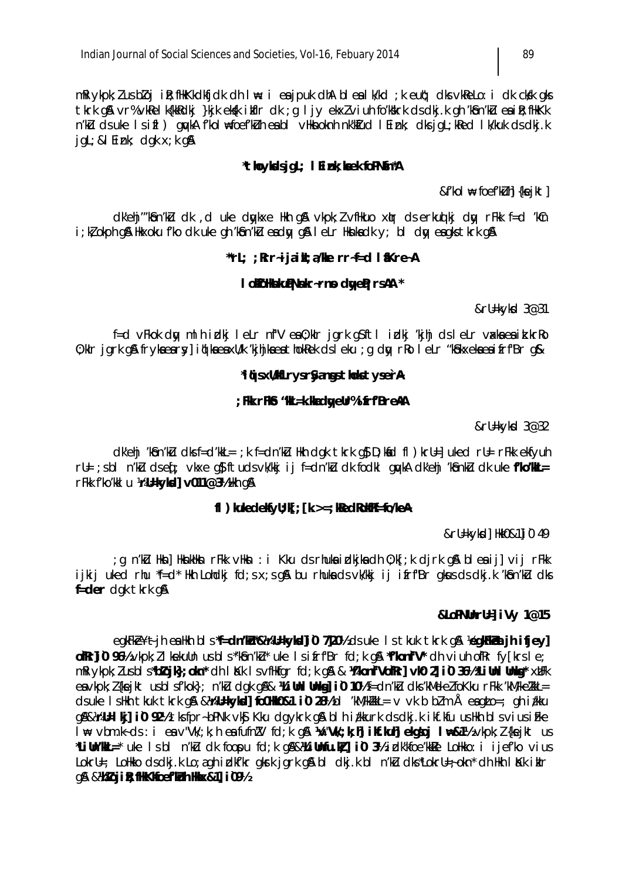mRiykpk; I us bloj i R; fllkKkdkfjdk dh I \: i ea jpuk dhA bl ea I k/kd ; k eut; dks vkReLo: i dk ckkk gks tkrk gå vr% vkRelk{kkRdkj}kjk ek⊈k ikflr dk ; g l j y ekxl viuh fo'k&rk ds dkj.k gh 'kôn'ku ea i R; fHkKk n'ku ds uke Isifl) anyka f'kol nefoef'kun en bl vhknoknn nk'kud I Eink: dks jal; kred I k/kuk ds dkj. k  $j$  q  $L$ ; & I Eink; d q  $k \times j$  k q  $\lambda$ 

#### \*thoykdsjgL; I Eink; kaek foPNfn\*A

&f'kol ⊭ foef'kLuh] {keikt]

dk'ehj"'kôn'kù dk , d uke dykke Hkh q& vkpk; l vfHkuo xyr ds erkuy kj dy rFkk f=d 'kCn i; ki, okph g& Hkxoku f'ko dk uke gh 'kôn'ku eadwy g& I eLr Hknkadk y; bl dwy eagks tkrk g&

#### "rl; ; Rrr~ijaiM; a/We rr~f=d I &Kre~A

#### I oldoHshkultNskr-rns dwelt; rsAA \*

&rU=kykd 3@31

f=d vFkok dty mlh irdkj leLr nf"V ea0; klr jgrk g\$ftl irdkj 'kjhj dsleLr vakaeaik.krRo 0; kir jark aå frykeersyl jülikeersyl/k 'kihikeerthokRek dsleku : a dw rRoleLr "kokxekeerifrf"Bra&

#### \*i (j s x W KL r y s r S angs t hols t y se r A

#### ; Flk rFl& "IIA=k. Hadyelr%ifrf'BreAA

&rll=kykd 3@32

dk'ehi 'kôn'kù dk f=d'kkl= ; k f=dn'kù Hkh dak tkrk as D; kid fl) krU=1 uked rU= rFkk ekfvuh rU= ; sbl n'ku dseq ; vkxe q\$ ftudsvk/kkj ij f=dn'ku dk fodkl qwkA dk'ehj 'kônku dk uke f'ko'kku= rFkk f'ko'kkl u YrU=kykd] v011@31/2Hkh q&

#### $f$  ) kuledelfy U;  $kf$ ;  $fk >=$ ;  $Re dR$  of  $N = fo/keA$

&rU=kykd] Hkk0&1]i0 49

g n'Ku Hkn] HknkHkn rFkk vHkn : i Kku dsrhukairdkjkadh 0;k[;k djrk q&bleaij] vij rFkk; ijkij uked rhu \*f=d\* Hkh Lohdkj fd;sx;sq\$ bu rhukadsvk/kkj ij ifrf"Br gkusdsdkj.k 'kfon'ku dks f=der dak tkrk a&

#### &LoPNUnrU=1 iVy 1@15

eqkFke¥tjh eaHkh bls\*f=dn'ku\*&VrU=kykd]i0 7]20½ dsuke Istkuk tkrk q& VegkFketjh ifjey] of Rr]i0 96½ vkpk; Ilkekulln us bl s "k\$n'ku" uke Isifrf'Br fd; k q& "i'konf"V" dh viuh of Rr fy [krsle; mRivkok: Lusbis\*bloik}; okn\* ch l Kk I svflkfar fd; k a& & Krkonf"VofRr1 vk0 21 i 0 36½\*Lillni llnka\* xllFk eavkpk; I {keikt usblsfkok}; n'kū dok oksa kii himi lihkoji i 0 10½ f=dn'kū dks'kMedelfo Kku r Fkk 'kMAkelkkL=  $\frac{1}{10}$  ds uke Is Hkh tkuk tkrk g &  $\frac{1}{2}$   $\frac{1}{2}$   $\frac{1}{2}$   $\frac{1}{2}$   $\frac{1}{2}$   $\frac{1}{2}$   $\frac{1}{2}$   $\frac{1}{2}$   $\frac{1}{2}$   $\frac{1}{2}$   $\frac{1}{2}$   $\frac{1}{2}$   $\frac{1}{2}$   $\frac{1}{2}$   $\frac{1}{2}$   $\frac{1}{2}$   $\frac{1}{2}$   $\frac{1}{2}$   $\$ g&&\r\l=|kj]i0 92% tks fpr-bPNk vkg Kku dgykrk g& blh i/kkurk ds dkj.k ikf.kfu us Hkh bls vius i Fke I \* vbm.k-ds: i ea v"Vk/; k; h ea fufn!V fd; k q& %v"Vk/; k; h ikf.kuh ekgsoj I \*&1% vkpk; l {kejkt us "Liuh "Mu\_=" uke Isbl n'ku dk foopu fd; k q&& kuiuhfu.k}] i 0 3½ idk'kfoe'kkite Lohkko: i ijef'ko vius LokrU=; LoHkko dsdki.k Lo;agh idkf'kr gkrk jark g& bl dki.k bl n'ku dks\*LokrU=;okn\* dh Hkh | Kk jklr Q& & Moloj i R; fHKK Noef 'Kuh HKx & 1| i 091/2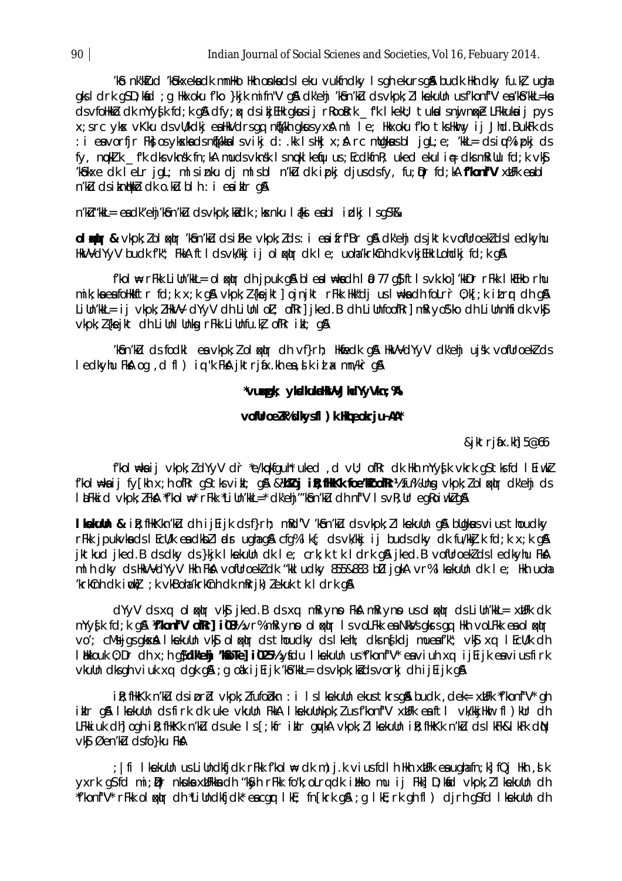'kib nk'ktud 'kibkxekadk mnHko Hkh onkads I eku vukfndky I s gh ekurs gå budk Hkh dky fu.kt ugha gks I drk gSD; kid; g Hkxoku f'ko }kjk mifn"V g& dk'ehj 'kôn'ku dsvkpk; ll kekulln usf'konf"V ea 'kô'kkL=ka dsvfollkko dk myvysk fd; k q\$ dfy; ak dsikjEllk qkusij rRookrk fk I keku; tukal snuj nake LFkkukaij pys x; s rc ykx v Kku ds v W k dkj e a Hk V d rs qq n q K h q kus y x A m I I e; Hk x oku f ko t ks Hkm y i j J hd. Buk Fk ds : i eavorfir Fkt osykskadsnt(Fktalsvikjd: .kt Ishkjx; A rc mulgkasbl jgL; e; 'kkL= dsiqu% ipkjds fy, now k f'k dks vknsk fn; kA muds vknsk Is nok lkenju us ; EcdkfnR; uked ekuli∉ dks mRillu fd; k vk\$ Kookxe dk letrigt; mlsinku di mlsbl n'ku dk ipki djusdsfy, fu;Drfd;KAf'konf"V xUFk entbl n'ku dsikntkko dk o.ku bl h : i esiklr q&

n'ku"kkL= eadk"ehj'kbon'ku dsvkpk;kadk;kxnku laki eabl idkj lsg\$%&

ol wtr & vkpk; lol wtr 'kon'ku dsifke vkpk; lds: i eaifrf'Br q& dk'ehj dsjktk vofUroekldsledkyhu HkVVdYyV budk f'k"; FkkA ftldsvk/kkj ij olokur dkle; uoha'krkCnh dk vkjEHk Lohdkj fd;k q\$

f'kol# rFkk LiUn'kkL= olqxqtr dh jpuk q& bleal#kadh lû 77 q}ftlsvk.ko]'kkDr rFkk lkEHkorhu mik; ka ea follkkftr fd; k x; k g& vkpk; l {keikt] ojnikt rFkk Hkk"dj us l \ka dh folrr 0; k[; k itrr dh g& Lilln'kkl = ij vkpk; llkVV dYyV dh Lillnl oL; ofRr] jked. B dh LillnfoofRr] mRiyos. ko dh Lillnnhfidk vks vkpk; l{kejkt dh LiUnl Unkg rFkk LiUnfu.k} ofRr ikl; q&

'kôn'kù dsfodki en vkpk; i oloxir dh vf}rh; Hkfedk q& HkVVdYyV dk'ehi ujsk vofUroekids ledkyhu FkA og , d fl ) ig "k FkA jktrjáx.kh ea, k k id a mn Air gA

#### \*vuggak; yksikukaHkVVJhdYyVkn;%)

#### vofUroeZk%dkysfl )k Hopeokrju~AA\*

&iktriax.kh 5@66

f'kol #kaij vkpk; I dYyV dr \*e/kokfguh\* uked, d vU; ofRr dk Hkh mYyfk vkrk q\$tksfd I Eiwkl f'kol \kaij fy[kh x;h ofRr q\$tksvikl; q\$ &**\bloj iR;fHKkk foe'kloofRr**\fu%lUng vkpk;loloku|r clk'ehj cls l Litekid vkok: I FkA \*f'kol \\* rFkk \*Lilln'kkL=\* dk'ehi"'kon'ku dh nf"V I svR; Ur earoiwklan

I kekullin & ik; flkKkn'ku dh ijeijk dsf}rh; mkd"V 'kfon'ku dsvkpk; ll kekulln g& bllgkusvius thoudky r Fkk j pulvka ds I Ecli/k en dilabil i ad r ugha gia cfg% | kf; ds vk/kkj j j buds dky dk fu/kkj.k fd;k x;k gia jktkud jked.B ds dky ds }kjk I kekulln dk I e; crk;k tk I drk g& jked.B vofllroekl ds I edkyhu FkA ml h dky ds HkVVdYyV Hh FkA vofUroek/dk "kkI udky 855&883 bD jakA vr% I kekuUn dk I e; Hkh uoha 'krkcnh dk iwko ; k vkBoha'krkcnh dk mRrik) lekuk tk I drk q&

d'YyV ds xq oloxotr vk\$ jked.B ds xq mRiynp FkA mRiynp us oloxotr ds Liun'kkl= xuFk dk mYy{k fd;k q& )**{'konf"V ofRr] i03½** vr% mRiynp ol qxlgr Is vol. Fkk ea Nky's qkrs qq Hkh vol. Fkk ea ol qxlgr vo'; cMs jas akson I kekulln vkg ol adm ds thoudky ds I kehl; dks ng kdj muen f'k"; vkg xq I Ecll/k dh I Hikkouk 0; Dr dh x; h q)VdKehj 'KGoTe] i025½ ysdu I kekuUn us "f'konf"V" eaviuh xq ijEijk eavius firk vkulln dksghviuk xq dgk gå ; g o ak i j Ei j k kbokk kl = ds v kpk; kd ds v o r kj dh i j Ei j k g \$

ik; flikKk n'ku dsiprid vkpk; l fufobkn : i I s I kekulln ekus tkrs q& budk, dek= xilfk \*f'konf"V\* qh ikir q& I kekulin ds firk dk uke vkulin FkkA I kekulinkpk; I us f'konf"V xtiFk ea ft I vk/kkjiHkur fl ) klir dh LFkkiuk dhi ogh ik; filkkk n'ku dsuke Is [; kfr iklr gwkA vkpk; Il kekulln ik; filkkk n'ku dsl kFk&l kFk diN vký Øen'ku dsfo}ku FkA

 $\pm$  ifilike kullnus Lillndkfjdkr Fkk fkol $\equiv$  dkm) j.k vius fdl h Hkh xllFkeaughafn $\pm$ kj fQj Hkh ,dkt yxrk q\$fd mi; Dur nkuka xulfkka dh "k\$yh rfkk fo"k; oLrq dk inkko mu ij fkk] D; kad vkpk; Il kekulln dh \*f'konf"V\* rFkk olokur dh \*Liundkfjdk\* eacar lkE; fn[krk q&; q lkE; rk qh fl) djrh q\$fd lkekuun dh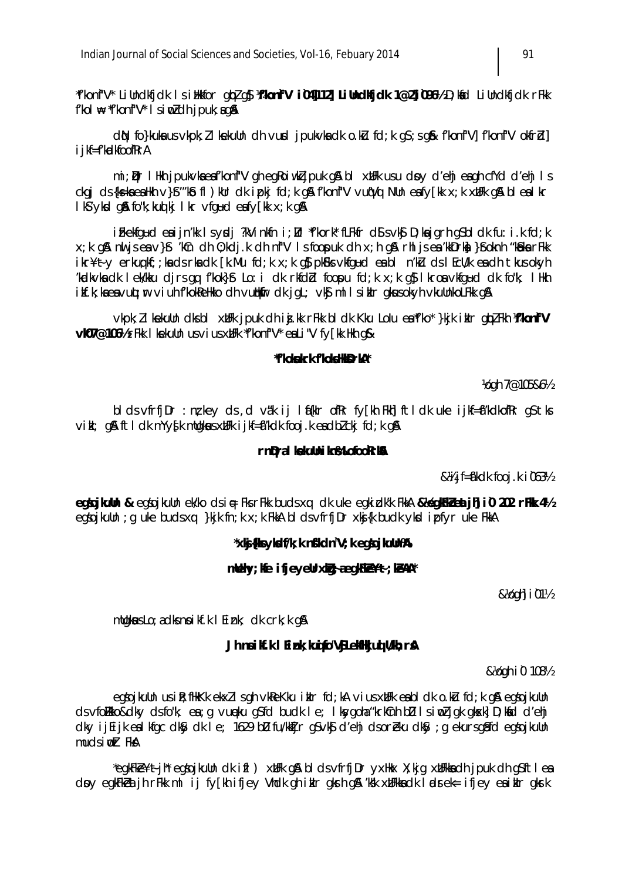\*f'konf"V\* LiUndkfjdk IsiHkkfor qblq\$ )**f'konf"V i04]112] LiUndkfjdk 1@2]i096½** D;kid LiUndkfjdk rFkk  $f'kol \neq f'konf''V^*$  I sind dh jpuk; ag A

 $dN$  fo}kuka us vkpk;  $l$  I kekulln dh vusd jpukvka dk o.k $u$  fd; k g\$; s g $k$  f'konf"V] f'konf"V okfr $d$ ] i jkf=f'kadkfoofRrA

mi; Dr I Hkh jpukvka eafkonf"V gh eg Roiwkl jpuk g & bl xtlFk usu doy d'ehj eagh cfYd d'ehj Is ckgj ds {k=kaeaHkh v}\$"'kb fl)kUr dk ipkj fd;k g& f'konf"V vuqVq NUn eafy[kk x;k xUFk g& bl ealkr I kS' ykkd gå fo"k; kud kj I kr vfgud eafy [kk x; k gå

ifkekfgud eaijn'kk Isypdj ?kVinkfn i; Dr \*f'kork\* fLFkfr dSisvk\$ D; kajgrh gSbl dk fu: i.k fd; k x; k q& nul js ea v}\$ 'kCn dh 0; kdj.k dh nf"V Is foopuk dh x; h q& rhl js ea 'kkDrka }\$oknh "kobka rFkk ikr¥ty erkug kf;;ka ds rka dk [k.Mu fd;k x;k q\$ pk\$ks vkfqud ea bl n'kū ds l EcWk ea dh tkus okyh kadkvka dk lekkku djrs ga fkok}\$ Lo: i dk rkfdd foopu fd; k x; k g\$ lkroa vkfgud dk fo"k; lHkh ikf.k; kaeavult; ir viuh f'kokReHkko dh vullkin dk jqL; vk\$ ml l siklr gkusokyh vkullnkoLFkk g\$

vkpk; I kekulln dks bi xllfk jpuk dh i j.kk rfkk bi dk Kku Lolu e a "f'ko" }kjk i kir qlpl Fkh ) "I venfi **VIO7@1061/2** rFkk I ke kulln us vius xuffk \*f'konf"V\* en Li"V fy [kk Hkh q&

#### \*f'kokokrk f'kok:HkBrkA\*

Vogh 7@105&61/2

blds vfrfjDr : nz key ds , d väk ij l fiklr ofRr fy [kh Fkh] ftldk uke ijkf=frkdkofRr q\$tks vikl; g& ftl dk mYy{k mUqkus xUFk i jkf=a"kdk fooj.k eadbl ckj fd;k g&

#### rndral kekulnikn%LofooRrka

 $&\frac{1}{4}$  if= $\frac{1}{8}$ 'kdk fooi k i 063½

egsojkulln & egsojkulln ek/ko dsi f Fks rFkk buds xq dk uke egkidk'k FkkA & Vegl Fkz et jh i 0 202 rFkk 41/2 egsojkulln; g uke buds xq }kjk fn; k x; k FkkA bl ds vfrfj Dr xkj{k budk ykd i pfyr uke FkkA

#### \*xkj{kksyksdf/k; k nf/kdn"V; k egsojkulln%

#### mlehy; Ife ifjeyellrxid; aeglfle¥t; IeAA\*

&%ogh i 01%

mllgkaus Lo; a clks noi kf.k I Eink; clk crk; k g &

#### Jh noik.k I Eink; kuq fo"VŞLekHkjuq Wkh; râ

& Yogh i 0 108 1/2

egsojkulln usik; flkKk ekxl I s gh vkReKku iklr fd; kA vius xllFk en bl dk o. ku fd; k g& egsojkulln ds vfollkko&dky ds fo"k; ea; q vuneku q\$fd budk le; I kyqoha "krkCnh bD I s i wDZ j qk qkskl D; kid d'ehj dky ijeijk ealkfgc dk\$y dk le; 1629 bD fu/kkIjr g\$vk\$ d'ehj dsoreku dk\$y ; g ekursg\$fd egsojkuUn mudsint FkA

\*egkFke¥tjh\* egsojkuUn dk ifl ) xUFk g& bl ds vfrfjDr yxHkx X;kjg xUFkkadh jpuk dh g\$ftl ea dpy eqkFkeatjh rFkk ml ij fy[kh ifjey Vhdk qh iklr qkrh q& 'k'sk xbFkka dk lødrek= ifjey ea iklr qkrk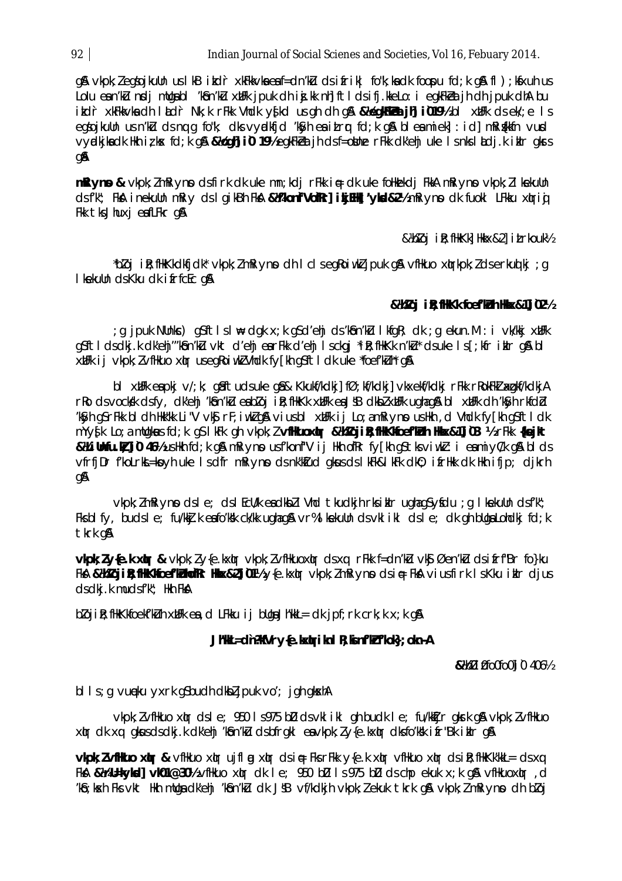g\$ vkpk; legsojkuUn us IkB ikdr xkFkkvkaeaf=dn'ku ds ifrik| fo"k; kadk foopu fd; k g\$ fl); ksxuh us Lolu ean'ku nglj mulgabl 'kôn'ku xulfk jpuk dh ia.kk nh| ftl dsifj.kkeLo: i egkfkeatjh dh jpuk dhA bu itch xkFkkvkadh ladr Nk; k rFkk Vhdk yfkd us gh dh g **& begkFlet it i 019%** bl xtFk ds ek/; e Is egsojkulln us n'ku ds ng q fo"k; dks vyddkfjd 'ksyh en itrop fd; k g & bl en miek] : id] mRifkkfn vurd vyckika dk Hkh iz kx fd; k g & & Yoghi i 0 19½ egkFkeat jh ds f=oldne rFkk dk'ehj uke Is nks I kdj. k i klr gkrs qA

mRiyno & vkpk; ImRiyno dsfirk dk uke mn; kdj rFkk i f dk uke follkekdj FkkA mRiyno vkpk; Il kekulln dsf'k"; FksA inekulln mRiy dslgikBh FksA & Krkonf"VofRr] ikjEHk] 'yksd&2½ mRiyno dk fuokl LFkku xluriqi Fkk tks Jhuxj eafLFkr q&

&Moloj iR; fHkKk] Hkkx&2] iLrkouk½

\*bloi ik: filkKkdkfjdk\* vkpk; lmRiynp dh I cl seqRoiwkl jpuk g& vflikuo xlurkpk; l dserkud kj ; g I kekulln ds Kku dk i frfcEc g&

#### & Voloj i R; fHKKk foef Kuh HKx & 1] i 021/2

g jpuk NUnkc) g\$ftlsl⊯dgkx;kg\$d′ehjds′kbn′kU lkfgR;dk;gekun.M:ivk/kkjxbFk; g\$ftldsdkj.kdk'ehj"'kon'ku vkt d'ehjearFkk d'ehj Isckgj \*i R; flkkk n'ku \*dsuke Is[; kfr i klr g& bl xUFk ij vkpk; lvfHkuo xur useg koj wkl Vhdk fy [kh q\$ft | dk uke \*foef'kuh\* q\$

bl xUFk en pkj v/; k; qnftudsuke qn& Kkukf/kdkj]fØ; kf/kdkj]vkxekf/kdkj rFkk rRokFkJ axpkf/kdkjA rko dsvockýk dsfy, dk'ehi 'kôn'ku enbloj ik; flkkk xuFk enJSB dkbl xuFk ughag& bl xuFk dh 'kŷh rkfdbl 'KSyh gSrFkk bldh Hkk"kk Li"V vk\$rF;iwk2g\$viusblxMFk ij Lo;amRiynpusHkh,d Vhdk fy[kh gSftldk mYysk Lo; a mugkus fd; k q\$ I kFk qh vkpk; Z vfHuoxtr & hbZojiR; fHKKKoef'Kuh Hkx&1]i03 1/2 rFkk {kejkt & hillnfu. k li 0 46½ us Hkh fd; k q & mRiynpus f'konf"V ij Hkh of Rr fy [kh q \$ tks vi wkl: i eamiyC/k q & blds vfrfjDr f'kolrkt=kovh uke Isdfr mRiyno dsnk'klud gkusdslkFk&lkFk dk0; ifrHkk dkHkh ifjp; djkrh qA

vkpk; ImRiynp dsle; dsl EcWk eadkbil Vhd tkudkjh rksiklr ughagSyfdu ; g I kekulln dsf'k"; Fksblfy, budsle; fu/kkj.keafo/kkk ck/kk ughag&vr%lkekuUndsvklikldsle; dk gh bUgaLohdkj fd;k tkrk g&

vkok; Lyfe.k xtr & vkpk; Lyfe.kxtr vkpk; Lyflikuoxtr ds xq rFkk f=dn'ku vkj Øen'ku ds i frf'Br fo}ku FkA & Maloji R; fHKK Kroef'KulmofRr Hkx & 2|i01½ y{e.kxtr vkpk; ImRiyn p dsi∉ FkA viusfirk Is Kku iklr djus ds dkj .k muds f'k"; Hkh FkA

 $b$ lojik; flkKkfoekf'kluh xdlFk ea, d LFkku ij bllga Jh'kkl= dk jpf; rk crk; k x; k g $\alpha$ 

#### JhWL=dn?WVry{e.kxtriknlR;kinf'ktf'kok};okn-A

&MoDi DfoOfoO]i 0 406½

bl l s; q vueku yxrk q sbudh dkbl j puk vo'; j q h q kxh A

vkpk; ZvfHkuo x(r dsle; 950 ls975 bD dsvklikl ghbudk le; fu/kkTjr gkrk g& vkpk; ZvfHkuo xim dk xq qkusdsdkj.k dk'ehj 'kon'ku dsbfrgkl eavkpk; lyfe.kxim dksfo'kik i fr"Bk i klr q&

vkpk; ZvfHkuo xkm & vfHkuo xkm ujflgg xkm dsi ne Fksm Fkk y{e.k xkm vfHkuo xkm dsi R; fHkKk'kkL= dsxq FKA & VrU=kykoll vK01@30½ vfHkuo x(tr dk le; 950 bD ls 975 bD ds chp ekuk x; k q& vfHkuox(tr , d kb; kxh Fks vkt Hkh mllga dk'ehj 'kbn'ku dk JSB vf/kdkjh vkpk; I ekuk tkrk q& vkpk; I mRivno dh bloj

92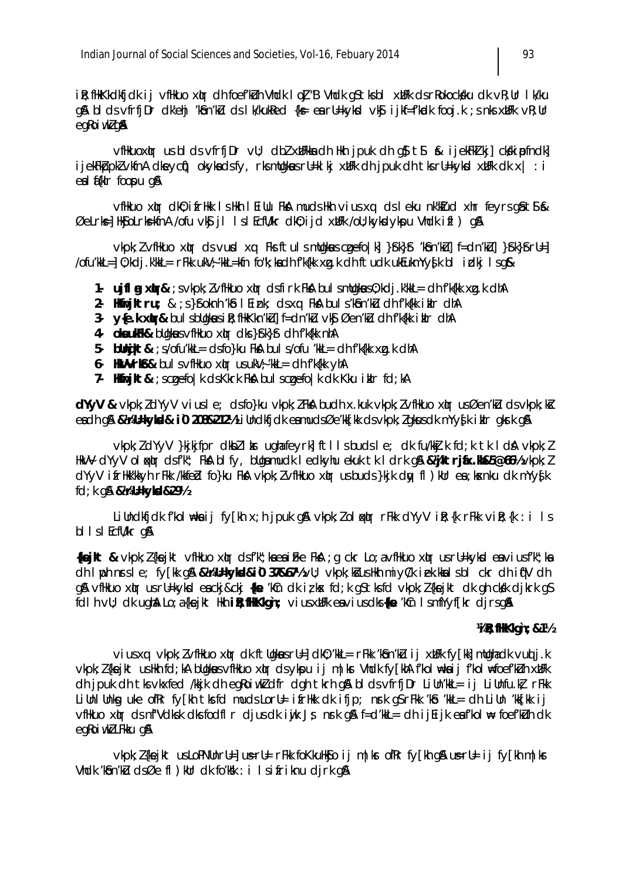ik; flikKkdkfjdk i j vflikuo xim dh foefkuh Vhdk I oU'B Vhdk q\$tksbl xilFk ds rkokocksku dk vR; Ur I k/ku g\$ blds vfrfjDr dk'ehj 'kfon'kLu ds lk/kukRed {k= earl=kykd vk\$ ijkf=f'kadk fooj.k ; s nks xtlFk vR; Ur egkoi wkł g**a** 

vfilkuoxir us bi ds vfrfjDr vil; dbl xilfkka dh likh jpuk dh q\$t\$ & ijekFkl kj] ckskipfndk] ijekFkbpklvkfnA dkevcí) okykadsfy, rksmllgkusrll=klkjxllFkdhjpukdhtksrll=kykdxllFkdkxl : i eal afkir fooru a&

vfilkuo xim dk0; ifrikk Islkh I Ei Uu Fka mudslkh vius xq ds I eku nk'ktud xhr feyrs q & t \$ & Øelrks=] Hkfjolrks=kfnA /ofu vkfj jl IslEcfl/kr dk0; ijd xtlFk /oll; kykkdykpu Vhdk ifl ) g\$

vkpk; I vfilkuo xim ds vurd xim Fks ftuls milgkus caefo | k] } \$k}\$ 'k\$n'kU] f=dn'kU] }\$k}\$rl=] /ofu'kkL=] 0; kdj.k'kkL=rFkk ukV; 'kkL=kfn fo"k; kadh f'k{kk xg.k dh ftudk ukEukmYy{k bl idkj lsq&

- 1. ujflg xbr&; svkpk; lvfHkuo xbr dsfirk FkA bulsmUqkaus0; kdj. k'kkL= dhf'k{kk xq. k dhA
- 2. Harjktru; & ; s }foknh 'k b | Eink; ds xq Fk a bul s 'k bn'ku dh f'k {k ikir dh A
- 3- y{e.k xtr& bul sbUqkausik; fHkKkn'ku] f=dn'ku vkj Øen'ku dh f'k{kk iklr dhA
- 4- **olieulfk&** bligkaus vfilkuo xtr dks }\$k}\$ dh f'k{kk nhA
- 5- blhight& ; s/ofu'kkl= clsfo}ku FkA bul s/ofu 'kkl= clh f'k{kk xg.k clhA
- 6- HAVVrKG& bul svfHkuo x(r usukV; 'kkL= dh f'k{kk yhA
- 7- Heirjkt& ; scgefo | k ds Kkrk FkA bul scgefo | k dk Kku iklr fd; kA

dYyV & vkpk; ldYyV vius le; dsfo}ku vkpk; lFkA budh x.kuk vkpk; lvfHkuo xlm usØen'ku dsvkpk; ki each g & & VrU=kykd& i 0 208&212½Li Undkfjdk eamuds Øe'kk [kk ds vkpk; ] gkus dk mYys k i klr gkrk g &

vkpk; I dYyV }kikifpr dkbllkr ughafeyrk| ftllsbudsle; dk fu/kkj.k fd; k tk I dA vkpk; I HkVV dYyV ol politic dsf'k"; FkA blfy, bligamudk I edkyhu ekuk tk I drk gA & histrjiax. Hk&5@661/2 vkpk; Z dYyV ifrHkk'kkyh rFkk /kkfed fo}ku Fka vkpk; / vfHkuo xtr usbuds}kjk dy fl ) kUr ea ; kxnku dk mYy{k 

Lillndkfjdk f'kol weka ij fy $\lceil k \rceil$ kh x; h jpuk q& vkpk; l ol golgr rFkk dYyV ik; {k rFkk vik; {k : i l s bl I s I Ecfl/kr q&

{lejkt & vkpk; I {kejkt vflkuo x(r dsf'k"; kaeaiFke FkA; g ckr Lo; a vflkuo x(r usrU=kykd eaviusf'k"; ka dh Ipph nrsle; fy [kk q **8 & Yrl Ekykd&i0 37&67½** v U; vkpk; kš us Hkh miy C/k iek. kka Is b I ckr dh i q"V dh g& vfilkuo xur us ru=kykd eackj&ckj {ke 'kCn dk izkx fd;k gStksfd vkpk; Z{kejkt dk gh ckkk djkrk gS foll h vU; dk ughå Lo; a {ke jkt Hkh iR; fHKKkgin; vius xUFk eavius dks {ke 'kCn IsmfYyf[kr djrs g \$

#### 14 R; fHKklgin; & 11/2

vius xq vkpk; I vfilkuo x(r dk ftligkus rl=] dki); 'kkl= rFkk 'kisn'ku i j xllFk fy [kk] mlighadk vu(j j.k vkpk; I {kejkt ushkh fd; kA bllgkausvfhkuo x(m dsykpu ij m|kr Vhdk fy [khA f'kol \kajj f'kol \foef'kIn xUFk dh jpuk dh tk vkxfed /kkjk dh eqkojwk dfr dgh tkrh g& bl ds vfrfjDr LiUn'kkL= ij LiUnfu.kt rFkk Liunlunkg uke of Rr fy [kh tks fd muds Loru= i frhkk dk i fjp; nrk gs r Fkk 'kb 'kkL= dh Liun 'kk [kk i j vfilkuo xim ds nf"Vdksk dks fodfir djus dk i vik Js nrk q& f=d'kkl= dh i jEi jk ea f'kol \ foef'kuh dk eg Roiwk LFkku g &

vkpk; l{kejkt usLoPNUnrU=1 ustU= rFkk foKkuHkjo ij m|kr ofRr fy[kh q& ustU= ij fy[kh m|kr Vhdk 'kon'ku dsØe fl) kur dk fo'kk : i I sifriknu djrk ga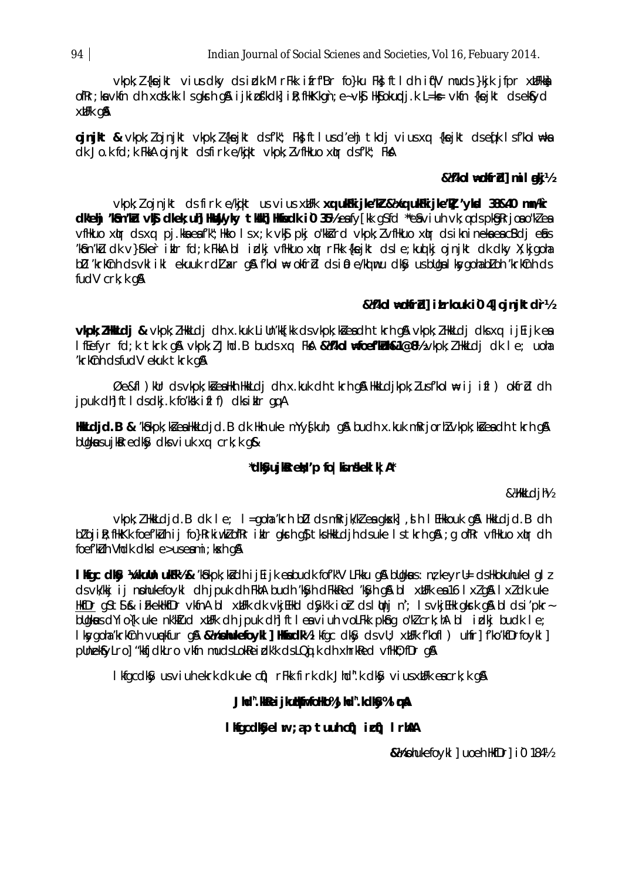vkpk; I {keikt vius dky ds idk.M rFkk ifrfBr fo}ku Fk; ftl dh if"V muds }kik jfpr xUFkk; ofRr; ka vkfn dh xošk.kk Isqkrh qå ijkipfkdk| ilt; flkKkqn; e~vkj Hkjokupdj.k L=ks vkfn {kejkt dsekfyd **XUFK Q&** 

ojnikt & vkpk; lojnikt vkpk; l{kejkt dsf'k"; Fk; ftlusd'ehj tkdj vius xq {kejkt dseq[k lsf'kol#ka dk Jo.k fd; k FkkA ojnjkt dsfirk e/kikt vkpk; l vfHkuo x tr dsf'k"; FkA

### &kkol wolfrd] mil aki½

vkpk; lojnjkt ds firk e/kjkt us vius xbFk xq ukFkijke/kZ & 1 xq ukFkijke/kZ 'yksd 38&40 mn/kir dkehj 'kon'ku vko dkek; uhj hkoliyky tkkhj hkedk i 0 35½ ea fy [kk q s fd \*\*e aviuh vk; q ds pko g kr joa o "kl ea vfilkuo xur ds xu pj.kka ea f'k'; ilkko ls x; k vk\$ pkj o"kk}rd vkpk; l vfilkuo xur ds i knineka ea cBdj eûus 'Kôn'Ku dk v}frker ikir fd;k Fkka bi idki vfilkuo xir rFkk {kejkt dsie;kujki ojnjkt dk dky X;kjgoha bD 'krkCnh ds vkl ikl ekuuk rdlar q& f'kol\ okfrd ds i @ e/kd mu dkSy us bllga l ksygoha bLoh 'krkCnh ds fud $V$  crk;  $k$  g $\lambda$ 

#### &\\\ol \\ol\text{valid itr\ouk i0 4] oinjktdr\\squid{1}

vkpk;ZHKLdj&vkpk;ZHkLdjdhx.kuk LiUn'kk[kk dsvkpk;kieadhtkrhq&vkpk;ZHkkLdjdksxq ijEijkea Iffefyr fd; k tkrk an ykpk; I Jhd. B buds xa Fkn & Mkol #foef' kuh& 1@8½ ykpk; I HkkLdi dk I e; uoha 'krkCnh dsfudV ekuk tkrk g&

 $\emptyset$ e&fl) $\emptyset$ lr dsvkpk; kjealkh Hkkldj dh x.kuk dh tkrh q& Hkkldjkpk; lusfkol  $\ast$  ij ifl) okfrdd dh jpuk dh ftl ds dkj.k fo'k'sk ifl f) dks iklr qq A

HMdid.B & 'kôkpk; kšea HkkLdjd.B dk Hkh uke mYyskuh; q& budh x.kuk mRrjorhlvkpk; kšea dh tkrh q& bligkaus u jikk redkSy dks viuk xq crk; k g&

#### \*dl&yujk&rekt; 'p fo | kinskekl k | A\*

&ിkkLdjh½

vkpk; l HkkLdjd.B dk le; l = qoha 'krh bD ds mRrjk/kl ea qksk], l h l EHkkouk q\$ HkkLdjd.B dh bľojik; filkKk foefkuh ij fo}krkiwklofkr ikir gkrh g}tkslikkLdjh dsuke Istkrh g&; g ofkr vfilkuo x(ur dh foef'kuh Vhdk dks I e>us eami ; kxh q&

I ligc dliğ "Arkullin ultirk" 2& "kökpk; ki dhij Eijk eabudk fof" k"V LFkku q& bllgkus: n; keyrl= ds Hkokuhukel ql z ds vk/kkj i j nohukefo ykl dh j puk dh FkhA budh 'k\$yh dFkkRed 'k\$yh q\$ bl xtlFk ea 16 | xl q\$ | xl dk uke HkfDr qStSS& iFkekHkfDr vkfnA bl xWFk dk vkjEHkd dSyk'k i ordslighj n'; I svkjEHk gkrk g& bldsi'pkrbligkus d'Yio{k uke nk'klud xllFk dh jpuk dh] ftleaviuh vol.Fkk pk\$ig o"kl crk;hA bl idkj budk le; I kygola 'krkînh vuelfur g**î & kohulefoyki i Hiedik'** I kfgc di Sy ds vij; xij Fk f'kofl ) ultir i f'ko'kfDrfoyki i punelfylrol "klfjdklro vkfn mudslokkeidk'k dslQik dh xhrkked vflk0; fDr q&

I kfgcdkSy us viuh ekrk dk uke cii) rFkk firk dk Jhd".k dkSy vius xulFk eacrk; k g&

## Jhd". Whe i j kub firfol Ho%Jhd". kdl Sy% I q A

#### I KgcdKyel w ; ap tuuh cu) icu) I rhAA

& Maphukefo ykl | uoeh HkfDr | i0 1841/2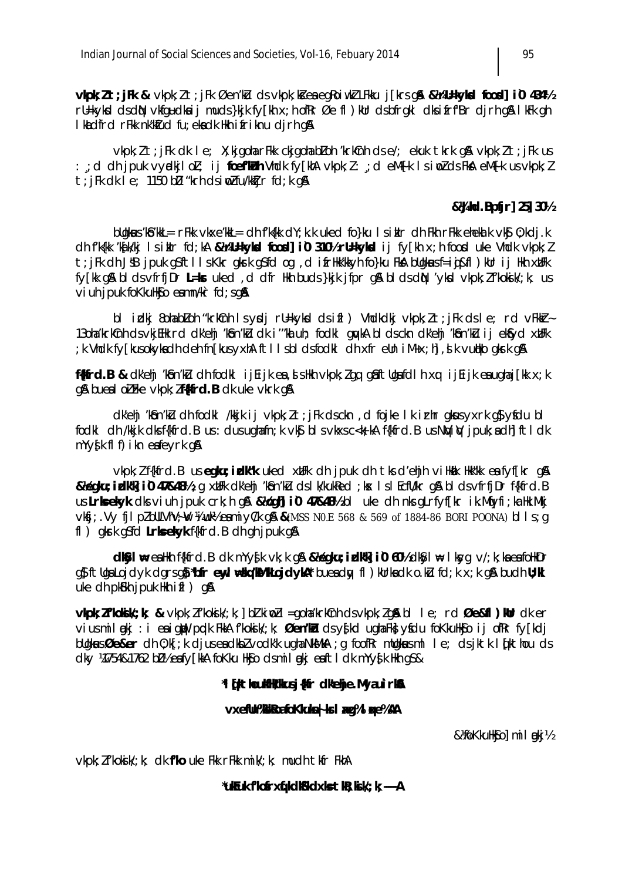vkpk; Z t; jFk & vkpk; Z t; jFk Øen'ku ds vkpk; kš ea eqRoiwkZ LFkku j[krs q& & VrU=kyksI foosd] i0 4341/2 rll=kykd dsdN vkfqudkaij muds}kik fy[kh x; h ofRr Øe fl ) kllr dsbfrakl dksifrf'Br djrh q& l kFk qh I khadfrd rFkk nk'ktud fu; ekadk Hkh ifriknu dirh g&

vkpk; I t; jFk dk le; X; kjgoharFkk ckjgohabLoh 'krkCnh dse/; ekuk tkrk g& vkpk; I t; jFk us : d dh jpuk vyrdkjl ol; ij foef kun Vhdk fy [khA vkpk;  $l$ : d eM-[k I s i no Z ds FkA eM-[k us vkpk;  $l$ t; ifk dk le; 1150 bD "krh ds iwlfu/kktir fd; k a&

#### & Whd. Bpfjr] 25] 301/2

bugkus 'kb'kkl= rFkk vkxe'kkl= dh f'k{kk dY; k.k uked fo}ku Isiklr dh Fkh rFkk ehekl k vk\$ 0; kdj.k dh f'kfkk 'kjik/kj Isiklr fd;kA & WrU=kykkd foosd] i 0 310½ rU=kykkd i j fy [kh x;h food uke Vhdk vkpk; ] t; jFk dh J'SB jpuk qSftlls Kkr qkrk qSfd og , d ifrHkk'kkyh fo}ku FkA bUqkwsf=ij&fl) kUr ij Hkh xWFk fy[kk q & b] ds vfrfj $Dr$  L=k $r$  uked, d dfr Hkh buds }kjk jf $pr$  q & b] ds d  $N$  'ykd vkpk;  $l$  f'kokj $k$ ; k; us viuh jpuk foKkulksjo esmn Ar fd; sg&

bi idki 80tabloh "krkinh isydi ru=kykd dsifl) Vhdkdki vkpk;lt; Fk dsie; rd vFkkr-130ha 'krkînh ds vkjelik rd dk'ehj 'kon'ku dk i'"ka uh; fodkl quyka bi ds ckn dk'ehj 'kon'ku i jekosyd xulfk k Vhdk fy [kusokykadh deh fn [kusyxhA ft I I sbl dsfodkl dh xfr elln i M+x; h], d k vudko gkrk g \$;

f(Wird.B & dk'ehi 'kôn'kù dh fodkl ijEijk ea,d shkh vkpk;d qu qâftlqafdlh xu ijEijk eaughaj[kk x;k g& bueal oi Fke vkpk; 1f(Kird.B dk uke vkrk g&

dk'ehj 'kôn'kù dh fodkl /kkjk ij vkpk; lt; jFk dsckn, d fojke lk irhr gkusyxrk q\$yfdu bl fodkl dh /kkjk dksf{kfrd.B us: dusughafn; k vk\$ blsvkxsc<k; kA f{kfrd.B usNViV jpuk; a dh} ftldk mYy{k fl f) ikn eafeyrk q&

vkpk; I f{kfrd.B us eqku; idk'k uked xuFk dh jpuk dh tks d'ehjh vilkak llkk"kk ea fyf[kr q& &Veglu; idkk] i0 47&48½; g xUFk dk'ehj 'kon'ku dslk/kukRed; kx IslEcfU/kr g& bldsvfrfjDr f{kfrd.B us Lrks-ekyk dks viuh jpuk crk; h q\$ & look j0 47&48½ bl uke dh nks q Lrfyffkr ik. Mfyfi; ka Hk. Mkj VKSI: V FILDI DULVIV: W Ki w K e ami VC/k Q & & MSS NO.E 568 & 569 of 1884-86 BORI POONA) bl s: q fl) gkrk g\$fd Lrks=ekyk f{kfrd.B dh gh jpuk g&

 $dSyl$  we ealth f{kfrd. B dk mYy $\sqrt{s}$ k vk; k q & &  $\sqrt{k}$ qku; idkk $\frac{d}{d}$  i 0 60½ d $S/I$  we lkyq v/; k; ka ea follkDr g} ftliga Lojdyk dgrs g**} "bfr ewl #skg'kM'kLojdykA**\* bueady fl ) klirkadk o.kū fd; k x; k g& budh **U; ki** uke dh pk $\delta$ kh jpuk Hkh if $\delta$ ) q $\delta$ 

 $v$ kpk; Zf'kokik'; k; &  $v$ kpk; Zf'kokik'; k; | bJ kiw2l=goha'krk $cnh$  ds $vkph$ ; Zg& bl le; rd Øe&fl)kulr dk er viusmilaxi : i eaigth padk FkkA f'kokik'; k; Øen'Ku dsysted ugha Fkk ysidu fo Kkullksjo ij of Rr fy [kdj bligkus Øe&er dh 0; k[; k djus ea dkbl vodk'k ugha NkMkA; g foofRr mligkus ml le; ds jktk l dkthou ds dky ¼754&1762 bD½ eafy [kkA fo Kku Hkjo dsmil mkj eaftl dk mYy fk Hkh q\$&

## \*I likthoukilk/kusi{kir dkehie.Myau'irka

#### **VXeflu%kRoafoKkukn- krl xg%l Ke%AA**

&MoKkuHkjo]milmkj½

vkpk; If'koksik/; k; dk f'ko uke Fkk rFkk mik/; k; mudh tkfr FkhA

\*ulfuk f'lofrxíi.ldl6'ldxls=tlR; kild; k; ---A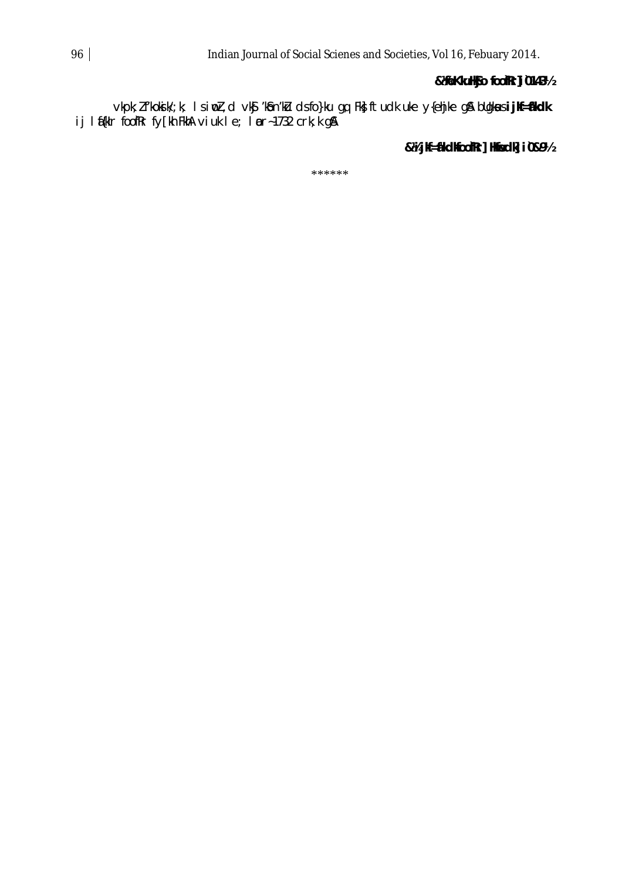# &MoKkuHGo footRr]i01431/2

vkpk;Zf'kokik';k; IsinoZ,clvk\$j'kbn'k'u clsfo}ku gq Fk}ftuclk uke y{ehjke g&bllgkwusi**jkf=frkclk**<br>ij lik{klrfoofRrfy[kh FkhA viuk le; linn-1732 crk;k g&

& 'A j K=&'kd KoofRr] Hiedk] i 0&91/2

\*\*\*\*\*\*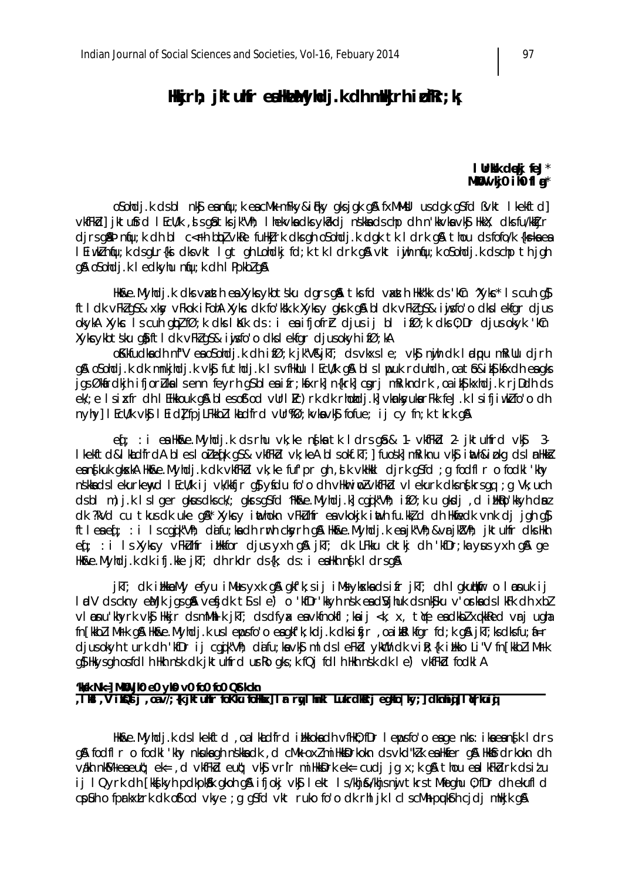# Hkjrh; jktuhr eallemyndj.k dh mlkjrh i pfRr;k

I Urkk deki feJ\* MKOV vkio iho fl a\*

osondj.k dsbl nký eanfu;k eacMk mFky&ifky qksjqk q& fxMMWl usdqk q\$fd Bvkt Ikekftd] vkfFkd] jktufrd I EcU/k , s gf tks jk"Vh; I hekvka dks ykikdj nskka ds chp dh n'kkvka vkfj HkkX; dks fu/kktjr djrs g&b niju; k dh bl c<Fh biplvkRe fullkjrk dks gh osondj.k dgk tk l drk g& thou ds fofo/k {ks=kaea I Eiwklnfu; k dsgLr{ki dksvkt lgt gh Lohdkj fd; k tk ldrk g& vkt i yih nfu; k osohdj. k dschp th jgh g& osohdj.k I edkyhu niju;k dh I Ppkblg&

HkBee. Myhdi.k dks vaxsthea Xykcykbtsku dars gå tks fd vaxsth HkKKk ds 'kCn "Xykc" I s cuh g\$ ftldk vFklgS& xky vFkok iFohA Xykc dk fo'kkk.k Xykcy gkrk g& bldk vFklgS& iwjsfo'o dkslekfgr djus okykA Xykc Iscuh gbū fØ;k dks IKK ds:i eaifjofrr djusij blifØ;k dks 0;Dr djusokyk 'kCn Xykcykbtsku gilftldk vFklgs& iwisfo'o dkslekfgr djusokyhifØ;kA

oKkfudkadh nf"V eaoSohdj.k dh ifØ;k jk"V&jkT; dsvkxsle; vk\$ nijh dk ladipu mRillu djrh g& osohdj.k dk mnkjhdj.k vký futhdj.k I svfHkUu I EcU/k g& bl s I pouk rduhdh, oa tíb&iký káxdh eagks jas Økirdkih ifjorluka I senn fevrh as blea ifr; kfxrkl n{krkl couri mRikndrk, oa ikslkxhdi, k riddh ds ek'e Isixfr dh I EHkkouk g& blesofod vllrl Ec) rk dk rhondi.k vkn ksyukar Fkk fe J.k Isifjiwk fo'o dh nyhy] I EcU/k vk\$ I Eid] fpjLFkkbl kkdfrd vUr%Ø; kvkavk\$ fofue; ij cy fn; k tkrk g&

eq: : i ea Hka&e.Myhdj.k ds rhu vk;ke n{ka tk Idrs g\$& 1 vkfFkd 2 jktuhfrd vk\$ 3 } I kelift d&I kladfrdA bles I olien[k q\$& vkiFkb] vk; keA bls okf.kT; | fuosk] mRiknu vkj inth&i pkg ds I mHkkl eanfkuk gkokka Hkoke. Myhdj. k dk vkfFkd vk; ke fufpr gh, dk vkHkkl djrk g\$fd ; g fodfl r o fodkl 'khy nskkadslekurkenyd lEcWk ij vWkkfjr g}yfdu fo'o dh vHkurinoZ vkfFkd vlekurk dksn{krsgq ; g Wk; uch dsbl m)j.k Islger gkusdksck/; gkrsg\$fd 'Hkoke.Myhdj.k]cgqik"Vh; ifØ;k u gkdj,d iHkqo'kkyh dnaz dk ?kVd cu tkus dk uke g&\* Xykcy inthokn vFkuhfr ea vkokjk inth fu.kk, d dh Hkiedk vnk dj jgh g\$ ftleae[; : i Iscgik"Vh; dafu;kadh rmh ckyrh g& Hk&e.Myhdj.keajk"Vh;&vrjk"Vh; jktuhfr dksHkh eq; : i Is Xykcy vFkUnfr illkkfor djus yxh q& jkT; dk LFkku cktkj dh 'kfDr;ka yus yxh q& qe HkBee. Myhdj.k dk ifj.kke jkT; dh rkdr ds{k; ds: i eaHkh nsk l drs g&

jkT; dk illkkneMy efyu iMusyxk q\$ qkf'k;sij iMsykxkadsifr jkT; dh I qkullkfir o I onukij laty dsckny emikigs an yetich tisle) o ktDr klyh nsk end Vihuk dsn koku vorknadslak k dh xbl vi monu'khyrk vkj Hkijr dsmMhlk jkT; dsdfyx eavkfnokfl;kaij <k, x, tYe eadkblxqkkRed vrj ugha fn[kkbliMrk g& Hk&e.Myhdj.k usleposfo'o eagkf'k; kdj.k dksifjr, oaikRlkfgr fd;k g& jkT; ks dksfu; f=r diusokyh turk dh 'kfDr ii caik"Vh; difu: ka vk\$ ml ds leFkd vk\th dk vik: {k ikko Li"V fn [kkb] iMrk q\$ Hkysqh osfdlh Hkh nsk dk jktuhfrd urko qks; k fQj fdlh Hkh nsk dk le) vkfFkd fodkl A

#### 'Msk Nk=1 MMO il0 e0 vk0 v0 fo0 fo0 QStkckn TKI, V iKQJ j ,oav/;{k jktuhir foKku foHkx] I r ryl mkl Lukrclkerj egkio | ky;] clknhig] l (rkuig

Hk&e.Myhdj.k dslkekftd, oalkLdfrd iHkkokadh vfHk0;fDr lepsfo'o eage nks: ikaeansk ldrs g& fodfl r o fodkl 'khy nkukagh nskkadk , d cMk oximilkkDrkokn dsvkd"kik ealkfer g& likkGrdrkokn dh vákh nkM+eaeut; ek= , d vkfFkd eut; vkg vrir milkkDrk ek= cudj jq x; k q& thou eal kFkdrk dsitu ij I Qyrk dh [kkʃkyh pdkpkʃk gkoh gʃA ifjokj vkʃ lekt Is/khj&/khjsnij tkrstMfoghu 0;fDr dh ekufl d cpluh o fprkxtrk dk of od vkye ; g glid vkt ruko fo'o dk rhl jk I cl scMh pukfrh cidi milkik gli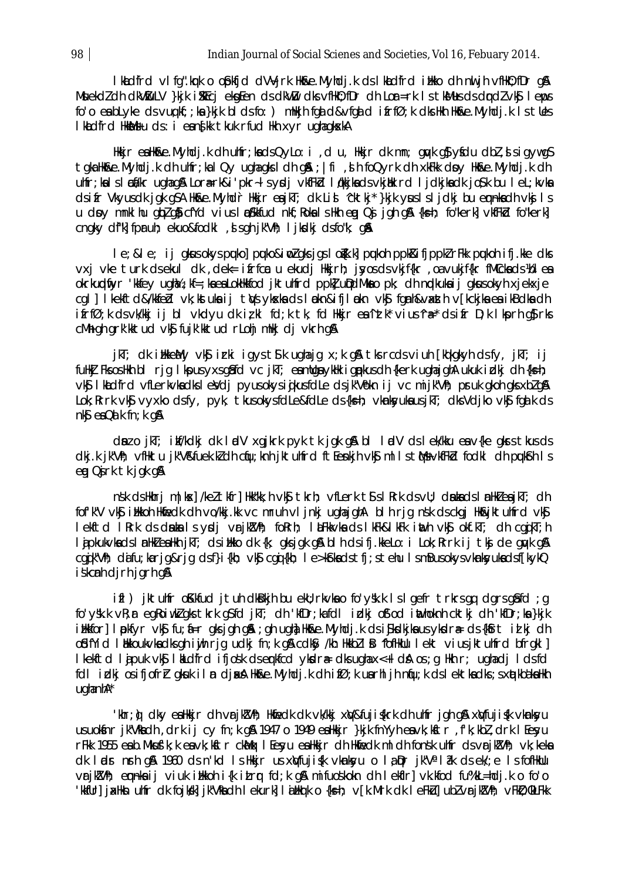I khedfrd vlfg".krk o ofpkfjd dVVjrk Hkoke.Myhdj.k ds I khedfrd i Hko dh nuljh vfHkO; fDr g& Muekal ah akvilutv }kik i ka eko en asakvilu aksvihko; for ah tor=rk i st ka hes asaral vks leps fo'o ea blyke ds yuq kf; ; ka }kik blds fo: ) mHkih fgd d&vfgd d ifrfØ; k dks Hkh Hk&e. Myhdi. k Is tlles I kludfrd HklaMiu ds: i eansk tkuk rfud Hkh xyr ughagkskA

Hkir ealh&e.Myhdi.k dh uhfr;kadsQyLo:i,d u, Hkir dk mn; quyk q\$yfdu dbl,dsigywq\$ tgka Hk&e.Myhdj.k dh uhfr;ka I Qy ugha gks I dh g&; | fi , s h foQyrk dh xkFkk doy Hk&e.Myhdj.k dh uhfr; kalslæf/kr ughag& Lora=rk&i'pkr~lsydj vkfFkd l¢kkjkadsvkjtk rd ljdkjkadk jo\$k bu leL; kvka dsifr Vkyusdkigk gSA Hk&e. Myhdr Hkkjr eajkT; dk List ^cktkj\*}kjk ysuslsljdkj bu emnkadh vkj Is u dpy mnklhu gblg\$ cfYd vius lp\$kkfud nkf; Rokals Hkh eg Qj jgh g\$ {k=h; fo"kerk] vkfFkd fo"kerk] cngky df'k fpruh; ekuo&fodkl, sigh jk"Vh; ljkckj dsfo"k; q&

le; & le; ij gkus okys puko] puko& ind gks jgs lo{k.k] pukoh ppk& ifjppkZ rFkk pukoh ifj.kke dks vxj vke turk dsekul dk, dek= ifrfcc u ekudj Hkkjrh; jyosdsvkjf{kr, oavukjf{kr fMCckadskblea okrkupliyr 'kifey ughk; kf=; kaea Lokhkkfod jktuhfrd ppkl ulpdMkao pk; dh nighkukai jqkusokyh xjekxje cql | lkekftd&/kkfebl vk; kstuka ij tw/s ykska ds løkn&ifjløkn vk\$ fqmh&vaxsth v[kckjka ea ikBdka dh ifrfØ; k ds vk/kkj ij bl vkdyu dk i; kl fd; k tk, fd Hkkjr ea'itk' vius 'ra \* ds ifr D; k l kprh q\$ rks cMh gh grk'kktud vkj fujk'kktud rlohj mHkj dj vkrh g&

jkT; dk illkkeMy vk\$ irki igyst\$k ughajg x;k g\$ tks rcds viuh [kqkgkyh dsfy, jkT; ij fullki Fks os llkh bl rjg I kpus yxs gåfd vc jkT; eamllga ykllk ig pkus dh {kerk ugha jghA ukuk idkj dh {ks=h; vký Ikledfred vflerkvkadkslevedi pyusokysidkusfelle dsik"Vbknij vc mijk"Vh; pruk gkoh gks xblg & Lok; Rrrk vký vyxko dsfy, pyk, tkusokysfdLe&fdLe ds{k=h; vknkyuka usjkT; dksVdjko vký fgal k ds  $nk$  $s$  ea Q $d$  k fn; k q $a$ 

dnzo jkT; ikf/kdkj dk lødV xgjkrk pyk tk jak a & bl lødV ds lek/kku en v{ke akrs tkusds dkj.k jk"Vh; vfliktu jk"V&fuek.k dh ciju; knh jktuhird ftEenkjh vkj ml IstMsvkfFkd fodkl dh puksth Is eg Qjrk tk jqk q&

nsk dshkhrim | kx] /keltkfr] Hk"kk; h vkj tkrh; vflerk tjsl Rrk dsvU; dnkadsl nHkleajkT; dh fof'k"V vk\$ iikkoh Hkfiedk dh vo/kkj.kk vc mruh vljnkj ughajghA blh rjg nsk dsckgj Hk&jktuhfrd vk\$ lekftd lRrk ds danka Is yrli vriklVh; foRrh; laFkkvka ds lkFk&lkFk inth vk\$ okf.kT; dh cquikT; h lipkukvkadslin HkleaHkhikT; dsiHkkodk {k; gksjgk g\$blhdsifj.kkeLo: i Lok; Rrrk ij tkj de guyk g\$ cajk"Vh; dafu; karig&rig dsf}i{kh; vk\$ caj{kh; le>k\$kadstfi; stehu IsmBusokysvknksyukadsf[kykQ iskemh dirh jarh q&

ifl) jktuhfr okkfud jtuh dkBkjh bu ekl; rkvko fo'ysk.k Islgefr trkrsgq dgrsgosfd; g fo'y'k.k vR;r eqRoiwklqkstkrk q\$fd jkT; dh 'kfDr;kafdl idkj of'od inthoknh cktkj dh 'kfDr;ka}kjk illkkfor] Ipkfyr vk\$ fu; f=r gksjgh g& ; gh ugh} Hkn&e.Myhdj.k dsi\$kdkjka usykdræ ds{kfrt id kj dh o£dfYid I Hkkoukvkadks ghi iyih rjgudkj fn;k g& cdk\$y /kh: Hkkbl I B 'fofHkUu I ekt vius jktuhfrd bfrgkl] I keliftd I ajpuk vkj I bldfrd i fjošk dserkfcd ykdra dksugha x<+I då os; g Hkh r; ughadj I dsfd fdl idki osifjofrr gkuk ilm djæA Hk&e.Myhdj.k dhifØ;k uarhljh nfu;k dslektkadks;sxatkbakaHkh  $u$ qha nh $A^*$ 

'khr; q) dky ealkkir dh vrikivh; Hkfiedk dk vk/kkj xw&fujiskrk dh uhfr jgh g& xwfujisk vknkyu usuokinr ik"Vitadh, drk i i cv fn: k a \$1947 o 1949 eallkkir }kik fnYvh eavk: kitr fk: kbl drk I Eewu rFkk 1955 ea b. Mkufk; k ea vk; kftr ckMk; I Eeyu ea Hkkjr dh Hkfiedk ml dh fonsk ultfr ds vrjkZVh; vk; keka dk lødsr nsrh gå 1960 ds n'kd Ishkkjr us xwifujisk vknksyu o la pr jk"Valak ds ek/; e Isfofhkulu vrikVh; ennka ij viuk ilkkoh i{k itrr fd;k g& mifuoskokn dh lekflr] vk.kfod fu%kL=hdj.k o fo'o 'kkfUr] jakHkn uhfr dk fojk/k] jk"Vkadh I ekurk] I a Hkrk o {ks=h; v[k.Mrk dk I eFkU] ub] vrjk"Vh; vFk0; (kLFkk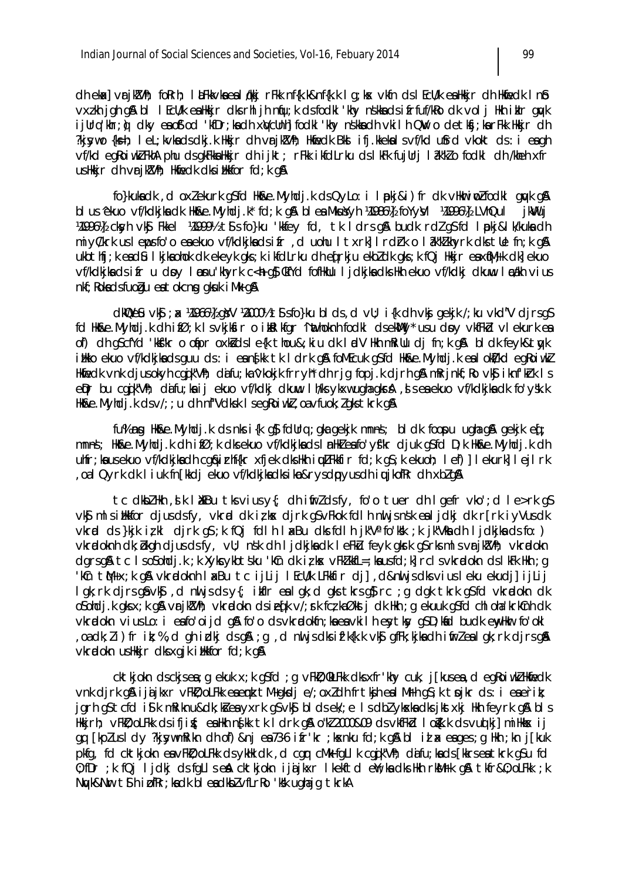ch ekx] vrjkVh; forh; l aFkkvka ea l gkkj rFkk nf{k.k&nf{k.k l q; kx vkfn ds l EcU/k ea Hkkjr dh Hkfedk l nb vxzkh jgh g& bl I EcU/k ealkkir dks rhl jh niu; k ds fodkl 'khy nskka ds i frfuf/kRo dk vol j lkh i klr gu/k iiUrg'khr: 0 dkv ea of od 'kfDr: ka dh xWcUnhl fodkl 'khv nskka dh vkilh QW o detksi: ka rFkk Hkkir dh ?kjsywo {k=h; lel; kvkadsdkj.k Hkkjr dh vrjk?Vh; Hkfiedk Bkd ifj.kkekalsvf/kd u\$rd vkokt ds: i eagh vf/kd egRoiwkIFkhA phu dsgkFkkaHkkjr dh ijkt; rFkk ikfdLrku dslkFk fujUrj lak"klo fodkl dh /kheh xfr us Hkkjr dh vrjk!Vh; Hkfiedk dks i Hkkfor fd; k q&

fo}kukadk, doxlekurk g\$fd Hk&e.Myhdj.kdsQyLo: i Ipkj&i)fr dk vHkriplfodkl gwk g& blus ekuo vf/kdkjkadk Hkoke. Myhdj.k\* fd;k q& blea Mkuyyh ¼986½ foYyyl ¼996½ LVhQul ikWui 1499614 clayh vk f Fikel 149991/2 t S to }ku 'kkfey fd, tk I drs g & budk rdl q S fd I plkj & I k/kuka dh miyC/krk uslepsfo'o eaekuo vf/kdkjkadsifr, duohu ltxrk| lrdrk o lak"klkhyrk dkstle fn;k q& ukbthfj; k ead&l I kjkaohok dk ekeyk gks; k i kfdLrku dh efrkju ekbldk gks; k fQj Hkkjr eax@M+k dk] ekuo vf/kdkjkadsifr u dpy loonu'khyrk c<h q\$ 0kfYd fofHkUu ljdkjkadks Hkh ekuo vf/kdkj dkuw lozakh vius nkf; Roka ds fuogu ea tokcng gkuk i Mk g &

dknows ; a knowled and whole the stop stop is to be depthed to the stop of the stop of the depthed of the depthed of the depthed of the depthed of the depthed of the depthed of the depthed of the depthed of the depthed of fd Hk&e.Myhdj.k dh ifØ;k I svkjksir o ikkl kfgr 'inthoknh fodkl dsekWy' usu doy vkfFkd vlekurk en of) dh gScfYd 'kkf"kro ofiproxkidsle{k thou&; kiu dk lodV Hkh mRillu dj fn; k g& bl dk feyk&twyk illko ekuo vf/kdkjkadsguu ds: i eans[kk tk | drk g& foMEcuk gSfd Hkoke.Myhdj.k eal okt/kd egRoiwkZ Hkfiedk vnk djusokyh cajk"Vh; dafu; ka^vkokjk frryh\* dh rjg fopj.k djrh g& mRrjnkf; Ro vk\$ iknf'khk I s ein bu cajk"Vh; dafu;ka i jekuo vf/kdkj dkuwu lh/ksykxwuqhaqkra, d s ea ekuo vf/kdkjka dk fo'y\k.k Hk&e. Myhdj.k dsv/;; u dh nf"Vdksk I segRoiwkl, oa vfuok; l gks tkrk g &

fu% ng Hk&e.Myhdj.k ds nks i{k q} fdUrq ; qka qekjk mnns; bl dk foopu ugha q& qekjk eq ; mnns; Hk&e.Myhdj.k dh ifØ;k dksekuo vf/kdkjkadslmHkZeafo'yf'kr djuk g\$fd D;k Hk&e.Myhdj.k dh uhfr; ka usekuo vf/kdkjka dh cq&irhf{kr xfjek dkshkh i u,LFkkfir fd; k q\$; k ekuoh; lef)] lekurk] lejlrk oal Qyrk dk I juk fn [kkdj ekuo vf/kdkjkadks ikp&rysdpyusdh jujkofRr dh xblg\$,

tc dkblHkh, Jk IXkBu tks vius y{; dh ifirlds fy, fo'o tuer dh I gefr vko'; d I e>rk q\$ vký mlsilikkfor djusdsfy, vkræl dkirks djrk gývfkok fdlh nu jsnsk enljdkj dkr [rkiyVusdk vkrad ds }kjk izkl djrk g\$;k fQj fdlh laxBu dks fdlh jk"Va fo'kk" ;k jk"Vkns dh ljdkjkns ds fo:) vkradoknh dk; bkgh djus dsfy, vll; nšk dh ljdkjka dk leFku feyk gkrk g\$rksmlsvrjkZVh; vkradokn dgrsg&tclsoSohdj.k; kXykcykbtsku 'kCndkizks vFkZkkfL=; kausfd; k]rclsvkradokndslkFkHkh; g 'kûn tM+x;k g\$\vkræloknh lxxBu tc ijlij lEcU/k LFkkfir dj],d&nuljsdksviusleku ekudj]ijlij l gk; rk djrs gå vkå, d nuljs ds y{; ikflr eal gk; d gks tkrs g} rc ; g dgk tkrk g\$ fd vkrælokn dk osondj.k qksx;k q&vrjkZVn; vkradokn dsiefk v/;rk fczkaØkstj dk Hkn;q ekuuk qsfd chl oha'krkCnh dk vkradokn vius Lo: i eafo'oijd q& fo'o ds vkradokfn; ka ea vkilh eytky q\$D; kad budk enyHkar fo'okl oadk: li) frik: %, d ghirdki ds g& ; g , d nulis dks if kkk. k vk\$ gfFk; kika dhi firlea l gk; rk dirs g& vkradoknus Hkkjr dks xgjk i Hkkfor fd; k g &

cktkjokn dsckjsea; gekuk x; k q\$fd; gvFkD; QkLFkk dksxfr'khy cuk, j[kusea, deqRoiwkZHkmedk vnk dirk aå jia ikxr vFkD: oLFkk eaemk tM+akdi e/: oxddh frtkih eal Mfh as: k tpikr ds: i eaerik: jarh as tcfd i'll k mRiknu&dk; kie ea yxrk as vkg blds ek/; e Is dblykska dks jkstxkj Hkh feyrk a & bls Hkkjrh; vFk0; oLFkk dsifjig; eaHkh ng[kk tk | drk q& o"k2 2000&09 dsvkfFkid | og[k.k dsvuq| kj] miHkksx ij ag [kp]usldy ?kjsywmRikn dh of)&nj ea736 ifr'kr ;ksynku fd;k g&bl id x eages;g Hkh ;kn j[kuk plfg, fd cktligkn en vFkD; oLFkk ds vkHk dk, d car cMk fgLI k cajk"Vh; difu; knds [kkrsentkrk qSu fd 0; fDr ; k fQj ljdkj ds fqLls en cktkjokn ijajkxr lkekftd en ; ka dks Hkh rknalfk qn tkfr&0; oLFkk ; k Nurk&Nur t S h i DfRr; ka dk bl eadkbl vfLrRo 'kk ughajg tkrkA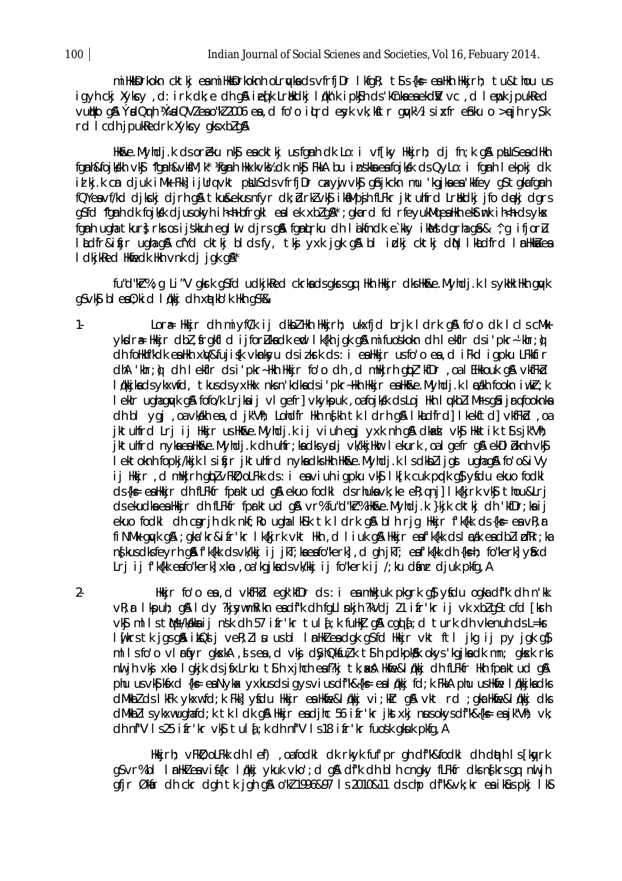millkkDrkokn cktkj esimillkkDrkoknh oLravks ds vfrfjDr I kfgR; tS s {k= esilkh llkkjrh; tu&thou us igyh ckj Xykcy, d: irk dk; e dh g& ie(k Lrakdkj Inkh'k ipk\$h ds 'kCnka ea ekdM vc, d I enpk jpukRed vutto g& YudQrh !AYudQVIeao"k12006 ea, d fo'o iturd eyk vk; kitr gwk½ Isixfr ehku o >eih ry\$k rd I cdh jpukkedrk Xykcy gks xbl g &

Hk&e.Myhdj.k ds oreku nk\$ea cktkj us fgnh dk Lo: i vf[ky Hkkjrh; dj fn;k g& pbluSea dHkh fgnh&fojkkh vkj 'fgnh&vksM; k\* ¼gnh Hkxkvk½ dk nkj FkkA bu inskka ea fojkkk ds QyLo: i fgnh I ekpkj dk id kj.k cm djuk iMk Fkk] ijUrq vkt pNuS ds vfrfjDr cxvyj vk\$ g\$njkckn mu 'kgjka ea 'kkfey gS tgka fgmh fQYeavf/kd djkckj djrh gå tku&ekusnfyr dk; drklvk\$ ikaMpjh fLFkr jktuhfrd Lrkkdkj jfo dekj dgrs g\$fd 'fgnh dk fojkk djusokyh ih<h bfrgkl ealek xblg\$\*; gkard fd rfeyukMgeaHkh ekstmk ih<h dsykx fgnh ugha tkur; rks os ijskkuh eglu djrs gå fgnutrku dh lakfndk ekky ikals dgrha gå & ^, g ifjorlu lidfr&ifjr ughagi cfYd cktkj bldsfy, tkj yxk jgk gi bl idkj cktkj din lkldfrd InHkidea I dkjked Hkfiedk Hkh vnk dj jak g $\mathbb{A}^*$ 

fu"d"kh%; g Li"V gkrk g\$fd udkjkRed ckrkadsgkrsgg Hkh Hkkjr dksHk&e.Myhdj.k IsykHk Hkh gwk g\$vk\$ blea0; kid l¢kkj dh xqtkb'k Hkh g\$%&

Lor<sub>#</sub> Hkir dh miyf(/k ij dkbl Hkh Hkirh; ukxfjd brjk Idrk q\$ fo'o dk I cls cMk  $1$ yksdræ Hkkjr dbl, frakfld i jforlukadk end lk{kh jak ana mifuoskokn dh lekflr ds i'pkr~'khr; o dh follkhf"kdk eallkh xw&fujisk vknksyu ds izkrk ds : i eallkkjr us fo'o ea, d i Fkd i gpku LFkkfir dhA 'khr; @ dh I ekfir ds i 'pkr-Hkh Hkkjr fo'o dh , d mHkjrh qbl 'kfDr , oa I EHkkouk q& vkfFkd I dkijka ds ykxwfd, tkus ds yxllkx nks n'kdka ds i 'pkr-llkh llkkjr ea llkke. Myhdj.k I cákh fookn i wkr; k I eklr ughagyk gå fofo/k Lrjkaij vlgefr] vkykpuk , oafojkk ds Loj Hkh I ykbliM-rsgåijrgfooknka on bl ygj , oa vkakh ea , d jk"Vh; Lohdfr Hkh ng kh tk I drh g & I khdfrd] I kekftd] vkfFkd , oa iktuhfrd Lri ij Hkir ushkole. Myhdik ij viuh egi yxk nh q& dkad vk\$ Hktik t\$sjk"Vh; iktulird nykaealkkke. Myhdi.k dh ulifr;kadksydi ykkkilkar lekurk, oal gefr gå ekDl bknh yks I ektoknh fopkj/kkjk Isifjr jktuhfrd nykadks Hkh Hk&e. Myhdj.k Isdkblijgst ughag& fo'o&iVy ij Hkkjr, d mHkjrh gblvFkD; oLFkk ds: i eaviuh igpku vk\$ lk[k cuk prdk g\$ yfdu ekuo fodkl ds{k= ealkkir dh fLFkfr fprktud g& ekuo fodkl dsrhukavk;ke eR;qnil lk{kirk vk\$ thou&Lri ds ekudka ea Hkkjr dh fLFkfr fprktud q&vr%fu"d"kr%Hk&e.Myhdj.k }kjk cktkj dh 'kfDr;ka ij ekuo fodki dh carih dk nkf; Ro uqha iksik tk idrk q& bih rjg Hkkjr f'k{kk ds {k = e a vR; r fi NMk guyk gå; gka 'kr&ifr'kr lk{kjrk vkt Hkh, d liuk gå Hkkjr eaf'k{kk dslædk eadbli ofRr;ka n{kusdksfeyrh gå fk{kk dsvk/kkj ij jkT; ka eafo"kerk], d gh jkT; eafk{kk dh {ks=h; fo"kerk] yfixd Lri ji f'kikk esto"kerk] xkp .oa'kgikadsvk/kki ji fo"kerk ji /; ku dinr djuk pkfg.A

Hkkjr fo'o ea , d vkfFkd eqk'kfDr ds : i ea mHkjuk pkqrk q\$ yfdu ogka df"k dh n'kk vR; r I kpuh; q& I dy ?kjsywmRikn eadf"k dh fqLI nkjh ?kVdj 21 ifr'kr ij vk xblqStcfd [krh vký mllstws/kakkaijnsk dh 57 ifr'kr tulą;k fułką g& cgolą;d turk dh vkenuh ds L=kr lufkrstkigsgå ik $\Omega$ djveR; llu usbl lmHkZ endgkgSfd Hkkjr vkt ftljkg ij pyjgkg\$ ml Isfo'o vl rfyr gloska, d s ea, d vkj dSyhQkfuzk t S h pdkpkflk okys 'kgjladk mn; glosk rks nuljih vkj xko I gkjk dsjisklrku tih xjhch eaf?kj tk, xa Hkie&l (kkj dh fLFkir Hkh fprktud ga phu us vkS| kfxd {k= ea Nyka< yxkus ds i gys vi us df"k&{k= ea | dkkj fd; k FkkA phu us Hkfie | dkkjka dks dMkblds kFk ykxwfd; kFkk] yfdu Hkkjr ea Hkfie&ldkkj vi; klr g& vkt rd ; gka Hkfie&ldkkj dks dMkbllsvkxwuqhafd; k tk I dk q& Hkkjr eadjhc 56 ifr'kr jktxkj nusokysdf"k&{k= eajk"Vh; vk; dh nf"V Is25 ifr'kr vk\$ tul {; k dh nf"V Is18 ifr'kr fuosk gkuk pkfg, A

Hkirh; vFkD; oLFkk dh I ef), oafodkl dk rkyk fuf'pr gh df"k&fodkl dh deth I s [kg/rk q\$vr%bl InnHkZeavif{kr In(kkj ykuk vko'; d q& df"k dh blh cngky fLFkfr dks ng{krsqq nuljh gfir Økar dh ckr dgh tk jgh gå o"k 1996&97 Is 2010&11 ds chp di kavk; kr ea ikaus pkj Iks

 $100$ 

 $\overline{2}$ .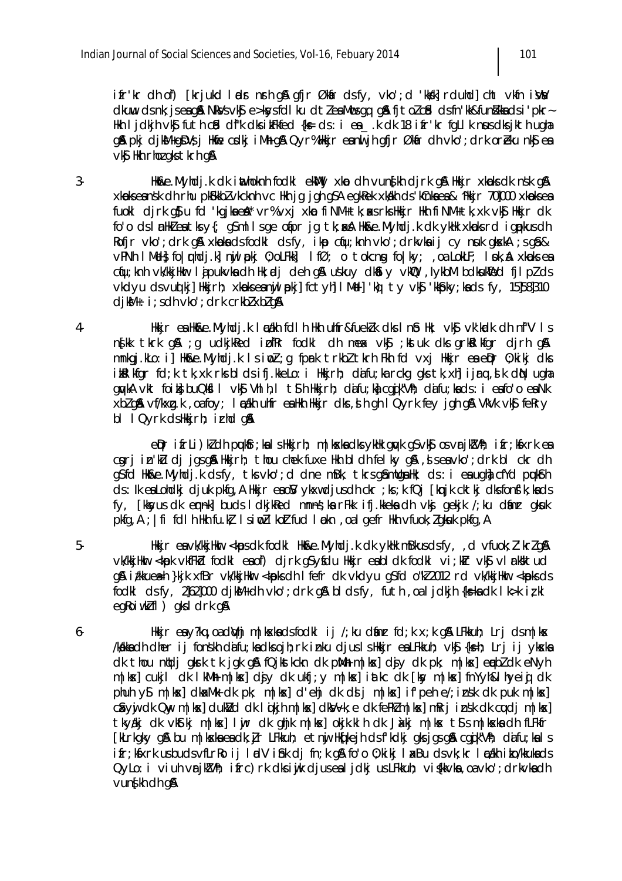ifr'kr dh of) [krjukd lødr nrh gå gfjr Økár dsfy, vko'; d 'kkk| rduhd] cht vkfn ill dkuw ds nk; is ea g& NkVs vk\$ e>kys fdl ku dtlea Mucs qq q& fit ol cfd ds fn'kk&fundkka ds i'pkr~ Hkh I jdkjh vkj futh cid df"k dks i kFkfed {ks ds : i ea\_k dk 18 i fr'kr fqLl k nus dks jkth ugha gå pkj djikM+gDVs j Hkie colkj iMh gå Qyr%Hkir eant jh gfjr Økir dh vko'; drk oreku nkj ea vký Hkh rhoz akstkrh a&

Hkike.Myhdj.k dk inthoknh fodkl ekWly xkp dh vunfkh djrk q& Hkir xkpks dk nsk q& xkoksea nsk dh rhu pkFkkblvkcknhvc Hkh jg jgh gSA egkRek xkakh ds'kCnka ea & 'Hkkjr 701000 xkoksea fuoki djrk q\$ u fd 'kgjkaenA\* vr% vxj xko fiNM+ tk; axs rks Hkkjr Hkh fiNM+ tk, xk vk\$ Hkkjr dk fo'o ds I mHkZ ea tks y{; g\$ml I s ge ofipr jg tk; xxA Hk&e. Myhdj.k dk ykHk xkmbks rd ignpkus dh Rofir vko'; drk q& xkoka ds fodkl ds fy, ikp cfu; knh vko'; drkvka ij cy nuk qkxkA ; s qâ & vPNh IMel} fo | rhdj.k] niji pkj 0; oLFkk] lfØ; o tokcng fo | ky; , oa LokLF; I pk, A xknoks ea cíju; knh vk/kkjHkur I ajpukvka dh Hk; adj deh q& uskuy dkál y vkl $\mathbb D$  , lykbM bdkuklied fjl pl ds vkdyu dsvudki] Hkirh; xkokseanujl pki] fctyh] I Mel] 'kù ty vkij 'kkpky; kadsfy, 15]58]310 djkM+: i;sdh vko';drk crkbl xblg&

Hkkjr en Hk&e.Myhdj.k I cakh fdl h Hkh uhfr&fuekk dks I nå Hk; vkj vk'kadk dh nf"V I s nfkk tkrk gå ; gudkjkked i ofkr fodkl dh mex vkj; ktuk dks grkklkfgr djrh gå mnkgj.kLo: i] Hk&e.Myhdj.k Isiwl;g fprk trkbl tkrh Fkh fd vxj Hkkjr ea eQr 0;kikj dks ikkl kfgr fd; k tk, xk rks blds ifj.kkeLo: i Hkkjrh; dafu; ka rckg gks tk, xh] ijrq, dk dN ugha quykA vkt foiks buQksil vks Vhih, I tsh Hkkjrh; dafu; ka cquik"Vh; dafu; ka ds: i eafo'o ea Nk xblq& vf/kxq.k , oafoy; I cakh uhfr ealkh Hkir dks, sh qh I Qyrk fey jqh q& VkVk vk\$ feRry bl I Qyrk ds Hkkirh; i rhd g&

ein ifrLi)küch pukir; kals Hkkjrh; m|kskacks ykHk guyk gSvkjos vrjküVh; ifr; kisxrk ea cgrj in'ku dj jgsg& Hkkjrh; thou chek fuxe Hkh bldh felkyg&, seavko'; drk bl ckr dh as fd Hkke. Myhdik ds fy, tks yko'; d dne mBk, tkrs a & mlla & Hk; ds : i e a uah k cf Yd puk fh ds: Ik ea Lohdki djuk pkfg, A Hkir ea ov ykxwdjusdh ckr; k; k fQj [kmik cktkj dksfons'k; kads fy, [kksyus dk emnk] buds I dkjkRed mnns; ka rFkk ifj.kkeka dh vkj gekjk /; ku danr gkuk pkfg, A ; | fi fdl h Hkh fu.k} I simpll koltfud I mkn, oal gefr Hkh vfuok; lgkuk pkfg, A

Hkir ea vk/kkiHkur <kps dk fodkl HkuRe. Myhdi.k dk ykHk mBkus ds fy, , d vfuok; l'krlg& vk/kkjHkur <kpk vkfFkd fodkl ea of) djrk qSyfdu Hkkjr ea bl dk fodkl vi;kIr vkf vlarksktud gå i/kkuea=h }kjk xfBr vk/kkjHkr <kpksdh Ifefr dk vkdyu g\$fd o"kl 2012 rd vk/kkjHkr <kpksds fodkl dsfy, 2|62|000 djkM+dh vko'; drk qA bldsfy, futh, oaljdkjh {k=kadk lk>k izkl eqRoiwkIfl) qksldrk q&

Hkkjr en y?kq, oa dWhj m | kxka ds fodkl ij /; ku dinr fd; k x; k g& LFkkuh; Lrj ds m | kx /kakka dh dher ii fonskh daifu; ka dks oih; rk inku dius I s Hkkir ea LFkkuh; vks {ks=h; Lri ii vkska dk thou nidj gkrk tk jak gå fQjkstkckn dk pMh m|ks| djy dk pk; m|ks| erbl dk eNyh m|kx| cukjl dk lkMh m|kx| djy dk ukfj;y m|kx| iatkc dk [ky m|kx] fnYyh&lhyeiqi dk phuh y'i m|kx| dka:Mk dk pk; m|kx| d'ehj dk d' j m|kx| if peh e/; in sk dk puk m|kx| cîkvu dk Quy m|ks| dukiVd dk | qikih m|ks| dkiVvk; e dk fePkim|ks| mRrj insk dk cudj m|ks| tkyákj dk vkstkj m|kst| lijr dk ghjk m|kst| okjk.klh dk Jackj m|kst ts s m|kscka dh fLFkfr [kLrkgky q& bu m|kxkaeadk; jr LFkkuh; etni Hkfkejh dsfkdkj gksjgs q& cgik"Vh; dafu; kals ifr; kfxrk usbudsvfLrRo ij lødV ifik dj fn; k gå fo'o 0; kikj laxBu dsvk; kr lødkh iko/kkukads QyLo: i viuh vrik!Vh; ifrc) rk dksiwik djuseal jdki usLFkkuh; viskkvka, oa vko'; drkvka dh vun∮kh dh q&

 $5 -$ 

 $6-$ 

 $3 -$ 

 $4-$ 

101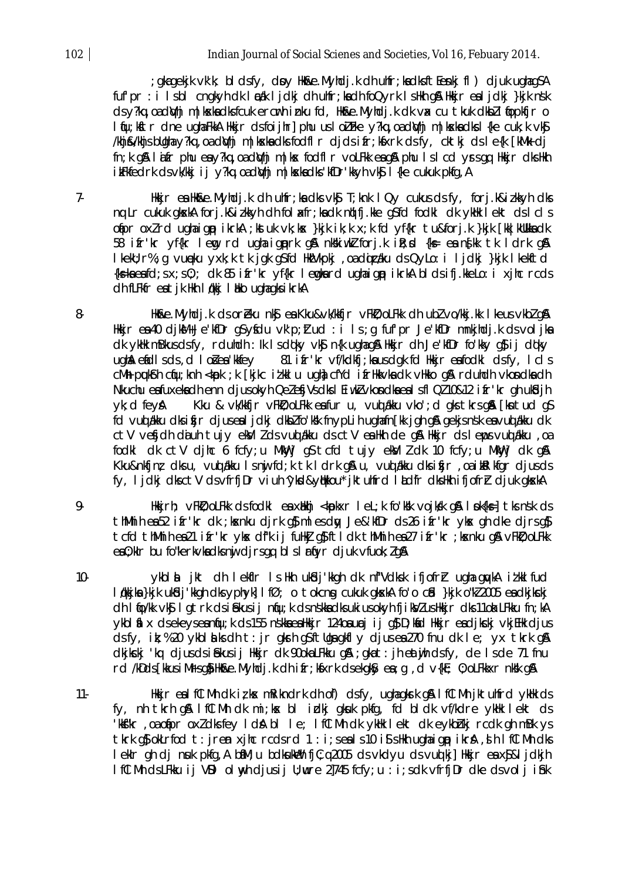; glagelik vlik; bldsfy, dpy Hlake. Myhdj.kdh uhfr; ladksftenkj fl) djuk ughag\$A fuf'pr : i Isbl cngkyh dk I cak I jdkj dh uhfr; ka dh foQyrk I sHkh q& Hkkjr ea I jdkj }kjk nsk ds y?kg, oa dWhi m | kxka dks fcuk ercirh inku fd, Hk&e. Myhdi.k dk vx cu tkuk dkbl I fiopkfir o I qu; ktr dne ugha FkkA Hkkjr dsfoijhr] phu us I oli Fke y?kq, oa dWhj m | kska dks I {ke cuk; k vk\$ /khj&/khjsbUqhay?kq,oad\yhj m|kxkadksfodflr djdsifr;kfxrk dsfy, cktkj dsle{k [kMk dj fn; k gå l afr phu eav?kq, oadWhi m|kx fodfl r voLFkk eagå phu l s l cd vrs qq Hkkir dks Hkh ikFkfedrk dsvk/kkj i j y?kq, oadwhj m | kxkadks 'kfDr 'kkyh vk\$ | {ke cukuk pkfq, A

- Hkkjr ea Hkke. Myhdj.k dh uhfr;ka dks vk\$ T;knk I Qy cukus ds fy, forj.k&izkkyh dks ng Lr cukuk gkokka forj.k&izkkyh dh folakfr;ka dk nijifj.kke g\$fd fodkl dk ykłk lekt dslcls ofipr oxlrd ughaigp ikrkA; ktuk vk; kx }kik ik; k x; k fd yf{kr tu&forj.k }kik [kk| kUUkka dk 58 ifr'tr yf{tr lemp rd ughaignprk g& nkktiwk forj.k ik; d {k = ea n{kk tk ldrk g& I kekli; r%; g vuneku yxk; k tk jgk g\$fd HklVkpkj, oa dojcaku ds QyLo: i I jdkj }kjk I kekftd  $\{k \in \mathbb{N} \text{ is a fd } ; s \times s \cdot 0;$  dk 85 if r'k r $\sqrt{f(kr + \log k r}$  d ughai qp ik rkA bl ds if j.kke Lo: i xjhc rcds ch fLFkfr eatjk Hkh I økkj I blko ughagks i krkA
	- Hkike.Myhdj.k ds oreku nkjea Kku&vk/kkfjr vFkil; oLFkk dh ubl vo/kkj.kk I keus vkbl g& Hkir ea 40 dikM+Je'kfDr q\$yfdu vk'p; ttud : i ls; q fuf'pr Je'kfDr mnkihdi.k ds voljka dk yklk mBkus dsfy, rduhdh : Ik I s daky vkg n{k ughag& Hkkjr dh Je'kfDr fo'kky g}ij daky ught each is ds, d lotes 'kkfey 81 ifr'tr vf/kdkfj; ka usdqt fd Hktjr eafodkl dsfy, Icls cMh pullsth cliu; knh <kpk; k [kikc itkk] u ught cfYd ifrHkkvka dk vHkko g& rduhdh vkondka dh Nkuchu eafuxekadh enn djusokyh QelefjVsdkslEiwklykondkaealsflQl10&12 ifr'kr ghukkijh Kku & vk/kkfjr vFkD; oLFkk eafur u, vud akku vko'; d gks tkrs g& [kntud gS  $vk: d$  fev $A$ fd vuld alkku dksifir diuseal idki dkbl fo'kk fn v plin u ahafn [kk jah q& qekisn sk ea vuld alkku dk ctV vefidh di uh tujv ekvilds vud ikku ds ctV en Hkh de q& Hkkir ds I emps vud ikku , oa fodki dk ctV djhc 6 fcfy;u MkWyj q\$ tcfd tujy ekVIIdk 10 fcfy;u MkWyj dk q& Kku&nkfinz dksu, vuoldkku Isnii fd; k tk I drk an u, vuoldkku dksifir, oa ikalkfar diusds fy, I jdkj dksctV dsvfrfjDr viuh 'ykd&ytkkou' jktuhfrd I ldfr dkshkh ifjofrr djuk gkskA
- Hkkjrh; vFk0; oLFkk dsfodkl eaxHkhj <kpkxr lel; k fo'kkk vojkkk q& lpk{k=] tks nsk ds thMhih ea 52 ifr'kr dk ; kanku djrk q} ml es dy Je&'kfDr ds 26 ifr'kr ykas qh dke djrs q} tcfd thMhih ea21 ifr'kr ykx df"k ij fullki gjittl dk thMhih ea27 ifr'kr ; kxnku gj vFki; oLFkk ea0; kir bu fo"kerkvkadksnij djrsqq bisirfyr djuk vfuok; ZqA
- $10$ ykblal ikt dh lekfir Ishkh ukkblikkgh dk nf"Vdksk ifjofrir ugha gavka itkklfud l dkiha kih ukishi khati dki v ph vki l fø, o tokcha cukuk akska fo'o cid kih o d 2005 en dkihishi dh I fjo/kk vk\$ I gtrk ds i fekus i j nfju; k ds nskka dks uki us ok yh fjiks/Z us Hkkjr dks 110h LFkku fn; kA ykbl ál x dsekeyseanfu; k ds 155 n skka ea Hkkjr 124 oa uncj ij g \$ D; kad Hkkjr ea djkckj v kj EHk djus ds fy, it; % 20 ykbliks dht: jr gkrh g\$ftUga gkfly djus ea 270 fnu dkle; yx tkrk g& dkjkckj 'kg djusdsj&kusij Hkkjr dk 900ka LFkku g& ; gkat: jh eatwih dsfy, de Isde 71 fnu rd /kDds [kkus i Mrs qi] Hkn&e. Myhdj.k dh i fr; kfxrk ds ekgkSy ea; q, d v{kE; 0; oLFkkxr nksk qiA
- Hkir ealfCl Mh dk izkx mRikndrk dh of) dsfv, ughagkrk g&l fCl Mh iktuhfrd vkhk ds  $11$ fy, nh tkrh gå lfClMh dk mi; kx bl idkj gkuk pkfg, fd bldk vf/kdre ykHk lekt ds 'kkf'kr , oa ofiproxidks fey id & bi le; if un dk yklk lekt dk eykbinkj rcdk gh mBk ys tkrk as okLrfod t: iren xihc rcdsrd 1 : i; seals 10 is slkh ughaigp ikra, slh IfCIMh dks I ekir gh di nuk pkfg, A biM; u bdkukWeh fiC; q 2005 ds vkdyu ds vuolkil Hkkir ea x\$&l jdkih IfCIMh dsLFkku ij VDI olnyh djusij U; wre 21745 fcfy; u : i; sdk vfrfjDr dke dsvolj ibik

 $7-$ 

8-

9.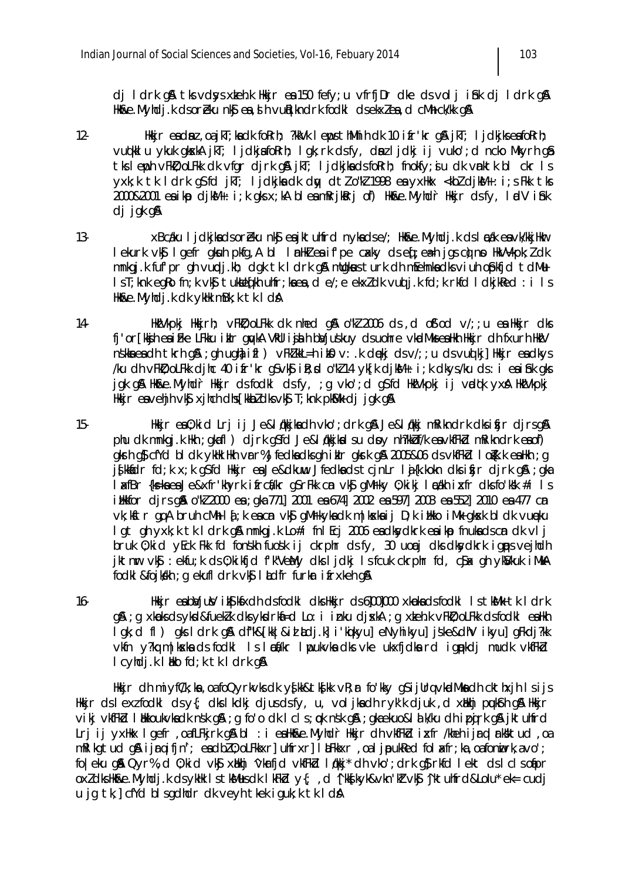dj I drk qå tks vdsys xkeh.k Hkkjr en 150 fefy; u vfrfjDr dke ds volj i i hk dj I drk qå Hk&e.Myhdj.k dsoreku nk\$ea, sh vultikndrk fodkl dsekxlea, d cMh ck/kk q&

- $12 -$ Hkir eadnz, oa jkT; kadk fokrh; ?kkVk I eps thMhih dk 10 ifr'kr q& jkT; I jdkjks eafokrh; vuotkilu ykuk gkskA jkT; ljdkjafoRrh; lgk; rk dsfy, dnzljdkj ij vuko'; d ncko Mkyrh gâ tksleph vFkD; oLFkk dk vfgr dirk g& jkT; ljdkjkadsfoRrh; fnokfy; ju dk vnktk bl ckr ls yxk;k tk Idrk g\$fd jkT; Ijdkjkadk dw dtlo"kl 1998 ea yxHkx <kbl djkM+:i;sFkk tks 2000&2001 eaikp clikM+: i; k qks x; kA bleamRrjkRrj of) Hkn&e. Myhdr Hkkjr cls fy, l adV i hik dj jgk g&
- xBcdku I jdkjkadsoreku nk\$eajktuhfrd nykadse/; Hk&e.Myhdj.k dsl cdk eavk/kkjHkr  $13 -$ I ekurk vk\$ I gefr gkuh pkfg, A bl I nHkZ ea if pe cakky ds eq; eatigs con D HkVVkpk; Z dk mnkgj.k fuf'pr gh vuplj.kh; dgk tk ldrk g& mllgkus turk dh mEehnka dks viuh opkfjd tdMu Is T; knk eqRo fn; k vkg tukkleg kh uhfr; ka ea, d e/; e ekxl dk vug j.k fd; k rkfd I dkjkRed : i I s Hk&e. Myhdj.k dk ykHk mBk;k tk I dA
- HktVkpkj Hkkjrh; vFk0; oLFkk dk nhed q& o"kl 2006 ds , d of od v/; ; u ea Hkkjr dks  $14$ fj'or [kkjh ea i Fke LFkku i klr quyka VkUl i ji h ba/juskuy dsuohre vkodMksea Hkh Hkkjr dh fxurh HkV nskka ea dh tkrh q $\Re$ ; qh uqh $\hbar$  ifl) vFkZkkL=h ik $\Omega$  v: k dekj dsv/; ; u dsvuojki] Hkkjr ea dkys /ku dh vFk0; oLFkk djhc 40 ifr'kr q\$vk\$ iR; d o"k214 yk[k djkM+: i; k dkys/ku ds: i eai\$nk qks jak gå Hkose. Myhdr Hkkjr dsfodkl dsfy, ; g vko'; d gsfd Hk/Vkpkj i j vældk yxå Hk/Vkpkj Hkkjr eavehjh vký xjhch dhs [kkb] dks vký T; knk pkblk dj jak q&
- $15 -$ Hkir ea0;kid Lri ij Je&l¢kikadh vko';drk q& Je&l¢ki mRikndrk dksifir dirsq& phu dk mnkgj.k Hkh; gkafl) djrk g\$fd Je&l (kkjkal su doy nh?kkbf/k eavkfFkd mRikndrk eaof) gkrh g\$ cfYd bl dk yklk llkh vrr%Jfedkadksgh i klr gkrk g\$ 2005&06 ds vkfFkd I o{k.k ealkh; g jskkadr fd;k x;k q\$fd Hkkjr ea Je&dkuw JfedkadstcjnLr lafk.kokn dksifir djrk q&;qka I atBr {k=ka ea Je&xfr'khyrk i frcti/kr q\$rFkk cm vk\$ qMrky 0; kikj I adkh i atfr dks fo'kk #i I s illktor cirs q& o"k2 2000 ea ; qka 771] 2001 ea 674] 2002 ea 597] 2003 ea 552] 2010 ea 477 cm vk; kftr qq A bruh cMh I {; k ea cn vkf qMrkyka dk m | kska i j D; k i i kko i Mk qksk bl dk vueku Igt gh yxk; k tk Idrk gå mnkgj. k Lo#i fnl Ecj 2006 eadkydkrk eaikp fnukads cn dk vlj bruk 0; kid yEck Fkk fd fonskh fuosk ij ckrphr ds fy, 30 uori dks dkydkrk igps vejhdh jktnr vk\$ : ekfu;k ds 0;kikfjd f'k"VeMy dks I jdkj I s fcuk ckrphr fd, c\$x qh yk\$/kuk iMkA fodkl &fojkkh; g ekufl drk vkj l Ldfr furkr i frxkeh g&
- $16 -$ Hkir eabl/iul/ ikS| kfxdh dsfodk| dks Hkir ds 6|00|000 xkpka dsfodk| Is tkMk tk I drk g\$ ; g xkpks ds ykd&fueklk dks ykdrkfi=d Lo: i inku djxkA ; g xteh.k vFkD; oLFkk ds fodkl eaHkh Igk; d fl) gks I drk g& dfk& [kk| & id adj.k] i kojkyu] eNyhikyu] jske& dhV ikyu] gFkdj?kk vkfn v?kamlkskadsfodkl Islatikr I pukvkadksvke ukxfidkard i apkdi mudk vkffkd I cyhdj.k I Mko fd; k tk I drk g&

Hkkjr dh miyfûk;ka, oafoQyrkvks dk y{kk&tk{kk vR;r fo'kky g\$ijUrqvkdMkadh ckthxjh Isijs Hkkjr dslexzfodkl dsy{; dkslkdkj djusdsfy, u, voljkadh ryk'k djuk ,d xHkhj puk\$rh q& Hkkjr vikj vkfFkd I likkoukvkadk nsk gå ; g fo'o dk I cls; ok nsk gå ; gkaekuo&I a k/ku dh i pojrk gå jktuhfrd Lrj ij yxHkx I gefr , oafLFkjrk g\$ bl : i eaHk&e.Myhdr Hkjr dh vkfFkd ixfr /kheh ijrglrk" tud , oa mRI kgtud q& ijrqifjn'; eadbl0; oLFkkxr] uhfrxr] I aFkkxr , oa I jpukRed fol afr; ka, oafonirk, a vo'; foleku gå Qyr%, d 0; kid vk\$ xHkhj 'vkrfjd vkfFkd l¢kkj\* dh vko'; drk g\$ rkfd lekt ds l cl s ofipr oxidks Hk&e. Myhdi.k ds ykHk IstkMusdk IkFkd y{; d '[kkfkyk&vkn'kivk§''iktuhfrd&Lolu\*ek= cudj u jq tk, cfYd bl sgdhdr dk veyh tkek iguk; k tk I dA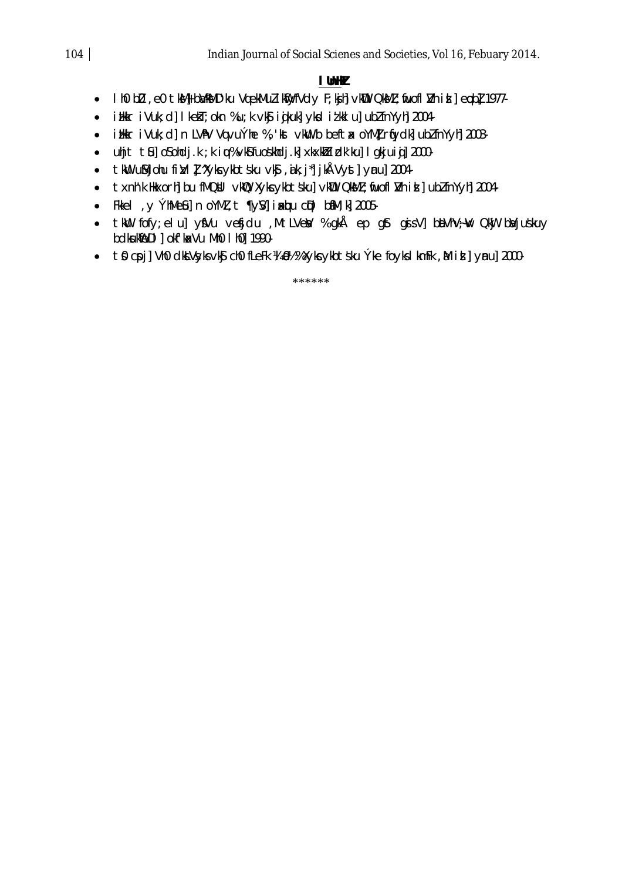# I Unlik

- Ih0 bD , e0 tkM} ba/kMD'ku VqekMulikWyfVdy F; kjh] vkDI QkMl; fruofl I/h id] eq:b] 1977-
- illkr i Vuk; d] I ketT; okn %u; k vk\$ i ji kuk] yksd i t kkl u] ubl fnYyh] 2004-
- illkr iVuk; d] n LVIV VqvuÝhe %, 'kt vkW b beftx oYMI rfydk] ublfnYyh] 2003
- uhjt tij osohdj.k; kiu,%vksfuoskhdj.kj xkxkWzidk'ku] Igkjuioj 2000-
- tWu uMjohu fill ! "Xykcykbtsku vkj", ik; j" jkÅVyst] ynu] 2004-
- txnh'k Hkxorh] bu fMQNI vkVQ Xykcykbtsku] vkDI QkMZ ; fruofI I/h id ] ubZfnYyh] 2004-
- Fkkel, y ÝhMe&i] n oYMZ, t ¶yS/] ixkbu cDl baM; k] 2005-
- thu fofy; elu] yfVu vefjdu , MtLVev % gkå ep g\$t gisV] biLVhV; w Qkw biVjuskuy bdkukileD1 ] okf kxVu Mh0 1 h0] 1990-
- tΩ cpj] VhO dktVyyksvkG chO fLeFk ¼ Q½%Xykcykbtsku Ýke foyksIkmFk , M id]ynu] 2000-

\*\*\*\*\*\*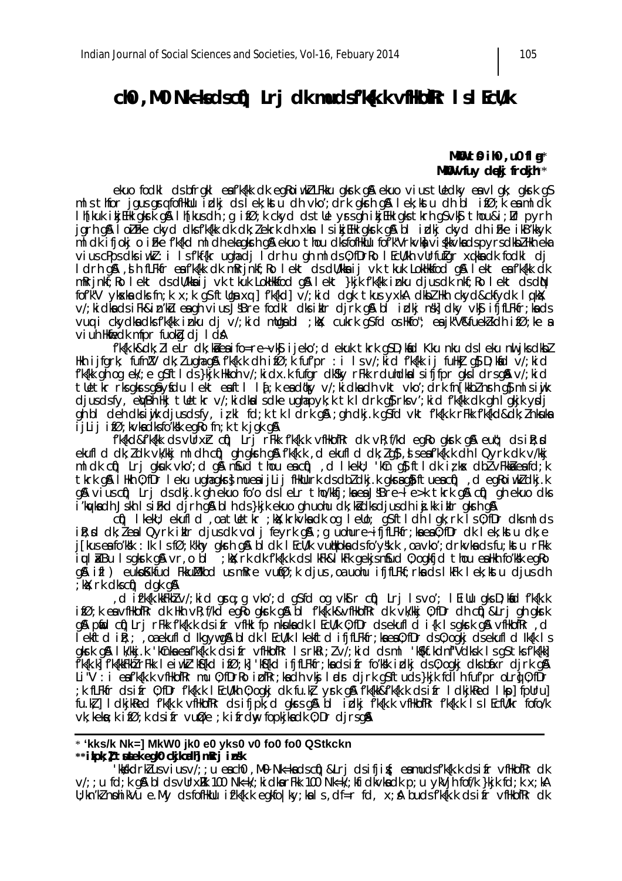## cho, Mo Nk=ksdscho) Lrj dk mudsf'k(k.k vfHkofRr I sl Ecu/k

#### MKO to iho, uo fl  $q^*$ MKW vfuy dekj frokjh\*\*

ekuo fodki ds bfraki en fik{kk dk ea kojukki LFkku akshk a ku ekuo vius tledky en viak; akshk a S mls thfor jous grafofhkulu indkj ds lek; kstu dh vko'; drk gkrh g&lek; kstu dh bl ifØ; k eamldk lh[kuk ikjEHk gksrk g&lh[kus dh ; g ifØ; k ckyd ds tlle yss gh ikjEHk gks tkrh g\$vk\$ thou&i; Dr pyrh jarh gå loli Fike ckyd dks fk{kk dk dk; lekrk dh xkn ls i ki EHk gkrk gå blidkj ckyd dhi Fike i kB'kkyk ml dk ifjokj o ifke f'k{kd ml dh ekaqkrh q& ekuo thou dksfofHkŪu fof'k"Vrkvko viskkvkads pyrs dkbl Hkh eka vius cPps dks iwkl: i Isf'kf{kr ughadj Idrh u gh mlds 0; fDrRo I EcU/kh vUrfulgr xqkkadk fodkl dj I drh g&, d h fLFkfr eafk{kk dk mRrinkf; Ro I ekt ds dU/kka i j vk tkuk LokHkkfod g& I ekt eafk{kk dk mRrjnkf; Ro lekt ds dU/kka ij vk tkuk LokHkkfod q& lekt }kjk fk{kk inku djus dk nkf; Ro lekt ds dN fof'k"V ykska dks fn; k x; k qs ftliga xq | f'k{kd| v/; kid dgk tkus yxkA dkbl Hkh ckyd&ckfydk lqkk; v/; kidka ds iFk&in'kū eagh vius J'Bre fodkl dks iklr djrk g&bl idkj nsk] dky vk\$ ifjfLFkfr; kads vuq i ckydka dks f'k{kk inku dj v/; kid mllga bl ; kk; cukrk gSfd os Hkfo"; ea jk"V&fueklkdh ifØ; ke a viuh Hidredk mfpr fuokg dj I da

fk{k.k&dk;lleLrdk;knieaifo=re~vk\$ijeko';dekuk tkrkq\$D;knid Kku nku dsleku nuljksdkbl Hkh ijfgrk; fufnZV dk;Zughaq& fk{k.k dh ifØ;k fufpr :i Isv/;kid fk{kk ij fuHk]q}D;kad v/;kid fk{kk gh og ek/; e g\$ftlds}kjk Hkkoh v/; kidx.k fufgr dk\$ky rFkk rduhdkalsifjfpr gksldrsg& v/; kid tletkr rksgkrsgå yfdu lekt eaftl l{; k ead¢ky v/; kidkadh vkt vko'; drk fn[kkblnrh g}mlsiwjk djusdsfy, eVBn Hkj tletkr v/; kidkalsdke ughapyk; k tk ldrk g}rksv; kid fk{kk dk gh lgkjk yndj gh bi deh dksijik djusdsfy, izkl fd;k tk ldrk g&; gh dkj.k g\$fd vkt f′k{k.k rFkk f′k{kd&dk; Znknuka ijlij ifØ; kvka dksfo'kkk egko fn; k tk jgk g&

fk{kd&fk{kk dsvlFxh ctj) Lrj rFkk fk{k.k vfHkofRr dk vR;f/kd egRo gkrk g& eut; ds iR; d ekufl d dk; I dk vk/kkj ml dh cq̃) gh gkrh g& f'k{k.k, d ekufl d dk; I g}, s estfk{k.k dh I Qyrk dk v/kkj m I dk cti) Lrj gkuk vkov; d gå nfud thou eacti), d I kekli; 'kun gå ft I dk i z kas db vFkka eafd; k tkrk q& IHth 0; fDr I eku ughagkr} mueaijlij fHkUurk ds dbldkj.k gkrag}ftueací), degkoiwkldkj.k g& vius cn() Lrj ds dkj.k gh ekuo fo'o ds leLr tho/kkfj;ka ea J5Bre~le>k tkrk g& cn() gh ekuo dks i'kayka dh Jskh IsiFkd dirh ga blh ds}kik ekuo gh uohu dk;kidksdjusdh ij.kk ikir gkrh ga

cti) I kekli; ekufl d , oa tletkr; kki; krkvka dk og I ello; g\$ftl dh I gk; rk I s 0; fDr dks ml ds ik; d dk; leal Qyrk iklr djusdk volj feyrk q&; q uohure~ifjfLFkfr; ka ea 0; fDr dk lek; kstu dk; e j [kus ea fo'kšk : lk l s fØ; k'khy gksh gå bl dk l EcU/k vut|koka ds fo'yšk.k , oa vko'; drkvka ds fu; kstu rFkk iulikBu Isgkrk gå vr, o bl ; kkjrk dk fk{k.k ds kFk&lkFk gekjsnfud 0; ogkfjd thou ealkh fo′kkk eg Ro g& ifl) eukoKkfud FkkuMkbd usmRre vut@;k djus,oa uohu ifjfLFkf;rka dslkFk lek;kstu djusdh  $;$  kx; rk dks cti) dak an

d if'k{k.kkFkhZv/;kidgrq;gvko';dg\$fdogvk\$rcfi) Lrj Isvo'; I EillugksD;knid f'k{k.k, ifØ; k en vfilkofRr dk likh vR; f/kd egRo gkrk gå bl fk{k.k&vfilkofRr dk vk/kkj 0; fDr dh cij &Lrj gh gkrk g& prid cri) Lri rFkk fkfk.k ds i fr vflk: fp nikukadk I Ecl/k 0; fDr ds ekufl d i fk I s gkrk g& vfilkofRr d Tekftd ik;; ,oaekufld lkgywg&bldk I EcU/k I kekftd ifjfLFkfr;kaea0;fDr ds0;ogkj dsekufld lk{k I s gkork g&l kvíkj.k 'kûnka eafk{k.k cisifr vfilkofRr IsrkRi;Zv/;kicl cisml 'k\$(kf.kcinf"Vciksk IsgStksf'k{kk]<br>f'k{k.k]f'k{kkFkhZrFkk IeiwkZ'k\${kcl ifØ;k]'k\${kcl ifjfLFkfr;kadsifr fo'k\$k idkj cis0;ogkj ciksbáxr cijrk g&l Li"V: i eafk{k.k vfHkofRr mu 0; fDrRo ipfRr; kadh vkj luds djrk q\$ftuds}kjk follh fuf'pr oLril 0; fDr k fLFkfr ds i fr 0; fDr f'k{k.k l EcU/kh 0; ogkj dk fu.k{ yrk g& f'k{kk&f'k{k.k ds i fr l dkjkked l kp] fpUru]<br>fu.k}] I dkjkRed f'k{k.k vfHkofRr ds i fjpk;d gkrsg&bl i dkj f'k{k.k vfHkofRr f'k{k.k ls l EcfU/kr fofo/k vk; keka; k ifØ; k ds ifr vuØe; k ifrdw, fopkjkadk 0; Dr djrsg&

#### \* 'kks/k Nk=] MkW0 jk0 e0 yks0 v0 fo0 fo0 QStkckn \*\*ikpk; I tsikek eqk0 ckjkcali mRrj insk

kk/kdrk/usviusv/;;u each0, M0 Nk=kadscf)&Lrjdsifji{; eamudsfk{k.kdsifrvfHkofRrdk! v/; ; u fd; k g& bl ds vUrx&k 100 Nk=k/; ki dkarFkk 100 Nk=k/; kfi dkvkadk p; u ykVjh fof/k }kjk fd; k x; kA  $\mathsf{U}$ ; kn'kl nphikVu e.My ds fofHkUu ifk{k.k eqkfo|ky; kals, df=r fd, x; A buds fk{k.k ds ifr vfHkofRr dk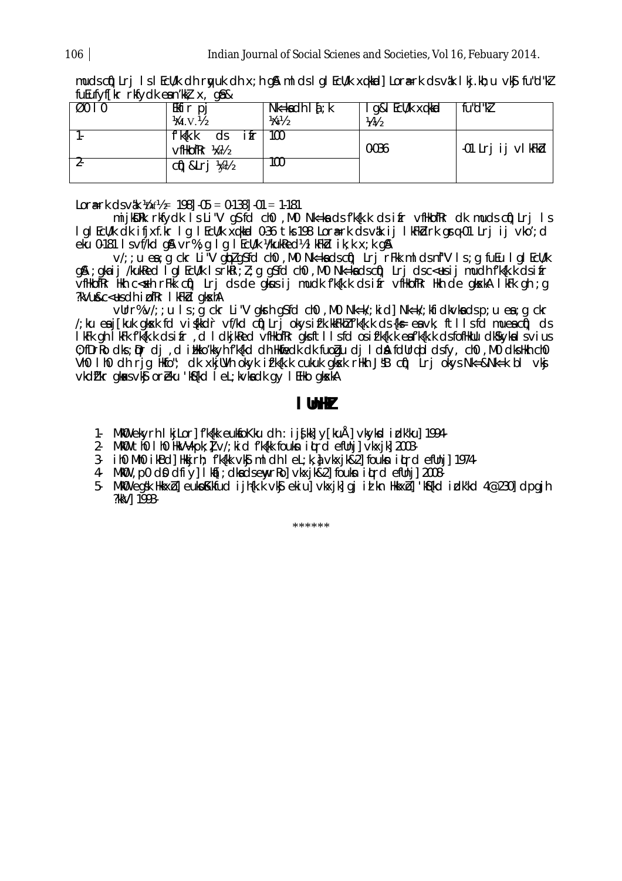| $\overline{00}$ 10 | Ekfir pj                     | $Nk=ka$ dh $1f:k$ | I g&I EcU/k xqkkad | fu"d"kl           |
|--------------------|------------------------------|-------------------|--------------------|-------------------|
|                    | M.V.                         | <b>WW</b>         | 1/2                |                   |
|                    | f'k{k.k<br>ifr               | 100               |                    |                   |
|                    | vfHkofRr 1/ <sub>K</sub> 1/2 |                   | 0-036              | 01 Lrj ij vlkFkbl |
|                    | c(j)&Lrj ¼½                  | 100               |                    |                   |
|                    |                              |                   |                    |                   |

muds c(i) Lrj Is I EcU/k dh ruyuk dh x; h q& ml ds I ql EcU/k xqkkud] Lora=rk ds vak I kj.kh; u vk\$ fu"d"kZ  $f$ uEufvf $f$ kr rkfvdk ean $'$ kk $\lambda$  x  $\alpha$  as  $\alpha$ 

Lor Frk ds vak  $M_{\text{D}} = 198$  - 05 = 0-138 - 01 = 1-181

mijkDRk rkfydk Is Li"V gS fd ch0, M0 Nk=ka ds f'k{k.k ds ifr vfHkofRr dk muds ctj) Lrj Is lglecu/k dk ifjxf.kr lg lecu/k xqkkad 0.36 tks 198 Lora=rk ds vak ij lkFkddrk grq 01 Lrj ij vko'd eku 0-181 I s vf/kd g & vr<sup>%</sup>; g I g I EcU/k WkukRed<sup>y</sup> I kFkd i k; k x; k g &

v/; ; u ea; g ckr Li V gipl g s f c ch0, M0 Nk=ka cls cf) Lrj r Fkk m l cls nf V ls; g fu Eu I g l EcU/k q& ; qkaij /kukRed lql EcU/k lsrkRi; l; q qSfd ch0, M0 Nk=kadsch) Lrj dsc<usij mudh f'k{k.k dsifr vfilkofikr illn c<sxh rFkk cii) Lrj ds de qkusij mudk fk{k.k ds ifr vfilkofikr illn de qkskA l kFk qh ; q ?kVu&c<us dh i pfRr I kFkd gkskhA

vurr% v/; ; u Is; g ckr Li"V gkrh g\$fd ch0, M0 Nk=k/; kid] Nk=k/; kfidkvkadsp; u ea; g ckr /; ku eaj[kuk gkxk fd vi{kkdr vf/kd cfj) Lrj okysif'k.kkFkh2f'k{k.k ds{k= eavk, ftllsfd mueacfj) ds I kFk gh I kFk f'k{k.k dsifr, d I dkjkRed vfHkofRr gksftllsfd osif'k{k.k eaf'k{k.k dsfofHkUu dk\$kykalsvius 0; fDrko dks; pr dj, d ilkko'kkyh f'k{kd dh Hkfiedk dk fuogu dj I d& fdUrqbl dsfy, ch0, M0 dksHkh ch0 Vh0 Ih0 dh rig Hkfo"; dk xkjUVh okyk ifk{k.k cukuk gkyk rHkh JSB c(i) Lrj okys Nk=&Nk=k bl vkj vkdf'kr glass vkj oreku 'listkd i el ; kvladk gy i Eliko gloska

### I Unik

- 1. MKO ekyrh I kjLor] fk{kk eukfoKku dh : i j{kk] y[kuÅ] vkykd i dk'ku] 1994.
- 2. MKOU th0 I h0 HkVVkpk; ] v/; ki d f'k{kk foukn i qtrd efUnj] vkxjk] 2003.
- 3. ih0 Mh0 ikBd] Hkkjrh; fk{kk vk\$ ml dh l eL;k, avkxjk&2] fouksn iutrd efUnj] 1974.
- 4 MKU , p0 d0 dfiy] | Ka[; dkadsenyrRo] vkxjk&2] foukn itrd efUnj] 2008
- 5 MKO egsk Hkkxb] euko Kkfud i jh{k k vkj ekiuj vkxjk] gj i a kn Hkkxb] 'kh{kd i dk'kd 4@230] dpgjh ?kkVI 1993-

\*\*\*\*\*\*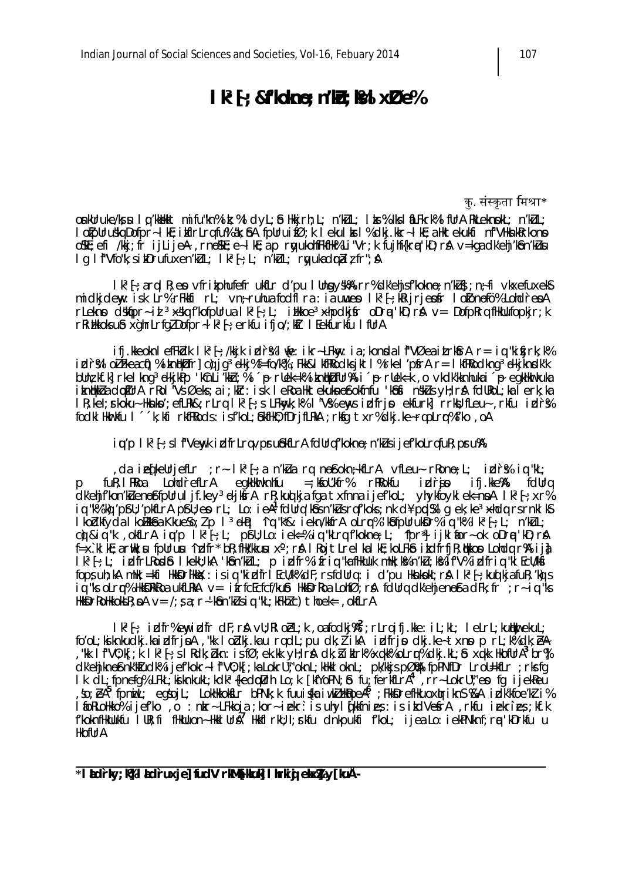# $I k<sup>3</sup>F$ ; &f'kokne; n'ku; k%l x $D e$ %

क्. संस्कृता मिश्रा\*

onkUruke/ks w lq'kkbkkt mifu"kn%ik;%ldyl;& Hkkjrh;L; n'kūl; lks%lksl &LFkrk%lfUrA RkLeknokL; n'kūl; I ofpUruskq Dofpr~IkE; ikfIrLrq fu% ak; bA fpUruifØ; k I ekul krI% dkj.kkr~IkE; a Hktekukfi nf"VHknkRrkonp oskt; efi /kkj; fr ijlijeA , rnoskt; e~ lkt; a p ryukohfFkfHk% Li"Vr; k fujhf{krq 'kD; rA v=kga dk'ehj'kon'kusu lq lf"Vfo"k; sikDrufuxen'kul; lk<sup>3</sup>{; l; n'kul; ryukadraiz fr"; A

 $1k^3$ [; arql R; ep vfrikphufefr ukfLr d'pu l Ungysk% rr%dk'ehjsf'kokno; n'ku}; n; fi vkxefuxek\$ midkjdew: isk Lr% rFkkfi rL; vn; ruhua fodfl ra : ia uwep lk<sup>3</sup>f; kijrjepfr lofonefo% LohdrepA rlekno d'Ikipr- i d <sup>3</sup>x'lkq f'kofpllrua l k<sup>3</sup> $\{$ ; l; i ilkkoe<sup>3</sup>xhpdkjir oDrq 'kD; rA v= DofpRrq fHkllufopkjr; k rkillkkoksub xghrLrfglDofpr-Ik<sup>3</sup>f; erkfu ifjo/; kti I Eekfurkfu I fUrA

ifj.kkeoknlefFkblk lk<sup>3</sup>f;/kkjk idr%lwe:ikr~LFkw:ia;kondalf"VØeaitrkfrAr=iq"kifjrk;k% idr%I oli Fkeacti)%iknthkofr| ci) jq<sup>3</sup>ckj%f=fo/k%; Fkk&I kfRkodksjktl%rkeI 'p\$rA r= I kfRkodknq<sup>3</sup>ckjkndk'k bunz kf.k] rkel kng<sup>3</sup>dkjkp 'kCnLi'kkh;%i ´p ruek=k%ikntkbfur%i i ´p ruek=k ,o vkdk'kknhuka i ´p egkHkrkuka iknikkba doturA rkol "Vs Øeks; a i; kir: isk lekoa Hktekuknofokfnfu 'kôfi nskus yH; rA fduRoL; ka I erk; ka IR; kel; rkoku~ Hknko'; efLRk&; rLrq Ik<sup>3</sup>{; s LFknyk; k% I "V% enys idfrjo ekfurk] rrk#; fLeu~, rkfu idr% fodki Hkrkfu I ´k;kfi rkfRRods:isf'koL;bkfHkO;fDrjfLRkA;rkfg txr%dkj.ke~rqoLrr%f'ko,oA

iq'p |k<sup>3</sup>{;s|f"Vew,kidfrLrqvprubkfLrAfdUrqf'kokno;n'kUsijef'koLrqfuR;pru%A

da iefkeUrjefLr ; r~ lk<sup>3</sup>f;a n'kua rq nofokn;kfLrA vfLeu~ rkono; L; idr% iq "kL; fuR; I RRoa LondrefLrA egkHkrknhfu  $=$ ; kfoll'kfr% rRRolfu idrjo ifj.kke%A fdllrq  $\mathsf{D}$ dk'ehjf'kon'kuenoffpllrul jf.key<sup>3</sup>djkfrA rR;kuq kja fga txfnna i jef'kol; yhykfoykl ek=npA lk<sup>3</sup>{;xr% iq "k" (ki) 'p\$U; 'pkfLrA p\$U; ep rL; Lo: ieA1 fdUrq 'kbsn'kusrqf'koks; nk d¥ppJ\$l q ek; ke<sup>3</sup>xhdq rsrnkl k\$ I kodkfyda I kolkkêa Kkueso; *I* p 1<sup>3</sup>di; ^iq "k"&: iekn/kkfrA oLrq"% 'kôfpUrukor% iq "k% I k<sup>3</sup>{; L; n'kuL; cò &iq "k ,okfLrA iqu'p lk<sup>3</sup>{;L; p\$U;Lo:iek=%iq "kLrq f'kokno;L; 'fpr<sup>x</sup>] ijklaor~ok oDrq 'kD;rA  $f=x$ .ki kE; a rilk; su fpUrusu 'idfr' bR; filk/kkusu  $x^{\circ}$ ; rA I RojtLrel ka I kE; koLFkb i kdfrfjR; tkkop Lohdq r& i ja lk<sup>3</sup>{;L; idfrLRodb lkekU;kA 'kbn'kUL; p idfr%ifriq "kafHkUuk mHk;k%n'kU;k%lf"V%idfriq "klEcU/ki fops uh; kA mHk; =kfi HkkDrHkkk; : is iq "kizlfrl EcU/k% dF; rs fdUrq : i d'pu Hknkokl; rA I k<sup>3</sup> {; kuq kja fuR; 'kg s iq "ks olrq% HkkDRkRoa ukflRkA v= ifrfcEcfcf/ku\$ HkkDrRoa LohfØ; rA fdUrq dk'ehjeno\$ra dFk; fr ; r~ iq "ks HkkDrRoHkkokkR; pA  $V = /$ ; s a ; r ~ 'kbn'kLusiq "kL; kFkhlc) thoek=, okfLrA

| k3{; idfr%emyidfr dF; r\$ vU; RI o2L; k , oafodkj $\Re^2$ ; rLrqifj.kke: iL; kL; leLrL; kutkomekuL; fo'oL; kiknkudkj.ka idfrjoA ,"kk lodkj.ka u rqdL; pu dk; łikA idfrjodkj.ke-txnop rL; k%dk; łA ,"kk lf"V0;k[;k lk<sup>3</sup>{;slRdk;bkn:isfØ;ek.kk yH;rA dk;}iklrk%xqkk%oLrq%dkj.kL;6 xqkk HkofUrA<sup>s</sup> br%j, dk'ehjknofnk'ktudk% i jef'kokr~ I f"V0; k[; ka LokrU"; oknL; kHkkl oknL; pk/kkjs pØ\$A fpPNfDr LroU=kfLr ; rks fq Ik dL; fpnefg% LFkL; kiknkukL; kdk<sup>3</sup>{kedpllrh Lo; k [kfYoPN; b fu; ferkfLrA<sup>4</sup>, rr-LokrU<sup>m</sup>; en fg ijekReu<br>, so; EA<sup>5</sup> fpniL; egsojL; LokHkokSLr bPNk; k fuui{ka iwkiHkQoeA<sup>6</sup>; FkQrefHkuoxlniknS %RA izk'kfoe'kl i% I forLoHkko% i jefko, o : nkr - LFkkoja ; kor - i ekr: i s uhy I dkfnies : i s i kdVefrA, rkfu i ekries ; kf.k f'koknfliklukfu 1 UR; fi flikluon-likki Ura<sup>7</sup> likkfl rkl; I; rkfu dnkpukfi f'kol; ijea Lo; iekPNknf; ra 'kDrkfu u HkofUrA